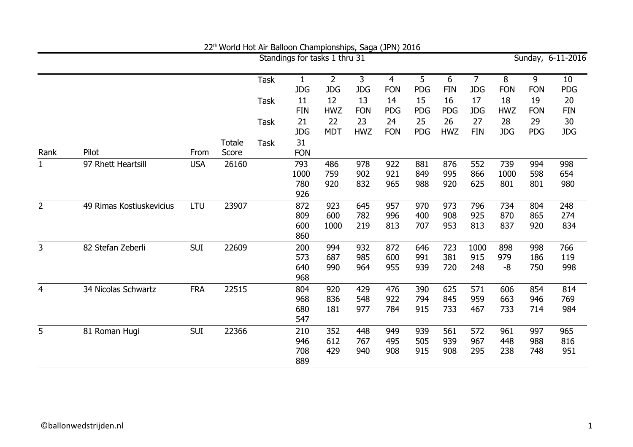|                |                          |            |                        |             | Standings for tasks 1 thru 31  |                              |                   |                              |                   |                   |                              |                    |                   | Sunday, 6-11-2016 |
|----------------|--------------------------|------------|------------------------|-------------|--------------------------------|------------------------------|-------------------|------------------------------|-------------------|-------------------|------------------------------|--------------------|-------------------|-------------------|
|                |                          |            |                        | <b>Task</b> | $\mathbf{1}$<br><b>JDG</b>     | $\overline{2}$<br><b>JDG</b> | 3<br><b>JDG</b>   | $\overline{4}$<br><b>FON</b> | 5<br>PDG          | 6<br><b>FIN</b>   | $\overline{7}$<br><b>JDG</b> | 8<br><b>FON</b>    | 9<br><b>FON</b>   | 10<br><b>PDG</b>  |
|                |                          |            |                        | <b>Task</b> | 11<br><b>FIN</b>               | 12<br><b>HWZ</b>             | 13<br><b>FON</b>  | 14<br><b>PDG</b>             | 15<br><b>PDG</b>  | 16<br><b>PDG</b>  | 17<br><b>JDG</b>             | 18<br><b>HWZ</b>   | 19<br><b>FON</b>  | 20<br><b>FIN</b>  |
|                |                          |            |                        | <b>Task</b> | 21                             | 22                           | 23                | 24                           | 25                | 26                | 27                           | 28                 | 29                | 30                |
| Rank           | Pilot                    | From       | <b>Totale</b><br>Score | <b>Task</b> | <b>JDG</b><br>31<br><b>FON</b> | <b>MDT</b>                   | <b>HWZ</b>        | <b>FON</b>                   | PDG               | <b>HWZ</b>        | <b>FIN</b>                   | <b>JDG</b>         | <b>PDG</b>        | <b>JDG</b>        |
| $\mathbf{1}$   | 97 Rhett Heartsill       | <b>USA</b> | 26160                  |             | 793<br>1000<br>780<br>926      | 486<br>759<br>920            | 978<br>902<br>832 | 922<br>921<br>965            | 881<br>849<br>988 | 876<br>995<br>920 | 552<br>866<br>625            | 739<br>1000<br>801 | 994<br>598<br>801 | 998<br>654<br>980 |
| $\overline{2}$ | 49 Rimas Kostiuskevicius | LTU        | 23907                  |             | 872<br>809<br>600<br>860       | 923<br>600<br>1000           | 645<br>782<br>219 | 957<br>996<br>813            | 970<br>400<br>707 | 973<br>908<br>953 | 796<br>925<br>813            | 734<br>870<br>837  | 804<br>865<br>920 | 248<br>274<br>834 |
| $\overline{3}$ | 82 Stefan Zeberli        | <b>SUI</b> | 22609                  |             | 200<br>573<br>640<br>968       | 994<br>687<br>990            | 932<br>985<br>964 | 872<br>600<br>955            | 646<br>991<br>939 | 723<br>381<br>720 | 1000<br>915<br>248           | 898<br>979<br>-8   | 998<br>186<br>750 | 766<br>119<br>998 |
| $\overline{4}$ | 34 Nicolas Schwartz      | <b>FRA</b> | 22515                  |             | 804<br>968<br>680<br>547       | 920<br>836<br>181            | 429<br>548<br>977 | 476<br>922<br>784            | 390<br>794<br>915 | 625<br>845<br>733 | 571<br>959<br>467            | 606<br>663<br>733  | 854<br>946<br>714 | 814<br>769<br>984 |
| 5              | 81 Roman Hugi            | <b>SUI</b> | 22366                  |             | 210<br>946<br>708<br>889       | 352<br>612<br>429            | 448<br>767<br>940 | 949<br>495<br>908            | 939<br>505<br>915 | 561<br>939<br>908 | 572<br>967<br>295            | 961<br>448<br>238  | 997<br>988<br>748 | 965<br>816<br>951 |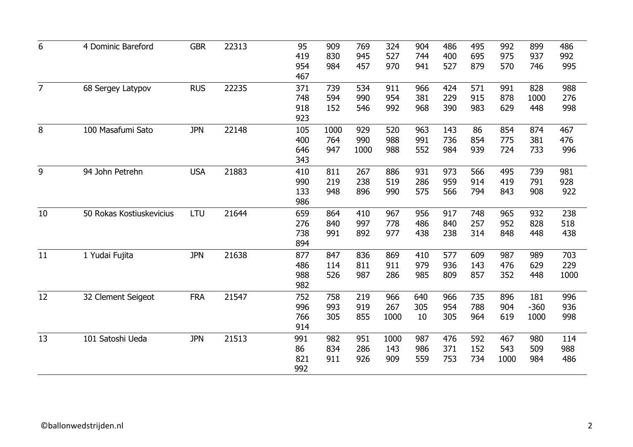| 6              | 4 Dominic Bareford       | <b>GBR</b> | 22313 | 95  | 909  | 769  | 324  | 904 | 486 | 495 | 992  | 899    | 486  |
|----------------|--------------------------|------------|-------|-----|------|------|------|-----|-----|-----|------|--------|------|
|                |                          |            |       | 419 | 830  | 945  | 527  | 744 | 400 | 695 | 975  | 937    | 992  |
|                |                          |            |       | 954 | 984  | 457  | 970  | 941 | 527 | 879 | 570  | 746    | 995  |
|                |                          |            |       | 467 |      |      |      |     |     |     |      |        |      |
| $\overline{7}$ | 68 Sergey Latypov        | <b>RUS</b> | 22235 | 371 | 739  | 534  | 911  | 966 | 424 | 571 | 991  | 828    | 988  |
|                |                          |            |       | 748 | 594  | 990  | 954  | 381 | 229 | 915 | 878  | 1000   | 276  |
|                |                          |            |       | 918 | 152  | 546  | 992  | 968 | 390 | 983 | 629  | 448    | 998  |
|                |                          |            |       | 923 |      |      |      |     |     |     |      |        |      |
| 8              | 100 Masafumi Sato        | <b>JPN</b> | 22148 | 105 | 1000 | 929  | 520  | 963 | 143 | 86  | 854  | 874    | 467  |
|                |                          |            |       | 400 | 764  | 990  | 988  | 991 | 736 | 854 | 775  | 381    | 476  |
|                |                          |            |       | 646 | 947  | 1000 | 988  | 552 | 984 | 939 | 724  | 733    | 996  |
|                |                          |            |       | 343 |      |      |      |     |     |     |      |        |      |
| 9              | 94 John Petrehn          | <b>USA</b> | 21883 | 410 | 811  | 267  | 886  | 931 | 973 | 566 | 495  | 739    | 981  |
|                |                          |            |       | 990 | 219  | 238  | 519  | 286 | 959 | 914 | 419  | 791    | 928  |
|                |                          |            |       | 133 | 948  | 896  | 990  | 575 | 566 | 794 | 843  | 908    | 922  |
|                |                          |            |       | 986 |      |      |      |     |     |     |      |        |      |
| 10             | 50 Rokas Kostiuskevicius | LTU        | 21644 | 659 | 864  | 410  | 967  | 956 | 917 | 748 | 965  | 932    | 238  |
|                |                          |            |       | 276 | 840  | 997  | 778  | 486 | 840 | 257 | 952  | 828    | 518  |
|                |                          |            |       | 738 | 991  | 892  | 977  | 438 | 238 | 314 | 848  | 448    | 438  |
|                |                          |            |       | 894 |      |      |      |     |     |     |      |        |      |
| 11             | 1 Yudai Fujita           | <b>JPN</b> | 21638 | 877 | 847  | 836  | 869  | 410 | 577 | 609 | 987  | 989    | 703  |
|                |                          |            |       | 486 | 114  | 811  | 911  | 979 | 936 | 143 | 476  | 629    | 229  |
|                |                          |            |       | 988 | 526  | 987  | 286  | 985 | 809 | 857 | 352  | 448    | 1000 |
|                |                          |            |       | 982 |      |      |      |     |     |     |      |        |      |
|                |                          |            |       |     |      |      |      |     |     |     |      |        |      |
| 12             | 32 Clement Seigeot       | <b>FRA</b> | 21547 | 752 | 758  | 219  | 966  | 640 | 966 | 735 | 896  | 181    | 996  |
|                |                          |            |       | 996 | 993  | 919  | 267  | 305 | 954 | 788 | 904  | $-360$ | 936  |
|                |                          |            |       | 766 | 305  | 855  | 1000 | 10  | 305 | 964 | 619  | 1000   | 998  |
|                |                          |            |       | 914 |      |      |      |     |     |     |      |        |      |
| 13             | 101 Satoshi Ueda         | <b>JPN</b> | 21513 | 991 | 982  | 951  | 1000 | 987 | 476 | 592 | 467  | 980    | 114  |
|                |                          |            |       | 86  | 834  | 286  | 143  | 986 | 371 | 152 | 543  | 509    | 988  |
|                |                          |            |       | 821 | 911  | 926  | 909  | 559 | 753 | 734 | 1000 | 984    | 486  |
|                |                          |            |       | 992 |      |      |      |     |     |     |      |        |      |
|                |                          |            |       |     |      |      |      |     |     |     |      |        |      |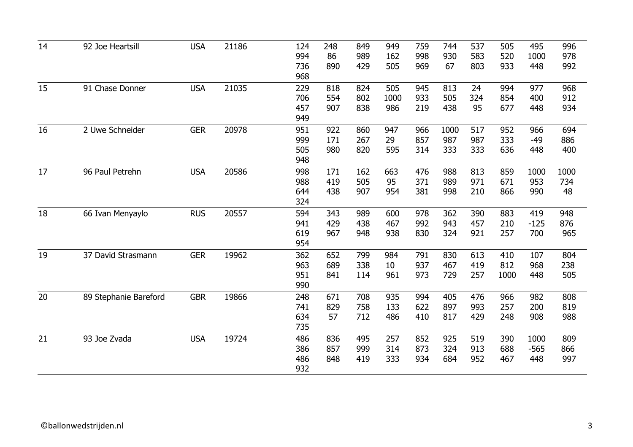| 14 | 92 Joe Heartsill      | <b>USA</b> | 21186 | 124<br>994<br>736<br>968 | 248<br>86<br>890  | 849<br>989<br>429 | 949<br>162<br>505  | 759<br>998<br>969 | 744<br>930<br>67   | 537<br>583<br>803 | 505<br>520<br>933  | 495<br>1000<br>448    | 996<br>978<br>992 |
|----|-----------------------|------------|-------|--------------------------|-------------------|-------------------|--------------------|-------------------|--------------------|-------------------|--------------------|-----------------------|-------------------|
| 15 | 91 Chase Donner       | <b>USA</b> | 21035 | 229<br>706<br>457<br>949 | 818<br>554<br>907 | 824<br>802<br>838 | 505<br>1000<br>986 | 945<br>933<br>219 | 813<br>505<br>438  | 24<br>324<br>95   | 994<br>854<br>677  | 977<br>400<br>448     | 968<br>912<br>934 |
| 16 | 2 Uwe Schneider       | <b>GER</b> | 20978 | 951<br>999<br>505<br>948 | 922<br>171<br>980 | 860<br>267<br>820 | 947<br>29<br>595   | 966<br>857<br>314 | 1000<br>987<br>333 | 517<br>987<br>333 | 952<br>333<br>636  | 966<br>$-49$<br>448   | 694<br>886<br>400 |
| 17 | 96 Paul Petrehn       | <b>USA</b> | 20586 | 998<br>988<br>644<br>324 | 171<br>419<br>438 | 162<br>505<br>907 | 663<br>95<br>954   | 476<br>371<br>381 | 988<br>989<br>998  | 813<br>971<br>210 | 859<br>671<br>866  | 1000<br>953<br>990    | 1000<br>734<br>48 |
| 18 | 66 Ivan Menyaylo      | <b>RUS</b> | 20557 | 594<br>941<br>619<br>954 | 343<br>429<br>967 | 989<br>438<br>948 | 600<br>467<br>938  | 978<br>992<br>830 | 362<br>943<br>324  | 390<br>457<br>921 | 883<br>210<br>257  | 419<br>$-125$<br>700  | 948<br>876<br>965 |
| 19 | 37 David Strasmann    | <b>GER</b> | 19962 | 362<br>963<br>951<br>990 | 652<br>689<br>841 | 799<br>338<br>114 | 984<br>10<br>961   | 791<br>937<br>973 | 830<br>467<br>729  | 613<br>419<br>257 | 410<br>812<br>1000 | 107<br>968<br>448     | 804<br>238<br>505 |
| 20 | 89 Stephanie Bareford | <b>GBR</b> | 19866 | 248<br>741<br>634<br>735 | 671<br>829<br>57  | 708<br>758<br>712 | 935<br>133<br>486  | 994<br>622<br>410 | 405<br>897<br>817  | 476<br>993<br>429 | 966<br>257<br>248  | 982<br>200<br>908     | 808<br>819<br>988 |
| 21 | 93 Joe Zvada          | <b>USA</b> | 19724 | 486<br>386<br>486<br>932 | 836<br>857<br>848 | 495<br>999<br>419 | 257<br>314<br>333  | 852<br>873<br>934 | 925<br>324<br>684  | 519<br>913<br>952 | 390<br>688<br>467  | 1000<br>$-565$<br>448 | 809<br>866<br>997 |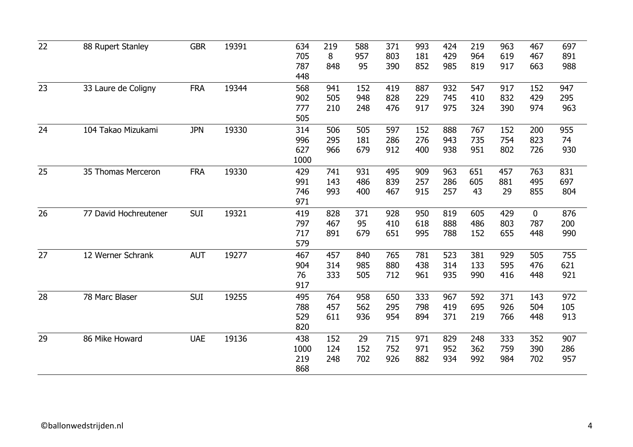| 22 | 88 Rupert Stanley     | <b>GBR</b> | 19391 | 634<br>705<br>787<br>448  | 219<br>8<br>848   | 588<br>957<br>95  | 371<br>803<br>390 | 993<br>181<br>852 | 424<br>429<br>985 | 219<br>964<br>819 | 963<br>619<br>917 | 467<br>467<br>663         | 697<br>891<br>988 |
|----|-----------------------|------------|-------|---------------------------|-------------------|-------------------|-------------------|-------------------|-------------------|-------------------|-------------------|---------------------------|-------------------|
| 23 | 33 Laure de Coligny   | <b>FRA</b> | 19344 | 568<br>902<br>777<br>505  | 941<br>505<br>210 | 152<br>948<br>248 | 419<br>828<br>476 | 887<br>229<br>917 | 932<br>745<br>975 | 547<br>410<br>324 | 917<br>832<br>390 | 152<br>429<br>974         | 947<br>295<br>963 |
| 24 | 104 Takao Mizukami    | <b>JPN</b> | 19330 | 314<br>996<br>627<br>1000 | 506<br>295<br>966 | 505<br>181<br>679 | 597<br>286<br>912 | 152<br>276<br>400 | 888<br>943<br>938 | 767<br>735<br>951 | 152<br>754<br>802 | 200<br>823<br>726         | 955<br>74<br>930  |
| 25 | 35 Thomas Merceron    | <b>FRA</b> | 19330 | 429<br>991<br>746<br>971  | 741<br>143<br>993 | 931<br>486<br>400 | 495<br>839<br>467 | 909<br>257<br>915 | 963<br>286<br>257 | 651<br>605<br>43  | 457<br>881<br>29  | 763<br>495<br>855         | 831<br>697<br>804 |
| 26 | 77 David Hochreutener | <b>SUI</b> | 19321 | 419<br>797<br>717<br>579  | 828<br>467<br>891 | 371<br>95<br>679  | 928<br>410<br>651 | 950<br>618<br>995 | 819<br>888<br>788 | 605<br>486<br>152 | 429<br>803<br>655 | $\mathbf 0$<br>787<br>448 | 876<br>200<br>990 |
| 27 | 12 Werner Schrank     | <b>AUT</b> | 19277 | 467<br>904<br>76<br>917   | 457<br>314<br>333 | 840<br>985<br>505 | 765<br>880<br>712 | 781<br>438<br>961 | 523<br>314<br>935 | 381<br>133<br>990 | 929<br>595<br>416 | 505<br>476<br>448         | 755<br>621<br>921 |
| 28 | 78 Marc Blaser        | <b>SUI</b> | 19255 | 495<br>788<br>529<br>820  | 764<br>457<br>611 | 958<br>562<br>936 | 650<br>295<br>954 | 333<br>798<br>894 | 967<br>419<br>371 | 592<br>695<br>219 | 371<br>926<br>766 | 143<br>504<br>448         | 972<br>105<br>913 |
| 29 | 86 Mike Howard        | <b>UAE</b> | 19136 | 438<br>1000<br>219<br>868 | 152<br>124<br>248 | 29<br>152<br>702  | 715<br>752<br>926 | 971<br>971<br>882 | 829<br>952<br>934 | 248<br>362<br>992 | 333<br>759<br>984 | 352<br>390<br>702         | 907<br>286<br>957 |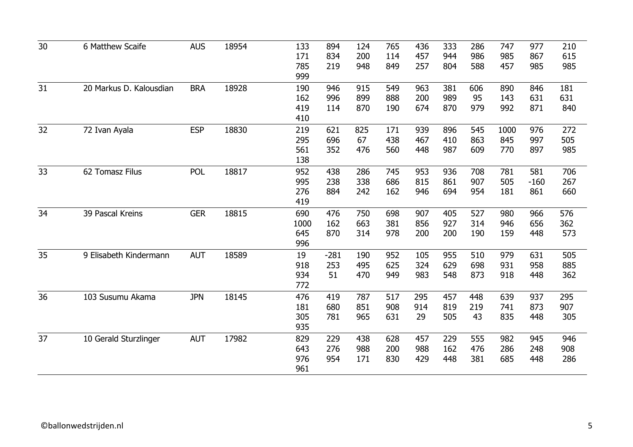| 30 | 6 Matthew Scaife        | <b>AUS</b> | 18954 | 133  | 894    | 124 | 765 | 436 | 333 | 286 | 747  | 977    | 210 |
|----|-------------------------|------------|-------|------|--------|-----|-----|-----|-----|-----|------|--------|-----|
|    |                         |            |       | 171  | 834    | 200 | 114 | 457 | 944 | 986 | 985  | 867    | 615 |
|    |                         |            |       | 785  | 219    | 948 | 849 | 257 | 804 | 588 | 457  | 985    | 985 |
|    |                         |            |       | 999  |        |     |     |     |     |     |      |        |     |
|    |                         |            |       |      |        |     |     |     |     |     |      |        |     |
| 31 | 20 Markus D. Kalousdian | <b>BRA</b> | 18928 | 190  | 946    | 915 | 549 | 963 | 381 | 606 | 890  | 846    | 181 |
|    |                         |            |       | 162  | 996    | 899 | 888 | 200 | 989 | 95  | 143  | 631    | 631 |
|    |                         |            |       | 419  | 114    | 870 | 190 | 674 | 870 | 979 | 992  | 871    | 840 |
|    |                         |            |       | 410  |        |     |     |     |     |     |      |        |     |
| 32 | 72 Ivan Ayala           | <b>ESP</b> | 18830 | 219  | 621    | 825 | 171 | 939 | 896 | 545 | 1000 | 976    | 272 |
|    |                         |            |       | 295  | 696    | 67  | 438 | 467 | 410 | 863 | 845  | 997    | 505 |
|    |                         |            |       | 561  | 352    | 476 | 560 | 448 | 987 | 609 | 770  | 897    | 985 |
|    |                         |            |       | 138  |        |     |     |     |     |     |      |        |     |
| 33 | 62 Tomasz Filus         | <b>POL</b> | 18817 | 952  | 438    | 286 | 745 | 953 | 936 | 708 | 781  | 581    | 706 |
|    |                         |            |       | 995  | 238    | 338 | 686 | 815 | 861 | 907 | 505  | $-160$ | 267 |
|    |                         |            |       | 276  | 884    | 242 | 162 | 946 | 694 | 954 | 181  | 861    | 660 |
|    |                         |            |       | 419  |        |     |     |     |     |     |      |        |     |
| 34 | 39 Pascal Kreins        | <b>GER</b> | 18815 | 690  | 476    | 750 | 698 | 907 | 405 | 527 | 980  | 966    | 576 |
|    |                         |            |       | 1000 | 162    | 663 | 381 | 856 | 927 | 314 | 946  | 656    | 362 |
|    |                         |            |       | 645  | 870    | 314 | 978 | 200 | 200 | 190 | 159  | 448    | 573 |
|    |                         |            |       | 996  |        |     |     |     |     |     |      |        |     |
| 35 | 9 Elisabeth Kindermann  | <b>AUT</b> |       |      |        |     | 952 | 105 |     | 510 | 979  | 631    |     |
|    |                         |            | 18589 | 19   | $-281$ | 190 |     |     | 955 | 698 |      |        | 505 |
|    |                         |            |       | 918  | 253    | 495 | 625 | 324 | 629 |     | 931  | 958    | 885 |
|    |                         |            |       | 934  | 51     | 470 | 949 | 983 | 548 | 873 | 918  | 448    | 362 |
|    |                         |            |       | 772  |        |     |     |     |     |     |      |        |     |
| 36 | 103 Susumu Akama        | <b>JPN</b> | 18145 | 476  | 419    | 787 | 517 | 295 | 457 | 448 | 639  | 937    | 295 |
|    |                         |            |       | 181  | 680    | 851 | 908 | 914 | 819 | 219 | 741  | 873    | 907 |
|    |                         |            |       | 305  | 781    | 965 | 631 | 29  | 505 | 43  | 835  | 448    | 305 |
|    |                         |            |       | 935  |        |     |     |     |     |     |      |        |     |
| 37 | 10 Gerald Sturzlinger   | <b>AUT</b> | 17982 | 829  | 229    | 438 | 628 | 457 | 229 | 555 | 982  | 945    | 946 |
|    |                         |            |       | 643  | 276    | 988 | 200 | 988 | 162 | 476 | 286  | 248    | 908 |
|    |                         |            |       | 976  | 954    | 171 | 830 | 429 | 448 | 381 | 685  | 448    | 286 |
|    |                         |            |       | 961  |        |     |     |     |     |     |      |        |     |
|    |                         |            |       |      |        |     |     |     |     |     |      |        |     |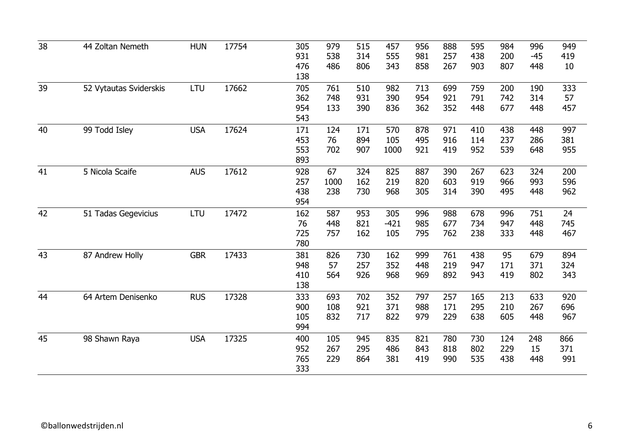| 931<br>538<br>314<br>257<br>438<br>$-45$<br>555<br>981<br>200<br>419<br>486<br>806<br>267<br>807<br>476<br>343<br>858<br>903<br>448<br>10<br>138<br>39<br>17662<br>LTU<br>759<br>52 Vytautas Sviderskis<br>705<br>761<br>510<br>982<br>713<br>699<br>200<br>190<br>333<br>362<br>931<br>954<br>921<br>748<br>390<br>791<br>742<br>314<br>57<br>954<br>133<br>836<br>362<br>352<br>448<br>677<br>390<br>448<br>457<br>543<br>17624<br>40<br>99 Todd Isley<br><b>USA</b><br>570<br>878<br>971<br>438<br>997<br>171<br>124<br>171<br>410<br>448<br>453<br>76<br>894<br>105<br>495<br>916<br>114<br>237<br>286<br>381<br>553<br>702<br>907<br>1000<br>921<br>419<br>952<br>539<br>955<br>648<br>893<br>17612<br>41<br>5 Nicola Scaife<br><b>AUS</b><br>67<br>928<br>324<br>825<br>887<br>390<br>267<br>623<br>324<br>200<br>219<br>820<br>919<br>993<br>257<br>1000<br>162<br>603<br>966<br>596<br>438<br>238<br>730<br>968<br>305<br>314<br>390<br>495<br>962<br>448<br>954<br>42<br><b>LTU</b><br>17472<br>162<br>953<br>988<br>678<br>51 Tadas Gegevicius<br>587<br>305<br>996<br>996<br>751<br>24<br>821<br>76<br>448<br>$-421$<br>985<br>677<br>734<br>947<br>448<br>745<br>333<br>725<br>757<br>162<br>105<br>795<br>762<br>238<br>448<br>467<br>780<br>43<br>87 Andrew Holly<br><b>GBR</b><br>17433<br>162<br>761<br>95<br>679<br>381<br>826<br>730<br>999<br>438<br>894<br>57<br>257<br>352<br>448<br>219<br>947<br>171<br>371<br>948<br>324<br>564<br>926<br>968<br>892<br>943<br>410<br>969<br>419<br>802<br>343<br>138<br>17328<br>44<br>64 Artem Denisenko<br><b>RUS</b><br>333<br>693<br>702<br>352<br>797<br>257<br>165<br>213<br>633<br>920<br>108<br>921<br>371<br>988<br>210<br>900<br>171<br>295<br>267<br>696<br>832<br>717<br>822<br>105<br>979<br>229<br>638<br>967<br>605<br>448<br>994<br>17325<br>45<br><b>USA</b><br>400<br>105<br>945<br>835<br>821<br>780<br>730<br>124<br>248<br>866<br>98 Shawn Raya<br>952<br>267<br>295<br>486<br>843<br>818<br>802<br>229<br>15<br>371<br>765<br>229<br>864<br>419<br>991<br>381<br>990<br>535<br>438<br>448<br>333 | 38 | 44 Zoltan Nemeth | <b>HUN</b> | 17754 | 305 | 979 | 515 | 457 | 956 | 888 | 595 | 984 | 996 | 949 |
|---------------------------------------------------------------------------------------------------------------------------------------------------------------------------------------------------------------------------------------------------------------------------------------------------------------------------------------------------------------------------------------------------------------------------------------------------------------------------------------------------------------------------------------------------------------------------------------------------------------------------------------------------------------------------------------------------------------------------------------------------------------------------------------------------------------------------------------------------------------------------------------------------------------------------------------------------------------------------------------------------------------------------------------------------------------------------------------------------------------------------------------------------------------------------------------------------------------------------------------------------------------------------------------------------------------------------------------------------------------------------------------------------------------------------------------------------------------------------------------------------------------------------------------------------------------------------------------------------------------------------------------------------------------------------------------------------------------------------------------------------------------------------------------------------------------------------------------------------------------------------------------------------------------------------------------------------------------------------------------------------------------------------------------------------------------------------------|----|------------------|------------|-------|-----|-----|-----|-----|-----|-----|-----|-----|-----|-----|
|                                                                                                                                                                                                                                                                                                                                                                                                                                                                                                                                                                                                                                                                                                                                                                                                                                                                                                                                                                                                                                                                                                                                                                                                                                                                                                                                                                                                                                                                                                                                                                                                                                                                                                                                                                                                                                                                                                                                                                                                                                                                                 |    |                  |            |       |     |     |     |     |     |     |     |     |     |     |
|                                                                                                                                                                                                                                                                                                                                                                                                                                                                                                                                                                                                                                                                                                                                                                                                                                                                                                                                                                                                                                                                                                                                                                                                                                                                                                                                                                                                                                                                                                                                                                                                                                                                                                                                                                                                                                                                                                                                                                                                                                                                                 |    |                  |            |       |     |     |     |     |     |     |     |     |     |     |
|                                                                                                                                                                                                                                                                                                                                                                                                                                                                                                                                                                                                                                                                                                                                                                                                                                                                                                                                                                                                                                                                                                                                                                                                                                                                                                                                                                                                                                                                                                                                                                                                                                                                                                                                                                                                                                                                                                                                                                                                                                                                                 |    |                  |            |       |     |     |     |     |     |     |     |     |     |     |
|                                                                                                                                                                                                                                                                                                                                                                                                                                                                                                                                                                                                                                                                                                                                                                                                                                                                                                                                                                                                                                                                                                                                                                                                                                                                                                                                                                                                                                                                                                                                                                                                                                                                                                                                                                                                                                                                                                                                                                                                                                                                                 |    |                  |            |       |     |     |     |     |     |     |     |     |     |     |
|                                                                                                                                                                                                                                                                                                                                                                                                                                                                                                                                                                                                                                                                                                                                                                                                                                                                                                                                                                                                                                                                                                                                                                                                                                                                                                                                                                                                                                                                                                                                                                                                                                                                                                                                                                                                                                                                                                                                                                                                                                                                                 |    |                  |            |       |     |     |     |     |     |     |     |     |     |     |
|                                                                                                                                                                                                                                                                                                                                                                                                                                                                                                                                                                                                                                                                                                                                                                                                                                                                                                                                                                                                                                                                                                                                                                                                                                                                                                                                                                                                                                                                                                                                                                                                                                                                                                                                                                                                                                                                                                                                                                                                                                                                                 |    |                  |            |       |     |     |     |     |     |     |     |     |     |     |
|                                                                                                                                                                                                                                                                                                                                                                                                                                                                                                                                                                                                                                                                                                                                                                                                                                                                                                                                                                                                                                                                                                                                                                                                                                                                                                                                                                                                                                                                                                                                                                                                                                                                                                                                                                                                                                                                                                                                                                                                                                                                                 |    |                  |            |       |     |     |     |     |     |     |     |     |     |     |
|                                                                                                                                                                                                                                                                                                                                                                                                                                                                                                                                                                                                                                                                                                                                                                                                                                                                                                                                                                                                                                                                                                                                                                                                                                                                                                                                                                                                                                                                                                                                                                                                                                                                                                                                                                                                                                                                                                                                                                                                                                                                                 |    |                  |            |       |     |     |     |     |     |     |     |     |     |     |
|                                                                                                                                                                                                                                                                                                                                                                                                                                                                                                                                                                                                                                                                                                                                                                                                                                                                                                                                                                                                                                                                                                                                                                                                                                                                                                                                                                                                                                                                                                                                                                                                                                                                                                                                                                                                                                                                                                                                                                                                                                                                                 |    |                  |            |       |     |     |     |     |     |     |     |     |     |     |
|                                                                                                                                                                                                                                                                                                                                                                                                                                                                                                                                                                                                                                                                                                                                                                                                                                                                                                                                                                                                                                                                                                                                                                                                                                                                                                                                                                                                                                                                                                                                                                                                                                                                                                                                                                                                                                                                                                                                                                                                                                                                                 |    |                  |            |       |     |     |     |     |     |     |     |     |     |     |
|                                                                                                                                                                                                                                                                                                                                                                                                                                                                                                                                                                                                                                                                                                                                                                                                                                                                                                                                                                                                                                                                                                                                                                                                                                                                                                                                                                                                                                                                                                                                                                                                                                                                                                                                                                                                                                                                                                                                                                                                                                                                                 |    |                  |            |       |     |     |     |     |     |     |     |     |     |     |
|                                                                                                                                                                                                                                                                                                                                                                                                                                                                                                                                                                                                                                                                                                                                                                                                                                                                                                                                                                                                                                                                                                                                                                                                                                                                                                                                                                                                                                                                                                                                                                                                                                                                                                                                                                                                                                                                                                                                                                                                                                                                                 |    |                  |            |       |     |     |     |     |     |     |     |     |     |     |
|                                                                                                                                                                                                                                                                                                                                                                                                                                                                                                                                                                                                                                                                                                                                                                                                                                                                                                                                                                                                                                                                                                                                                                                                                                                                                                                                                                                                                                                                                                                                                                                                                                                                                                                                                                                                                                                                                                                                                                                                                                                                                 |    |                  |            |       |     |     |     |     |     |     |     |     |     |     |
|                                                                                                                                                                                                                                                                                                                                                                                                                                                                                                                                                                                                                                                                                                                                                                                                                                                                                                                                                                                                                                                                                                                                                                                                                                                                                                                                                                                                                                                                                                                                                                                                                                                                                                                                                                                                                                                                                                                                                                                                                                                                                 |    |                  |            |       |     |     |     |     |     |     |     |     |     |     |
|                                                                                                                                                                                                                                                                                                                                                                                                                                                                                                                                                                                                                                                                                                                                                                                                                                                                                                                                                                                                                                                                                                                                                                                                                                                                                                                                                                                                                                                                                                                                                                                                                                                                                                                                                                                                                                                                                                                                                                                                                                                                                 |    |                  |            |       |     |     |     |     |     |     |     |     |     |     |
|                                                                                                                                                                                                                                                                                                                                                                                                                                                                                                                                                                                                                                                                                                                                                                                                                                                                                                                                                                                                                                                                                                                                                                                                                                                                                                                                                                                                                                                                                                                                                                                                                                                                                                                                                                                                                                                                                                                                                                                                                                                                                 |    |                  |            |       |     |     |     |     |     |     |     |     |     |     |
|                                                                                                                                                                                                                                                                                                                                                                                                                                                                                                                                                                                                                                                                                                                                                                                                                                                                                                                                                                                                                                                                                                                                                                                                                                                                                                                                                                                                                                                                                                                                                                                                                                                                                                                                                                                                                                                                                                                                                                                                                                                                                 |    |                  |            |       |     |     |     |     |     |     |     |     |     |     |
|                                                                                                                                                                                                                                                                                                                                                                                                                                                                                                                                                                                                                                                                                                                                                                                                                                                                                                                                                                                                                                                                                                                                                                                                                                                                                                                                                                                                                                                                                                                                                                                                                                                                                                                                                                                                                                                                                                                                                                                                                                                                                 |    |                  |            |       |     |     |     |     |     |     |     |     |     |     |
|                                                                                                                                                                                                                                                                                                                                                                                                                                                                                                                                                                                                                                                                                                                                                                                                                                                                                                                                                                                                                                                                                                                                                                                                                                                                                                                                                                                                                                                                                                                                                                                                                                                                                                                                                                                                                                                                                                                                                                                                                                                                                 |    |                  |            |       |     |     |     |     |     |     |     |     |     |     |
|                                                                                                                                                                                                                                                                                                                                                                                                                                                                                                                                                                                                                                                                                                                                                                                                                                                                                                                                                                                                                                                                                                                                                                                                                                                                                                                                                                                                                                                                                                                                                                                                                                                                                                                                                                                                                                                                                                                                                                                                                                                                                 |    |                  |            |       |     |     |     |     |     |     |     |     |     |     |
|                                                                                                                                                                                                                                                                                                                                                                                                                                                                                                                                                                                                                                                                                                                                                                                                                                                                                                                                                                                                                                                                                                                                                                                                                                                                                                                                                                                                                                                                                                                                                                                                                                                                                                                                                                                                                                                                                                                                                                                                                                                                                 |    |                  |            |       |     |     |     |     |     |     |     |     |     |     |
|                                                                                                                                                                                                                                                                                                                                                                                                                                                                                                                                                                                                                                                                                                                                                                                                                                                                                                                                                                                                                                                                                                                                                                                                                                                                                                                                                                                                                                                                                                                                                                                                                                                                                                                                                                                                                                                                                                                                                                                                                                                                                 |    |                  |            |       |     |     |     |     |     |     |     |     |     |     |
|                                                                                                                                                                                                                                                                                                                                                                                                                                                                                                                                                                                                                                                                                                                                                                                                                                                                                                                                                                                                                                                                                                                                                                                                                                                                                                                                                                                                                                                                                                                                                                                                                                                                                                                                                                                                                                                                                                                                                                                                                                                                                 |    |                  |            |       |     |     |     |     |     |     |     |     |     |     |
|                                                                                                                                                                                                                                                                                                                                                                                                                                                                                                                                                                                                                                                                                                                                                                                                                                                                                                                                                                                                                                                                                                                                                                                                                                                                                                                                                                                                                                                                                                                                                                                                                                                                                                                                                                                                                                                                                                                                                                                                                                                                                 |    |                  |            |       |     |     |     |     |     |     |     |     |     |     |
|                                                                                                                                                                                                                                                                                                                                                                                                                                                                                                                                                                                                                                                                                                                                                                                                                                                                                                                                                                                                                                                                                                                                                                                                                                                                                                                                                                                                                                                                                                                                                                                                                                                                                                                                                                                                                                                                                                                                                                                                                                                                                 |    |                  |            |       |     |     |     |     |     |     |     |     |     |     |
|                                                                                                                                                                                                                                                                                                                                                                                                                                                                                                                                                                                                                                                                                                                                                                                                                                                                                                                                                                                                                                                                                                                                                                                                                                                                                                                                                                                                                                                                                                                                                                                                                                                                                                                                                                                                                                                                                                                                                                                                                                                                                 |    |                  |            |       |     |     |     |     |     |     |     |     |     |     |
|                                                                                                                                                                                                                                                                                                                                                                                                                                                                                                                                                                                                                                                                                                                                                                                                                                                                                                                                                                                                                                                                                                                                                                                                                                                                                                                                                                                                                                                                                                                                                                                                                                                                                                                                                                                                                                                                                                                                                                                                                                                                                 |    |                  |            |       |     |     |     |     |     |     |     |     |     |     |
|                                                                                                                                                                                                                                                                                                                                                                                                                                                                                                                                                                                                                                                                                                                                                                                                                                                                                                                                                                                                                                                                                                                                                                                                                                                                                                                                                                                                                                                                                                                                                                                                                                                                                                                                                                                                                                                                                                                                                                                                                                                                                 |    |                  |            |       |     |     |     |     |     |     |     |     |     |     |
|                                                                                                                                                                                                                                                                                                                                                                                                                                                                                                                                                                                                                                                                                                                                                                                                                                                                                                                                                                                                                                                                                                                                                                                                                                                                                                                                                                                                                                                                                                                                                                                                                                                                                                                                                                                                                                                                                                                                                                                                                                                                                 |    |                  |            |       |     |     |     |     |     |     |     |     |     |     |
|                                                                                                                                                                                                                                                                                                                                                                                                                                                                                                                                                                                                                                                                                                                                                                                                                                                                                                                                                                                                                                                                                                                                                                                                                                                                                                                                                                                                                                                                                                                                                                                                                                                                                                                                                                                                                                                                                                                                                                                                                                                                                 |    |                  |            |       |     |     |     |     |     |     |     |     |     |     |
|                                                                                                                                                                                                                                                                                                                                                                                                                                                                                                                                                                                                                                                                                                                                                                                                                                                                                                                                                                                                                                                                                                                                                                                                                                                                                                                                                                                                                                                                                                                                                                                                                                                                                                                                                                                                                                                                                                                                                                                                                                                                                 |    |                  |            |       |     |     |     |     |     |     |     |     |     |     |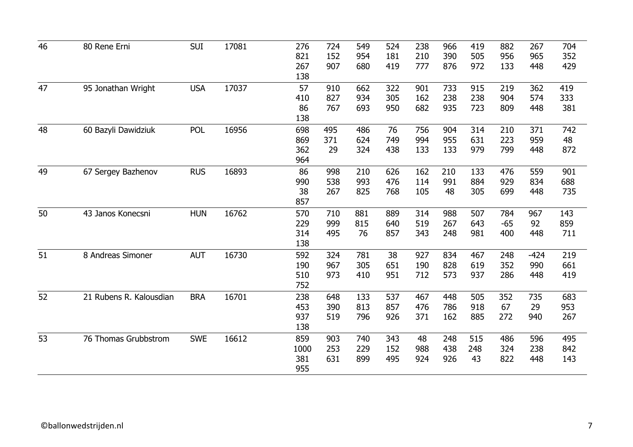| 46 | 80 Rene Erni            | <b>SUI</b> | 17081 | 276<br>821<br>267<br>138  | 724<br>152<br>907 | 549<br>954<br>680 | 524<br>181<br>419 | 238<br>210<br>777 | 966<br>390<br>876 | 419<br>505<br>972 | 882<br>956<br>133   | 267<br>965<br>448    | 704<br>352<br>429 |
|----|-------------------------|------------|-------|---------------------------|-------------------|-------------------|-------------------|-------------------|-------------------|-------------------|---------------------|----------------------|-------------------|
| 47 | 95 Jonathan Wright      | <b>USA</b> | 17037 | 57<br>410<br>86<br>138    | 910<br>827<br>767 | 662<br>934<br>693 | 322<br>305<br>950 | 901<br>162<br>682 | 733<br>238<br>935 | 915<br>238<br>723 | 219<br>904<br>809   | 362<br>574<br>448    | 419<br>333<br>381 |
| 48 | 60 Bazyli Dawidziuk     | <b>POL</b> | 16956 | 698<br>869<br>362<br>964  | 495<br>371<br>29  | 486<br>624<br>324 | 76<br>749<br>438  | 756<br>994<br>133 | 904<br>955<br>133 | 314<br>631<br>979 | 210<br>223<br>799   | 371<br>959<br>448    | 742<br>48<br>872  |
| 49 | 67 Sergey Bazhenov      | <b>RUS</b> | 16893 | 86<br>990<br>38<br>857    | 998<br>538<br>267 | 210<br>993<br>825 | 626<br>476<br>768 | 162<br>114<br>105 | 210<br>991<br>48  | 133<br>884<br>305 | 476<br>929<br>699   | 559<br>834<br>448    | 901<br>688<br>735 |
| 50 | 43 Janos Konecsni       | <b>HUN</b> | 16762 | 570<br>229<br>314<br>138  | 710<br>999<br>495 | 881<br>815<br>76  | 889<br>640<br>857 | 314<br>519<br>343 | 988<br>267<br>248 | 507<br>643<br>981 | 784<br>$-65$<br>400 | 967<br>92<br>448     | 143<br>859<br>711 |
| 51 | 8 Andreas Simoner       | <b>AUT</b> | 16730 | 592<br>190<br>510<br>752  | 324<br>967<br>973 | 781<br>305<br>410 | 38<br>651<br>951  | 927<br>190<br>712 | 834<br>828<br>573 | 467<br>619<br>937 | 248<br>352<br>286   | $-424$<br>990<br>448 | 219<br>661<br>419 |
| 52 | 21 Rubens R. Kalousdian | <b>BRA</b> | 16701 | 238<br>453<br>937<br>138  | 648<br>390<br>519 | 133<br>813<br>796 | 537<br>857<br>926 | 467<br>476<br>371 | 448<br>786<br>162 | 505<br>918<br>885 | 352<br>67<br>272    | 735<br>29<br>940     | 683<br>953<br>267 |
| 53 | 76 Thomas Grubbstrom    | <b>SWE</b> | 16612 | 859<br>1000<br>381<br>955 | 903<br>253<br>631 | 740<br>229<br>899 | 343<br>152<br>495 | 48<br>988<br>924  | 248<br>438<br>926 | 515<br>248<br>43  | 486<br>324<br>822   | 596<br>238<br>448    | 495<br>842<br>143 |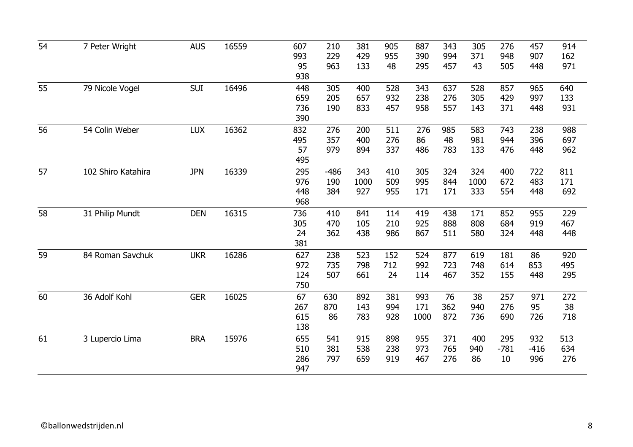| 54 | 7 Peter Wright     | <b>AUS</b> | 16559 | 607<br>993<br>95<br>938  | 210<br>229<br>963    | 381<br>429<br>133  | 905<br>955<br>48  | 887<br>390<br>295  | 343<br>994<br>457 | 305<br>371<br>43   | 276<br>948<br>505   | 457<br>907<br>448    | 914<br>162<br>971 |
|----|--------------------|------------|-------|--------------------------|----------------------|--------------------|-------------------|--------------------|-------------------|--------------------|---------------------|----------------------|-------------------|
| 55 | 79 Nicole Vogel    | <b>SUI</b> | 16496 | 448<br>659<br>736<br>390 | 305<br>205<br>190    | 400<br>657<br>833  | 528<br>932<br>457 | 343<br>238<br>958  | 637<br>276<br>557 | 528<br>305<br>143  | 857<br>429<br>371   | 965<br>997<br>448    | 640<br>133<br>931 |
| 56 | 54 Colin Weber     | <b>LUX</b> | 16362 | 832<br>495<br>57<br>495  | 276<br>357<br>979    | 200<br>400<br>894  | 511<br>276<br>337 | 276<br>86<br>486   | 985<br>48<br>783  | 583<br>981<br>133  | 743<br>944<br>476   | 238<br>396<br>448    | 988<br>697<br>962 |
| 57 | 102 Shiro Katahira | <b>JPN</b> | 16339 | 295<br>976<br>448<br>968 | $-486$<br>190<br>384 | 343<br>1000<br>927 | 410<br>509<br>955 | 305<br>995<br>171  | 324<br>844<br>171 | 324<br>1000<br>333 | 400<br>672<br>554   | 722<br>483<br>448    | 811<br>171<br>692 |
| 58 | 31 Philip Mundt    | <b>DEN</b> | 16315 | 736<br>305<br>24<br>381  | 410<br>470<br>362    | 841<br>105<br>438  | 114<br>210<br>986 | 419<br>925<br>867  | 438<br>888<br>511 | 171<br>808<br>580  | 852<br>684<br>324   | 955<br>919<br>448    | 229<br>467<br>448 |
| 59 | 84 Roman Savchuk   | <b>UKR</b> | 16286 | 627<br>972<br>124<br>750 | 238<br>735<br>507    | 523<br>798<br>661  | 152<br>712<br>24  | 524<br>992<br>114  | 877<br>723<br>467 | 619<br>748<br>352  | 181<br>614<br>155   | 86<br>853<br>448     | 920<br>495<br>295 |
| 60 | 36 Adolf Kohl      | <b>GER</b> | 16025 | 67<br>267<br>615<br>138  | 630<br>870<br>86     | 892<br>143<br>783  | 381<br>994<br>928 | 993<br>171<br>1000 | 76<br>362<br>872  | 38<br>940<br>736   | 257<br>276<br>690   | 971<br>95<br>726     | 272<br>38<br>718  |
| 61 | 3 Lupercio Lima    | <b>BRA</b> | 15976 | 655<br>510<br>286<br>947 | 541<br>381<br>797    | 915<br>538<br>659  | 898<br>238<br>919 | 955<br>973<br>467  | 371<br>765<br>276 | 400<br>940<br>86   | 295<br>$-781$<br>10 | 932<br>$-416$<br>996 | 513<br>634<br>276 |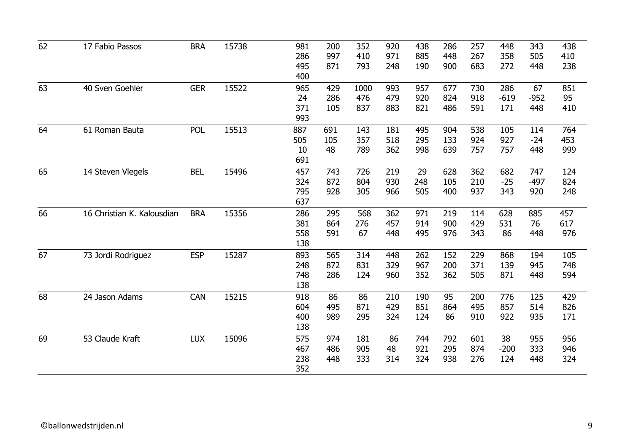| 62 | 17 Fabio Passos            | <b>BRA</b> | 15738 | 981 | 200 | 352  | 920 | 438 | 286 | 257 | 448    | 343    | 438 |
|----|----------------------------|------------|-------|-----|-----|------|-----|-----|-----|-----|--------|--------|-----|
|    |                            |            |       | 286 | 997 | 410  | 971 | 885 | 448 | 267 | 358    | 505    | 410 |
|    |                            |            |       | 495 | 871 | 793  | 248 | 190 | 900 | 683 | 272    | 448    | 238 |
|    |                            |            |       | 400 |     |      |     |     |     |     |        |        |     |
| 63 | 40 Sven Goehler            | <b>GER</b> | 15522 | 965 | 429 | 1000 | 993 | 957 | 677 | 730 | 286    | 67     | 851 |
|    |                            |            |       | 24  | 286 | 476  | 479 | 920 | 824 | 918 | $-619$ | $-952$ | 95  |
|    |                            |            |       | 371 | 105 | 837  | 883 | 821 | 486 | 591 | 171    | 448    | 410 |
|    |                            |            |       | 993 |     |      |     |     |     |     |        |        |     |
| 64 | 61 Roman Bauta             | <b>POL</b> | 15513 | 887 | 691 | 143  | 181 | 495 | 904 | 538 | 105    | 114    | 764 |
|    |                            |            |       | 505 | 105 | 357  | 518 | 295 | 133 | 924 | 927    | $-24$  | 453 |
|    |                            |            |       | 10  | 48  | 789  | 362 | 998 | 639 | 757 | 757    | 448    | 999 |
|    |                            |            |       | 691 |     |      |     |     |     |     |        |        |     |
| 65 | 14 Steven Vlegels          | <b>BEL</b> | 15496 | 457 | 743 | 726  | 219 | 29  | 628 | 362 | 682    | 747    | 124 |
|    |                            |            |       | 324 | 872 | 804  | 930 | 248 | 105 | 210 | $-25$  | $-497$ | 824 |
|    |                            |            |       | 795 | 928 | 305  | 966 | 505 | 400 | 937 | 343    | 920    | 248 |
|    |                            |            |       | 637 |     |      |     |     |     |     |        |        |     |
| 66 | 16 Christian K. Kalousdian | <b>BRA</b> | 15356 | 286 | 295 | 568  | 362 | 971 | 219 | 114 | 628    | 885    | 457 |
|    |                            |            |       | 381 | 864 | 276  | 457 | 914 | 900 | 429 | 531    | 76     | 617 |
|    |                            |            |       | 558 | 591 | 67   | 448 | 495 | 976 | 343 | 86     | 448    | 976 |
|    |                            |            |       | 138 |     |      |     |     |     |     |        |        |     |
| 67 | 73 Jordi Rodriguez         | <b>ESP</b> | 15287 | 893 | 565 | 314  | 448 | 262 | 152 | 229 | 868    | 194    | 105 |
|    |                            |            |       | 248 | 872 | 831  | 329 | 967 | 200 | 371 | 139    | 945    | 748 |
|    |                            |            |       | 748 | 286 | 124  | 960 | 352 | 362 | 505 | 871    | 448    | 594 |
|    |                            |            |       | 138 |     |      |     |     |     |     |        |        |     |
| 68 | 24 Jason Adams             | <b>CAN</b> | 15215 | 918 | 86  | 86   | 210 | 190 | 95  | 200 | 776    | 125    | 429 |
|    |                            |            |       | 604 | 495 | 871  | 429 | 851 | 864 | 495 | 857    | 514    | 826 |
|    |                            |            |       | 400 | 989 | 295  | 324 | 124 | 86  | 910 | 922    | 935    | 171 |
|    |                            |            |       | 138 |     |      |     |     |     |     |        |        |     |
| 69 | 53 Claude Kraft            | <b>LUX</b> | 15096 | 575 | 974 | 181  | 86  | 744 | 792 | 601 | 38     | 955    | 956 |
|    |                            |            |       | 467 | 486 | 905  | 48  | 921 | 295 | 874 | $-200$ | 333    | 946 |
|    |                            |            |       | 238 | 448 | 333  | 314 | 324 | 938 | 276 | 124    | 448    | 324 |
|    |                            |            |       | 352 |     |      |     |     |     |     |        |        |     |
|    |                            |            |       |     |     |      |     |     |     |     |        |        |     |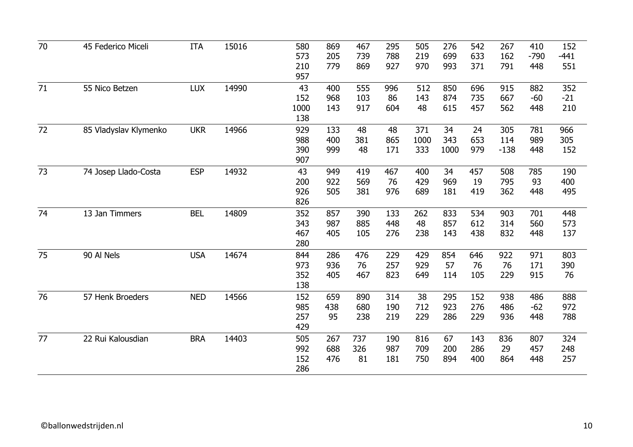| 70 | 45 Federico Miceli    | <b>ITA</b> | 15016 | 580  | 869 | 467 | 295 | 505  | 276  | 542 | 267    | 410    | 152    |
|----|-----------------------|------------|-------|------|-----|-----|-----|------|------|-----|--------|--------|--------|
|    |                       |            |       | 573  | 205 | 739 | 788 | 219  | 699  | 633 | 162    | $-790$ | $-441$ |
|    |                       |            |       | 210  | 779 | 869 | 927 | 970  | 993  | 371 | 791    | 448    | 551    |
|    |                       |            |       | 957  |     |     |     |      |      |     |        |        |        |
| 71 | 55 Nico Betzen        | <b>LUX</b> | 14990 | 43   | 400 | 555 | 996 | 512  | 850  | 696 | 915    | 882    | 352    |
|    |                       |            |       | 152  | 968 | 103 | 86  | 143  | 874  | 735 | 667    | $-60$  | $-21$  |
|    |                       |            |       | 1000 | 143 | 917 | 604 | 48   | 615  | 457 | 562    | 448    | 210    |
|    |                       |            |       | 138  |     |     |     |      |      |     |        |        |        |
| 72 | 85 Vladyslav Klymenko | <b>UKR</b> | 14966 | 929  | 133 | 48  | 48  | 371  | 34   | 24  | 305    | 781    | 966    |
|    |                       |            |       | 988  | 400 | 381 | 865 | 1000 | 343  | 653 | 114    | 989    | 305    |
|    |                       |            |       | 390  | 999 | 48  | 171 | 333  | 1000 | 979 | $-138$ | 448    | 152    |
|    |                       |            |       | 907  |     |     |     |      |      |     |        |        |        |
| 73 | 74 Josep Llado-Costa  | <b>ESP</b> | 14932 | 43   | 949 | 419 | 467 | 400  | 34   | 457 | 508    | 785    | 190    |
|    |                       |            |       | 200  | 922 | 569 | 76  | 429  | 969  | 19  | 795    | 93     | 400    |
|    |                       |            |       | 926  | 505 | 381 | 976 | 689  | 181  | 419 | 362    | 448    | 495    |
|    |                       |            |       | 826  |     |     |     |      |      |     |        |        |        |
| 74 | 13 Jan Timmers        | <b>BEL</b> | 14809 | 352  | 857 | 390 | 133 | 262  | 833  | 534 | 903    | 701    | 448    |
|    |                       |            |       | 343  | 987 | 885 | 448 | 48   | 857  | 612 | 314    | 560    | 573    |
|    |                       |            |       | 467  | 405 | 105 | 276 | 238  | 143  | 438 | 832    | 448    | 137    |
|    |                       |            |       | 280  |     |     |     |      |      |     |        |        |        |
|    |                       |            |       |      |     |     |     |      |      |     |        |        |        |
| 75 | 90 Al Nels            | <b>USA</b> | 14674 | 844  | 286 | 476 | 229 | 429  | 854  | 646 | 922    | 971    | 803    |
|    |                       |            |       | 973  | 936 | 76  | 257 | 929  | 57   | 76  | 76     | 171    | 390    |
|    |                       |            |       | 352  | 405 | 467 | 823 | 649  | 114  | 105 | 229    | 915    | 76     |
|    |                       |            |       | 138  |     |     |     |      |      |     |        |        |        |
| 76 | 57 Henk Broeders      | <b>NED</b> | 14566 | 152  | 659 | 890 | 314 | 38   | 295  | 152 | 938    | 486    | 888    |
|    |                       |            |       | 985  | 438 | 680 | 190 | 712  | 923  | 276 | 486    | $-62$  | 972    |
|    |                       |            |       | 257  | 95  | 238 | 219 | 229  | 286  | 229 | 936    | 448    | 788    |
|    |                       |            |       | 429  |     |     |     |      |      |     |        |        |        |
| 77 | 22 Rui Kalousdian     | <b>BRA</b> | 14403 | 505  | 267 | 737 | 190 | 816  | 67   | 143 | 836    | 807    | 324    |
|    |                       |            |       | 992  | 688 | 326 | 987 | 709  | 200  | 286 | 29     | 457    | 248    |
|    |                       |            |       | 152  | 476 | 81  | 181 | 750  | 894  | 400 | 864    | 448    | 257    |
|    |                       |            |       | 286  |     |     |     |      |      |     |        |        |        |
|    |                       |            |       |      |     |     |     |      |      |     |        |        |        |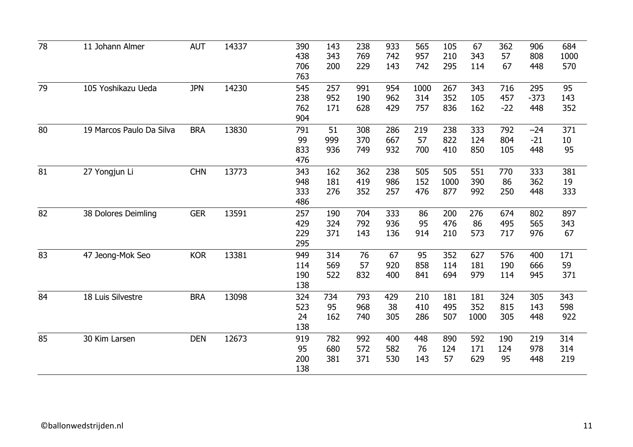| 78 | 11 Johann Almer          | <b>AUT</b> | 14337 | 390 | 143 | 238 | 933 | 565  | 105  | 67   | 362   | 906    | 684  |
|----|--------------------------|------------|-------|-----|-----|-----|-----|------|------|------|-------|--------|------|
|    |                          |            |       | 438 | 343 | 769 | 742 | 957  | 210  | 343  | 57    | 808    | 1000 |
|    |                          |            |       | 706 | 200 | 229 | 143 | 742  | 295  | 114  | 67    | 448    | 570  |
|    |                          |            |       | 763 |     |     |     |      |      |      |       |        |      |
| 79 | 105 Yoshikazu Ueda       | <b>JPN</b> | 14230 | 545 | 257 | 991 | 954 | 1000 | 267  | 343  | 716   | 295    | 95   |
|    |                          |            |       | 238 | 952 | 190 | 962 | 314  | 352  | 105  | 457   | $-373$ | 143  |
|    |                          |            |       | 762 | 171 | 628 | 429 | 757  | 836  | 162  | $-22$ | 448    | 352  |
|    |                          |            |       | 904 |     |     |     |      |      |      |       |        |      |
| 80 | 19 Marcos Paulo Da Silva | <b>BRA</b> | 13830 | 791 | 51  | 308 | 286 | 219  | 238  | 333  | 792   | $-24$  | 371  |
|    |                          |            |       | 99  | 999 | 370 | 667 | 57   | 822  | 124  | 804   | $-21$  | 10   |
|    |                          |            |       | 833 | 936 | 749 | 932 | 700  | 410  | 850  | 105   | 448    | 95   |
|    |                          |            |       | 476 |     |     |     |      |      |      |       |        |      |
| 81 | 27 Yongjun Li            | <b>CHN</b> | 13773 | 343 | 162 | 362 | 238 | 505  | 505  | 551  | 770   | 333    | 381  |
|    |                          |            |       | 948 | 181 | 419 | 986 | 152  | 1000 | 390  | 86    | 362    | 19   |
|    |                          |            |       | 333 | 276 | 352 | 257 | 476  | 877  | 992  | 250   | 448    | 333  |
|    |                          |            |       | 486 |     |     |     |      |      |      |       |        |      |
| 82 | 38 Dolores Deimling      | <b>GER</b> | 13591 | 257 | 190 | 704 | 333 | 86   | 200  | 276  | 674   | 802    | 897  |
|    |                          |            |       | 429 | 324 | 792 | 936 | 95   | 476  | 86   | 495   | 565    | 343  |
|    |                          |            |       | 229 | 371 | 143 | 136 | 914  | 210  | 573  | 717   | 976    | 67   |
|    |                          |            |       | 295 |     |     |     |      |      |      |       |        |      |
| 83 | 47 Jeong-Mok Seo         | <b>KOR</b> | 13381 | 949 | 314 | 76  | 67  | 95   | 352  | 627  | 576   | 400    | 171  |
|    |                          |            |       | 114 | 569 | 57  | 920 | 858  | 114  | 181  | 190   | 666    | 59   |
|    |                          |            |       | 190 | 522 | 832 | 400 | 841  | 694  | 979  | 114   | 945    | 371  |
|    |                          |            |       | 138 |     |     |     |      |      |      |       |        |      |
| 84 | 18 Luis Silvestre        | <b>BRA</b> | 13098 | 324 | 734 | 793 | 429 | 210  | 181  | 181  | 324   | 305    | 343  |
|    |                          |            |       | 523 | 95  | 968 | 38  | 410  | 495  | 352  | 815   | 143    | 598  |
|    |                          |            |       | 24  | 162 | 740 | 305 | 286  | 507  | 1000 | 305   | 448    | 922  |
|    |                          |            |       | 138 |     |     |     |      |      |      |       |        |      |
| 85 | 30 Kim Larsen            | <b>DEN</b> | 12673 | 919 | 782 | 992 | 400 | 448  | 890  | 592  | 190   | 219    | 314  |
|    |                          |            |       | 95  | 680 | 572 | 582 | 76   | 124  | 171  | 124   | 978    | 314  |
|    |                          |            |       | 200 | 381 | 371 | 530 | 143  | 57   | 629  | 95    | 448    | 219  |
|    |                          |            |       | 138 |     |     |     |      |      |      |       |        |      |
|    |                          |            |       |     |     |     |     |      |      |      |       |        |      |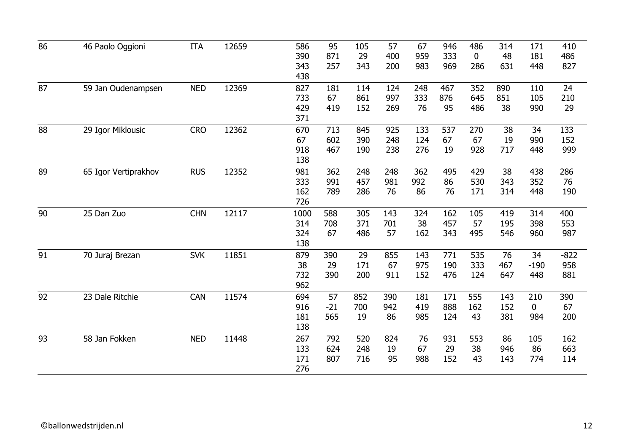| 86 | 46 Paolo Oggioni     | <b>ITA</b> | 12659 | 586<br>390<br>343               | 95<br>871<br>257   | 105<br>29<br>343  | 57<br>400<br>200  | 67<br>959<br>983  | 946<br>333<br>969 | 486<br>$\mathbf 0$<br>286 | 314<br>48<br>631  | 171<br>181<br>448         | 410<br>486<br>827    |
|----|----------------------|------------|-------|---------------------------------|--------------------|-------------------|-------------------|-------------------|-------------------|---------------------------|-------------------|---------------------------|----------------------|
| 87 | 59 Jan Oudenampsen   | <b>NED</b> | 12369 | 438<br>827<br>733<br>429<br>371 | 181<br>67<br>419   | 114<br>861<br>152 | 124<br>997<br>269 | 248<br>333<br>76  | 467<br>876<br>95  | 352<br>645<br>486         | 890<br>851<br>38  | 110<br>105<br>990         | 24<br>210<br>29      |
| 88 | 29 Igor Miklousic    | <b>CRO</b> | 12362 | 670<br>67<br>918<br>138         | 713<br>602<br>467  | 845<br>390<br>190 | 925<br>248<br>238 | 133<br>124<br>276 | 537<br>67<br>19   | 270<br>67<br>928          | 38<br>19<br>717   | 34<br>990<br>448          | 133<br>152<br>999    |
| 89 | 65 Igor Vertiprakhov | <b>RUS</b> | 12352 | 981<br>333<br>162<br>726        | 362<br>991<br>789  | 248<br>457<br>286 | 248<br>981<br>76  | 362<br>992<br>86  | 495<br>86<br>76   | 429<br>530<br>171         | 38<br>343<br>314  | 438<br>352<br>448         | 286<br>76<br>190     |
| 90 | 25 Dan Zuo           | <b>CHN</b> | 12117 | 1000<br>314<br>324<br>138       | 588<br>708<br>67   | 305<br>371<br>486 | 143<br>701<br>57  | 324<br>38<br>162  | 162<br>457<br>343 | 105<br>57<br>495          | 419<br>195<br>546 | 314<br>398<br>960         | 400<br>553<br>987    |
| 91 | 70 Juraj Brezan      | <b>SVK</b> | 11851 | 879<br>38<br>732<br>962         | 390<br>29<br>390   | 29<br>171<br>200  | 855<br>67<br>911  | 143<br>975<br>152 | 771<br>190<br>476 | 535<br>333<br>124         | 76<br>467<br>647  | 34<br>$-190$<br>448       | $-822$<br>958<br>881 |
| 92 | 23 Dale Ritchie      | CAN        | 11574 | 694<br>916<br>181<br>138        | 57<br>$-21$<br>565 | 852<br>700<br>19  | 390<br>942<br>86  | 181<br>419<br>985 | 171<br>888<br>124 | 555<br>162<br>43          | 143<br>152<br>381 | 210<br>$\mathbf 0$<br>984 | 390<br>67<br>200     |
| 93 | 58 Jan Fokken        | <b>NED</b> | 11448 | 267<br>133<br>171<br>276        | 792<br>624<br>807  | 520<br>248<br>716 | 824<br>19<br>95   | 76<br>67<br>988   | 931<br>29<br>152  | 553<br>38<br>43           | 86<br>946<br>143  | 105<br>86<br>774          | 162<br>663<br>114    |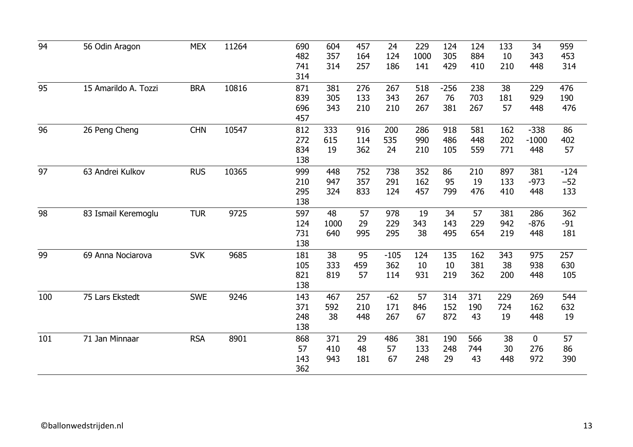| 94  | 56 Odin Aragon       | <b>MEX</b> | 11264 | 690<br>482               | 604<br>357        | 457<br>164        | 24<br>124            | 229<br>1000       | 124<br>305          | 124<br>884        | 133<br>10         | 34<br>343                 | 959<br>453             |
|-----|----------------------|------------|-------|--------------------------|-------------------|-------------------|----------------------|-------------------|---------------------|-------------------|-------------------|---------------------------|------------------------|
|     |                      |            |       | 741<br>314               | 314               | 257               | 186                  | 141               | 429                 | 410               | 210               | 448                       | 314                    |
| 95  | 15 Amarildo A. Tozzi | <b>BRA</b> | 10816 | 871<br>839<br>696<br>457 | 381<br>305<br>343 | 276<br>133<br>210 | 267<br>343<br>210    | 518<br>267<br>267 | $-256$<br>76<br>381 | 238<br>703<br>267 | 38<br>181<br>57   | 229<br>929<br>448         | 476<br>190<br>476      |
| 96  | 26 Peng Cheng        | <b>CHN</b> | 10547 | 812<br>272<br>834<br>138 | 333<br>615<br>19  | 916<br>114<br>362 | 200<br>535<br>24     | 286<br>990<br>210 | 918<br>486<br>105   | 581<br>448<br>559 | 162<br>202<br>771 | $-338$<br>$-1000$<br>448  | 86<br>402<br>57        |
| 97  | 63 Andrei Kulkov     | <b>RUS</b> | 10365 | 999<br>210<br>295<br>138 | 448<br>947<br>324 | 752<br>357<br>833 | 738<br>291<br>124    | 352<br>162<br>457 | 86<br>95<br>799     | 210<br>19<br>476  | 897<br>133<br>410 | 381<br>$-973$<br>448      | $-124$<br>$-52$<br>133 |
| 98  | 83 Ismail Keremoglu  | <b>TUR</b> | 9725  | 597<br>124<br>731<br>138 | 48<br>1000<br>640 | 57<br>29<br>995   | 978<br>229<br>295    | 19<br>343<br>38   | 34<br>143<br>495    | 57<br>229<br>654  | 381<br>942<br>219 | 286<br>$-876$<br>448      | 362<br>$-91$<br>181    |
| 99  | 69 Anna Nociarova    | <b>SVK</b> | 9685  | 181<br>105<br>821<br>138 | 38<br>333<br>819  | 95<br>459<br>57   | $-105$<br>362<br>114 | 124<br>10<br>931  | 135<br>10<br>219    | 162<br>381<br>362 | 343<br>38<br>200  | 975<br>938<br>448         | 257<br>630<br>105      |
| 100 | 75 Lars Ekstedt      | <b>SWE</b> | 9246  | 143<br>371<br>248<br>138 | 467<br>592<br>38  | 257<br>210<br>448 | $-62$<br>171<br>267  | 57<br>846<br>67   | 314<br>152<br>872   | 371<br>190<br>43  | 229<br>724<br>19  | 269<br>162<br>448         | 544<br>632<br>19       |
| 101 | 71 Jan Minnaar       | <b>RSA</b> | 8901  | 868<br>57<br>143<br>362  | 371<br>410<br>943 | 29<br>48<br>181   | 486<br>57<br>67      | 381<br>133<br>248 | 190<br>248<br>29    | 566<br>744<br>43  | 38<br>30<br>448   | $\mathbf 0$<br>276<br>972 | 57<br>86<br>390        |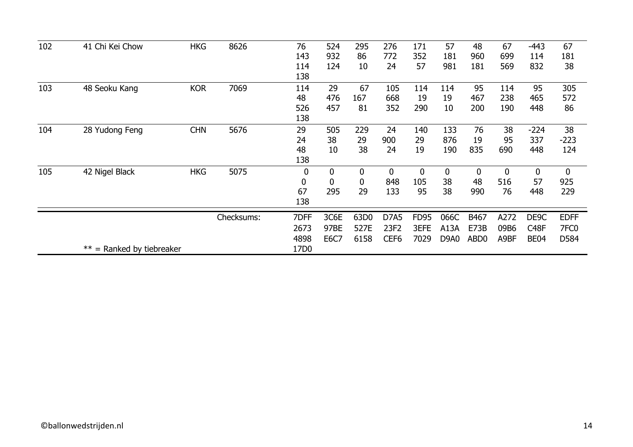| 102 | 41 Chi Kei Chow                 | <b>HKG</b> | 8626       | 76               | 524         | 295  | 276              | 171              | 57          | 48               | 67          | $-443$            | 67               |
|-----|---------------------------------|------------|------------|------------------|-------------|------|------------------|------------------|-------------|------------------|-------------|-------------------|------------------|
|     |                                 |            |            | 143              | 932         | 86   | 772              | 352              | 181         | 960              | 699         | 114               | 181              |
|     |                                 |            |            | 114              | 124         | 10   | 24               | 57               | 981         | 181              | 569         | 832               | 38               |
|     |                                 |            |            | 138              |             |      |                  |                  |             |                  |             |                   |                  |
| 103 | 48 Seoku Kang                   | <b>KOR</b> | 7069       | 114              | 29          | 67   | 105              | 114              | 114         | 95               | 114         | 95                | 305              |
|     |                                 |            |            | 48               | 476         | 167  | 668              | 19               | 19          | 467              | 238         | 465               | 572              |
|     |                                 |            |            | 526              | 457         | 81   | 352              | 290              | 10          | 200              | 190         | 448               | 86               |
|     |                                 |            |            | 138              |             |      |                  |                  |             |                  |             |                   |                  |
| 104 | 28 Yudong Feng                  | <b>CHN</b> | 5676       | 29               | 505         | 229  | 24               | 140              | 133         | 76               | 38          | $-224$            | 38               |
|     |                                 |            |            | 24               | 38          | 29   | 900              | 29               | 876         | 19               | 95          | 337               | $-223$           |
|     |                                 |            |            | 48               | 10          | 38   | 24               | 19               | 190         | 835              | 690         | 448               | 124              |
|     |                                 |            |            | 138              |             |      |                  |                  |             |                  |             |                   |                  |
| 105 | 42 Nigel Black                  | <b>HKG</b> | 5075       | $\boldsymbol{0}$ | 0           | 0    | 0                | $\boldsymbol{0}$ | $\mathbf 0$ | $\mathbf 0$      | $\mathbf 0$ | $\bf{0}$          | $\bf{0}$         |
|     |                                 |            |            | 0                | $\mathbf 0$ | 0    | 848              | 105              | 38          | 48               | 516         | 57                | 925              |
|     |                                 |            |            | 67               | 295         | 29   | 133              | 95               | 38          | 990              | 76          | 448               | 229              |
|     |                                 |            |            | 138              |             |      |                  |                  |             |                  |             |                   |                  |
|     |                                 |            | Checksums: | 7DFF             | 3C6E        | 63D0 | D7A5             | <b>FD95</b>      | 066C        | B467             | A272        | DE9C              | <b>EDFF</b>      |
|     |                                 |            |            | 2673             | 97BE        | 527E | 23F2             | 3EFE             | A13A        | E73B             | 09B6        | C <sub>48</sub> F | 7FC <sub>0</sub> |
|     |                                 |            |            | 4898             | <b>E6C7</b> | 6158 | CEF <sub>6</sub> | 7029             | D9A0        | ABD <sub>0</sub> | A9BF        | <b>BE04</b>       | D584             |
|     | $*** =$<br>Ranked by tiebreaker |            |            | 17D0             |             |      |                  |                  |             |                  |             |                   |                  |
|     |                                 |            |            |                  |             |      |                  |                  |             |                  |             |                   |                  |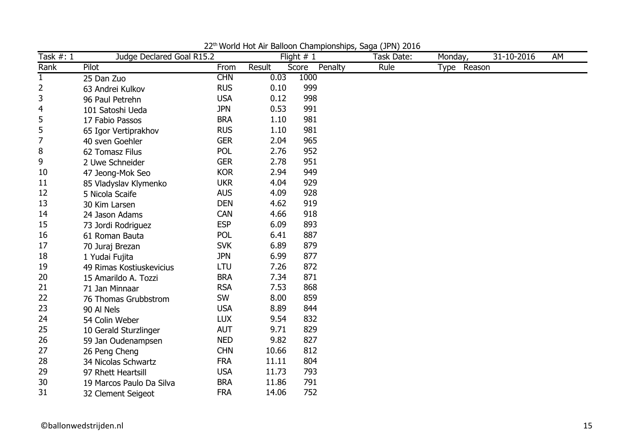| Task #: 1 | Judge Declared Goal R15.2 |            |        | Flight $# 1$     | Task Date: | Monday,     | 31-10-2016 | AM |
|-----------|---------------------------|------------|--------|------------------|------------|-------------|------------|----|
| Rank      | Pilot                     | From       | Result | Penalty<br>Score | Rule       | Type Reason |            |    |
| 1         | 25 Dan Zuo                | <b>CHN</b> | 0.03   | 1000             |            |             |            |    |
| 2         | 63 Andrei Kulkov          | <b>RUS</b> | 0.10   | 999              |            |             |            |    |
| 3         | 96 Paul Petrehn           | <b>USA</b> | 0.12   | 998              |            |             |            |    |
| 4         | 101 Satoshi Ueda          | <b>JPN</b> | 0.53   | 991              |            |             |            |    |
| 5         | 17 Fabio Passos           | <b>BRA</b> | 1.10   | 981              |            |             |            |    |
| 5         | 65 Igor Vertiprakhov      | <b>RUS</b> | 1.10   | 981              |            |             |            |    |
| 7         | 40 sven Goehler           | <b>GER</b> | 2.04   | 965              |            |             |            |    |
| 8         | 62 Tomasz Filus           | POL        | 2.76   | 952              |            |             |            |    |
| 9         | 2 Uwe Schneider           | <b>GER</b> | 2.78   | 951              |            |             |            |    |
| 10        | 47 Jeong-Mok Seo          | <b>KOR</b> | 2.94   | 949              |            |             |            |    |
| 11        | 85 Vladyslav Klymenko     | <b>UKR</b> | 4.04   | 929              |            |             |            |    |
| 12        | 5 Nicola Scaife           | <b>AUS</b> | 4.09   | 928              |            |             |            |    |
| 13        | 30 Kim Larsen             | <b>DEN</b> | 4.62   | 919              |            |             |            |    |
| 14        | 24 Jason Adams            | <b>CAN</b> | 4.66   | 918              |            |             |            |    |
| 15        | 73 Jordi Rodriguez        | <b>ESP</b> | 6.09   | 893              |            |             |            |    |
| 16        | 61 Roman Bauta            | POL        | 6.41   | 887              |            |             |            |    |
| 17        | 70 Juraj Brezan           | <b>SVK</b> | 6.89   | 879              |            |             |            |    |
| 18        | 1 Yudai Fujita            | <b>JPN</b> | 6.99   | 877              |            |             |            |    |
| 19        | 49 Rimas Kostiuskevicius  | LTU        | 7.26   | 872              |            |             |            |    |
| 20        | 15 Amarildo A. Tozzi      | <b>BRA</b> | 7.34   | 871              |            |             |            |    |
| 21        | 71 Jan Minnaar            | <b>RSA</b> | 7.53   | 868              |            |             |            |    |
| 22        | 76 Thomas Grubbstrom      | SW         | 8.00   | 859              |            |             |            |    |
| 23        | 90 Al Nels                | <b>USA</b> | 8.89   | 844              |            |             |            |    |
| 24        | 54 Colin Weber            | <b>LUX</b> | 9.54   | 832              |            |             |            |    |
| 25        | 10 Gerald Sturzlinger     | <b>AUT</b> | 9.71   | 829              |            |             |            |    |
| 26        | 59 Jan Oudenampsen        | <b>NED</b> | 9.82   | 827              |            |             |            |    |
| 27        | 26 Peng Cheng             | <b>CHN</b> | 10.66  | 812              |            |             |            |    |
| 28        | 34 Nicolas Schwartz       | <b>FRA</b> | 11.11  | 804              |            |             |            |    |
| 29        | 97 Rhett Heartsill        | <b>USA</b> | 11.73  | 793              |            |             |            |    |
| 30        | 19 Marcos Paulo Da Silva  | <b>BRA</b> | 11.86  | 791              |            |             |            |    |
| 31        | 32 Clement Seigeot        | <b>FRA</b> | 14.06  | 752              |            |             |            |    |

22<sup>th</sup> World Hot Air Balloon Championships, Saga (JPN) 2016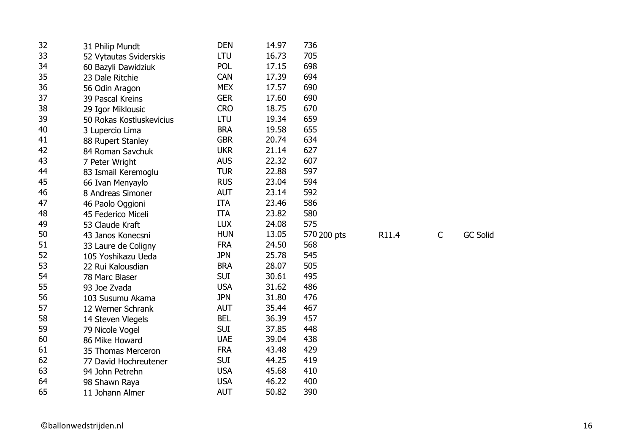| 32 | 31 Philip Mundt          | <b>DEN</b> | 14.97 | 736         |       |              |                 |
|----|--------------------------|------------|-------|-------------|-------|--------------|-----------------|
| 33 | 52 Vytautas Sviderskis   | <b>LTU</b> | 16.73 | 705         |       |              |                 |
| 34 | 60 Bazyli Dawidziuk      | <b>POL</b> | 17.15 | 698         |       |              |                 |
| 35 | 23 Dale Ritchie          | <b>CAN</b> | 17.39 | 694         |       |              |                 |
| 36 | 56 Odin Aragon           | <b>MEX</b> | 17.57 | 690         |       |              |                 |
| 37 | 39 Pascal Kreins         | <b>GER</b> | 17.60 | 690         |       |              |                 |
| 38 | 29 Igor Miklousic        | <b>CRO</b> | 18.75 | 670         |       |              |                 |
| 39 | 50 Rokas Kostiuskevicius | LTU        | 19.34 | 659         |       |              |                 |
| 40 | 3 Lupercio Lima          | <b>BRA</b> | 19.58 | 655         |       |              |                 |
| 41 | 88 Rupert Stanley        | <b>GBR</b> | 20.74 | 634         |       |              |                 |
| 42 | 84 Roman Savchuk         | <b>UKR</b> | 21.14 | 627         |       |              |                 |
| 43 | 7 Peter Wright           | <b>AUS</b> | 22.32 | 607         |       |              |                 |
| 44 | 83 Ismail Keremoglu      | <b>TUR</b> | 22.88 | 597         |       |              |                 |
| 45 | 66 Ivan Menyaylo         | <b>RUS</b> | 23.04 | 594         |       |              |                 |
| 46 | 8 Andreas Simoner        | <b>AUT</b> | 23.14 | 592         |       |              |                 |
| 47 | 46 Paolo Oggioni         | <b>ITA</b> | 23.46 | 586         |       |              |                 |
| 48 | 45 Federico Miceli       | <b>ITA</b> | 23.82 | 580         |       |              |                 |
| 49 | 53 Claude Kraft          | <b>LUX</b> | 24.08 | 575         |       |              |                 |
| 50 | 43 Janos Konecsni        | <b>HUN</b> | 13.05 | 570 200 pts | R11.4 | $\mathsf{C}$ | <b>GC Solid</b> |
| 51 | 33 Laure de Coligny      | <b>FRA</b> | 24.50 | 568         |       |              |                 |
| 52 | 105 Yoshikazu Ueda       | <b>JPN</b> | 25.78 | 545         |       |              |                 |
| 53 | 22 Rui Kalousdian        | <b>BRA</b> | 28.07 | 505         |       |              |                 |
| 54 | 78 Marc Blaser           | <b>SUI</b> | 30.61 | 495         |       |              |                 |
| 55 | 93 Joe Zvada             | <b>USA</b> | 31.62 | 486         |       |              |                 |
| 56 | 103 Susumu Akama         | <b>JPN</b> | 31.80 | 476         |       |              |                 |
| 57 | 12 Werner Schrank        | <b>AUT</b> | 35.44 | 467         |       |              |                 |
| 58 | 14 Steven Vlegels        | <b>BEL</b> | 36.39 | 457         |       |              |                 |
| 59 | 79 Nicole Vogel          | <b>SUI</b> | 37.85 | 448         |       |              |                 |
| 60 | 86 Mike Howard           | <b>UAE</b> | 39.04 | 438         |       |              |                 |
| 61 | 35 Thomas Merceron       | <b>FRA</b> | 43.48 | 429         |       |              |                 |
| 62 | 77 David Hochreutener    | <b>SUI</b> | 44.25 | 419         |       |              |                 |
| 63 | 94 John Petrehn          | <b>USA</b> | 45.68 | 410         |       |              |                 |
| 64 | 98 Shawn Raya            | <b>USA</b> | 46.22 | 400         |       |              |                 |
| 65 |                          |            |       |             |       |              |                 |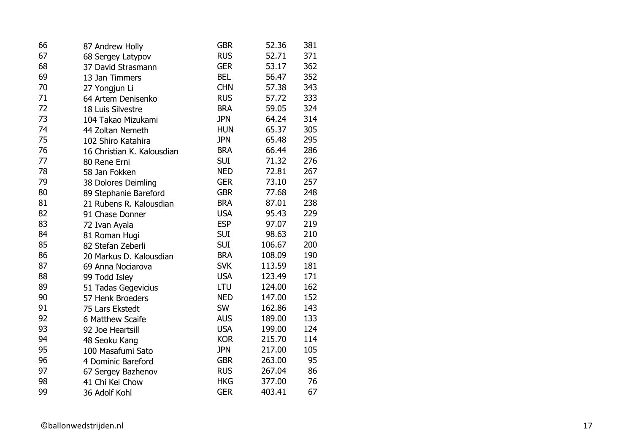| 66 | 87 Andrew Holly            | <b>GBR</b> | 52.36  | 381 |
|----|----------------------------|------------|--------|-----|
| 67 | 68 Sergey Latypov          | <b>RUS</b> | 52.71  | 371 |
| 68 | 37 David Strasmann         | <b>GER</b> | 53.17  | 362 |
| 69 | 13 Jan Timmers             | <b>BEL</b> | 56.47  | 352 |
| 70 | 27 Yongjun Li              | <b>CHN</b> | 57.38  | 343 |
| 71 | 64 Artem Denisenko         | <b>RUS</b> | 57.72  | 333 |
| 72 | 18 Luis Silvestre          | <b>BRA</b> | 59.05  | 324 |
| 73 | 104 Takao Mizukami         | <b>JPN</b> | 64.24  | 314 |
| 74 | 44 Zoltan Nemeth           | <b>HUN</b> | 65.37  | 305 |
| 75 | 102 Shiro Katahira         | <b>JPN</b> | 65.48  | 295 |
| 76 | 16 Christian K. Kalousdian | <b>BRA</b> | 66.44  | 286 |
| 77 | 80 Rene Erni               | <b>SUI</b> | 71.32  | 276 |
| 78 | 58 Jan Fokken              | <b>NED</b> | 72.81  | 267 |
| 79 | 38 Dolores Deimling        | <b>GER</b> | 73.10  | 257 |
| 80 | 89 Stephanie Bareford      | <b>GBR</b> | 77.68  | 248 |
| 81 | 21 Rubens R. Kalousdian    | <b>BRA</b> | 87.01  | 238 |
| 82 | 91 Chase Donner            | <b>USA</b> | 95.43  | 229 |
| 83 | 72 Ivan Ayala              | <b>ESP</b> | 97.07  | 219 |
| 84 | 81 Roman Hugi              | <b>SUI</b> | 98.63  | 210 |
| 85 | 82 Stefan Zeberli          | <b>SUI</b> | 106.67 | 200 |
| 86 | 20 Markus D. Kalousdian    | <b>BRA</b> | 108.09 | 190 |
| 87 | 69 Anna Nociarova          | <b>SVK</b> | 113.59 | 181 |
| 88 | 99 Todd Isley              | <b>USA</b> | 123.49 | 171 |
| 89 | 51 Tadas Gegevicius        | LTU        | 124.00 | 162 |
| 90 | 57 Henk Broeders           | <b>NED</b> | 147.00 | 152 |
| 91 | 75 Lars Ekstedt            | <b>SW</b>  | 162.86 | 143 |
| 92 | 6 Matthew Scaife           | <b>AUS</b> | 189.00 | 133 |
| 93 | 92 Joe Heartsill           | <b>USA</b> | 199.00 | 124 |
| 94 | 48 Seoku Kang              | <b>KOR</b> | 215.70 | 114 |
| 95 | 100 Masafumi Sato          | <b>JPN</b> | 217.00 | 105 |
| 96 | 4 Dominic Bareford         | <b>GBR</b> | 263.00 | 95  |
| 97 | 67 Sergey Bazhenov         | <b>RUS</b> | 267.04 | 86  |
| 98 | 41 Chi Kei Chow            | <b>HKG</b> | 377.00 | 76  |
| 99 | 36 Adolf Kohl              | <b>GER</b> | 403.41 | 67  |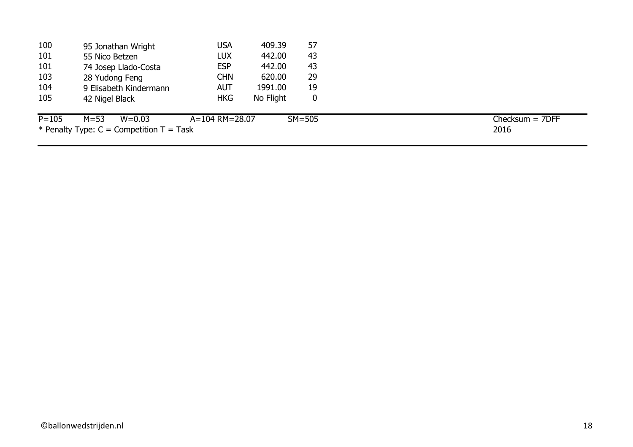| 100       | 95 Jonathan Wright                         | USA                  | 409.39    | 57         |                   |
|-----------|--------------------------------------------|----------------------|-----------|------------|-------------------|
| 101       | 55 Nico Betzen                             | <b>LUX</b>           | 442.00    | 43         |                   |
| 101       | 74 Josep Llado-Costa                       | <b>ESP</b>           | 442.00    | 43         |                   |
| 103       | 28 Yudong Feng                             | <b>CHN</b>           | 620.00    | 29         |                   |
| 104       | 9 Elisabeth Kindermann                     | AUT                  | 1991.00   | 19         |                   |
| 105       | 42 Nigel Black                             | <b>HKG</b>           | No Flight | 0          |                   |
| $P = 105$ | $M = 53$<br>$W = 0.03$                     | $A = 104$ RM = 28.07 |           | $SM = 505$ | $Checksum = 7DFF$ |
|           | * Penalty Type: $C =$ Competition T = Task |                      |           |            | 2016              |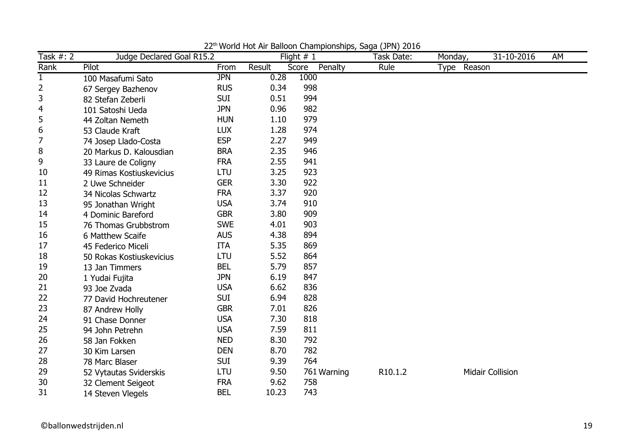| Task $#: 2$  | Judge Declared Goal R15.2 |            |        | <b>Profite Fig. 7.1 Dancon Championompo/ Saga (31 H)</b> E010<br>Flight $# 1$ | Task Date:          | Monday,     | 31-10-2016              | AM |
|--------------|---------------------------|------------|--------|-------------------------------------------------------------------------------|---------------------|-------------|-------------------------|----|
| Rank         | Pilot                     | From       | Result | Penalty<br>Score                                                              | Rule                | Type Reason |                         |    |
| $\mathbf{1}$ | 100 Masafumi Sato         | <b>JPN</b> | 0.28   | 1000                                                                          |                     |             |                         |    |
| 2            | 67 Sergey Bazhenov        | <b>RUS</b> | 0.34   | 998                                                                           |                     |             |                         |    |
| 3            | 82 Stefan Zeberli         | <b>SUI</b> | 0.51   | 994                                                                           |                     |             |                         |    |
| 4            | 101 Satoshi Ueda          | <b>JPN</b> | 0.96   | 982                                                                           |                     |             |                         |    |
| 5            | 44 Zoltan Nemeth          | <b>HUN</b> | 1.10   | 979                                                                           |                     |             |                         |    |
| 6            | 53 Claude Kraft           | <b>LUX</b> | 1.28   | 974                                                                           |                     |             |                         |    |
| 7            | 74 Josep Llado-Costa      | <b>ESP</b> | 2.27   | 949                                                                           |                     |             |                         |    |
| 8            | 20 Markus D. Kalousdian   | <b>BRA</b> | 2.35   | 946                                                                           |                     |             |                         |    |
| 9            | 33 Laure de Coligny       | <b>FRA</b> | 2.55   | 941                                                                           |                     |             |                         |    |
| 10           | 49 Rimas Kostiuskevicius  | <b>LTU</b> | 3.25   | 923                                                                           |                     |             |                         |    |
| 11           | 2 Uwe Schneider           | <b>GER</b> | 3.30   | 922                                                                           |                     |             |                         |    |
| 12           | 34 Nicolas Schwartz       | <b>FRA</b> | 3.37   | 920                                                                           |                     |             |                         |    |
| 13           | 95 Jonathan Wright        | <b>USA</b> | 3.74   | 910                                                                           |                     |             |                         |    |
| 14           | 4 Dominic Bareford        | <b>GBR</b> | 3.80   | 909                                                                           |                     |             |                         |    |
| 15           | 76 Thomas Grubbstrom      | <b>SWE</b> | 4.01   | 903                                                                           |                     |             |                         |    |
| 16           | 6 Matthew Scaife          | <b>AUS</b> | 4.38   | 894                                                                           |                     |             |                         |    |
| 17           | 45 Federico Miceli        | <b>ITA</b> | 5.35   | 869                                                                           |                     |             |                         |    |
| 18           | 50 Rokas Kostiuskevicius  | LTU        | 5.52   | 864                                                                           |                     |             |                         |    |
| 19           | 13 Jan Timmers            | <b>BEL</b> | 5.79   | 857                                                                           |                     |             |                         |    |
| 20           | 1 Yudai Fujita            | <b>JPN</b> | 6.19   | 847                                                                           |                     |             |                         |    |
| 21           | 93 Joe Zvada              | <b>USA</b> | 6.62   | 836                                                                           |                     |             |                         |    |
| 22           | 77 David Hochreutener     | <b>SUI</b> | 6.94   | 828                                                                           |                     |             |                         |    |
| 23           | 87 Andrew Holly           | <b>GBR</b> | 7.01   | 826                                                                           |                     |             |                         |    |
| 24           | 91 Chase Donner           | <b>USA</b> | 7.30   | 818                                                                           |                     |             |                         |    |
| 25           | 94 John Petrehn           | <b>USA</b> | 7.59   | 811                                                                           |                     |             |                         |    |
| 26           | 58 Jan Fokken             | <b>NED</b> | 8.30   | 792                                                                           |                     |             |                         |    |
| 27           | 30 Kim Larsen             | <b>DEN</b> | 8.70   | 782                                                                           |                     |             |                         |    |
| 28           | 78 Marc Blaser            | <b>SUI</b> | 9.39   | 764                                                                           |                     |             |                         |    |
| 29           | 52 Vytautas Sviderskis    | LTU        | 9.50   | 761 Warning                                                                   | R <sub>10.1.2</sub> |             | <b>Midair Collision</b> |    |
| 30           | 32 Clement Seigeot        | <b>FRA</b> | 9.62   | 758                                                                           |                     |             |                         |    |
| 31           | 14 Steven Vlegels         | <b>BEL</b> | 10.23  | 743                                                                           |                     |             |                         |    |

22<sup>th</sup> World Hot Air Balloon Championships, Saga (JPN) 2016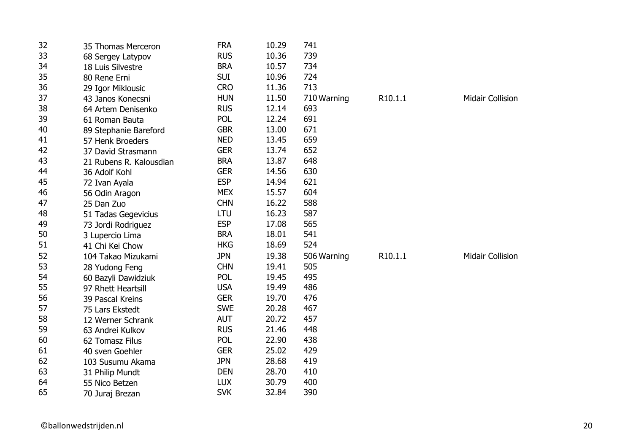| 32 | 35 Thomas Merceron      | <b>FRA</b> | 10.29 | 741         |         |                         |
|----|-------------------------|------------|-------|-------------|---------|-------------------------|
| 33 | 68 Sergey Latypov       | <b>RUS</b> | 10.36 | 739         |         |                         |
| 34 | 18 Luis Silvestre       | <b>BRA</b> | 10.57 | 734         |         |                         |
| 35 | 80 Rene Erni            | <b>SUI</b> | 10.96 | 724         |         |                         |
| 36 | 29 Igor Miklousic       | <b>CRO</b> | 11.36 | 713         |         |                         |
| 37 | 43 Janos Konecsni       | <b>HUN</b> | 11.50 | 710 Warning | R10.1.1 | <b>Midair Collision</b> |
| 38 | 64 Artem Denisenko      | <b>RUS</b> | 12.14 | 693         |         |                         |
| 39 | 61 Roman Bauta          | POL        | 12.24 | 691         |         |                         |
| 40 | 89 Stephanie Bareford   | <b>GBR</b> | 13.00 | 671         |         |                         |
| 41 | 57 Henk Broeders        | <b>NED</b> | 13.45 | 659         |         |                         |
| 42 | 37 David Strasmann      | <b>GER</b> | 13.74 | 652         |         |                         |
| 43 | 21 Rubens R. Kalousdian | <b>BRA</b> | 13.87 | 648         |         |                         |
| 44 | 36 Adolf Kohl           | <b>GER</b> | 14.56 | 630         |         |                         |
| 45 | 72 Ivan Ayala           | <b>ESP</b> | 14.94 | 621         |         |                         |
| 46 | 56 Odin Aragon          | <b>MEX</b> | 15.57 | 604         |         |                         |
| 47 | 25 Dan Zuo              | <b>CHN</b> | 16.22 | 588         |         |                         |
| 48 | 51 Tadas Gegevicius     | LTU        | 16.23 | 587         |         |                         |
| 49 | 73 Jordi Rodriguez      | <b>ESP</b> | 17.08 | 565         |         |                         |
| 50 | 3 Lupercio Lima         | <b>BRA</b> | 18.01 | 541         |         |                         |
| 51 | 41 Chi Kei Chow         | <b>HKG</b> | 18.69 | 524         |         |                         |
| 52 | 104 Takao Mizukami      | <b>JPN</b> | 19.38 | 506 Warning | R10.1.1 | <b>Midair Collision</b> |
| 53 | 28 Yudong Feng          | <b>CHN</b> | 19.41 | 505         |         |                         |
| 54 | 60 Bazyli Dawidziuk     | <b>POL</b> | 19.45 | 495         |         |                         |
| 55 | 97 Rhett Heartsill      | <b>USA</b> | 19.49 | 486         |         |                         |
| 56 | 39 Pascal Kreins        | <b>GER</b> | 19.70 | 476         |         |                         |
| 57 | 75 Lars Ekstedt         | <b>SWE</b> | 20.28 | 467         |         |                         |
| 58 | 12 Werner Schrank       | <b>AUT</b> | 20.72 | 457         |         |                         |
| 59 | 63 Andrei Kulkov        | <b>RUS</b> | 21.46 | 448         |         |                         |
| 60 | 62 Tomasz Filus         | POL        | 22.90 | 438         |         |                         |
| 61 | 40 sven Goehler         | <b>GER</b> | 25.02 | 429         |         |                         |
| 62 | 103 Susumu Akama        | <b>JPN</b> | 28.68 | 419         |         |                         |
| 63 | 31 Philip Mundt         | <b>DEN</b> | 28.70 | 410         |         |                         |
| 64 | 55 Nico Betzen          | <b>LUX</b> | 30.79 | 400         |         |                         |
| 65 | 70 Juraj Brezan         | <b>SVK</b> | 32.84 | 390         |         |                         |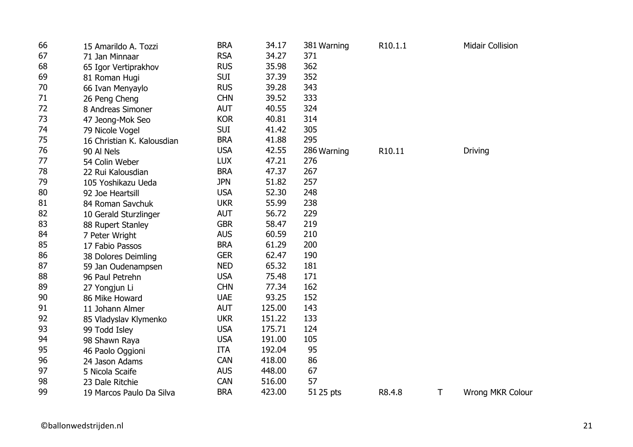| 66 | 15 Amarildo A. Tozzi       | <b>BRA</b> | 34.17  | 381 Warning | R10.1.1 |   | <b>Midair Collision</b> |
|----|----------------------------|------------|--------|-------------|---------|---|-------------------------|
| 67 | 71 Jan Minnaar             | <b>RSA</b> | 34.27  | 371         |         |   |                         |
| 68 | 65 Igor Vertiprakhov       | <b>RUS</b> | 35.98  | 362         |         |   |                         |
| 69 | 81 Roman Hugi              | <b>SUI</b> | 37.39  | 352         |         |   |                         |
| 70 | 66 Ivan Menyaylo           | <b>RUS</b> | 39.28  | 343         |         |   |                         |
| 71 | 26 Peng Cheng              | <b>CHN</b> | 39.52  | 333         |         |   |                         |
| 72 | 8 Andreas Simoner          | <b>AUT</b> | 40.55  | 324         |         |   |                         |
| 73 | 47 Jeong-Mok Seo           | <b>KOR</b> | 40.81  | 314         |         |   |                         |
| 74 | 79 Nicole Vogel            | <b>SUI</b> | 41.42  | 305         |         |   |                         |
| 75 | 16 Christian K. Kalousdian | <b>BRA</b> | 41.88  | 295         |         |   |                         |
| 76 | 90 Al Nels                 | <b>USA</b> | 42.55  | 286 Warning | R10.11  |   | <b>Driving</b>          |
| 77 | 54 Colin Weber             | <b>LUX</b> | 47.21  | 276         |         |   |                         |
| 78 | 22 Rui Kalousdian          | <b>BRA</b> | 47.37  | 267         |         |   |                         |
| 79 | 105 Yoshikazu Ueda         | <b>JPN</b> | 51.82  | 257         |         |   |                         |
| 80 | 92 Joe Heartsill           | <b>USA</b> | 52.30  | 248         |         |   |                         |
| 81 | 84 Roman Savchuk           | <b>UKR</b> | 55.99  | 238         |         |   |                         |
| 82 | 10 Gerald Sturzlinger      | <b>AUT</b> | 56.72  | 229         |         |   |                         |
| 83 | 88 Rupert Stanley          | <b>GBR</b> | 58.47  | 219         |         |   |                         |
| 84 | 7 Peter Wright             | <b>AUS</b> | 60.59  | 210         |         |   |                         |
| 85 | 17 Fabio Passos            | <b>BRA</b> | 61.29  | 200         |         |   |                         |
| 86 | 38 Dolores Deimling        | <b>GER</b> | 62.47  | 190         |         |   |                         |
| 87 | 59 Jan Oudenampsen         | <b>NED</b> | 65.32  | 181         |         |   |                         |
| 88 | 96 Paul Petrehn            | <b>USA</b> | 75.48  | 171         |         |   |                         |
| 89 | 27 Yongjun Li              | <b>CHN</b> | 77.34  | 162         |         |   |                         |
| 90 | 86 Mike Howard             | <b>UAE</b> | 93.25  | 152         |         |   |                         |
| 91 | 11 Johann Almer            | <b>AUT</b> | 125.00 | 143         |         |   |                         |
| 92 | 85 Vladyslav Klymenko      | <b>UKR</b> | 151.22 | 133         |         |   |                         |
| 93 | 99 Todd Isley              | <b>USA</b> | 175.71 | 124         |         |   |                         |
| 94 | 98 Shawn Raya              | <b>USA</b> | 191.00 | 105         |         |   |                         |
| 95 | 46 Paolo Oggioni           | <b>ITA</b> | 192.04 | 95          |         |   |                         |
| 96 | 24 Jason Adams             | <b>CAN</b> | 418.00 | 86          |         |   |                         |
| 97 | 5 Nicola Scaife            | <b>AUS</b> | 448.00 | 67          |         |   |                         |
| 98 | 23 Dale Ritchie            | <b>CAN</b> | 516.00 | 57          |         |   |                         |
| 99 | 19 Marcos Paulo Da Silva   | <b>BRA</b> | 423.00 | 51 25 pts   | R8.4.8  | T | <b>Wrong MKR Colour</b> |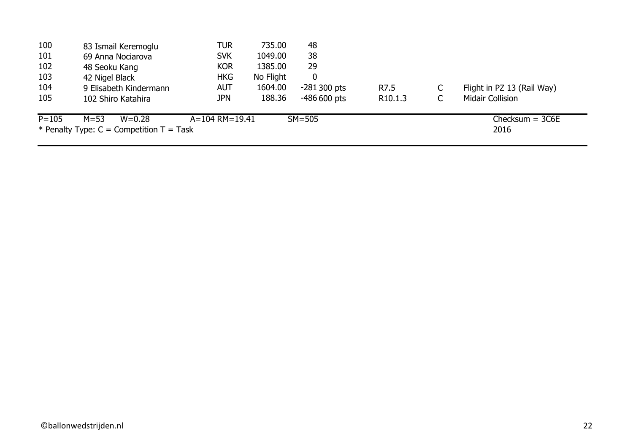| 100       | 83 Ismail Keremoglu                        | TUR            | 735.00    | 48            |                     |                            |
|-----------|--------------------------------------------|----------------|-----------|---------------|---------------------|----------------------------|
| 101       | 69 Anna Nociarova                          | <b>SVK</b>     | 1049.00   | 38            |                     |                            |
| 102       | 48 Seoku Kang                              | <b>KOR</b>     | 1385.00   | 29            |                     |                            |
| 103       | 42 Nigel Black                             | <b>HKG</b>     | No Flight | $\mathbf 0$   |                     |                            |
| 104       | 9 Elisabeth Kindermann                     | <b>AUT</b>     | 1604.00   | $-281300$ pts | R7.5                | Flight in PZ 13 (Rail Way) |
| 105       | 102 Shiro Katahira                         | <b>JPN</b>     | 188.36    | $-486600$ pts | R <sub>10.1.3</sub> | <b>Midair Collision</b>    |
| $P = 105$ | $M = 53$<br>$W = 0.28$                     | A=104 RM=19.41 |           | $SM = 505$    |                     | $Checksum = 3C6E$          |
|           | * Penalty Type: $C =$ Competition T = Task |                |           |               |                     | 2016                       |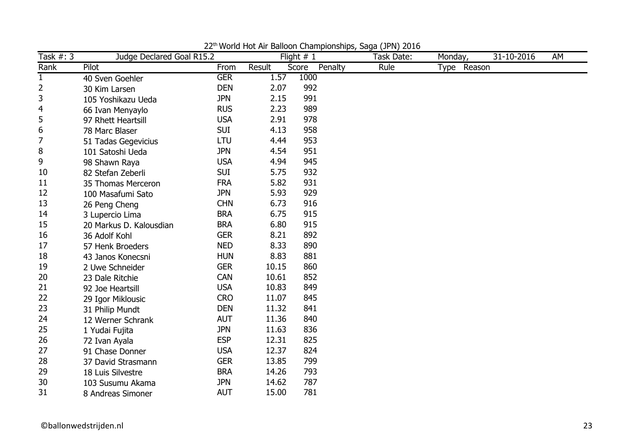| Task $#: 3$  | Judge Declared Goal R15.2 |            |        | Flight $# 1$     | Task Date: | Monday,     | 31-10-2016 | AM |
|--------------|---------------------------|------------|--------|------------------|------------|-------------|------------|----|
| Rank         | Pilot                     | From       | Result | Score<br>Penalty | Rule       | Type Reason |            |    |
| $\mathbf{1}$ | 40 Sven Goehler           | <b>GER</b> | 1.57   | 1000             |            |             |            |    |
| 2            | 30 Kim Larsen             | <b>DEN</b> | 2.07   | 992              |            |             |            |    |
| 3            | 105 Yoshikazu Ueda        | <b>JPN</b> | 2.15   | 991              |            |             |            |    |
| 4            | 66 Ivan Menyaylo          | <b>RUS</b> | 2.23   | 989              |            |             |            |    |
| 5            | 97 Rhett Heartsill        | <b>USA</b> | 2.91   | 978              |            |             |            |    |
| 6            | 78 Marc Blaser            | <b>SUI</b> | 4.13   | 958              |            |             |            |    |
| 7            | 51 Tadas Gegevicius       | <b>LTU</b> | 4.44   | 953              |            |             |            |    |
| 8            | 101 Satoshi Ueda          | <b>JPN</b> | 4.54   | 951              |            |             |            |    |
| 9            | 98 Shawn Raya             | <b>USA</b> | 4.94   | 945              |            |             |            |    |
| 10           | 82 Stefan Zeberli         | <b>SUI</b> | 5.75   | 932              |            |             |            |    |
| 11           | 35 Thomas Merceron        | <b>FRA</b> | 5.82   | 931              |            |             |            |    |
| 12           | 100 Masafumi Sato         | <b>JPN</b> | 5.93   | 929              |            |             |            |    |
| 13           | 26 Peng Cheng             | <b>CHN</b> | 6.73   | 916              |            |             |            |    |
| 14           | 3 Lupercio Lima           | <b>BRA</b> | 6.75   | 915              |            |             |            |    |
| 15           | 20 Markus D. Kalousdian   | <b>BRA</b> | 6.80   | 915              |            |             |            |    |
| 16           | 36 Adolf Kohl             | <b>GER</b> | 8.21   | 892              |            |             |            |    |
| 17           | 57 Henk Broeders          | <b>NED</b> | 8.33   | 890              |            |             |            |    |
| 18           | 43 Janos Konecsni         | <b>HUN</b> | 8.83   | 881              |            |             |            |    |
| 19           | 2 Uwe Schneider           | <b>GER</b> | 10.15  | 860              |            |             |            |    |
| 20           | 23 Dale Ritchie           | <b>CAN</b> | 10.61  | 852              |            |             |            |    |
| 21           | 92 Joe Heartsill          | <b>USA</b> | 10.83  | 849              |            |             |            |    |
| 22           | 29 Igor Miklousic         | <b>CRO</b> | 11.07  | 845              |            |             |            |    |
| 23           | 31 Philip Mundt           | <b>DEN</b> | 11.32  | 841              |            |             |            |    |
| 24           | 12 Werner Schrank         | <b>AUT</b> | 11.36  | 840              |            |             |            |    |
| 25           | 1 Yudai Fujita            | <b>JPN</b> | 11.63  | 836              |            |             |            |    |
| 26           | 72 Ivan Ayala             | <b>ESP</b> | 12.31  | 825              |            |             |            |    |
| 27           | 91 Chase Donner           | <b>USA</b> | 12.37  | 824              |            |             |            |    |
| 28           | 37 David Strasmann        | <b>GER</b> | 13.85  | 799              |            |             |            |    |
| 29           | 18 Luis Silvestre         | <b>BRA</b> | 14.26  | 793              |            |             |            |    |
| 30           | 103 Susumu Akama          | <b>JPN</b> | 14.62  | 787              |            |             |            |    |
| 31           | 8 Andreas Simoner         | <b>AUT</b> | 15.00  | 781              |            |             |            |    |

22<sup>th</sup> World Hot Air Balloon Championships, Saga (JPN) 2016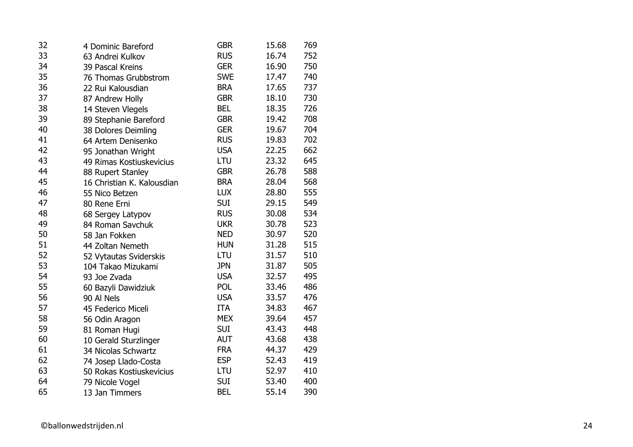| 32 | 4 Dominic Bareford         | <b>GBR</b> | 15.68 | 769 |
|----|----------------------------|------------|-------|-----|
| 33 | 63 Andrei Kulkov           | <b>RUS</b> | 16.74 | 752 |
| 34 | 39 Pascal Kreins           | <b>GER</b> | 16.90 | 750 |
| 35 | 76 Thomas Grubbstrom       | <b>SWE</b> | 17.47 | 740 |
| 36 | 22 Rui Kalousdian          | <b>BRA</b> | 17.65 | 737 |
| 37 | 87 Andrew Holly            | <b>GBR</b> | 18.10 | 730 |
| 38 | 14 Steven Vlegels          | <b>BEL</b> | 18.35 | 726 |
| 39 | 89 Stephanie Bareford      | <b>GBR</b> | 19.42 | 708 |
| 40 | 38 Dolores Deimling        | <b>GER</b> | 19.67 | 704 |
| 41 | 64 Artem Denisenko         | <b>RUS</b> | 19.83 | 702 |
| 42 | 95 Jonathan Wright         | <b>USA</b> | 22.25 | 662 |
| 43 | 49 Rimas Kostiuskevicius   | LTU        | 23.32 | 645 |
| 44 | 88 Rupert Stanley          | <b>GBR</b> | 26.78 | 588 |
| 45 | 16 Christian K. Kalousdian | <b>BRA</b> | 28.04 | 568 |
| 46 | 55 Nico Betzen             | <b>LUX</b> | 28.80 | 555 |
| 47 | 80 Rene Erni               | <b>SUI</b> | 29.15 | 549 |
| 48 | 68 Sergey Latypov          | <b>RUS</b> | 30.08 | 534 |
| 49 | 84 Roman Savchuk           | <b>UKR</b> | 30.78 | 523 |
| 50 | 58 Jan Fokken              | <b>NED</b> | 30.97 | 520 |
| 51 | 44 Zoltan Nemeth           | <b>HUN</b> | 31.28 | 515 |
| 52 | 52 Vytautas Sviderskis     | LTU        | 31.57 | 510 |
| 53 | 104 Takao Mizukami         | <b>JPN</b> | 31.87 | 505 |
| 54 | 93 Joe Zvada               | <b>USA</b> | 32.57 | 495 |
| 55 | 60 Bazyli Dawidziuk        | POL        | 33.46 | 486 |
| 56 | 90 Al Nels                 | <b>USA</b> | 33.57 | 476 |
| 57 | 45 Federico Miceli         | <b>ITA</b> | 34.83 | 467 |
| 58 | 56 Odin Aragon             | <b>MEX</b> | 39.64 | 457 |
| 59 | 81 Roman Hugi              | <b>SUI</b> | 43.43 | 448 |
| 60 | 10 Gerald Sturzlinger      | <b>AUT</b> | 43.68 | 438 |
| 61 | 34 Nicolas Schwartz        | <b>FRA</b> | 44.37 | 429 |
| 62 | 74 Josep Llado-Costa       | <b>ESP</b> | 52.43 | 419 |
| 63 | 50 Rokas Kostiuskevicius   | LTU        | 52.97 | 410 |
| 64 | 79 Nicole Vogel            | <b>SUI</b> | 53.40 | 400 |
| 65 | 13 Jan Timmers             | <b>BEL</b> | 55.14 | 390 |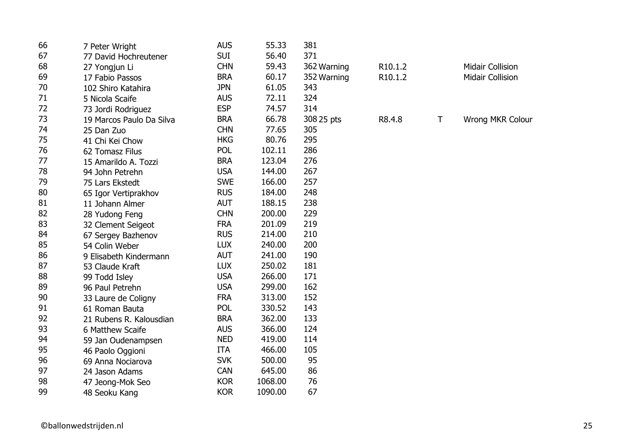| 66 | 7 Peter Wright           | <b>AUS</b> | 55.33   | 381         |         |   |                         |
|----|--------------------------|------------|---------|-------------|---------|---|-------------------------|
| 67 | 77 David Hochreutener    | <b>SUI</b> | 56.40   | 371         |         |   |                         |
| 68 | 27 Yongjun Li            | <b>CHN</b> | 59.43   | 362 Warning | R10.1.2 |   | <b>Midair Collision</b> |
| 69 | 17 Fabio Passos          | <b>BRA</b> | 60.17   | 352 Warning | R10.1.2 |   | <b>Midair Collision</b> |
| 70 | 102 Shiro Katahira       | <b>JPN</b> | 61.05   | 343         |         |   |                         |
| 71 | 5 Nicola Scaife          | <b>AUS</b> | 72.11   | 324         |         |   |                         |
| 72 | 73 Jordi Rodriguez       | <b>ESP</b> | 74.57   | 314         |         |   |                         |
| 73 | 19 Marcos Paulo Da Silva | <b>BRA</b> | 66.78   | 308 25 pts  | R8.4.8  | Τ | Wrong MKR Colour        |
| 74 | 25 Dan Zuo               | <b>CHN</b> | 77.65   | 305         |         |   |                         |
| 75 | 41 Chi Kei Chow          | <b>HKG</b> | 80.76   | 295         |         |   |                         |
| 76 | 62 Tomasz Filus          | <b>POL</b> | 102.11  | 286         |         |   |                         |
| 77 | 15 Amarildo A. Tozzi     | <b>BRA</b> | 123.04  | 276         |         |   |                         |
| 78 | 94 John Petrehn          | <b>USA</b> | 144.00  | 267         |         |   |                         |
| 79 | 75 Lars Ekstedt          | <b>SWE</b> | 166.00  | 257         |         |   |                         |
| 80 | 65 Igor Vertiprakhov     | <b>RUS</b> | 184.00  | 248         |         |   |                         |
| 81 | 11 Johann Almer          | <b>AUT</b> | 188.15  | 238         |         |   |                         |
| 82 | 28 Yudong Feng           | <b>CHN</b> | 200.00  | 229         |         |   |                         |
| 83 | 32 Clement Seigeot       | <b>FRA</b> | 201.09  | 219         |         |   |                         |
| 84 | 67 Sergey Bazhenov       | <b>RUS</b> | 214.00  | 210         |         |   |                         |
| 85 | 54 Colin Weber           | <b>LUX</b> | 240.00  | 200         |         |   |                         |
| 86 | 9 Elisabeth Kindermann   | <b>AUT</b> | 241.00  | 190         |         |   |                         |
| 87 | 53 Claude Kraft          | <b>LUX</b> | 250.02  | 181         |         |   |                         |
| 88 | 99 Todd Isley            | <b>USA</b> | 266.00  | 171         |         |   |                         |
| 89 | 96 Paul Petrehn          | <b>USA</b> | 299.00  | 162         |         |   |                         |
| 90 | 33 Laure de Coligny      | <b>FRA</b> | 313.00  | 152         |         |   |                         |
| 91 | 61 Roman Bauta           | <b>POL</b> | 330.52  | 143         |         |   |                         |
| 92 | 21 Rubens R. Kalousdian  | <b>BRA</b> | 362.00  | 133         |         |   |                         |
| 93 | 6 Matthew Scaife         | <b>AUS</b> | 366.00  | 124         |         |   |                         |
| 94 | 59 Jan Oudenampsen       | <b>NED</b> | 419.00  | 114         |         |   |                         |
| 95 | 46 Paolo Oggioni         | <b>ITA</b> | 466.00  | 105         |         |   |                         |
| 96 | 69 Anna Nociarova        | <b>SVK</b> | 500.00  | 95          |         |   |                         |
| 97 | 24 Jason Adams           | <b>CAN</b> | 645.00  | 86          |         |   |                         |
| 98 | 47 Jeong-Mok Seo         | <b>KOR</b> | 1068.00 | 76          |         |   |                         |
| 99 | 48 Seoku Kang            | <b>KOR</b> | 1090.00 | 67          |         |   |                         |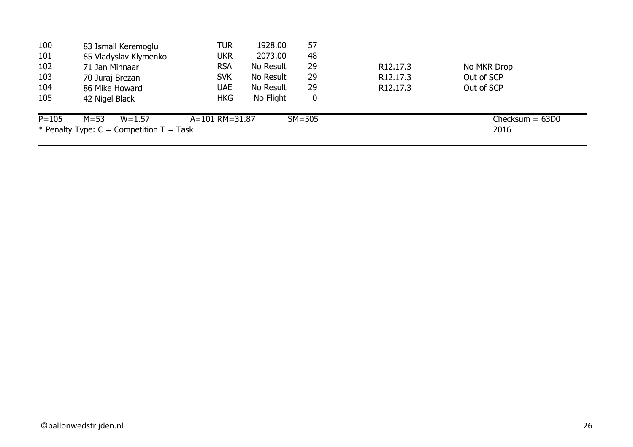| 100       | 83 Ismail Keremoglu                          | TUR            | 1928.00   | 57         |                       |                   |
|-----------|----------------------------------------------|----------------|-----------|------------|-----------------------|-------------------|
| 101       | 85 Vladyslav Klymenko                        | <b>UKR</b>     | 2073.00   | 48         |                       |                   |
| 102       | 71 Jan Minnaar                               | <b>RSA</b>     | No Result | 29         | R <sub>12.17.3</sub>  | No MKR Drop       |
| 103       | 70 Juraj Brezan                              | <b>SVK</b>     | No Result | 29         | R <sub>12</sub> .17.3 | Out of SCP        |
| 104       | 86 Mike Howard                               | <b>UAE</b>     | No Result | 29         | R <sub>12</sub> .17.3 | Out of SCP        |
| 105       | 42 Nigel Black                               | <b>HKG</b>     | No Flight | 0          |                       |                   |
| $P = 105$ | $M = 53$<br>$W = 1.57$                       | A=101 RM=31.87 |           | $SM = 505$ |                       | $Checking = 63D0$ |
|           | * Penalty Type: $C =$ Competition $T =$ Task |                |           |            |                       | 2016              |
|           |                                              |                |           |            |                       |                   |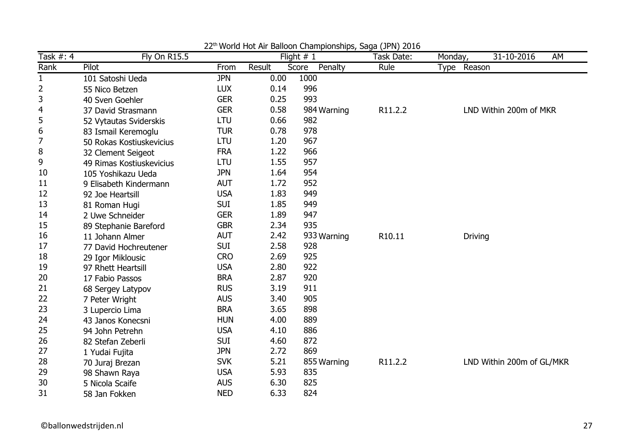| Task #: 4    | <b>Fly On R15.5</b>      |            |        | Flight $# 1$     | $\cdots$<br>$- - -$<br>Task Date: | Monday,        | 31-10-2016<br>AM          |
|--------------|--------------------------|------------|--------|------------------|-----------------------------------|----------------|---------------------------|
| Rank         | Pilot                    | From       | Result | Penalty<br>Score | Rule                              | Type Reason    |                           |
| $\mathbf{1}$ | 101 Satoshi Ueda         | <b>JPN</b> | 0.00   | 1000             |                                   |                |                           |
| 2            | 55 Nico Betzen           | <b>LUX</b> | 0.14   | 996              |                                   |                |                           |
| 3            | 40 Sven Goehler          | <b>GER</b> | 0.25   | 993              |                                   |                |                           |
| 4            | 37 David Strasmann       | <b>GER</b> | 0.58   | 984 Warning      | R11.2.2                           |                | LND Within 200m of MKR    |
| 5            | 52 Vytautas Sviderskis   | <b>LTU</b> | 0.66   | 982              |                                   |                |                           |
| 6            | 83 Ismail Keremoglu      | <b>TUR</b> | 0.78   | 978              |                                   |                |                           |
| 7            | 50 Rokas Kostiuskevicius | <b>LTU</b> | 1.20   | 967              |                                   |                |                           |
| 8            | 32 Clement Seigeot       | <b>FRA</b> | 1.22   | 966              |                                   |                |                           |
| 9            | 49 Rimas Kostiuskevicius | LTU        | 1.55   | 957              |                                   |                |                           |
| 10           | 105 Yoshikazu Ueda       | <b>JPN</b> | 1.64   | 954              |                                   |                |                           |
| 11           | 9 Elisabeth Kindermann   | <b>AUT</b> | 1.72   | 952              |                                   |                |                           |
| 12           | 92 Joe Heartsill         | <b>USA</b> | 1.83   | 949              |                                   |                |                           |
| 13           | 81 Roman Hugi            | <b>SUI</b> | 1.85   | 949              |                                   |                |                           |
| 14           | 2 Uwe Schneider          | <b>GER</b> | 1.89   | 947              |                                   |                |                           |
| 15           | 89 Stephanie Bareford    | <b>GBR</b> | 2.34   | 935              |                                   |                |                           |
| 16           | 11 Johann Almer          | <b>AUT</b> | 2.42   | 933 Warning      | R10.11                            | <b>Driving</b> |                           |
| 17           | 77 David Hochreutener    | <b>SUI</b> | 2.58   | 928              |                                   |                |                           |
| 18           | 29 Igor Miklousic        | <b>CRO</b> | 2.69   | 925              |                                   |                |                           |
| 19           | 97 Rhett Heartsill       | <b>USA</b> | 2.80   | 922              |                                   |                |                           |
| 20           | 17 Fabio Passos          | <b>BRA</b> | 2.87   | 920              |                                   |                |                           |
| 21           | 68 Sergey Latypov        | <b>RUS</b> | 3.19   | 911              |                                   |                |                           |
| 22           | 7 Peter Wright           | <b>AUS</b> | 3.40   | 905              |                                   |                |                           |
| 23           | 3 Lupercio Lima          | <b>BRA</b> | 3.65   | 898              |                                   |                |                           |
| 24           | 43 Janos Konecsni        | <b>HUN</b> | 4.00   | 889              |                                   |                |                           |
| 25           | 94 John Petrehn          | <b>USA</b> | 4.10   | 886              |                                   |                |                           |
| 26           | 82 Stefan Zeberli        | <b>SUI</b> | 4.60   | 872              |                                   |                |                           |
| 27           | 1 Yudai Fujita           | <b>JPN</b> | 2.72   | 869              |                                   |                |                           |
| 28           | 70 Juraj Brezan          | <b>SVK</b> | 5.21   | 855 Warning      | R11.2.2                           |                | LND Within 200m of GL/MKR |
| 29           | 98 Shawn Raya            | <b>USA</b> | 5.93   | 835              |                                   |                |                           |
| 30           | 5 Nicola Scaife          | <b>AUS</b> | 6.30   | 825              |                                   |                |                           |
| 31           | 58 Jan Fokken            | <b>NED</b> | 6.33   | 824              |                                   |                |                           |

22<sup>th</sup> World Hot Air Balloon Championships, Saga (JPN) 2016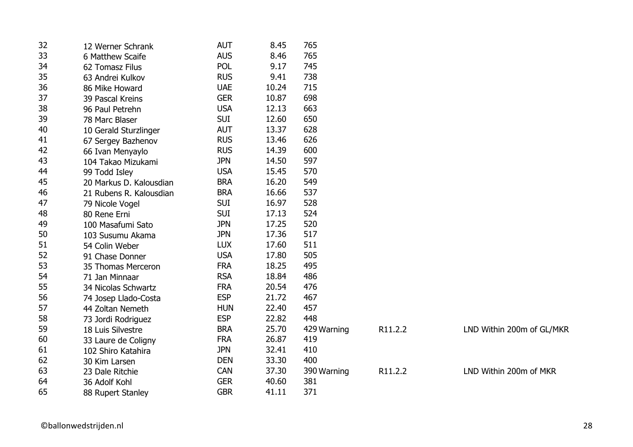| 32 | 12 Werner Schrank       | <b>AUT</b> | 8.45  | 765         |         |                           |
|----|-------------------------|------------|-------|-------------|---------|---------------------------|
| 33 | 6 Matthew Scaife        | <b>AUS</b> | 8.46  | 765         |         |                           |
| 34 | 62 Tomasz Filus         | <b>POL</b> | 9.17  | 745         |         |                           |
| 35 | 63 Andrei Kulkov        | <b>RUS</b> | 9.41  | 738         |         |                           |
| 36 | 86 Mike Howard          | <b>UAE</b> | 10.24 | 715         |         |                           |
| 37 | 39 Pascal Kreins        | <b>GER</b> | 10.87 | 698         |         |                           |
| 38 | 96 Paul Petrehn         | <b>USA</b> | 12.13 | 663         |         |                           |
| 39 | 78 Marc Blaser          | <b>SUI</b> | 12.60 | 650         |         |                           |
| 40 | 10 Gerald Sturzlinger   | <b>AUT</b> | 13.37 | 628         |         |                           |
| 41 | 67 Sergey Bazhenov      | <b>RUS</b> | 13.46 | 626         |         |                           |
| 42 | 66 Ivan Menyaylo        | <b>RUS</b> | 14.39 | 600         |         |                           |
| 43 | 104 Takao Mizukami      | <b>JPN</b> | 14.50 | 597         |         |                           |
| 44 | 99 Todd Isley           | <b>USA</b> | 15.45 | 570         |         |                           |
| 45 | 20 Markus D. Kalousdian | <b>BRA</b> | 16.20 | 549         |         |                           |
| 46 | 21 Rubens R. Kalousdian | <b>BRA</b> | 16.66 | 537         |         |                           |
| 47 | 79 Nicole Vogel         | <b>SUI</b> | 16.97 | 528         |         |                           |
| 48 | 80 Rene Erni            | <b>SUI</b> | 17.13 | 524         |         |                           |
| 49 | 100 Masafumi Sato       | <b>JPN</b> | 17.25 | 520         |         |                           |
| 50 | 103 Susumu Akama        | <b>JPN</b> | 17.36 | 517         |         |                           |
| 51 | 54 Colin Weber          | <b>LUX</b> | 17.60 | 511         |         |                           |
| 52 | 91 Chase Donner         | <b>USA</b> | 17.80 | 505         |         |                           |
| 53 | 35 Thomas Merceron      | <b>FRA</b> | 18.25 | 495         |         |                           |
| 54 | 71 Jan Minnaar          | <b>RSA</b> | 18.84 | 486         |         |                           |
| 55 | 34 Nicolas Schwartz     | <b>FRA</b> | 20.54 | 476         |         |                           |
| 56 | 74 Josep Llado-Costa    | <b>ESP</b> | 21.72 | 467         |         |                           |
| 57 | 44 Zoltan Nemeth        | <b>HUN</b> | 22.40 | 457         |         |                           |
| 58 | 73 Jordi Rodriguez      | <b>ESP</b> | 22.82 | 448         |         |                           |
| 59 | 18 Luis Silvestre       | <b>BRA</b> | 25.70 | 429 Warning | R11.2.2 | LND Within 200m of GL/MKR |
| 60 | 33 Laure de Coligny     | <b>FRA</b> | 26.87 | 419         |         |                           |
| 61 | 102 Shiro Katahira      | <b>JPN</b> | 32.41 | 410         |         |                           |
| 62 | 30 Kim Larsen           | <b>DEN</b> | 33.30 | 400         |         |                           |
| 63 | 23 Dale Ritchie         | <b>CAN</b> | 37.30 | 390 Warning | R11.2.2 | LND Within 200m of MKR    |
| 64 | 36 Adolf Kohl           | <b>GER</b> | 40.60 | 381         |         |                           |
| 65 | 88 Rupert Stanley       | <b>GBR</b> | 41.11 | 371         |         |                           |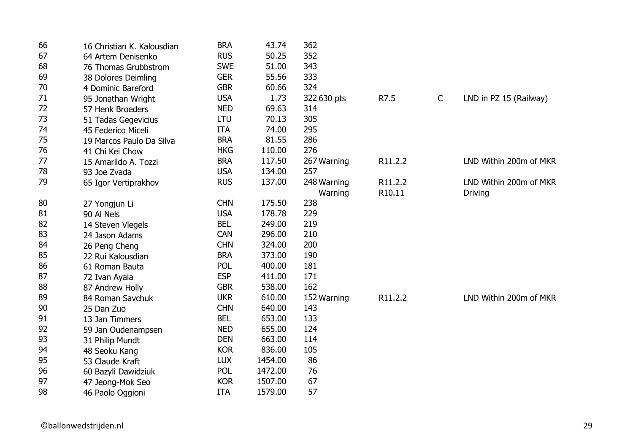| 66 | 16 Christian K. Kalousdian | <b>BRA</b> | 43.74   | 362         |         |              |                        |
|----|----------------------------|------------|---------|-------------|---------|--------------|------------------------|
| 67 | 64 Artem Denisenko         | <b>RUS</b> | 50.25   | 352         |         |              |                        |
| 68 | 76 Thomas Grubbstrom       | <b>SWE</b> | 51.00   | 343         |         |              |                        |
| 69 | 38 Dolores Deimling        | <b>GER</b> | 55.56   | 333         |         |              |                        |
| 70 | 4 Dominic Bareford         | <b>GBR</b> | 60.66   | 324         |         |              |                        |
| 71 | 95 Jonathan Wright         | <b>USA</b> | 1.73    | 322 630 pts | R7.5    | $\mathsf{C}$ | LND in PZ 15 (Railway) |
| 72 | 57 Henk Broeders           | <b>NED</b> | 69.63   | 314         |         |              |                        |
| 73 | 51 Tadas Gegevicius        | LTU        | 70.13   | 305         |         |              |                        |
| 74 | 45 Federico Miceli         | <b>ITA</b> | 74.00   | 295         |         |              |                        |
| 75 | 19 Marcos Paulo Da Silva   | <b>BRA</b> | 81.55   | 286         |         |              |                        |
| 76 | 41 Chi Kei Chow            | <b>HKG</b> | 110.00  | 276         |         |              |                        |
| 77 | 15 Amarildo A. Tozzi       | <b>BRA</b> | 117.50  | 267 Warning | R11.2.2 |              | LND Within 200m of MKR |
| 78 | 93 Joe Zvada               | <b>USA</b> | 134.00  | 257         |         |              |                        |
| 79 | 65 Igor Vertiprakhov       | <b>RUS</b> | 137.00  | 248 Warning | R11.2.2 |              | LND Within 200m of MKR |
|    |                            |            |         | Warning     | R10.11  |              | <b>Driving</b>         |
| 80 | 27 Yongjun Li              | <b>CHN</b> | 175.50  | 238         |         |              |                        |
| 81 | 90 Al Nels                 | <b>USA</b> | 178.78  | 229         |         |              |                        |
| 82 | 14 Steven Vlegels          | <b>BEL</b> | 249.00  | 219         |         |              |                        |
| 83 | 24 Jason Adams             | <b>CAN</b> | 296.00  | 210         |         |              |                        |
| 84 | 26 Peng Cheng              | <b>CHN</b> | 324.00  | 200         |         |              |                        |
| 85 | 22 Rui Kalousdian          | <b>BRA</b> | 373.00  | 190         |         |              |                        |
| 86 | 61 Roman Bauta             | <b>POL</b> | 400.00  | 181         |         |              |                        |
| 87 | 72 Ivan Ayala              | <b>ESP</b> | 411.00  | 171         |         |              |                        |
| 88 | 87 Andrew Holly            | <b>GBR</b> | 538.00  | 162         |         |              |                        |
| 89 | 84 Roman Savchuk           | <b>UKR</b> | 610.00  | 152 Warning | R11.2.2 |              | LND Within 200m of MKR |
| 90 | 25 Dan Zuo                 | <b>CHN</b> | 640.00  | 143         |         |              |                        |
| 91 | 13 Jan Timmers             | <b>BEL</b> | 653.00  | 133         |         |              |                        |
| 92 | 59 Jan Oudenampsen         | <b>NED</b> | 655.00  | 124         |         |              |                        |
| 93 | 31 Philip Mundt            | <b>DEN</b> | 663.00  | 114         |         |              |                        |
| 94 | 48 Seoku Kang              | <b>KOR</b> | 836.00  | 105         |         |              |                        |
| 95 | 53 Claude Kraft            | <b>LUX</b> | 1454.00 | 86          |         |              |                        |
| 96 | 60 Bazyli Dawidziuk        | <b>POL</b> | 1472.00 | 76          |         |              |                        |
| 97 | 47 Jeong-Mok Seo           | <b>KOR</b> | 1507.00 | 67          |         |              |                        |
| 98 | 46 Paolo Oggioni           | <b>ITA</b> | 1579.00 | 57          |         |              |                        |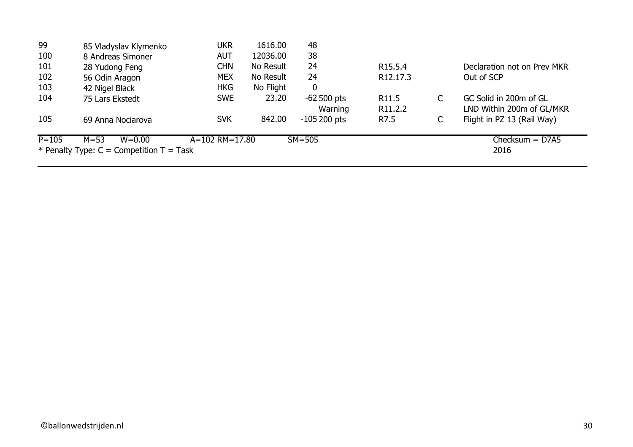|           | * Penalty Type: $C =$ Competition $T =$ Task |                      |           |               |                       |   | 2016                        |
|-----------|----------------------------------------------|----------------------|-----------|---------------|-----------------------|---|-----------------------------|
| $P = 105$ | $M = 53$<br>$W = 0.00$                       | $A = 102$ RM = 17.80 |           | $SM = 505$    |                       |   | $Checksum = D7A5$           |
| 105       | 69 Anna Nociarova                            | <b>SVK</b>           | 842.00    | $-105200$ pts | R7.5                  | С | Flight in PZ 13 (Rail Way)  |
|           |                                              |                      |           | Warning       | R <sub>11.2.2</sub>   |   | LND Within 200m of GL/MKR   |
| 104       | 75 Lars Ekstedt                              | <b>SWE</b>           | 23.20     | $-62500$ pts  | R <sub>11.5</sub>     |   | GC Solid in 200m of GL      |
| 103       | 42 Nigel Black                               | <b>HKG</b>           | No Flight | $\mathbf 0$   |                       |   |                             |
| 102       | 56 Odin Aragon                               | <b>MEX</b>           | No Result | 24            | R <sub>12</sub> .17.3 |   | Out of SCP                  |
| 101       | 28 Yudong Feng                               | <b>CHN</b>           | No Result | 24            | R <sub>15.5.4</sub>   |   | Declaration not on Prev MKR |
| 100       | 8 Andreas Simoner                            | <b>AUT</b>           | 12036.00  | 38            |                       |   |                             |
| 99        | 85 Vladyslav Klymenko                        | ukr                  | 1616.00   | 48            |                       |   |                             |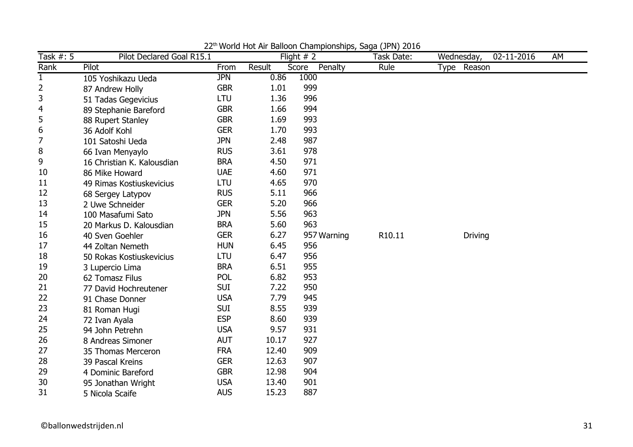| Task #: 5      | Pilot Declared Goal R15.1  |            |        | Flight $# 2$     | world riot him Balloon Grampionompoy baga (5) ivy E016<br>Task Date: | 02-11-2016<br>Wednesday, | AM |
|----------------|----------------------------|------------|--------|------------------|----------------------------------------------------------------------|--------------------------|----|
| Rank           | Pilot                      | From       | Result | Score<br>Penalty | Rule                                                                 | Type Reason              |    |
| $\mathbf{1}$   | 105 Yoshikazu Ueda         | <b>JPN</b> | 0.86   | 1000             |                                                                      |                          |    |
| $\overline{2}$ | 87 Andrew Holly            | <b>GBR</b> | 1.01   | 999              |                                                                      |                          |    |
| 3              | 51 Tadas Gegevicius        | <b>LTU</b> | 1.36   | 996              |                                                                      |                          |    |
| 4              | 89 Stephanie Bareford      | <b>GBR</b> | 1.66   | 994              |                                                                      |                          |    |
| 5              | 88 Rupert Stanley          | <b>GBR</b> | 1.69   | 993              |                                                                      |                          |    |
| 6              | 36 Adolf Kohl              | <b>GER</b> | 1.70   | 993              |                                                                      |                          |    |
| $\overline{7}$ | 101 Satoshi Ueda           | <b>JPN</b> | 2.48   | 987              |                                                                      |                          |    |
| 8              | 66 Ivan Menyaylo           | <b>RUS</b> | 3.61   | 978              |                                                                      |                          |    |
| 9              | 16 Christian K. Kalousdian | <b>BRA</b> | 4.50   | 971              |                                                                      |                          |    |
| 10             | 86 Mike Howard             | <b>UAE</b> | 4.60   | 971              |                                                                      |                          |    |
| 11             | 49 Rimas Kostiuskevicius   | LTU        | 4.65   | 970              |                                                                      |                          |    |
| 12             | 68 Sergey Latypov          | <b>RUS</b> | 5.11   | 966              |                                                                      |                          |    |
| 13             | 2 Uwe Schneider            | <b>GER</b> | 5.20   | 966              |                                                                      |                          |    |
| 14             | 100 Masafumi Sato          | <b>JPN</b> | 5.56   | 963              |                                                                      |                          |    |
| 15             | 20 Markus D. Kalousdian    | <b>BRA</b> | 5.60   | 963              |                                                                      |                          |    |
| 16             | 40 Sven Goehler            | <b>GER</b> | 6.27   | 957 Warning      | R10.11                                                               | <b>Driving</b>           |    |
| 17             | 44 Zoltan Nemeth           | <b>HUN</b> | 6.45   | 956              |                                                                      |                          |    |
| 18             | 50 Rokas Kostiuskevicius   | LTU        | 6.47   | 956              |                                                                      |                          |    |
| 19             | 3 Lupercio Lima            | <b>BRA</b> | 6.51   | 955              |                                                                      |                          |    |
| 20             | 62 Tomasz Filus            | <b>POL</b> | 6.82   | 953              |                                                                      |                          |    |
| 21             | 77 David Hochreutener      | <b>SUI</b> | 7.22   | 950              |                                                                      |                          |    |
| 22             | 91 Chase Donner            | <b>USA</b> | 7.79   | 945              |                                                                      |                          |    |
| 23             | 81 Roman Hugi              | <b>SUI</b> | 8.55   | 939              |                                                                      |                          |    |
| 24             | 72 Ivan Ayala              | <b>ESP</b> | 8.60   | 939              |                                                                      |                          |    |
| 25             | 94 John Petrehn            | <b>USA</b> | 9.57   | 931              |                                                                      |                          |    |
| 26             | 8 Andreas Simoner          | <b>AUT</b> | 10.17  | 927              |                                                                      |                          |    |
| 27             | 35 Thomas Merceron         | <b>FRA</b> | 12.40  | 909              |                                                                      |                          |    |
| 28             | 39 Pascal Kreins           | <b>GER</b> | 12.63  | 907              |                                                                      |                          |    |
| 29             | 4 Dominic Bareford         | <b>GBR</b> | 12.98  | 904              |                                                                      |                          |    |
| 30             | 95 Jonathan Wright         | <b>USA</b> | 13.40  | 901              |                                                                      |                          |    |
| 31             | 5 Nicola Scaife            | <b>AUS</b> | 15.23  | 887              |                                                                      |                          |    |

22th World Hot Air Balloon Championships, Saga (JPN) 2016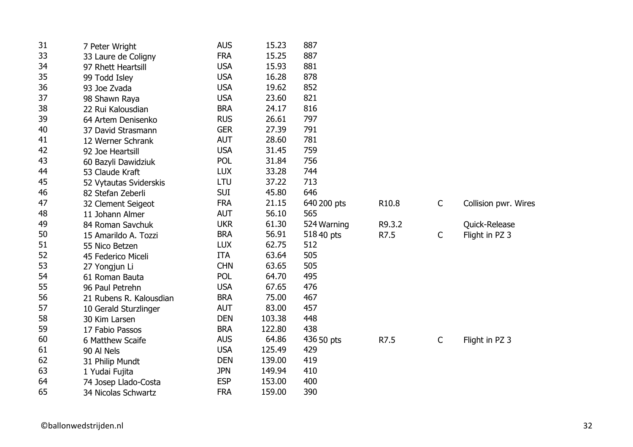| 31 | 7 Peter Wright          | <b>AUS</b> | 15.23  | 887         |        |              |                      |
|----|-------------------------|------------|--------|-------------|--------|--------------|----------------------|
| 33 | 33 Laure de Coligny     | <b>FRA</b> | 15.25  | 887         |        |              |                      |
| 34 | 97 Rhett Heartsill      | <b>USA</b> | 15.93  | 881         |        |              |                      |
| 35 | 99 Todd Isley           | <b>USA</b> | 16.28  | 878         |        |              |                      |
| 36 | 93 Joe Zvada            | <b>USA</b> | 19.62  | 852         |        |              |                      |
| 37 | 98 Shawn Raya           | <b>USA</b> | 23.60  | 821         |        |              |                      |
| 38 | 22 Rui Kalousdian       | <b>BRA</b> | 24.17  | 816         |        |              |                      |
| 39 | 64 Artem Denisenko      | <b>RUS</b> | 26.61  | 797         |        |              |                      |
| 40 | 37 David Strasmann      | <b>GER</b> | 27.39  | 791         |        |              |                      |
| 41 | 12 Werner Schrank       | <b>AUT</b> | 28.60  | 781         |        |              |                      |
| 42 | 92 Joe Heartsill        | <b>USA</b> | 31.45  | 759         |        |              |                      |
| 43 | 60 Bazyli Dawidziuk     | <b>POL</b> | 31.84  | 756         |        |              |                      |
| 44 | 53 Claude Kraft         | <b>LUX</b> | 33.28  | 744         |        |              |                      |
| 45 | 52 Vytautas Sviderskis  | LTU        | 37.22  | 713         |        |              |                      |
| 46 | 82 Stefan Zeberli       | <b>SUI</b> | 45.80  | 646         |        |              |                      |
| 47 | 32 Clement Seigeot      | <b>FRA</b> | 21.15  | 640 200 pts | R10.8  | $\mathsf C$  | Collision pwr. Wires |
| 48 | 11 Johann Almer         | <b>AUT</b> | 56.10  | 565         |        |              |                      |
| 49 | 84 Roman Savchuk        | <b>UKR</b> | 61.30  | 524 Warning | R9.3.2 |              | Quick-Release        |
| 50 | 15 Amarildo A. Tozzi    | <b>BRA</b> | 56.91  | 518 40 pts  | R7.5   | C            | Flight in PZ 3       |
| 51 | 55 Nico Betzen          | <b>LUX</b> | 62.75  | 512         |        |              |                      |
| 52 | 45 Federico Miceli      | <b>ITA</b> | 63.64  | 505         |        |              |                      |
| 53 | 27 Yongjun Li           | <b>CHN</b> | 63.65  | 505         |        |              |                      |
| 54 | 61 Roman Bauta          | <b>POL</b> | 64.70  | 495         |        |              |                      |
| 55 | 96 Paul Petrehn         | <b>USA</b> | 67.65  | 476         |        |              |                      |
| 56 | 21 Rubens R. Kalousdian | <b>BRA</b> | 75.00  | 467         |        |              |                      |
| 57 | 10 Gerald Sturzlinger   | <b>AUT</b> | 83.00  | 457         |        |              |                      |
| 58 | 30 Kim Larsen           | <b>DEN</b> | 103.38 | 448         |        |              |                      |
| 59 | 17 Fabio Passos         | <b>BRA</b> | 122.80 | 438         |        |              |                      |
| 60 | 6 Matthew Scaife        | <b>AUS</b> | 64.86  | 436 50 pts  | R7.5   | $\mathsf{C}$ | Flight in PZ 3       |
| 61 | 90 Al Nels              | <b>USA</b> | 125.49 | 429         |        |              |                      |
| 62 | 31 Philip Mundt         | <b>DEN</b> | 139.00 | 419         |        |              |                      |
| 63 | 1 Yudai Fujita          | <b>JPN</b> | 149.94 | 410         |        |              |                      |
| 64 | 74 Josep Llado-Costa    | <b>ESP</b> | 153.00 | 400         |        |              |                      |
| 65 | 34 Nicolas Schwartz     | <b>FRA</b> | 159.00 | 390         |        |              |                      |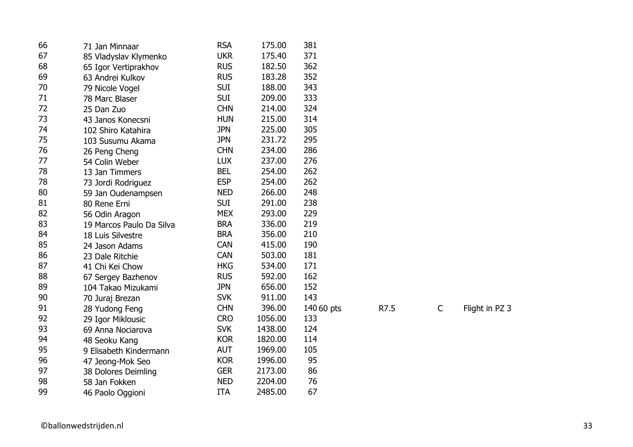| 66 | 71 Jan Minnaar           | <b>RSA</b> | 175.00  | 381        |      |             |                |
|----|--------------------------|------------|---------|------------|------|-------------|----------------|
| 67 | 85 Vladyslav Klymenko    | <b>UKR</b> | 175.40  | 371        |      |             |                |
| 68 | 65 Igor Vertiprakhov     | <b>RUS</b> | 182.50  | 362        |      |             |                |
| 69 | 63 Andrei Kulkov         | <b>RUS</b> | 183.28  | 352        |      |             |                |
| 70 | 79 Nicole Vogel          | <b>SUI</b> | 188.00  | 343        |      |             |                |
| 71 | 78 Marc Blaser           | <b>SUI</b> | 209.00  | 333        |      |             |                |
| 72 | 25 Dan Zuo               | <b>CHN</b> | 214.00  | 324        |      |             |                |
| 73 | 43 Janos Konecsni        | <b>HUN</b> | 215.00  | 314        |      |             |                |
| 74 | 102 Shiro Katahira       | <b>JPN</b> | 225.00  | 305        |      |             |                |
| 75 | 103 Susumu Akama         | <b>JPN</b> | 231.72  | 295        |      |             |                |
| 76 | 26 Peng Cheng            | <b>CHN</b> | 234.00  | 286        |      |             |                |
| 77 | 54 Colin Weber           | <b>LUX</b> | 237.00  | 276        |      |             |                |
| 78 | 13 Jan Timmers           | <b>BEL</b> | 254.00  | 262        |      |             |                |
| 78 | 73 Jordi Rodriguez       | <b>ESP</b> | 254.00  | 262        |      |             |                |
| 80 | 59 Jan Oudenampsen       | <b>NED</b> | 266.00  | 248        |      |             |                |
| 81 | 80 Rene Erni             | <b>SUI</b> | 291.00  | 238        |      |             |                |
| 82 | 56 Odin Aragon           | <b>MEX</b> | 293.00  | 229        |      |             |                |
| 83 | 19 Marcos Paulo Da Silva | <b>BRA</b> | 336.00  | 219        |      |             |                |
| 84 | 18 Luis Silvestre        | <b>BRA</b> | 356.00  | 210        |      |             |                |
| 85 | 24 Jason Adams           | <b>CAN</b> | 415.00  | 190        |      |             |                |
| 86 | 23 Dale Ritchie          | <b>CAN</b> | 503.00  | 181        |      |             |                |
| 87 | 41 Chi Kei Chow          | <b>HKG</b> | 534.00  | 171        |      |             |                |
| 88 | 67 Sergey Bazhenov       | <b>RUS</b> | 592.00  | 162        |      |             |                |
| 89 | 104 Takao Mizukami       | <b>JPN</b> | 656.00  | 152        |      |             |                |
| 90 | 70 Juraj Brezan          | <b>SVK</b> | 911.00  | 143        |      |             |                |
| 91 | 28 Yudong Feng           | <b>CHN</b> | 396.00  | 140 60 pts | R7.5 | $\mathsf C$ | Flight in PZ 3 |
| 92 | 29 Igor Miklousic        | <b>CRO</b> | 1056.00 | 133        |      |             |                |
| 93 | 69 Anna Nociarova        | <b>SVK</b> | 1438.00 | 124        |      |             |                |
| 94 | 48 Seoku Kang            | <b>KOR</b> | 1820.00 | 114        |      |             |                |
| 95 | 9 Elisabeth Kindermann   | <b>AUT</b> | 1969.00 | 105        |      |             |                |
| 96 | 47 Jeong-Mok Seo         | <b>KOR</b> | 1996.00 | 95         |      |             |                |
| 97 | 38 Dolores Deimling      | <b>GER</b> | 2173.00 | 86         |      |             |                |
| 98 | 58 Jan Fokken            | <b>NED</b> | 2204.00 | 76         |      |             |                |
| 99 | 46 Paolo Oggioni         | <b>ITA</b> | 2485.00 | 67         |      |             |                |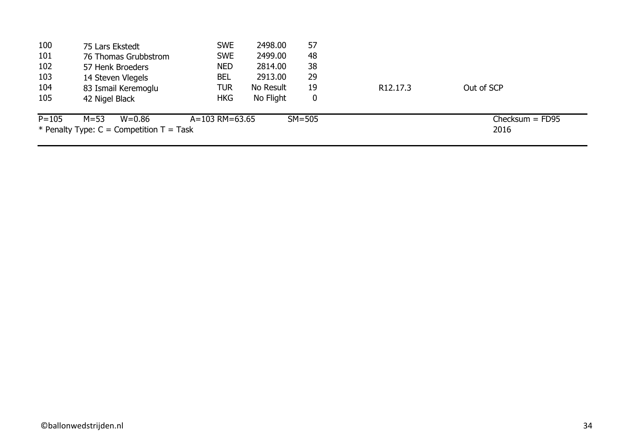| 100       | 75 Lars Ekstedt                            | <b>SWE</b>         | 2498.00   | 57         |                       |                   |
|-----------|--------------------------------------------|--------------------|-----------|------------|-----------------------|-------------------|
| 101       | 76 Thomas Grubbstrom                       | <b>SWE</b>         | 2499.00   | 48         |                       |                   |
| 102       | 57 Henk Broeders                           | <b>NED</b>         | 2814.00   | 38         |                       |                   |
| 103       | 14 Steven Vlegels                          | <b>BEL</b>         | 2913.00   | 29         |                       |                   |
| 104       | 83 Ismail Keremoglu                        | TUR                | No Result | 19         | R <sub>12</sub> .17.3 | Out of SCP        |
| 105       | 42 Nigel Black                             | <b>HKG</b>         | No Flight | 0          |                       |                   |
| $P = 105$ | $M = 53$<br>W=0.86                         | $A = 103$ RM=63.65 |           | $SM = 505$ |                       | $Checksum = FD95$ |
|           | * Penalty Type: $C =$ Competition T = Task |                    |           |            |                       | 2016              |
|           |                                            |                    |           |            |                       |                   |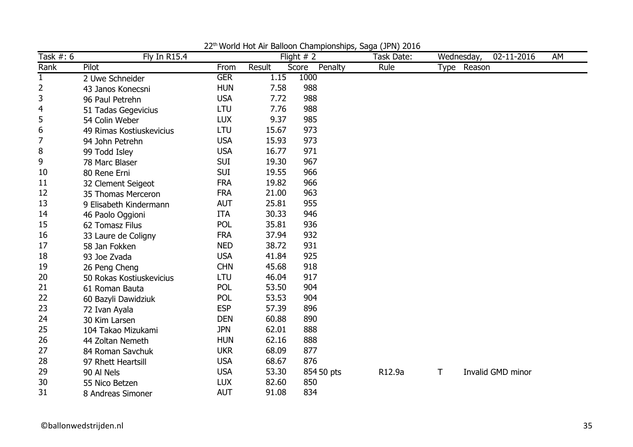| Task #: 6      | <b>Fly In R15.4</b>      |            |        | Flight $# 2$     | world riot him Balloon Grampionompo, baga (5111) E010<br>Task Date: |   | Wednesday,  | 02-11-2016        | AM |
|----------------|--------------------------|------------|--------|------------------|---------------------------------------------------------------------|---|-------------|-------------------|----|
| Rank           | Pilot                    | From       | Result | Penalty<br>Score | Rule                                                                |   | Type Reason |                   |    |
| $\mathbf{1}$   | 2 Uwe Schneider          | <b>GER</b> | 1.15   | 1000             |                                                                     |   |             |                   |    |
| $\overline{2}$ | 43 Janos Konecsni        | <b>HUN</b> | 7.58   | 988              |                                                                     |   |             |                   |    |
| 3              | 96 Paul Petrehn          | <b>USA</b> | 7.72   | 988              |                                                                     |   |             |                   |    |
| 4              | 51 Tadas Gegevicius      | <b>LTU</b> | 7.76   | 988              |                                                                     |   |             |                   |    |
| 5              | 54 Colin Weber           | <b>LUX</b> | 9.37   | 985              |                                                                     |   |             |                   |    |
| 6              | 49 Rimas Kostiuskevicius | LTU        | 15.67  | 973              |                                                                     |   |             |                   |    |
| $\overline{7}$ | 94 John Petrehn          | <b>USA</b> | 15.93  | 973              |                                                                     |   |             |                   |    |
| 8              | 99 Todd Isley            | <b>USA</b> | 16.77  | 971              |                                                                     |   |             |                   |    |
| 9              | 78 Marc Blaser           | <b>SUI</b> | 19.30  | 967              |                                                                     |   |             |                   |    |
| 10             | 80 Rene Erni             | <b>SUI</b> | 19.55  | 966              |                                                                     |   |             |                   |    |
| 11             | 32 Clement Seigeot       | <b>FRA</b> | 19.82  | 966              |                                                                     |   |             |                   |    |
| 12             | 35 Thomas Merceron       | <b>FRA</b> | 21.00  | 963              |                                                                     |   |             |                   |    |
| 13             | 9 Elisabeth Kindermann   | <b>AUT</b> | 25.81  | 955              |                                                                     |   |             |                   |    |
| 14             | 46 Paolo Oggioni         | <b>ITA</b> | 30.33  | 946              |                                                                     |   |             |                   |    |
| 15             | 62 Tomasz Filus          | POL        | 35.81  | 936              |                                                                     |   |             |                   |    |
| 16             | 33 Laure de Coligny      | <b>FRA</b> | 37.94  | 932              |                                                                     |   |             |                   |    |
| 17             | 58 Jan Fokken            | <b>NED</b> | 38.72  | 931              |                                                                     |   |             |                   |    |
| 18             | 93 Joe Zvada             | <b>USA</b> | 41.84  | 925              |                                                                     |   |             |                   |    |
| 19             | 26 Peng Cheng            | <b>CHN</b> | 45.68  | 918              |                                                                     |   |             |                   |    |
| 20             | 50 Rokas Kostiuskevicius | LTU        | 46.04  | 917              |                                                                     |   |             |                   |    |
| 21             | 61 Roman Bauta           | POL        | 53.50  | 904              |                                                                     |   |             |                   |    |
| 22             | 60 Bazyli Dawidziuk      | <b>POL</b> | 53.53  | 904              |                                                                     |   |             |                   |    |
| 23             | 72 Ivan Ayala            | <b>ESP</b> | 57.39  | 896              |                                                                     |   |             |                   |    |
| 24             | 30 Kim Larsen            | <b>DEN</b> | 60.88  | 890              |                                                                     |   |             |                   |    |
| 25             | 104 Takao Mizukami       | <b>JPN</b> | 62.01  | 888              |                                                                     |   |             |                   |    |
| 26             | 44 Zoltan Nemeth         | <b>HUN</b> | 62.16  | 888              |                                                                     |   |             |                   |    |
| 27             | 84 Roman Savchuk         | <b>UKR</b> | 68.09  | 877              |                                                                     |   |             |                   |    |
| 28             | 97 Rhett Heartsill       | <b>USA</b> | 68.67  | 876              |                                                                     |   |             |                   |    |
| 29             | 90 Al Nels               | <b>USA</b> | 53.30  | 854 50 pts       | R12.9a                                                              | Τ |             | Invalid GMD minor |    |
| 30             | 55 Nico Betzen           | <b>LUX</b> | 82.60  | 850              |                                                                     |   |             |                   |    |
| 31             | 8 Andreas Simoner        | <b>AUT</b> | 91.08  | 834              |                                                                     |   |             |                   |    |

22<sup>th</sup> World Hot Air Balloon Championships, Saga (JPN) 2016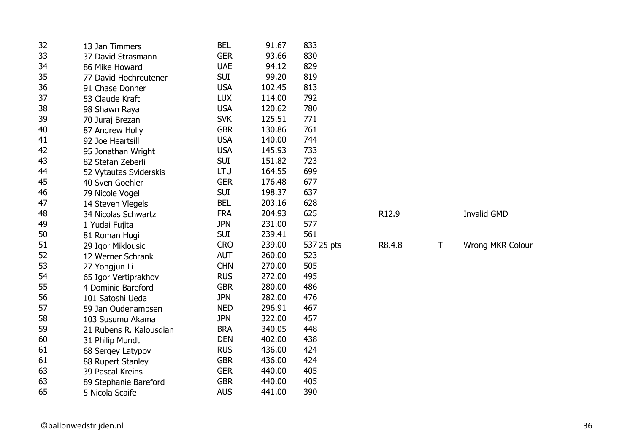| 32 | 13 Jan Timmers          | <b>BEL</b> | 91.67  | 833        |        |              |                    |
|----|-------------------------|------------|--------|------------|--------|--------------|--------------------|
| 33 | 37 David Strasmann      | <b>GER</b> | 93.66  | 830        |        |              |                    |
| 34 | 86 Mike Howard          | <b>UAE</b> | 94.12  | 829        |        |              |                    |
| 35 | 77 David Hochreutener   | <b>SUI</b> | 99.20  | 819        |        |              |                    |
| 36 | 91 Chase Donner         | <b>USA</b> | 102.45 | 813        |        |              |                    |
| 37 | 53 Claude Kraft         | <b>LUX</b> | 114.00 | 792        |        |              |                    |
| 38 | 98 Shawn Raya           | <b>USA</b> | 120.62 | 780        |        |              |                    |
| 39 | 70 Juraj Brezan         | <b>SVK</b> | 125.51 | 771        |        |              |                    |
| 40 | 87 Andrew Holly         | <b>GBR</b> | 130.86 | 761        |        |              |                    |
| 41 | 92 Joe Heartsill        | <b>USA</b> | 140.00 | 744        |        |              |                    |
| 42 | 95 Jonathan Wright      | <b>USA</b> | 145.93 | 733        |        |              |                    |
| 43 | 82 Stefan Zeberli       | <b>SUI</b> | 151.82 | 723        |        |              |                    |
| 44 | 52 Vytautas Sviderskis  | LTU        | 164.55 | 699        |        |              |                    |
| 45 | 40 Sven Goehler         | <b>GER</b> | 176.48 | 677        |        |              |                    |
| 46 | 79 Nicole Vogel         | <b>SUI</b> | 198.37 | 637        |        |              |                    |
| 47 | 14 Steven Vlegels       | <b>BEL</b> | 203.16 | 628        |        |              |                    |
| 48 | 34 Nicolas Schwartz     | <b>FRA</b> | 204.93 | 625        | R12.9  |              | <b>Invalid GMD</b> |
| 49 | 1 Yudai Fujita          | <b>JPN</b> | 231.00 | 577        |        |              |                    |
| 50 | 81 Roman Hugi           | <b>SUI</b> | 239.41 | 561        |        |              |                    |
| 51 | 29 Igor Miklousic       | <b>CRO</b> | 239.00 | 537 25 pts | R8.4.8 | $\mathsf{T}$ | Wrong MKR Colour   |
| 52 | 12 Werner Schrank       | <b>AUT</b> | 260.00 | 523        |        |              |                    |
| 53 | 27 Yongjun Li           | <b>CHN</b> | 270.00 | 505        |        |              |                    |
| 54 | 65 Igor Vertiprakhov    | <b>RUS</b> | 272.00 | 495        |        |              |                    |
| 55 | 4 Dominic Bareford      | <b>GBR</b> | 280.00 | 486        |        |              |                    |
| 56 | 101 Satoshi Ueda        | <b>JPN</b> | 282.00 | 476        |        |              |                    |
| 57 | 59 Jan Oudenampsen      | <b>NED</b> | 296.91 | 467        |        |              |                    |
| 58 | 103 Susumu Akama        | <b>JPN</b> | 322.00 | 457        |        |              |                    |
| 59 | 21 Rubens R. Kalousdian | <b>BRA</b> | 340.05 | 448        |        |              |                    |
| 60 | 31 Philip Mundt         | <b>DEN</b> | 402.00 | 438        |        |              |                    |
| 61 | 68 Sergey Latypov       | <b>RUS</b> | 436.00 | 424        |        |              |                    |
| 61 | 88 Rupert Stanley       | <b>GBR</b> | 436.00 | 424        |        |              |                    |
| 63 | 39 Pascal Kreins        | <b>GER</b> | 440.00 | 405        |        |              |                    |
| 63 | 89 Stephanie Bareford   | <b>GBR</b> | 440.00 | 405        |        |              |                    |
| 65 | 5 Nicola Scaife         | <b>AUS</b> | 441.00 | 390        |        |              |                    |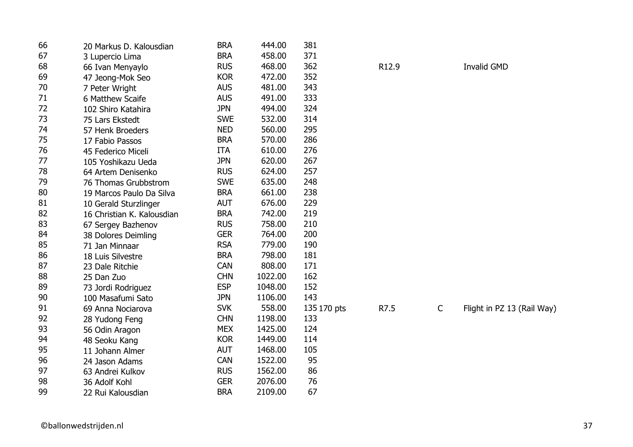| 66 | 20 Markus D. Kalousdian    | <b>BRA</b> | 444.00  | 381         |       |              |                            |
|----|----------------------------|------------|---------|-------------|-------|--------------|----------------------------|
| 67 | 3 Lupercio Lima            | <b>BRA</b> | 458.00  | 371         |       |              |                            |
| 68 | 66 Ivan Menyaylo           | <b>RUS</b> | 468.00  | 362         | R12.9 |              | <b>Invalid GMD</b>         |
| 69 | 47 Jeong-Mok Seo           | <b>KOR</b> | 472.00  | 352         |       |              |                            |
| 70 | 7 Peter Wright             | <b>AUS</b> | 481.00  | 343         |       |              |                            |
| 71 | 6 Matthew Scaife           | <b>AUS</b> | 491.00  | 333         |       |              |                            |
| 72 | 102 Shiro Katahira         | <b>JPN</b> | 494.00  | 324         |       |              |                            |
| 73 | 75 Lars Ekstedt            | <b>SWE</b> | 532.00  | 314         |       |              |                            |
| 74 | 57 Henk Broeders           | <b>NED</b> | 560.00  | 295         |       |              |                            |
| 75 | 17 Fabio Passos            | <b>BRA</b> | 570.00  | 286         |       |              |                            |
| 76 | 45 Federico Miceli         | <b>ITA</b> | 610.00  | 276         |       |              |                            |
| 77 | 105 Yoshikazu Ueda         | <b>JPN</b> | 620.00  | 267         |       |              |                            |
| 78 | 64 Artem Denisenko         | <b>RUS</b> | 624.00  | 257         |       |              |                            |
| 79 | 76 Thomas Grubbstrom       | <b>SWE</b> | 635.00  | 248         |       |              |                            |
| 80 | 19 Marcos Paulo Da Silva   | <b>BRA</b> | 661.00  | 238         |       |              |                            |
| 81 | 10 Gerald Sturzlinger      | <b>AUT</b> | 676.00  | 229         |       |              |                            |
| 82 | 16 Christian K. Kalousdian | <b>BRA</b> | 742.00  | 219         |       |              |                            |
| 83 | 67 Sergey Bazhenov         | <b>RUS</b> | 758.00  | 210         |       |              |                            |
| 84 | 38 Dolores Deimling        | <b>GER</b> | 764.00  | 200         |       |              |                            |
| 85 | 71 Jan Minnaar             | <b>RSA</b> | 779.00  | 190         |       |              |                            |
| 86 | 18 Luis Silvestre          | <b>BRA</b> | 798.00  | 181         |       |              |                            |
| 87 | 23 Dale Ritchie            | <b>CAN</b> | 808.00  | 171         |       |              |                            |
| 88 | 25 Dan Zuo                 | <b>CHN</b> | 1022.00 | 162         |       |              |                            |
| 89 | 73 Jordi Rodriguez         | <b>ESP</b> | 1048.00 | 152         |       |              |                            |
| 90 | 100 Masafumi Sato          | <b>JPN</b> | 1106.00 | 143         |       |              |                            |
| 91 | 69 Anna Nociarova          | <b>SVK</b> | 558.00  | 135 170 pts | R7.5  | $\mathsf{C}$ | Flight in PZ 13 (Rail Way) |
| 92 | 28 Yudong Feng             | <b>CHN</b> | 1198.00 | 133         |       |              |                            |
| 93 | 56 Odin Aragon             | <b>MEX</b> | 1425.00 | 124         |       |              |                            |
| 94 | 48 Seoku Kang              | <b>KOR</b> | 1449.00 | 114         |       |              |                            |
| 95 | 11 Johann Almer            | <b>AUT</b> | 1468.00 | 105         |       |              |                            |
| 96 | 24 Jason Adams             | <b>CAN</b> | 1522.00 | 95          |       |              |                            |
| 97 | 63 Andrei Kulkov           | <b>RUS</b> | 1562.00 | 86          |       |              |                            |
| 98 | 36 Adolf Kohl              | <b>GER</b> | 2076.00 | 76          |       |              |                            |
| 99 | 22 Rui Kalousdian          | <b>BRA</b> | 2109.00 | 67          |       |              |                            |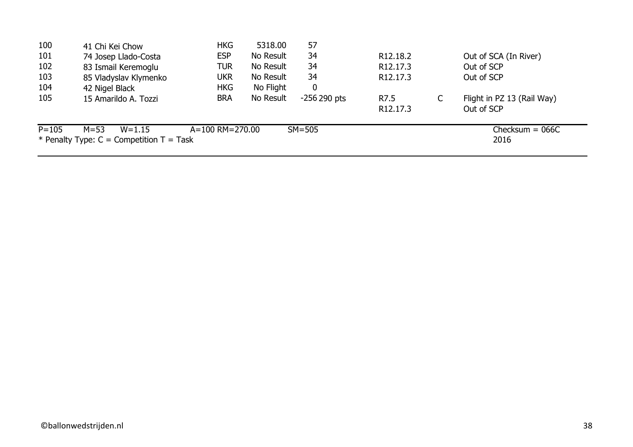| 100       | 41 Chi Kei Chow                              | <b>HKG</b>      | 5318.00   | 57               |                       |                            |
|-----------|----------------------------------------------|-----------------|-----------|------------------|-----------------------|----------------------------|
| 101       | 74 Josep Llado-Costa                         | <b>ESP</b>      | No Result | 34               | R <sub>12.18.2</sub>  | Out of SCA (In River)      |
| 102       | 83 Ismail Keremoglu                          | TUR             | No Result | 34               | R <sub>12</sub> .17.3 | Out of SCP                 |
| 103       | 85 Vladyslav Klymenko                        | ukr             | No Result | 34               | R <sub>12</sub> .17.3 | Out of SCP                 |
| 104       | 42 Nigel Black                               | <b>HKG</b>      | No Flight | $\boldsymbol{0}$ |                       |                            |
| 105       | 15 Amarildo A. Tozzi                         | <b>BRA</b>      | No Result | $-256290$ pts    | R7.5                  | Flight in PZ 13 (Rail Way) |
|           |                                              |                 |           |                  | R <sub>12</sub> .17.3 | Out of SCP                 |
| $P = 105$ | $M = 53$<br>$W = 1.15$                       | A=100 RM=270.00 |           | $SM = 505$       |                       | Checksum = $066C$          |
|           | * Penalty Type: $C =$ Competition $T =$ Task |                 |           |                  |                       | 2016                       |
|           |                                              |                 |           |                  |                       |                            |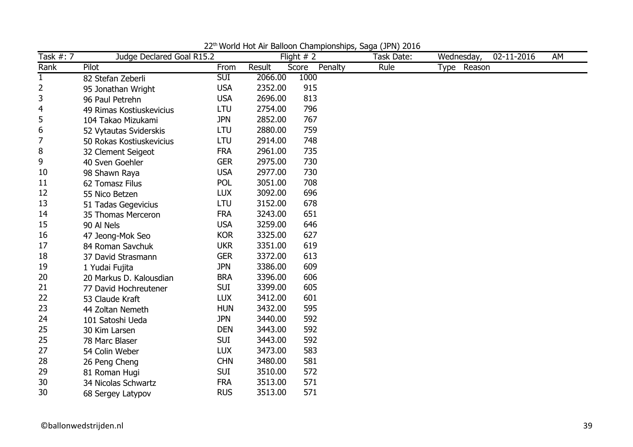| Task #: 7    | Judge Declared Goal R15.2 |            |         | Flight $# 2$     | Task Date: | Wednesday,  | 02-11-2016 | AM |
|--------------|---------------------------|------------|---------|------------------|------------|-------------|------------|----|
| Rank         | Pilot                     | From       | Result  | Penalty<br>Score | Rule       | Type Reason |            |    |
| $\mathbf{1}$ | 82 Stefan Zeberli         | <b>SUI</b> | 2066.00 | 1000             |            |             |            |    |
| 2            | 95 Jonathan Wright        | <b>USA</b> | 2352.00 | 915              |            |             |            |    |
| 3            | 96 Paul Petrehn           | <b>USA</b> | 2696.00 | 813              |            |             |            |    |
| 4            | 49 Rimas Kostiuskevicius  | LTU        | 2754.00 | 796              |            |             |            |    |
| 5            | 104 Takao Mizukami        | <b>JPN</b> | 2852.00 | 767              |            |             |            |    |
| 6            | 52 Vytautas Sviderskis    | <b>LTU</b> | 2880.00 | 759              |            |             |            |    |
| 7            | 50 Rokas Kostiuskevicius  | LTU        | 2914.00 | 748              |            |             |            |    |
| 8            | 32 Clement Seigeot        | <b>FRA</b> | 2961.00 | 735              |            |             |            |    |
| 9            | 40 Sven Goehler           | <b>GER</b> | 2975.00 | 730              |            |             |            |    |
| 10           | 98 Shawn Raya             | <b>USA</b> | 2977.00 | 730              |            |             |            |    |
| 11           | 62 Tomasz Filus           | <b>POL</b> | 3051.00 | 708              |            |             |            |    |
| 12           | 55 Nico Betzen            | <b>LUX</b> | 3092.00 | 696              |            |             |            |    |
| 13           | 51 Tadas Gegevicius       | LTU        | 3152.00 | 678              |            |             |            |    |
| 14           | 35 Thomas Merceron        | <b>FRA</b> | 3243.00 | 651              |            |             |            |    |
| 15           | 90 Al Nels                | <b>USA</b> | 3259.00 | 646              |            |             |            |    |
| 16           | 47 Jeong-Mok Seo          | <b>KOR</b> | 3325.00 | 627              |            |             |            |    |
| 17           | 84 Roman Savchuk          | <b>UKR</b> | 3351.00 | 619              |            |             |            |    |
| 18           | 37 David Strasmann        | <b>GER</b> | 3372.00 | 613              |            |             |            |    |
| 19           | 1 Yudai Fujita            | <b>JPN</b> | 3386.00 | 609              |            |             |            |    |
| 20           | 20 Markus D. Kalousdian   | <b>BRA</b> | 3396.00 | 606              |            |             |            |    |
| 21           | 77 David Hochreutener     | <b>SUI</b> | 3399.00 | 605              |            |             |            |    |
| 22           | 53 Claude Kraft           | <b>LUX</b> | 3412.00 | 601              |            |             |            |    |
| 23           | 44 Zoltan Nemeth          | <b>HUN</b> | 3432.00 | 595              |            |             |            |    |
| 24           | 101 Satoshi Ueda          | <b>JPN</b> | 3440.00 | 592              |            |             |            |    |
| 25           | 30 Kim Larsen             | <b>DEN</b> | 3443.00 | 592              |            |             |            |    |
| 25           | 78 Marc Blaser            | <b>SUI</b> | 3443.00 | 592              |            |             |            |    |
| 27           | 54 Colin Weber            | <b>LUX</b> | 3473.00 | 583              |            |             |            |    |
| 28           | 26 Peng Cheng             | <b>CHN</b> | 3480.00 | 581              |            |             |            |    |
| 29           | 81 Roman Hugi             | <b>SUI</b> | 3510.00 | 572              |            |             |            |    |
| 30           | 34 Nicolas Schwartz       | <b>FRA</b> | 3513.00 | 571              |            |             |            |    |
| 30           | 68 Sergey Latypov         | <b>RUS</b> | 3513.00 | 571              |            |             |            |    |

22th World Hot Air Balloon Championships, Saga (JPN) 2016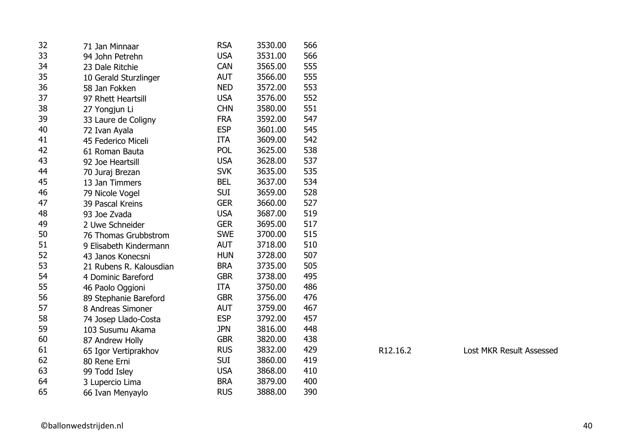| 32 | 71 Jan Minnaar          | <b>RSA</b> | 3530.00 | 566 |          |
|----|-------------------------|------------|---------|-----|----------|
| 33 | 94 John Petrehn         | <b>USA</b> | 3531.00 | 566 |          |
| 34 | 23 Dale Ritchie         | <b>CAN</b> | 3565.00 | 555 |          |
| 35 | 10 Gerald Sturzlinger   | <b>AUT</b> | 3566.00 | 555 |          |
| 36 | 58 Jan Fokken           | <b>NED</b> | 3572.00 | 553 |          |
| 37 | 97 Rhett Heartsill      | <b>USA</b> | 3576.00 | 552 |          |
| 38 | 27 Yongjun Li           | <b>CHN</b> | 3580.00 | 551 |          |
| 39 | 33 Laure de Coligny     | <b>FRA</b> | 3592.00 | 547 |          |
| 40 | 72 Ivan Ayala           | <b>ESP</b> | 3601.00 | 545 |          |
| 41 | 45 Federico Miceli      | <b>ITA</b> | 3609.00 | 542 |          |
| 42 | 61 Roman Bauta          | <b>POL</b> | 3625.00 | 538 |          |
| 43 | 92 Joe Heartsill        | <b>USA</b> | 3628.00 | 537 |          |
| 44 | 70 Juraj Brezan         | <b>SVK</b> | 3635.00 | 535 |          |
| 45 | 13 Jan Timmers          | <b>BEL</b> | 3637.00 | 534 |          |
| 46 | 79 Nicole Vogel         | <b>SUI</b> | 3659.00 | 528 |          |
| 47 | 39 Pascal Kreins        | <b>GER</b> | 3660.00 | 527 |          |
| 48 | 93 Joe Zvada            | <b>USA</b> | 3687.00 | 519 |          |
| 49 | 2 Uwe Schneider         | <b>GER</b> | 3695.00 | 517 |          |
| 50 | 76 Thomas Grubbstrom    | <b>SWE</b> | 3700.00 | 515 |          |
| 51 | 9 Elisabeth Kindermann  | <b>AUT</b> | 3718.00 | 510 |          |
| 52 | 43 Janos Konecsni       | <b>HUN</b> | 3728.00 | 507 |          |
| 53 | 21 Rubens R. Kalousdian | <b>BRA</b> | 3735.00 | 505 |          |
| 54 | 4 Dominic Bareford      | <b>GBR</b> | 3738.00 | 495 |          |
| 55 | 46 Paolo Oggioni        | <b>ITA</b> | 3750.00 | 486 |          |
| 56 | 89 Stephanie Bareford   | <b>GBR</b> | 3756.00 | 476 |          |
| 57 | 8 Andreas Simoner       | <b>AUT</b> | 3759.00 | 467 |          |
| 58 | 74 Josep Llado-Costa    | <b>ESP</b> | 3792.00 | 457 |          |
| 59 | 103 Susumu Akama        | <b>JPN</b> | 3816.00 | 448 |          |
| 60 | 87 Andrew Holly         | <b>GBR</b> | 3820.00 | 438 |          |
| 61 | 65 Igor Vertiprakhov    | <b>RUS</b> | 3832.00 | 429 | R12.16.2 |
| 62 | 80 Rene Erni            | <b>SUI</b> | 3860.00 | 419 |          |
| 63 | 99 Todd Isley           | <b>USA</b> | 3868.00 | 410 |          |
| 64 | 3 Lupercio Lima         | <b>BRA</b> | 3879.00 | 400 |          |
| 65 | 66 Ivan Menyaylo        | <b>RUS</b> | 3888.00 | 390 |          |

R12.16.2 Lost MKR Result Assessed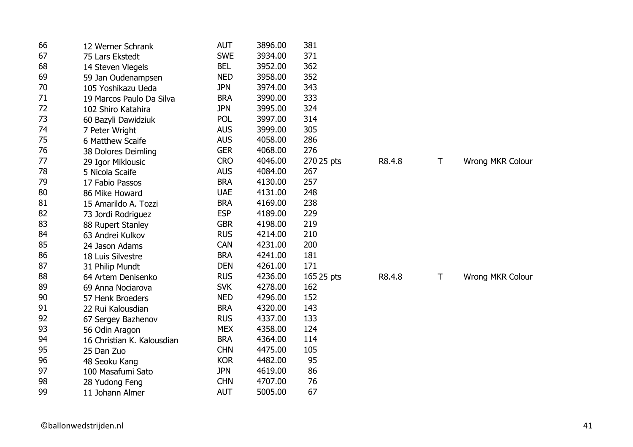| 66 | 12 Werner Schrank          | <b>AUT</b> | 3896.00 | 381        |        |   |                         |
|----|----------------------------|------------|---------|------------|--------|---|-------------------------|
| 67 | 75 Lars Ekstedt            | <b>SWE</b> | 3934.00 | 371        |        |   |                         |
| 68 | 14 Steven Vlegels          | <b>BEL</b> | 3952.00 | 362        |        |   |                         |
| 69 | 59 Jan Oudenampsen         | <b>NED</b> | 3958.00 | 352        |        |   |                         |
| 70 | 105 Yoshikazu Ueda         | <b>JPN</b> | 3974.00 | 343        |        |   |                         |
| 71 | 19 Marcos Paulo Da Silva   | <b>BRA</b> | 3990.00 | 333        |        |   |                         |
| 72 | 102 Shiro Katahira         | <b>JPN</b> | 3995.00 | 324        |        |   |                         |
| 73 | 60 Bazyli Dawidziuk        | <b>POL</b> | 3997.00 | 314        |        |   |                         |
| 74 | 7 Peter Wright             | <b>AUS</b> | 3999.00 | 305        |        |   |                         |
| 75 | 6 Matthew Scaife           | <b>AUS</b> | 4058.00 | 286        |        |   |                         |
| 76 | 38 Dolores Deimling        | <b>GER</b> | 4068.00 | 276        |        |   |                         |
| 77 | 29 Igor Miklousic          | <b>CRO</b> | 4046.00 | 270 25 pts | R8.4.8 | T | Wrong MKR Colour        |
| 78 | 5 Nicola Scaife            | <b>AUS</b> | 4084.00 | 267        |        |   |                         |
| 79 | 17 Fabio Passos            | <b>BRA</b> | 4130.00 | 257        |        |   |                         |
| 80 | 86 Mike Howard             | <b>UAE</b> | 4131.00 | 248        |        |   |                         |
| 81 | 15 Amarildo A. Tozzi       | <b>BRA</b> | 4169.00 | 238        |        |   |                         |
| 82 | 73 Jordi Rodriguez         | <b>ESP</b> | 4189.00 | 229        |        |   |                         |
| 83 | 88 Rupert Stanley          | <b>GBR</b> | 4198.00 | 219        |        |   |                         |
| 84 | 63 Andrei Kulkov           | <b>RUS</b> | 4214.00 | 210        |        |   |                         |
| 85 | 24 Jason Adams             | <b>CAN</b> | 4231.00 | 200        |        |   |                         |
| 86 | 18 Luis Silvestre          | <b>BRA</b> | 4241.00 | 181        |        |   |                         |
| 87 | 31 Philip Mundt            | <b>DEN</b> | 4261.00 | 171        |        |   |                         |
| 88 | 64 Artem Denisenko         | <b>RUS</b> | 4236.00 | 165 25 pts | R8.4.8 | T | <b>Wrong MKR Colour</b> |
| 89 | 69 Anna Nociarova          | <b>SVK</b> | 4278.00 | 162        |        |   |                         |
| 90 | 57 Henk Broeders           | <b>NED</b> | 4296.00 | 152        |        |   |                         |
| 91 | 22 Rui Kalousdian          | <b>BRA</b> | 4320.00 | 143        |        |   |                         |
| 92 | 67 Sergey Bazhenov         | <b>RUS</b> | 4337.00 | 133        |        |   |                         |
| 93 | 56 Odin Aragon             | <b>MEX</b> | 4358.00 | 124        |        |   |                         |
| 94 | 16 Christian K. Kalousdian | <b>BRA</b> | 4364.00 | 114        |        |   |                         |
| 95 | 25 Dan Zuo                 | <b>CHN</b> | 4475.00 | 105        |        |   |                         |
| 96 | 48 Seoku Kang              | <b>KOR</b> | 4482.00 | 95         |        |   |                         |
| 97 | 100 Masafumi Sato          | <b>JPN</b> | 4619.00 | 86         |        |   |                         |
| 98 | 28 Yudong Feng             | <b>CHN</b> | 4707.00 | 76         |        |   |                         |
| 99 | 11 Johann Almer            | <b>AUT</b> | 5005.00 | 67         |        |   |                         |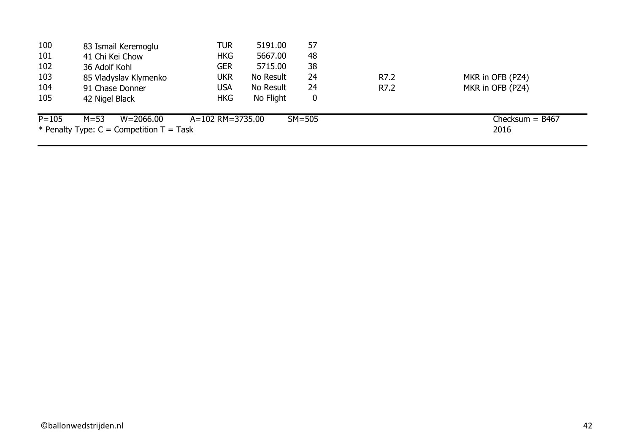| 100       | 83 Ismail Keremoglu                        | <b>TUR</b>       | 5191.00   | 57       |      |                   |
|-----------|--------------------------------------------|------------------|-----------|----------|------|-------------------|
| 101       | 41 Chi Kei Chow                            | <b>HKG</b>       | 5667.00   | 48       |      |                   |
| 102       | 36 Adolf Kohl                              | <b>GER</b>       | 5715.00   | 38       |      |                   |
| 103       | 85 Vladyslav Klymenko                      | <b>UKR</b>       | No Result | 24       | R7.2 | MKR in OFB (PZ4)  |
| 104       | 91 Chase Donner                            | <b>USA</b>       | No Result | 24       | R7.2 | MKR in OFB (PZ4)  |
| 105       | 42 Nigel Black                             | <b>HKG</b>       | No Flight | 0        |      |                   |
| $P = 105$ | $M = 53$<br>W=2066.00                      | A=102 RM=3735.00 |           | $SM=505$ |      | Checksum = $B467$ |
|           | * Penalty Type: $C =$ Competition T = Task |                  |           |          |      | 2016              |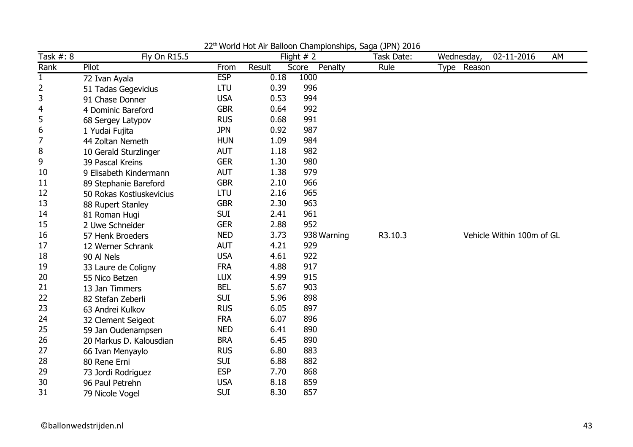| Task #: 8    | <b>Fly On R15.5</b>      |            |        | world riot him Balloon Gridmplonompo, Baga (31 m) E010<br>Flight $# 2$ | Task Date: | Wednesday,  | 02-11-2016                | AM |
|--------------|--------------------------|------------|--------|------------------------------------------------------------------------|------------|-------------|---------------------------|----|
| Rank         | Pilot                    | From       | Result | Score<br>Penalty                                                       | Rule       | Type Reason |                           |    |
| $\mathbf{1}$ | 72 Ivan Ayala            | <b>ESP</b> | 0.18   | 1000                                                                   |            |             |                           |    |
| 2            | 51 Tadas Gegevicius      | LTU        | 0.39   | 996                                                                    |            |             |                           |    |
| 3            | 91 Chase Donner          | <b>USA</b> | 0.53   | 994                                                                    |            |             |                           |    |
| 4            | 4 Dominic Bareford       | <b>GBR</b> | 0.64   | 992                                                                    |            |             |                           |    |
| 5            | 68 Sergey Latypov        | <b>RUS</b> | 0.68   | 991                                                                    |            |             |                           |    |
| 6            | 1 Yudai Fujita           | <b>JPN</b> | 0.92   | 987                                                                    |            |             |                           |    |
| 7            | 44 Zoltan Nemeth         | <b>HUN</b> | 1.09   | 984                                                                    |            |             |                           |    |
| 8            | 10 Gerald Sturzlinger    | <b>AUT</b> | 1.18   | 982                                                                    |            |             |                           |    |
| 9            | 39 Pascal Kreins         | <b>GER</b> | 1.30   | 980                                                                    |            |             |                           |    |
| 10           | 9 Elisabeth Kindermann   | <b>AUT</b> | 1.38   | 979                                                                    |            |             |                           |    |
| 11           | 89 Stephanie Bareford    | <b>GBR</b> | 2.10   | 966                                                                    |            |             |                           |    |
| 12           | 50 Rokas Kostiuskevicius | LTU        | 2.16   | 965                                                                    |            |             |                           |    |
| 13           | 88 Rupert Stanley        | <b>GBR</b> | 2.30   | 963                                                                    |            |             |                           |    |
| 14           | 81 Roman Hugi            | <b>SUI</b> | 2.41   | 961                                                                    |            |             |                           |    |
| 15           | 2 Uwe Schneider          | <b>GER</b> | 2.88   | 952                                                                    |            |             |                           |    |
| 16           | 57 Henk Broeders         | <b>NED</b> | 3.73   | 938 Warning                                                            | R3.10.3    |             | Vehicle Within 100m of GL |    |
| 17           | 12 Werner Schrank        | <b>AUT</b> | 4.21   | 929                                                                    |            |             |                           |    |
| 18           | 90 Al Nels               | <b>USA</b> | 4.61   | 922                                                                    |            |             |                           |    |
| 19           | 33 Laure de Coligny      | <b>FRA</b> | 4.88   | 917                                                                    |            |             |                           |    |
| 20           | 55 Nico Betzen           | <b>LUX</b> | 4.99   | 915                                                                    |            |             |                           |    |
| 21           | 13 Jan Timmers           | <b>BEL</b> | 5.67   | 903                                                                    |            |             |                           |    |
| 22           | 82 Stefan Zeberli        | <b>SUI</b> | 5.96   | 898                                                                    |            |             |                           |    |
| 23           | 63 Andrei Kulkov         | <b>RUS</b> | 6.05   | 897                                                                    |            |             |                           |    |
| 24           | 32 Clement Seigeot       | <b>FRA</b> | 6.07   | 896                                                                    |            |             |                           |    |
| 25           | 59 Jan Oudenampsen       | <b>NED</b> | 6.41   | 890                                                                    |            |             |                           |    |
| 26           | 20 Markus D. Kalousdian  | <b>BRA</b> | 6.45   | 890                                                                    |            |             |                           |    |
| 27           | 66 Ivan Menyaylo         | <b>RUS</b> | 6.80   | 883                                                                    |            |             |                           |    |
| 28           | 80 Rene Erni             | <b>SUI</b> | 6.88   | 882                                                                    |            |             |                           |    |
| 29           | 73 Jordi Rodriguez       | <b>ESP</b> | 7.70   | 868                                                                    |            |             |                           |    |
| 30           | 96 Paul Petrehn          | <b>USA</b> | 8.18   | 859                                                                    |            |             |                           |    |
| 31           | 79 Nicole Vogel          | <b>SUI</b> | 8.30   | 857                                                                    |            |             |                           |    |

22<sup>th</sup> World Hot Air Balloon Championships, Saga (JPN) 2016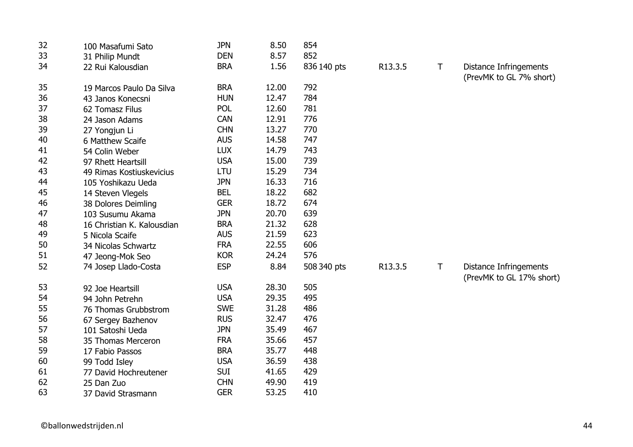| 32 | 100 Masafumi Sato          | <b>JPN</b> | 8.50  | 854         |         |   |                                                           |
|----|----------------------------|------------|-------|-------------|---------|---|-----------------------------------------------------------|
| 33 | 31 Philip Mundt            | <b>DEN</b> | 8.57  | 852         |         |   |                                                           |
| 34 | 22 Rui Kalousdian          | <b>BRA</b> | 1.56  | 836 140 pts | R13.3.5 | Τ | Distance Infringements<br>(PrevMK to GL 7% short)         |
| 35 | 19 Marcos Paulo Da Silva   | <b>BRA</b> | 12.00 | 792         |         |   |                                                           |
| 36 | 43 Janos Konecsni          | <b>HUN</b> | 12.47 | 784         |         |   |                                                           |
| 37 | 62 Tomasz Filus            | POL        | 12.60 | 781         |         |   |                                                           |
| 38 | 24 Jason Adams             | <b>CAN</b> | 12.91 | 776         |         |   |                                                           |
| 39 | 27 Yongjun Li              | <b>CHN</b> | 13.27 | 770         |         |   |                                                           |
| 40 | 6 Matthew Scaife           | <b>AUS</b> | 14.58 | 747         |         |   |                                                           |
| 41 | 54 Colin Weber             | <b>LUX</b> | 14.79 | 743         |         |   |                                                           |
| 42 | 97 Rhett Heartsill         | <b>USA</b> | 15.00 | 739         |         |   |                                                           |
| 43 | 49 Rimas Kostiuskevicius   | LTU        | 15.29 | 734         |         |   |                                                           |
| 44 | 105 Yoshikazu Ueda         | <b>JPN</b> | 16.33 | 716         |         |   |                                                           |
| 45 | 14 Steven Vlegels          | <b>BEL</b> | 18.22 | 682         |         |   |                                                           |
| 46 | 38 Dolores Deimling        | <b>GER</b> | 18.72 | 674         |         |   |                                                           |
| 47 | 103 Susumu Akama           | <b>JPN</b> | 20.70 | 639         |         |   |                                                           |
| 48 | 16 Christian K. Kalousdian | <b>BRA</b> | 21.32 | 628         |         |   |                                                           |
| 49 | 5 Nicola Scaife            | <b>AUS</b> | 21.59 | 623         |         |   |                                                           |
| 50 | 34 Nicolas Schwartz        | <b>FRA</b> | 22.55 | 606         |         |   |                                                           |
| 51 | 47 Jeong-Mok Seo           | <b>KOR</b> | 24.24 | 576         |         |   |                                                           |
| 52 | 74 Josep Llado-Costa       | <b>ESP</b> | 8.84  | 508 340 pts | R13.3.5 | Τ | <b>Distance Infringements</b><br>(PrevMK to GL 17% short) |
| 53 | 92 Joe Heartsill           | <b>USA</b> | 28.30 | 505         |         |   |                                                           |
| 54 | 94 John Petrehn            | <b>USA</b> | 29.35 | 495         |         |   |                                                           |
| 55 | 76 Thomas Grubbstrom       | <b>SWE</b> | 31.28 | 486         |         |   |                                                           |
| 56 | 67 Sergey Bazhenov         | <b>RUS</b> | 32.47 | 476         |         |   |                                                           |
| 57 | 101 Satoshi Ueda           | <b>JPN</b> | 35.49 | 467         |         |   |                                                           |
| 58 | 35 Thomas Merceron         | <b>FRA</b> | 35.66 | 457         |         |   |                                                           |
| 59 | 17 Fabio Passos            | <b>BRA</b> | 35.77 | 448         |         |   |                                                           |
| 60 | 99 Todd Isley              | <b>USA</b> | 36.59 | 438         |         |   |                                                           |
| 61 | 77 David Hochreutener      | <b>SUI</b> | 41.65 | 429         |         |   |                                                           |
| 62 | 25 Dan Zuo                 | <b>CHN</b> | 49.90 | 419         |         |   |                                                           |
| 63 | 37 David Strasmann         | <b>GER</b> | 53.25 | 410         |         |   |                                                           |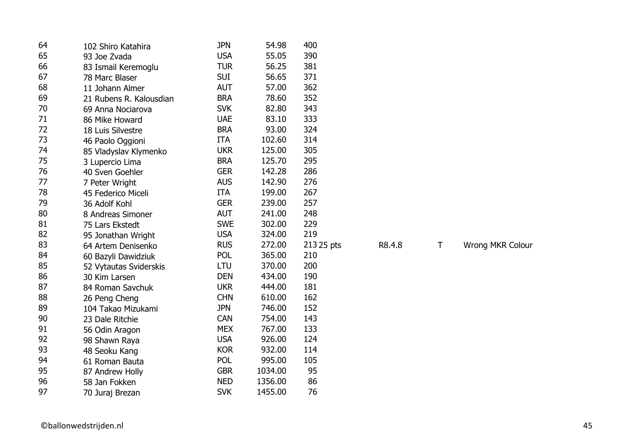| 64 | 102 Shiro Katahira      | <b>JPN</b> | 54.98   | 400        |        |   |                  |
|----|-------------------------|------------|---------|------------|--------|---|------------------|
| 65 | 93 Joe Zvada            | <b>USA</b> | 55.05   | 390        |        |   |                  |
| 66 | 83 Ismail Keremoglu     | <b>TUR</b> | 56.25   | 381        |        |   |                  |
| 67 | 78 Marc Blaser          | <b>SUI</b> | 56.65   | 371        |        |   |                  |
| 68 | 11 Johann Almer         | <b>AUT</b> | 57.00   | 362        |        |   |                  |
| 69 | 21 Rubens R. Kalousdian | <b>BRA</b> | 78.60   | 352        |        |   |                  |
| 70 | 69 Anna Nociarova       | <b>SVK</b> | 82.80   | 343        |        |   |                  |
| 71 | 86 Mike Howard          | <b>UAE</b> | 83.10   | 333        |        |   |                  |
| 72 | 18 Luis Silvestre       | <b>BRA</b> | 93.00   | 324        |        |   |                  |
| 73 | 46 Paolo Oggioni        | <b>ITA</b> | 102.60  | 314        |        |   |                  |
| 74 | 85 Vladyslav Klymenko   | <b>UKR</b> | 125.00  | 305        |        |   |                  |
| 75 | 3 Lupercio Lima         | <b>BRA</b> | 125.70  | 295        |        |   |                  |
| 76 | 40 Sven Goehler         | <b>GER</b> | 142.28  | 286        |        |   |                  |
| 77 | 7 Peter Wright          | <b>AUS</b> | 142.90  | 276        |        |   |                  |
| 78 | 45 Federico Miceli      | <b>ITA</b> | 199.00  | 267        |        |   |                  |
| 79 | 36 Adolf Kohl           | <b>GER</b> | 239.00  | 257        |        |   |                  |
| 80 | 8 Andreas Simoner       | <b>AUT</b> | 241.00  | 248        |        |   |                  |
| 81 | 75 Lars Ekstedt         | <b>SWE</b> | 302.00  | 229        |        |   |                  |
| 82 | 95 Jonathan Wright      | <b>USA</b> | 324.00  | 219        |        |   |                  |
| 83 | 64 Artem Denisenko      | <b>RUS</b> | 272.00  | 213 25 pts | R8.4.8 | Τ | Wrong MKR Colour |
| 84 | 60 Bazyli Dawidziuk     | <b>POL</b> | 365.00  | 210        |        |   |                  |
| 85 | 52 Vytautas Sviderskis  | LTU        | 370.00  | 200        |        |   |                  |
| 86 | 30 Kim Larsen           | <b>DEN</b> | 434.00  | 190        |        |   |                  |
| 87 | 84 Roman Savchuk        | <b>UKR</b> | 444.00  | 181        |        |   |                  |
| 88 | 26 Peng Cheng           | <b>CHN</b> | 610.00  | 162        |        |   |                  |
| 89 | 104 Takao Mizukami      | <b>JPN</b> | 746.00  | 152        |        |   |                  |
| 90 | 23 Dale Ritchie         | <b>CAN</b> | 754.00  | 143        |        |   |                  |
| 91 | 56 Odin Aragon          | <b>MEX</b> | 767.00  | 133        |        |   |                  |
| 92 | 98 Shawn Raya           | <b>USA</b> | 926.00  | 124        |        |   |                  |
| 93 | 48 Seoku Kang           | <b>KOR</b> | 932.00  | 114        |        |   |                  |
| 94 | 61 Roman Bauta          | <b>POL</b> | 995.00  | 105        |        |   |                  |
| 95 | 87 Andrew Holly         | <b>GBR</b> | 1034.00 | 95         |        |   |                  |
| 96 | 58 Jan Fokken           | <b>NED</b> | 1356.00 | 86         |        |   |                  |
| 97 | 70 Juraj Brezan         | <b>SVK</b> | 1455.00 | 76         |        |   |                  |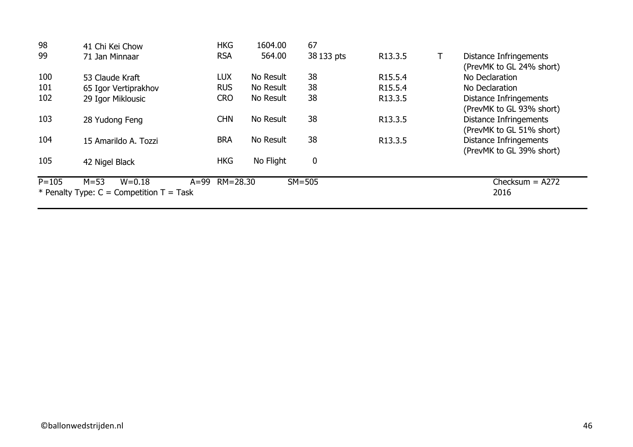| 98        | 41 Chi Kei Chow                            | <b>HKG</b>   | 1604.00   | 67               |                     |                               |
|-----------|--------------------------------------------|--------------|-----------|------------------|---------------------|-------------------------------|
| 99        | 71 Jan Minnaar                             | <b>RSA</b>   | 564.00    | 38 133 pts       | R13.3.5             | Distance Infringements        |
|           |                                            |              |           |                  |                     | (PrevMK to GL 24% short)      |
| 100       | 53 Claude Kraft                            | <b>LUX</b>   | No Result | 38               | R <sub>15.5.4</sub> | No Declaration                |
| 101       | 65 Igor Vertiprakhov                       | <b>RUS</b>   | No Result | 38               | R <sub>15.5.4</sub> | No Declaration                |
| 102       | 29 Igor Miklousic                          | <b>CRO</b>   | No Result | 38               | R13.3.5             | <b>Distance Infringements</b> |
|           |                                            |              |           |                  |                     | (PrevMK to GL 93% short)      |
| 103       | 28 Yudong Feng                             | <b>CHN</b>   | No Result | 38               | R13.3.5             | <b>Distance Infringements</b> |
|           |                                            |              |           |                  |                     | (PrevMK to GL 51% short)      |
| 104       | 15 Amarildo A. Tozzi                       | <b>BRA</b>   | No Result | 38               | R13.3.5             | <b>Distance Infringements</b> |
|           |                                            |              |           |                  |                     | (PrevMK to GL 39% short)      |
| 105       | 42 Nigel Black                             | <b>HKG</b>   | No Flight | $\boldsymbol{0}$ |                     |                               |
|           |                                            |              |           |                  |                     |                               |
| $P = 105$ | $M = 53$<br>$W = 0.18$<br>$A=99$           | $RM = 28.30$ |           | $SM = 505$       |                     | Checksum $=$ A272             |
|           | * Penalty Type: $C =$ Competition T = Task |              |           |                  |                     | 2016                          |
|           |                                            |              |           |                  |                     |                               |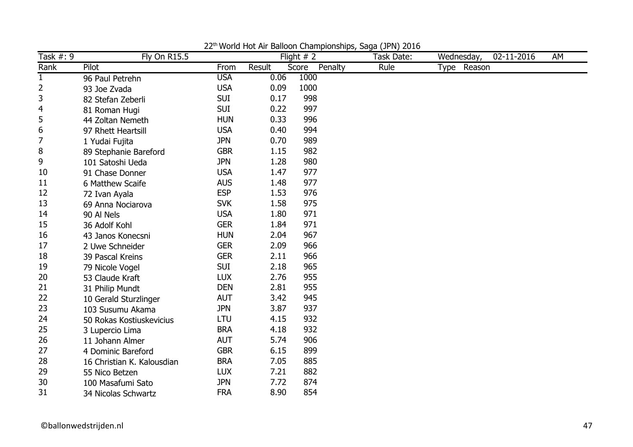| Task #: 9    | <b>Fly On R15.5</b>        |            |        | Flight $# 2$     | Task Date: | Wednesday,  | 02-11-2016 | AM |
|--------------|----------------------------|------------|--------|------------------|------------|-------------|------------|----|
| Rank         | Pilot                      | From       | Result | Penalty<br>Score | Rule       | Type Reason |            |    |
| $\mathbf{1}$ | 96 Paul Petrehn            | <b>USA</b> | 0.06   | 1000             |            |             |            |    |
| 2            | 93 Joe Zvada               | <b>USA</b> | 0.09   | 1000             |            |             |            |    |
| 3            | 82 Stefan Zeberli          | <b>SUI</b> | 0.17   | 998              |            |             |            |    |
| 4            | 81 Roman Hugi              | <b>SUI</b> | 0.22   | 997              |            |             |            |    |
| 5            | 44 Zoltan Nemeth           | <b>HUN</b> | 0.33   | 996              |            |             |            |    |
| 6            | 97 Rhett Heartsill         | <b>USA</b> | 0.40   | 994              |            |             |            |    |
| 7            | 1 Yudai Fujita             | <b>JPN</b> | 0.70   | 989              |            |             |            |    |
| 8            | 89 Stephanie Bareford      | <b>GBR</b> | 1.15   | 982              |            |             |            |    |
| 9            | 101 Satoshi Ueda           | <b>JPN</b> | 1.28   | 980              |            |             |            |    |
| 10           | 91 Chase Donner            | <b>USA</b> | 1.47   | 977              |            |             |            |    |
| 11           | 6 Matthew Scaife           | <b>AUS</b> | 1.48   | 977              |            |             |            |    |
| 12           | 72 Ivan Ayala              | <b>ESP</b> | 1.53   | 976              |            |             |            |    |
| 13           | 69 Anna Nociarova          | <b>SVK</b> | 1.58   | 975              |            |             |            |    |
| 14           | 90 Al Nels                 | <b>USA</b> | 1.80   | 971              |            |             |            |    |
| 15           | 36 Adolf Kohl              | <b>GER</b> | 1.84   | 971              |            |             |            |    |
| 16           | 43 Janos Konecsni          | <b>HUN</b> | 2.04   | 967              |            |             |            |    |
| 17           | 2 Uwe Schneider            | <b>GER</b> | 2.09   | 966              |            |             |            |    |
| 18           | 39 Pascal Kreins           | <b>GER</b> | 2.11   | 966              |            |             |            |    |
| 19           | 79 Nicole Vogel            | <b>SUI</b> | 2.18   | 965              |            |             |            |    |
| 20           | 53 Claude Kraft            | <b>LUX</b> | 2.76   | 955              |            |             |            |    |
| 21           | 31 Philip Mundt            | <b>DEN</b> | 2.81   | 955              |            |             |            |    |
| 22           | 10 Gerald Sturzlinger      | <b>AUT</b> | 3.42   | 945              |            |             |            |    |
| 23           | 103 Susumu Akama           | <b>JPN</b> | 3.87   | 937              |            |             |            |    |
| 24           | 50 Rokas Kostiuskevicius   | LTU        | 4.15   | 932              |            |             |            |    |
| 25           | 3 Lupercio Lima            | <b>BRA</b> | 4.18   | 932              |            |             |            |    |
| 26           | 11 Johann Almer            | <b>AUT</b> | 5.74   | 906              |            |             |            |    |
| 27           | 4 Dominic Bareford         | <b>GBR</b> | 6.15   | 899              |            |             |            |    |
| 28           | 16 Christian K. Kalousdian | <b>BRA</b> | 7.05   | 885              |            |             |            |    |
| 29           | 55 Nico Betzen             | <b>LUX</b> | 7.21   | 882              |            |             |            |    |
| 30           | 100 Masafumi Sato          | <b>JPN</b> | 7.72   | 874              |            |             |            |    |
| 31           | 34 Nicolas Schwartz        | <b>FRA</b> | 8.90   | 854              |            |             |            |    |

22th World Hot Air Balloon Championships, Saga (JPN) 2016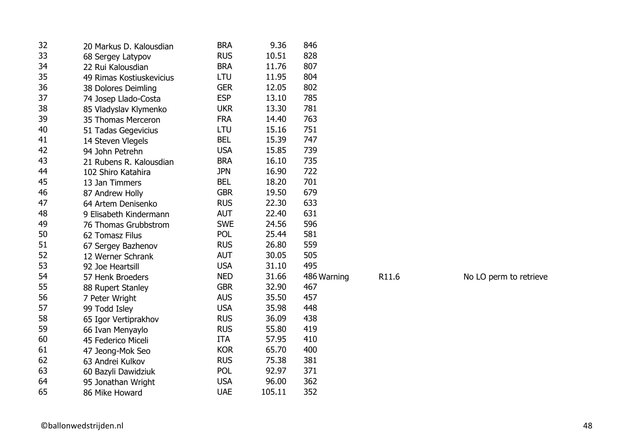| 32 | 20 Markus D. Kalousdian  | <b>BRA</b> | 9.36   | 846         |       |                        |
|----|--------------------------|------------|--------|-------------|-------|------------------------|
| 33 | 68 Sergey Latypov        | <b>RUS</b> | 10.51  | 828         |       |                        |
| 34 | 22 Rui Kalousdian        | <b>BRA</b> | 11.76  | 807         |       |                        |
| 35 | 49 Rimas Kostiuskevicius | <b>LTU</b> | 11.95  | 804         |       |                        |
| 36 | 38 Dolores Deimling      | <b>GER</b> | 12.05  | 802         |       |                        |
| 37 | 74 Josep Llado-Costa     | <b>ESP</b> | 13.10  | 785         |       |                        |
| 38 | 85 Vladyslav Klymenko    | <b>UKR</b> | 13.30  | 781         |       |                        |
| 39 | 35 Thomas Merceron       | <b>FRA</b> | 14.40  | 763         |       |                        |
| 40 | 51 Tadas Gegevicius      | <b>LTU</b> | 15.16  | 751         |       |                        |
| 41 | 14 Steven Vlegels        | <b>BEL</b> | 15.39  | 747         |       |                        |
| 42 | 94 John Petrehn          | <b>USA</b> | 15.85  | 739         |       |                        |
| 43 | 21 Rubens R. Kalousdian  | <b>BRA</b> | 16.10  | 735         |       |                        |
| 44 | 102 Shiro Katahira       | <b>JPN</b> | 16.90  | 722         |       |                        |
| 45 | 13 Jan Timmers           | <b>BEL</b> | 18.20  | 701         |       |                        |
| 46 | 87 Andrew Holly          | <b>GBR</b> | 19.50  | 679         |       |                        |
| 47 | 64 Artem Denisenko       | <b>RUS</b> | 22.30  | 633         |       |                        |
| 48 | 9 Elisabeth Kindermann   | <b>AUT</b> | 22.40  | 631         |       |                        |
| 49 | 76 Thomas Grubbstrom     | <b>SWE</b> | 24.56  | 596         |       |                        |
| 50 | 62 Tomasz Filus          | <b>POL</b> | 25.44  | 581         |       |                        |
| 51 | 67 Sergey Bazhenov       | <b>RUS</b> | 26.80  | 559         |       |                        |
| 52 | 12 Werner Schrank        | <b>AUT</b> | 30.05  | 505         |       |                        |
| 53 | 92 Joe Heartsill         | <b>USA</b> | 31.10  | 495         |       |                        |
| 54 | 57 Henk Broeders         | <b>NED</b> | 31.66  | 486 Warning | R11.6 | No LO perm to retrieve |
| 55 | 88 Rupert Stanley        | <b>GBR</b> | 32.90  | 467         |       |                        |
| 56 | 7 Peter Wright           | <b>AUS</b> | 35.50  | 457         |       |                        |
| 57 | 99 Todd Isley            | <b>USA</b> | 35.98  | 448         |       |                        |
| 58 | 65 Igor Vertiprakhov     | <b>RUS</b> | 36.09  | 438         |       |                        |
| 59 | 66 Ivan Menyaylo         | <b>RUS</b> | 55.80  | 419         |       |                        |
| 60 | 45 Federico Miceli       | <b>ITA</b> | 57.95  | 410         |       |                        |
| 61 | 47 Jeong-Mok Seo         | <b>KOR</b> | 65.70  | 400         |       |                        |
| 62 | 63 Andrei Kulkov         | <b>RUS</b> | 75.38  | 381         |       |                        |
| 63 | 60 Bazyli Dawidziuk      | <b>POL</b> | 92.97  | 371         |       |                        |
| 64 | 95 Jonathan Wright       | <b>USA</b> | 96.00  | 362         |       |                        |
| 65 | 86 Mike Howard           | <b>UAE</b> | 105.11 | 352         |       |                        |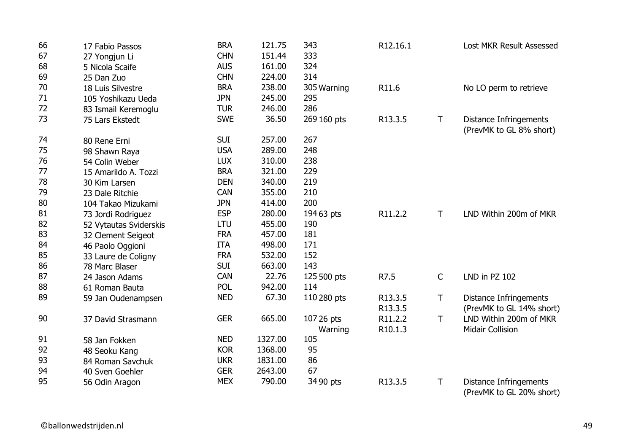| 66 | 17 Fabio Passos        | <b>BRA</b> | 121.75  | 343         | R12.16.1 |              | Lost MKR Result Assessed                                  |
|----|------------------------|------------|---------|-------------|----------|--------------|-----------------------------------------------------------|
| 67 | 27 Yongjun Li          | <b>CHN</b> | 151.44  | 333         |          |              |                                                           |
| 68 | 5 Nicola Scaife        | <b>AUS</b> | 161.00  | 324         |          |              |                                                           |
| 69 | 25 Dan Zuo             | <b>CHN</b> | 224.00  | 314         |          |              |                                                           |
| 70 | 18 Luis Silvestre      | <b>BRA</b> | 238.00  | 305 Warning | R11.6    |              | No LO perm to retrieve                                    |
| 71 | 105 Yoshikazu Ueda     | <b>JPN</b> | 245.00  | 295         |          |              |                                                           |
| 72 | 83 Ismail Keremoglu    | <b>TUR</b> | 246.00  | 286         |          |              |                                                           |
| 73 | 75 Lars Ekstedt        | <b>SWE</b> | 36.50   | 269 160 pts | R13.3.5  | $\mathsf T$  | Distance Infringements<br>(PrevMK to GL 8% short)         |
| 74 | 80 Rene Erni           | <b>SUI</b> | 257.00  | 267         |          |              |                                                           |
| 75 | 98 Shawn Raya          | <b>USA</b> | 289.00  | 248         |          |              |                                                           |
| 76 | 54 Colin Weber         | <b>LUX</b> | 310.00  | 238         |          |              |                                                           |
| 77 | 15 Amarildo A. Tozzi   | <b>BRA</b> | 321.00  | 229         |          |              |                                                           |
| 78 | 30 Kim Larsen          | <b>DEN</b> | 340.00  | 219         |          |              |                                                           |
| 79 | 23 Dale Ritchie        | <b>CAN</b> | 355.00  | 210         |          |              |                                                           |
| 80 | 104 Takao Mizukami     | <b>JPN</b> | 414.00  | 200         |          |              |                                                           |
| 81 | 73 Jordi Rodriguez     | <b>ESP</b> | 280.00  | 19463 pts   | R11.2.2  | $\mathsf{T}$ | LND Within 200m of MKR                                    |
| 82 | 52 Vytautas Sviderskis | LTU        | 455.00  | 190         |          |              |                                                           |
| 83 | 32 Clement Seigeot     | <b>FRA</b> | 457.00  | 181         |          |              |                                                           |
| 84 | 46 Paolo Oggioni       | <b>ITA</b> | 498.00  | 171         |          |              |                                                           |
| 85 | 33 Laure de Coligny    | <b>FRA</b> | 532.00  | 152         |          |              |                                                           |
| 86 | 78 Marc Blaser         | <b>SUI</b> | 663.00  | 143         |          |              |                                                           |
| 87 | 24 Jason Adams         | <b>CAN</b> | 22.76   | 125 500 pts | R7.5     | $\mathsf{C}$ | LND in PZ 102                                             |
| 88 | 61 Roman Bauta         | <b>POL</b> | 942.00  | 114         |          |              |                                                           |
| 89 | 59 Jan Oudenampsen     | <b>NED</b> | 67.30   | 110 280 pts | R13.3.5  | Τ            | <b>Distance Infringements</b>                             |
|    |                        |            |         |             | R13.3.5  |              | (PrevMK to GL 14% short)                                  |
| 90 | 37 David Strasmann     | <b>GER</b> | 665.00  | 107 26 pts  | R11.2.2  | $\mathsf{T}$ | LND Within 200m of MKR                                    |
|    |                        |            |         | Warning     | R10.1.3  |              | <b>Midair Collision</b>                                   |
| 91 | 58 Jan Fokken          | <b>NED</b> | 1327.00 | 105         |          |              |                                                           |
| 92 | 48 Seoku Kang          | <b>KOR</b> | 1368.00 | 95          |          |              |                                                           |
| 93 | 84 Roman Savchuk       | <b>UKR</b> | 1831.00 | 86          |          |              |                                                           |
| 94 | 40 Sven Goehler        | <b>GER</b> | 2643.00 | 67          |          |              |                                                           |
| 95 | 56 Odin Aragon         | <b>MEX</b> | 790.00  | 34 90 pts   | R13.3.5  | $\mathsf T$  | <b>Distance Infringements</b><br>(PrevMK to GL 20% short) |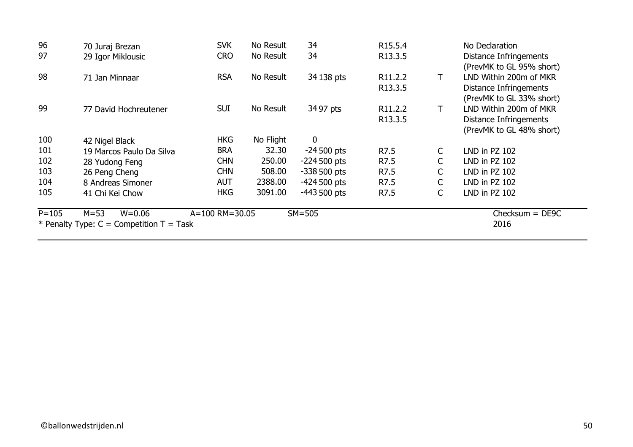| 96        | 70 Juraj Brezan                            | <b>SVK</b>     | No Result | 34            | R <sub>15</sub> .5.4 |              | No Declaration                                     |
|-----------|--------------------------------------------|----------------|-----------|---------------|----------------------|--------------|----------------------------------------------------|
| 97        | 29 Igor Miklousic                          | <b>CRO</b>     | No Result | 34            | R13.3.5              |              | Distance Infringements<br>(PrevMK to GL 95% short) |
| 98        | 71 Jan Minnaar                             | <b>RSA</b>     | No Result | 34 138 pts    | R <sub>11</sub> .2.2 | Τ            | LND Within 200m of MKR                             |
|           |                                            |                |           |               | R13.3.5              |              | <b>Distance Infringements</b>                      |
|           |                                            |                |           |               |                      |              | (PrevMK to GL 33% short)                           |
| 99        | 77 David Hochreutener                      | <b>SUI</b>     | No Result | 34 97 pts     | R <sub>11</sub> .2.2 | Τ            | LND Within 200m of MKR                             |
|           |                                            |                |           |               | R <sub>13</sub> .3.5 |              | Distance Infringements                             |
|           |                                            |                |           |               |                      |              | (PrevMK to GL 48% short)                           |
| 100       | 42 Nigel Black                             | <b>HKG</b>     | No Flight | 0             |                      |              |                                                    |
| 101       | 19 Marcos Paulo Da Silva                   | <b>BRA</b>     | 32.30     | $-24500$ pts  | R7.5                 | $\mathsf{C}$ | LND in PZ 102                                      |
| 102       | 28 Yudong Feng                             | <b>CHN</b>     | 250.00    | $-224500$ pts | R7.5                 | $\mathsf{C}$ | LND in PZ 102                                      |
| 103       | 26 Peng Cheng                              | <b>CHN</b>     | 508.00    | $-338500$ pts | R7.5                 | $\mathsf{C}$ | LND in PZ 102                                      |
| 104       | 8 Andreas Simoner                          | <b>AUT</b>     | 2388.00   | $-424500$ pts | R7.5                 | $\mathsf{C}$ | LND in PZ 102                                      |
| 105       | 41 Chi Kei Chow                            | <b>HKG</b>     | 3091.00   | $-443500$ pts | R7.5                 | $\mathsf{C}$ | LND in PZ 102                                      |
| $P = 105$ | $M = 53$<br>$W = 0.06$                     | A=100 RM=30.05 |           | $SM = 505$    |                      |              | $Checking = DE9C$                                  |
|           | * Penalty Type: $C =$ Competition T = Task |                |           |               |                      |              | 2016                                               |
|           |                                            |                |           |               |                      |              |                                                    |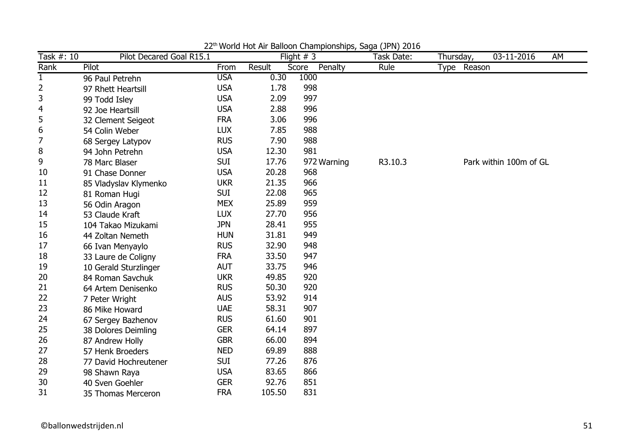| Task #: 10     | Pilot Decared Goal R15.1 |            |        | Flight $# 3$     | $\cdots$<br>Task Date: | Thursday,   | 03-11-2016<br>AM       |
|----------------|--------------------------|------------|--------|------------------|------------------------|-------------|------------------------|
| Rank           | Pilot                    | From       | Result | Penalty<br>Score | Rule                   | Type Reason |                        |
| $\mathbf{1}$   | 96 Paul Petrehn          | <b>USA</b> | 0.30   | 1000             |                        |             |                        |
| $\overline{2}$ | 97 Rhett Heartsill       | <b>USA</b> | 1.78   | 998              |                        |             |                        |
| 3              | 99 Todd Isley            | <b>USA</b> | 2.09   | 997              |                        |             |                        |
| 4              | 92 Joe Heartsill         | <b>USA</b> | 2.88   | 996              |                        |             |                        |
| 5              | 32 Clement Seigeot       | <b>FRA</b> | 3.06   | 996              |                        |             |                        |
| 6              | 54 Colin Weber           | <b>LUX</b> | 7.85   | 988              |                        |             |                        |
| $\overline{7}$ | 68 Sergey Latypov        | <b>RUS</b> | 7.90   | 988              |                        |             |                        |
| 8              | 94 John Petrehn          | <b>USA</b> | 12.30  | 981              |                        |             |                        |
| 9              | 78 Marc Blaser           | <b>SUI</b> | 17.76  | 972 Warning      | R3.10.3                |             | Park within 100m of GL |
| 10             | 91 Chase Donner          | <b>USA</b> | 20.28  | 968              |                        |             |                        |
| 11             | 85 Vladyslav Klymenko    | <b>UKR</b> | 21.35  | 966              |                        |             |                        |
| 12             | 81 Roman Hugi            | <b>SUI</b> | 22.08  | 965              |                        |             |                        |
| 13             | 56 Odin Aragon           | <b>MEX</b> | 25.89  | 959              |                        |             |                        |
| 14             | 53 Claude Kraft          | <b>LUX</b> | 27.70  | 956              |                        |             |                        |
| 15             | 104 Takao Mizukami       | <b>JPN</b> | 28.41  | 955              |                        |             |                        |
| 16             | 44 Zoltan Nemeth         | <b>HUN</b> | 31.81  | 949              |                        |             |                        |
| 17             | 66 Ivan Menyaylo         | <b>RUS</b> | 32.90  | 948              |                        |             |                        |
| 18             | 33 Laure de Coligny      | <b>FRA</b> | 33.50  | 947              |                        |             |                        |
| 19             | 10 Gerald Sturzlinger    | <b>AUT</b> | 33.75  | 946              |                        |             |                        |
| 20             | 84 Roman Savchuk         | <b>UKR</b> | 49.85  | 920              |                        |             |                        |
| 21             | 64 Artem Denisenko       | <b>RUS</b> | 50.30  | 920              |                        |             |                        |
| 22             | 7 Peter Wright           | <b>AUS</b> | 53.92  | 914              |                        |             |                        |
| 23             | 86 Mike Howard           | <b>UAE</b> | 58.31  | 907              |                        |             |                        |
| 24             | 67 Sergey Bazhenov       | <b>RUS</b> | 61.60  | 901              |                        |             |                        |
| 25             | 38 Dolores Deimling      | <b>GER</b> | 64.14  | 897              |                        |             |                        |
| 26             | 87 Andrew Holly          | <b>GBR</b> | 66.00  | 894              |                        |             |                        |
| 27             | 57 Henk Broeders         | <b>NED</b> | 69.89  | 888              |                        |             |                        |
| 28             | 77 David Hochreutener    | <b>SUI</b> | 77.26  | 876              |                        |             |                        |
| 29             | 98 Shawn Raya            | <b>USA</b> | 83.65  | 866              |                        |             |                        |
| 30             | 40 Sven Goehler          | <b>GER</b> | 92.76  | 851              |                        |             |                        |
| 31             | 35 Thomas Merceron       | <b>FRA</b> | 105.50 | 831              |                        |             |                        |

22<sup>th</sup> World Hot Air Balloon Championships, Saga (JPN) 2016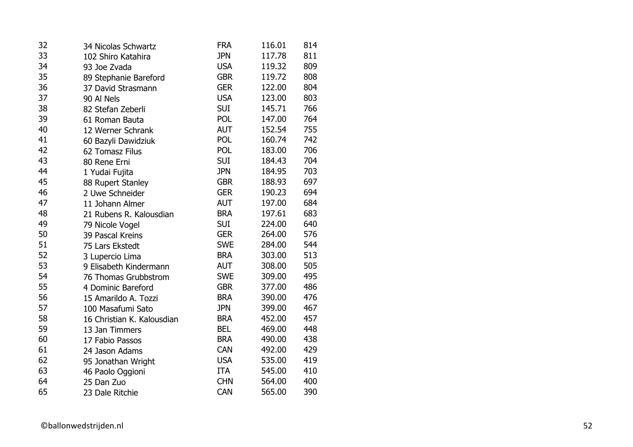| 32 | 34 Nicolas Schwartz        | <b>FRA</b> | 116.01 | 814 |
|----|----------------------------|------------|--------|-----|
| 33 | 102 Shiro Katahira         | <b>JPN</b> | 117.78 | 811 |
| 34 | 93 Joe Zvada               | <b>USA</b> | 119.32 | 809 |
| 35 | 89 Stephanie Bareford      | <b>GBR</b> | 119.72 | 808 |
| 36 | 37 David Strasmann         | <b>GER</b> | 122.00 | 804 |
| 37 | 90 Al Nels                 | <b>USA</b> | 123.00 | 803 |
| 38 | 82 Stefan Zeberli          | <b>SUI</b> | 145.71 | 766 |
| 39 | 61 Roman Bauta             | POL        | 147.00 | 764 |
| 40 | 12 Werner Schrank          | AUT        | 152.54 | 755 |
| 41 | 60 Bazyli Dawidziuk        | POL        | 160.74 | 742 |
| 42 | 62 Tomasz Filus            | POL        | 183.00 | 706 |
| 43 | 80 Rene Erni               | <b>SUI</b> | 184.43 | 704 |
| 44 | 1 Yudai Fujita             | <b>JPN</b> | 184.95 | 703 |
| 45 | 88 Rupert Stanley          | <b>GBR</b> | 188.93 | 697 |
| 46 | 2 Uwe Schneider            | <b>GER</b> | 190.23 | 694 |
| 47 | 11 Johann Almer            | <b>AUT</b> | 197.00 | 684 |
| 48 | 21 Rubens R. Kalousdian    | <b>BRA</b> | 197.61 | 683 |
| 49 | 79 Nicole Vogel            | <b>SUI</b> | 224.00 | 640 |
| 50 | 39 Pascal Kreins           | <b>GER</b> | 264.00 | 576 |
| 51 | 75 Lars Ekstedt            | <b>SWE</b> | 284.00 | 544 |
| 52 | 3 Lupercio Lima            | <b>BRA</b> | 303.00 | 513 |
| 53 | 9 Elisabeth Kindermann     | <b>AUT</b> | 308.00 | 505 |
| 54 | 76 Thomas Grubbstrom       | <b>SWE</b> | 309.00 | 495 |
| 55 | 4 Dominic Bareford         | <b>GBR</b> | 377.00 | 486 |
| 56 | 15 Amarildo A. Tozzi       | <b>BRA</b> | 390.00 | 476 |
| 57 | 100 Masafumi Sato          | <b>JPN</b> | 399.00 | 467 |
| 58 | 16 Christian K. Kalousdian | <b>BRA</b> | 452.00 | 457 |
| 59 | 13 Jan Timmers             | <b>BEL</b> | 469.00 | 448 |
| 60 | 17 Fabio Passos            | <b>BRA</b> | 490.00 | 438 |
| 61 | 24 Jason Adams             | CAN        | 492.00 | 429 |
| 62 | 95 Jonathan Wright         | <b>USA</b> | 535.00 | 419 |
| 63 | 46 Paolo Oggioni           | <b>ITA</b> | 545.00 | 410 |
| 64 | 25 Dan Zuo                 | <b>CHN</b> | 564.00 | 400 |
| 65 | 23 Dale Ritchie            | CAN        | 565.00 | 390 |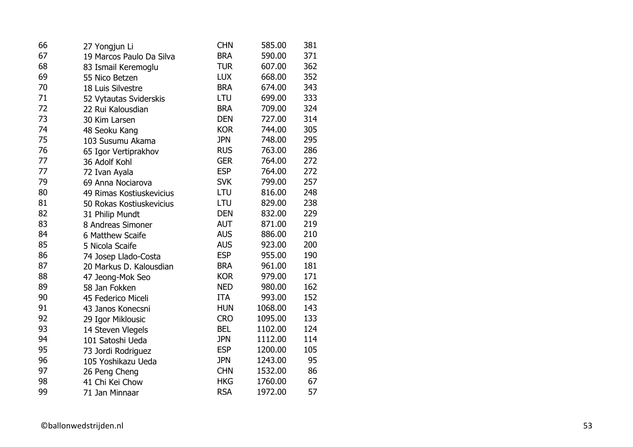| 66 | 27 Yongjun Li            | <b>CHN</b> | 585.00  | 381 |
|----|--------------------------|------------|---------|-----|
| 67 | 19 Marcos Paulo Da Silva | <b>BRA</b> | 590.00  | 371 |
| 68 | 83 Ismail Keremoglu      | <b>TUR</b> | 607.00  | 362 |
| 69 | 55 Nico Betzen           | <b>LUX</b> | 668.00  | 352 |
| 70 | 18 Luis Silvestre        | <b>BRA</b> | 674.00  | 343 |
| 71 | 52 Vytautas Sviderskis   | LTU        | 699.00  | 333 |
| 72 | 22 Rui Kalousdian        | <b>BRA</b> | 709.00  | 324 |
| 73 | 30 Kim Larsen            | <b>DEN</b> | 727.00  | 314 |
| 74 | 48 Seoku Kang            | <b>KOR</b> | 744.00  | 305 |
| 75 | 103 Susumu Akama         | <b>JPN</b> | 748.00  | 295 |
| 76 | 65 Igor Vertiprakhov     | <b>RUS</b> | 763.00  | 286 |
| 77 | 36 Adolf Kohl            | <b>GER</b> | 764.00  | 272 |
| 77 | 72 Ivan Ayala            | <b>ESP</b> | 764.00  | 272 |
| 79 | 69 Anna Nociarova        | <b>SVK</b> | 799.00  | 257 |
| 80 | 49 Rimas Kostiuskevicius | LTU        | 816.00  | 248 |
| 81 | 50 Rokas Kostiuskevicius | LTU        | 829.00  | 238 |
| 82 | 31 Philip Mundt          | <b>DEN</b> | 832.00  | 229 |
| 83 | 8 Andreas Simoner        | <b>AUT</b> | 871.00  | 219 |
| 84 | 6 Matthew Scaife         | <b>AUS</b> | 886.00  | 210 |
| 85 | 5 Nicola Scaife          | <b>AUS</b> | 923.00  | 200 |
| 86 | 74 Josep Llado-Costa     | <b>ESP</b> | 955.00  | 190 |
| 87 | 20 Markus D. Kalousdian  | <b>BRA</b> | 961.00  | 181 |
| 88 | 47 Jeong-Mok Seo         | <b>KOR</b> | 979.00  | 171 |
| 89 | 58 Jan Fokken            | <b>NED</b> | 980.00  | 162 |
| 90 | 45 Federico Miceli       | <b>ITA</b> | 993.00  | 152 |
| 91 | 43 Janos Konecsni        | <b>HUN</b> | 1068.00 | 143 |
| 92 | 29 Igor Miklousic        | <b>CRO</b> | 1095.00 | 133 |
| 93 | 14 Steven Vlegels        | <b>BEL</b> | 1102.00 | 124 |
| 94 | 101 Satoshi Ueda         | <b>JPN</b> | 1112.00 | 114 |
| 95 | 73 Jordi Rodriguez       | <b>ESP</b> | 1200.00 | 105 |
| 96 | 105 Yoshikazu Ueda       | <b>JPN</b> | 1243.00 | 95  |
| 97 | 26 Peng Cheng            | <b>CHN</b> | 1532.00 | 86  |
| 98 | 41 Chi Kei Chow          | <b>HKG</b> | 1760.00 | 67  |
| 99 | 71 Jan Minnaar           | <b>RSA</b> | 1972.00 | 57  |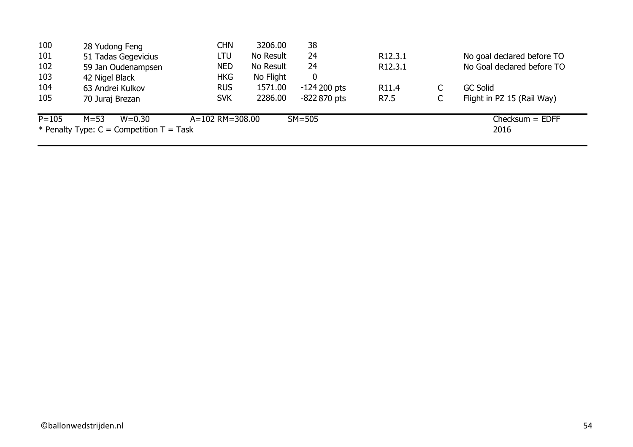| 100       | 28 Yudong Feng                             | <b>CHN</b>      | 3206.00   | 38            |                      |   |                            |
|-----------|--------------------------------------------|-----------------|-----------|---------------|----------------------|---|----------------------------|
| 101       | 51 Tadas Gegevicius                        | LTU             | No Result | 24            | R <sub>12</sub> .3.1 |   | No goal declared before TO |
| 102       | 59 Jan Oudenampsen                         | <b>NED</b>      | No Result | 24            | R <sub>12</sub> .3.1 |   | No Goal declared before TO |
| 103       | 42 Nigel Black                             | <b>HKG</b>      | No Flight | 0             |                      |   |                            |
| 104       | 63 Andrei Kulkov                           | <b>RUS</b>      | 1571.00   | $-124200$ pts | R <sub>11.4</sub>    |   | <b>GC Solid</b>            |
| 105       | 70 Juraj Brezan                            | <b>SVK</b>      | 2286.00   | $-822870$ pts | R7.5                 | C | Flight in PZ 15 (Rail Way) |
| $P = 105$ | $M = 53$<br>$W = 0.30$                     | A=102 RM=308.00 |           | $SM=505$      |                      |   | $Checksum = EDFF$          |
|           | * Penalty Type: $C =$ Competition T = Task |                 |           |               |                      |   | 2016                       |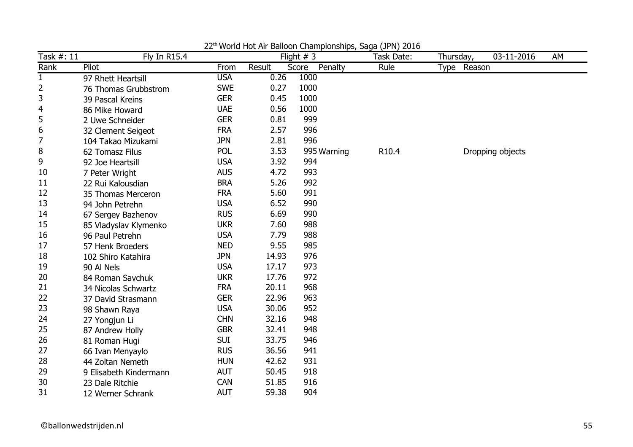| Task #: 11     | Fly In R15.4           |            |        | Flight $# 3$     | Task Date: | Thursday,   | 03-11-2016       | AM |
|----------------|------------------------|------------|--------|------------------|------------|-------------|------------------|----|
| Rank           | Pilot                  | From       | Result | Penalty<br>Score | Rule       | Type Reason |                  |    |
| $\mathbf{1}$   | 97 Rhett Heartsill     | <b>USA</b> | 0.26   | 1000             |            |             |                  |    |
| $\overline{2}$ | 76 Thomas Grubbstrom   | <b>SWE</b> | 0.27   | 1000             |            |             |                  |    |
| 3              | 39 Pascal Kreins       | <b>GER</b> | 0.45   | 1000             |            |             |                  |    |
| 4              | 86 Mike Howard         | <b>UAE</b> | 0.56   | 1000             |            |             |                  |    |
| 5              | 2 Uwe Schneider        | <b>GER</b> | 0.81   | 999              |            |             |                  |    |
| 6              | 32 Clement Seigeot     | <b>FRA</b> | 2.57   | 996              |            |             |                  |    |
| 7              | 104 Takao Mizukami     | <b>JPN</b> | 2.81   | 996              |            |             |                  |    |
| 8              | 62 Tomasz Filus        | <b>POL</b> | 3.53   | 995 Warning      | R10.4      |             | Dropping objects |    |
| 9              | 92 Joe Heartsill       | <b>USA</b> | 3.92   | 994              |            |             |                  |    |
| 10             | 7 Peter Wright         | <b>AUS</b> | 4.72   | 993              |            |             |                  |    |
| 11             | 22 Rui Kalousdian      | <b>BRA</b> | 5.26   | 992              |            |             |                  |    |
| 12             | 35 Thomas Merceron     | <b>FRA</b> | 5.60   | 991              |            |             |                  |    |
| 13             | 94 John Petrehn        | <b>USA</b> | 6.52   | 990              |            |             |                  |    |
| 14             | 67 Sergey Bazhenov     | <b>RUS</b> | 6.69   | 990              |            |             |                  |    |
| 15             | 85 Vladyslav Klymenko  | <b>UKR</b> | 7.60   | 988              |            |             |                  |    |
| 16             | 96 Paul Petrehn        | <b>USA</b> | 7.79   | 988              |            |             |                  |    |
| 17             | 57 Henk Broeders       | <b>NED</b> | 9.55   | 985              |            |             |                  |    |
| 18             | 102 Shiro Katahira     | <b>JPN</b> | 14.93  | 976              |            |             |                  |    |
| 19             | 90 Al Nels             | <b>USA</b> | 17.17  | 973              |            |             |                  |    |
| 20             | 84 Roman Savchuk       | <b>UKR</b> | 17.76  | 972              |            |             |                  |    |
| 21             | 34 Nicolas Schwartz    | <b>FRA</b> | 20.11  | 968              |            |             |                  |    |
| 22             | 37 David Strasmann     | <b>GER</b> | 22.96  | 963              |            |             |                  |    |
| 23             | 98 Shawn Raya          | <b>USA</b> | 30.06  | 952              |            |             |                  |    |
| 24             | 27 Yongjun Li          | <b>CHN</b> | 32.16  | 948              |            |             |                  |    |
| 25             | 87 Andrew Holly        | <b>GBR</b> | 32.41  | 948              |            |             |                  |    |
| 26             | 81 Roman Hugi          | <b>SUI</b> | 33.75  | 946              |            |             |                  |    |
| 27             | 66 Ivan Menyaylo       | <b>RUS</b> | 36.56  | 941              |            |             |                  |    |
| 28             | 44 Zoltan Nemeth       | <b>HUN</b> | 42.62  | 931              |            |             |                  |    |
| 29             | 9 Elisabeth Kindermann | <b>AUT</b> | 50.45  | 918              |            |             |                  |    |
| 30             | 23 Dale Ritchie        | <b>CAN</b> | 51.85  | 916              |            |             |                  |    |
| 31             | 12 Werner Schrank      | <b>AUT</b> | 59.38  | 904              |            |             |                  |    |

22<sup>th</sup> World Hot Air Balloon Championships, Saga (JPN) 2016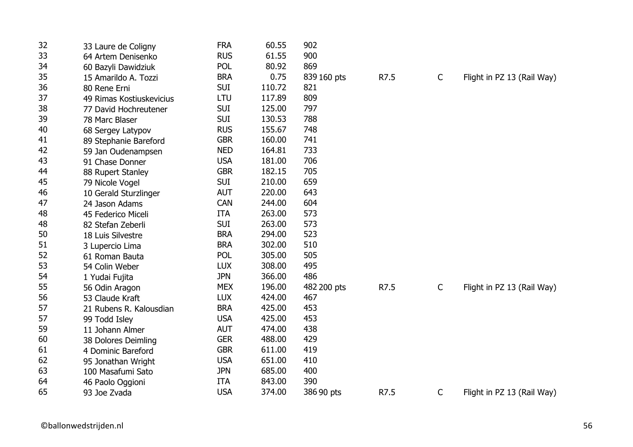| 32 | 33 Laure de Coligny      | <b>FRA</b> | 60.55  | 902         |      |             |                            |
|----|--------------------------|------------|--------|-------------|------|-------------|----------------------------|
| 33 | 64 Artem Denisenko       | <b>RUS</b> | 61.55  | 900         |      |             |                            |
| 34 | 60 Bazyli Dawidziuk      | <b>POL</b> | 80.92  | 869         |      |             |                            |
| 35 | 15 Amarildo A. Tozzi     | <b>BRA</b> | 0.75   | 839 160 pts | R7.5 | C           | Flight in PZ 13 (Rail Way) |
| 36 | 80 Rene Erni             | <b>SUI</b> | 110.72 | 821         |      |             |                            |
| 37 | 49 Rimas Kostiuskevicius | LTU        | 117.89 | 809         |      |             |                            |
| 38 | 77 David Hochreutener    | <b>SUI</b> | 125.00 | 797         |      |             |                            |
| 39 | 78 Marc Blaser           | <b>SUI</b> | 130.53 | 788         |      |             |                            |
| 40 | 68 Sergey Latypov        | <b>RUS</b> | 155.67 | 748         |      |             |                            |
| 41 | 89 Stephanie Bareford    | <b>GBR</b> | 160.00 | 741         |      |             |                            |
| 42 | 59 Jan Oudenampsen       | <b>NED</b> | 164.81 | 733         |      |             |                            |
| 43 | 91 Chase Donner          | <b>USA</b> | 181.00 | 706         |      |             |                            |
| 44 | 88 Rupert Stanley        | <b>GBR</b> | 182.15 | 705         |      |             |                            |
| 45 | 79 Nicole Vogel          | <b>SUI</b> | 210.00 | 659         |      |             |                            |
| 46 | 10 Gerald Sturzlinger    | <b>AUT</b> | 220.00 | 643         |      |             |                            |
| 47 | 24 Jason Adams           | <b>CAN</b> | 244.00 | 604         |      |             |                            |
| 48 | 45 Federico Miceli       | <b>ITA</b> | 263.00 | 573         |      |             |                            |
| 48 | 82 Stefan Zeberli        | <b>SUI</b> | 263.00 | 573         |      |             |                            |
| 50 | 18 Luis Silvestre        | <b>BRA</b> | 294.00 | 523         |      |             |                            |
| 51 | 3 Lupercio Lima          | <b>BRA</b> | 302.00 | 510         |      |             |                            |
| 52 | 61 Roman Bauta           | POL        | 305.00 | 505         |      |             |                            |
| 53 | 54 Colin Weber           | <b>LUX</b> | 308.00 | 495         |      |             |                            |
| 54 | 1 Yudai Fujita           | <b>JPN</b> | 366.00 | 486         |      |             |                            |
| 55 | 56 Odin Aragon           | <b>MEX</b> | 196.00 | 482 200 pts | R7.5 | $\mathsf C$ | Flight in PZ 13 (Rail Way) |
| 56 | 53 Claude Kraft          | <b>LUX</b> | 424.00 | 467         |      |             |                            |
| 57 | 21 Rubens R. Kalousdian  | <b>BRA</b> | 425.00 | 453         |      |             |                            |
| 57 | 99 Todd Isley            | <b>USA</b> | 425.00 | 453         |      |             |                            |
| 59 | 11 Johann Almer          | <b>AUT</b> | 474.00 | 438         |      |             |                            |
| 60 | 38 Dolores Deimling      | <b>GER</b> | 488.00 | 429         |      |             |                            |
| 61 | 4 Dominic Bareford       | <b>GBR</b> | 611.00 | 419         |      |             |                            |
| 62 | 95 Jonathan Wright       | <b>USA</b> | 651.00 | 410         |      |             |                            |
| 63 | 100 Masafumi Sato        | <b>JPN</b> | 685.00 | 400         |      |             |                            |
| 64 | 46 Paolo Oggioni         | <b>ITA</b> | 843.00 | 390         |      |             |                            |
| 65 | 93 Joe Zvada             | <b>USA</b> | 374.00 | 386 90 pts  | R7.5 | C           | Flight in PZ 13 (Rail Way) |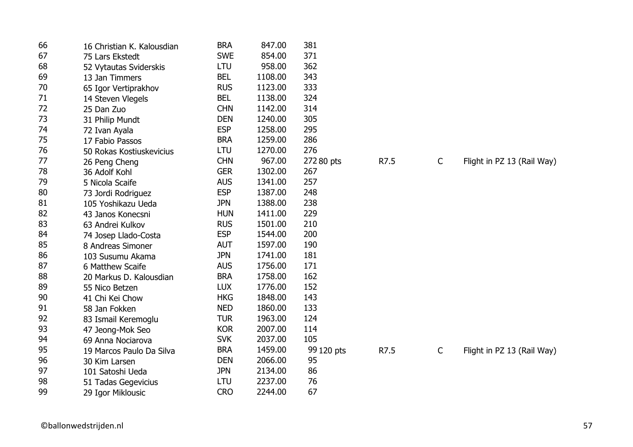| 66 | 16 Christian K. Kalousdian | <b>BRA</b> | 847.00  | 381        |      |              |                            |
|----|----------------------------|------------|---------|------------|------|--------------|----------------------------|
| 67 | 75 Lars Ekstedt            | <b>SWE</b> | 854.00  | 371        |      |              |                            |
| 68 | 52 Vytautas Sviderskis     | LTU        | 958.00  | 362        |      |              |                            |
| 69 | 13 Jan Timmers             | <b>BEL</b> | 1108.00 | 343        |      |              |                            |
| 70 | 65 Igor Vertiprakhov       | <b>RUS</b> | 1123.00 | 333        |      |              |                            |
| 71 | 14 Steven Vlegels          | <b>BEL</b> | 1138.00 | 324        |      |              |                            |
| 72 | 25 Dan Zuo                 | <b>CHN</b> | 1142.00 | 314        |      |              |                            |
| 73 | 31 Philip Mundt            | <b>DEN</b> | 1240.00 | 305        |      |              |                            |
| 74 | 72 Ivan Ayala              | <b>ESP</b> | 1258.00 | 295        |      |              |                            |
| 75 | 17 Fabio Passos            | <b>BRA</b> | 1259.00 | 286        |      |              |                            |
| 76 | 50 Rokas Kostiuskevicius   | LTU        | 1270.00 | 276        |      |              |                            |
| 77 | 26 Peng Cheng              | <b>CHN</b> | 967.00  | 272 80 pts | R7.5 | $\mathsf{C}$ | Flight in PZ 13 (Rail Way) |
| 78 | 36 Adolf Kohl              | <b>GER</b> | 1302.00 | 267        |      |              |                            |
| 79 | 5 Nicola Scaife            | <b>AUS</b> | 1341.00 | 257        |      |              |                            |
| 80 | 73 Jordi Rodriguez         | <b>ESP</b> | 1387.00 | 248        |      |              |                            |
| 81 | 105 Yoshikazu Ueda         | <b>JPN</b> | 1388.00 | 238        |      |              |                            |
| 82 | 43 Janos Konecsni          | <b>HUN</b> | 1411.00 | 229        |      |              |                            |
| 83 | 63 Andrei Kulkov           | <b>RUS</b> | 1501.00 | 210        |      |              |                            |
| 84 | 74 Josep Llado-Costa       | <b>ESP</b> | 1544.00 | 200        |      |              |                            |
| 85 | 8 Andreas Simoner          | <b>AUT</b> | 1597.00 | 190        |      |              |                            |
| 86 | 103 Susumu Akama           | <b>JPN</b> | 1741.00 | 181        |      |              |                            |
| 87 | 6 Matthew Scaife           | <b>AUS</b> | 1756.00 | 171        |      |              |                            |
| 88 | 20 Markus D. Kalousdian    | <b>BRA</b> | 1758.00 | 162        |      |              |                            |
| 89 | 55 Nico Betzen             | <b>LUX</b> | 1776.00 | 152        |      |              |                            |
| 90 | 41 Chi Kei Chow            | <b>HKG</b> | 1848.00 | 143        |      |              |                            |
| 91 | 58 Jan Fokken              | <b>NED</b> | 1860.00 | 133        |      |              |                            |
| 92 | 83 Ismail Keremoglu        | <b>TUR</b> | 1963.00 | 124        |      |              |                            |
| 93 | 47 Jeong-Mok Seo           | <b>KOR</b> | 2007.00 | 114        |      |              |                            |
| 94 | 69 Anna Nociarova          | <b>SVK</b> | 2037.00 | 105        |      |              |                            |
| 95 | 19 Marcos Paulo Da Silva   | <b>BRA</b> | 1459.00 | 99 120 pts | R7.5 | $\mathsf{C}$ | Flight in PZ 13 (Rail Way) |
| 96 | 30 Kim Larsen              | <b>DEN</b> | 2066.00 | 95         |      |              |                            |
| 97 | 101 Satoshi Ueda           | <b>JPN</b> | 2134.00 | 86         |      |              |                            |
| 98 | 51 Tadas Gegevicius        | LTU        | 2237.00 | 76         |      |              |                            |
| 99 | 29 Igor Miklousic          | <b>CRO</b> | 2244.00 | 67         |      |              |                            |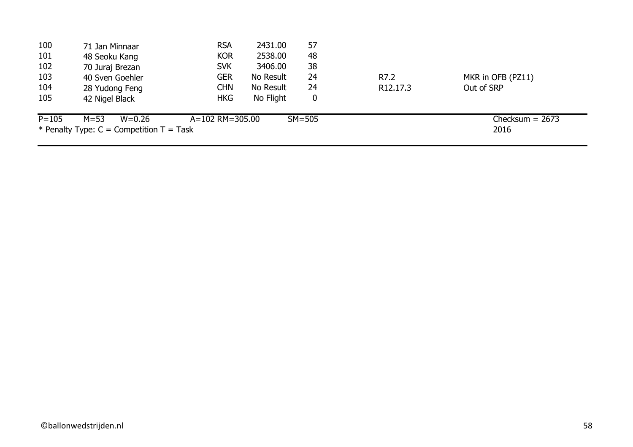| 100       | 71 Jan Minnaar                               | <b>RSA</b>      | 2431.00   | 57         |                      |                   |  |
|-----------|----------------------------------------------|-----------------|-----------|------------|----------------------|-------------------|--|
| 101       | 48 Seoku Kang                                | <b>KOR</b>      | 2538.00   | 48         |                      |                   |  |
| 102       | 70 Juraj Brezan                              | <b>SVK</b>      | 3406.00   | 38         |                      |                   |  |
| 103       | 40 Sven Goehler                              | <b>GER</b>      | No Result | 24         | R7.2                 | MKR in OFB (PZ11) |  |
| 104       | 28 Yudong Feng                               | <b>CHN</b>      | No Result | 24         | R <sub>12.17.3</sub> | Out of SRP        |  |
| 105       | 42 Nigel Black                               | <b>HKG</b>      | No Flight | 0          |                      |                   |  |
| $P = 105$ | $M = 53$<br>$W = 0.26$                       | A=102 RM=305.00 |           | $SM = 505$ |                      | Checksum $= 2673$ |  |
|           | * Penalty Type: $C =$ Competition $T =$ Task |                 |           |            |                      | 2016              |  |
|           |                                              |                 |           |            |                      |                   |  |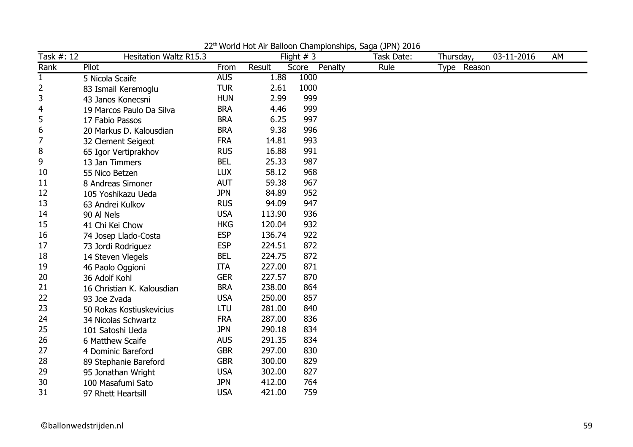| Task #: 12   | <b>Hesitation Waltz R15.3</b> |            |        | Flight $# 3$     | Task Date: | Thursday,   | 03-11-2016 | AM |
|--------------|-------------------------------|------------|--------|------------------|------------|-------------|------------|----|
| Rank         | Pilot                         | From       | Result | Penalty<br>Score | Rule       | Type Reason |            |    |
| $\mathbf{1}$ | 5 Nicola Scaife               | <b>AUS</b> | 1.88   | 1000             |            |             |            |    |
| 2            | 83 Ismail Keremoglu           | <b>TUR</b> | 2.61   | 1000             |            |             |            |    |
| 3            | 43 Janos Konecsni             | <b>HUN</b> | 2.99   | 999              |            |             |            |    |
| 4            | 19 Marcos Paulo Da Silva      | <b>BRA</b> | 4.46   | 999              |            |             |            |    |
| 5            | 17 Fabio Passos               | <b>BRA</b> | 6.25   | 997              |            |             |            |    |
| 6            | 20 Markus D. Kalousdian       | <b>BRA</b> | 9.38   | 996              |            |             |            |    |
| 7            | 32 Clement Seigeot            | <b>FRA</b> | 14.81  | 993              |            |             |            |    |
| 8            | 65 Igor Vertiprakhov          | <b>RUS</b> | 16.88  | 991              |            |             |            |    |
| 9            | 13 Jan Timmers                | <b>BEL</b> | 25.33  | 987              |            |             |            |    |
| 10           | 55 Nico Betzen                | <b>LUX</b> | 58.12  | 968              |            |             |            |    |
| 11           | 8 Andreas Simoner             | <b>AUT</b> | 59.38  | 967              |            |             |            |    |
| 12           | 105 Yoshikazu Ueda            | <b>JPN</b> | 84.89  | 952              |            |             |            |    |
| 13           | 63 Andrei Kulkov              | <b>RUS</b> | 94.09  | 947              |            |             |            |    |
| 14           | 90 Al Nels                    | <b>USA</b> | 113.90 | 936              |            |             |            |    |
| 15           | 41 Chi Kei Chow               | <b>HKG</b> | 120.04 | 932              |            |             |            |    |
| 16           | 74 Josep Llado-Costa          | <b>ESP</b> | 136.74 | 922              |            |             |            |    |
| 17           | 73 Jordi Rodriguez            | <b>ESP</b> | 224.51 | 872              |            |             |            |    |
| 18           | 14 Steven Vlegels             | <b>BEL</b> | 224.75 | 872              |            |             |            |    |
| 19           | 46 Paolo Oggioni              | <b>ITA</b> | 227.00 | 871              |            |             |            |    |
| 20           | 36 Adolf Kohl                 | <b>GER</b> | 227.57 | 870              |            |             |            |    |
| 21           | 16 Christian K. Kalousdian    | <b>BRA</b> | 238.00 | 864              |            |             |            |    |
| 22           | 93 Joe Zvada                  | <b>USA</b> | 250.00 | 857              |            |             |            |    |
| 23           | 50 Rokas Kostiuskevicius      | <b>LTU</b> | 281.00 | 840              |            |             |            |    |
| 24           | 34 Nicolas Schwartz           | <b>FRA</b> | 287.00 | 836              |            |             |            |    |
| 25           | 101 Satoshi Ueda              | <b>JPN</b> | 290.18 | 834              |            |             |            |    |
| 26           | 6 Matthew Scaife              | <b>AUS</b> | 291.35 | 834              |            |             |            |    |
| 27           | 4 Dominic Bareford            | <b>GBR</b> | 297.00 | 830              |            |             |            |    |
| 28           | 89 Stephanie Bareford         | <b>GBR</b> | 300.00 | 829              |            |             |            |    |
| 29           | 95 Jonathan Wright            | <b>USA</b> | 302.00 | 827              |            |             |            |    |
| 30           | 100 Masafumi Sato             | <b>JPN</b> | 412.00 | 764              |            |             |            |    |
| 31           | 97 Rhett Heartsill            | <b>USA</b> | 421.00 | 759              |            |             |            |    |

22<sup>th</sup> World Hot Air Balloon Championships, Saga (JPN) 2016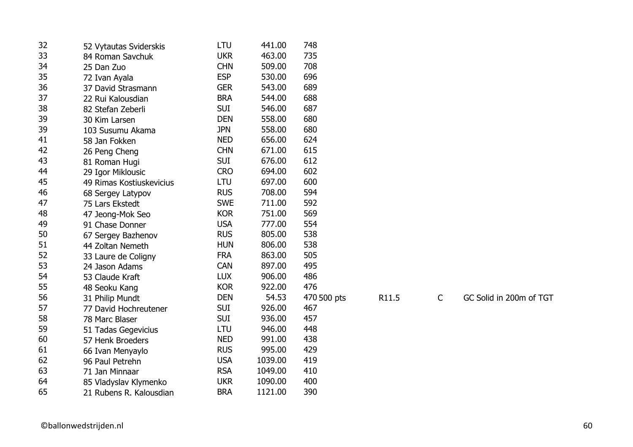| 32 | 52 Vytautas Sviderskis   | LTU        | 441.00  | 748         |       |             |                         |
|----|--------------------------|------------|---------|-------------|-------|-------------|-------------------------|
| 33 | 84 Roman Savchuk         | <b>UKR</b> | 463.00  | 735         |       |             |                         |
| 34 | 25 Dan Zuo               | <b>CHN</b> | 509.00  | 708         |       |             |                         |
| 35 | 72 Ivan Ayala            | <b>ESP</b> | 530.00  | 696         |       |             |                         |
| 36 | 37 David Strasmann       | <b>GER</b> | 543.00  | 689         |       |             |                         |
| 37 | 22 Rui Kalousdian        | <b>BRA</b> | 544.00  | 688         |       |             |                         |
| 38 | 82 Stefan Zeberli        | <b>SUI</b> | 546.00  | 687         |       |             |                         |
| 39 | 30 Kim Larsen            | <b>DEN</b> | 558.00  | 680         |       |             |                         |
| 39 | 103 Susumu Akama         | <b>JPN</b> | 558.00  | 680         |       |             |                         |
| 41 | 58 Jan Fokken            | <b>NED</b> | 656.00  | 624         |       |             |                         |
| 42 | 26 Peng Cheng            | <b>CHN</b> | 671.00  | 615         |       |             |                         |
| 43 | 81 Roman Hugi            | <b>SUI</b> | 676.00  | 612         |       |             |                         |
| 44 | 29 Igor Miklousic        | <b>CRO</b> | 694.00  | 602         |       |             |                         |
| 45 | 49 Rimas Kostiuskevicius | LTU        | 697.00  | 600         |       |             |                         |
| 46 | 68 Sergey Latypov        | <b>RUS</b> | 708.00  | 594         |       |             |                         |
| 47 | 75 Lars Ekstedt          | <b>SWE</b> | 711.00  | 592         |       |             |                         |
| 48 | 47 Jeong-Mok Seo         | <b>KOR</b> | 751.00  | 569         |       |             |                         |
| 49 | 91 Chase Donner          | <b>USA</b> | 777.00  | 554         |       |             |                         |
| 50 | 67 Sergey Bazhenov       | <b>RUS</b> | 805.00  | 538         |       |             |                         |
| 51 | 44 Zoltan Nemeth         | <b>HUN</b> | 806.00  | 538         |       |             |                         |
| 52 | 33 Laure de Coligny      | <b>FRA</b> | 863.00  | 505         |       |             |                         |
| 53 | 24 Jason Adams           | <b>CAN</b> | 897.00  | 495         |       |             |                         |
| 54 | 53 Claude Kraft          | <b>LUX</b> | 906.00  | 486         |       |             |                         |
| 55 | 48 Seoku Kang            | <b>KOR</b> | 922.00  | 476         |       |             |                         |
| 56 | 31 Philip Mundt          | <b>DEN</b> | 54.53   | 470 500 pts | R11.5 | $\mathsf C$ | GC Solid in 200m of TGT |
| 57 | 77 David Hochreutener    | <b>SUI</b> | 926.00  | 467         |       |             |                         |
| 58 | 78 Marc Blaser           | <b>SUI</b> | 936.00  | 457         |       |             |                         |
| 59 | 51 Tadas Gegevicius      | LTU        | 946.00  | 448         |       |             |                         |
| 60 | 57 Henk Broeders         | <b>NED</b> | 991.00  | 438         |       |             |                         |
| 61 | 66 Ivan Menyaylo         | <b>RUS</b> | 995.00  | 429         |       |             |                         |
| 62 | 96 Paul Petrehn          | <b>USA</b> | 1039.00 | 419         |       |             |                         |
| 63 | 71 Jan Minnaar           | <b>RSA</b> | 1049.00 | 410         |       |             |                         |
| 64 | 85 Vladyslav Klymenko    | <b>UKR</b> | 1090.00 | 400         |       |             |                         |
| 65 | 21 Rubens R. Kalousdian  | <b>BRA</b> | 1121.00 | 390         |       |             |                         |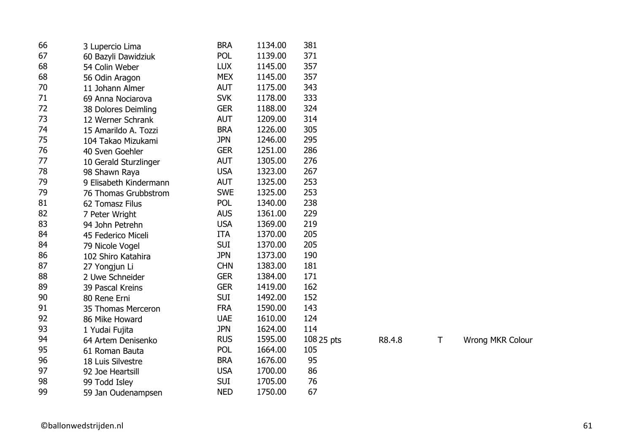| 66 | 3 Lupercio Lima        | <b>BRA</b> | 1134.00 | 381        |        |   |                         |
|----|------------------------|------------|---------|------------|--------|---|-------------------------|
| 67 | 60 Bazyli Dawidziuk    | POL        | 1139.00 | 371        |        |   |                         |
| 68 | 54 Colin Weber         | <b>LUX</b> | 1145.00 | 357        |        |   |                         |
| 68 | 56 Odin Aragon         | <b>MEX</b> | 1145.00 | 357        |        |   |                         |
| 70 | 11 Johann Almer        | <b>AUT</b> | 1175.00 | 343        |        |   |                         |
| 71 | 69 Anna Nociarova      | <b>SVK</b> | 1178.00 | 333        |        |   |                         |
| 72 | 38 Dolores Deimling    | <b>GER</b> | 1188.00 | 324        |        |   |                         |
| 73 | 12 Werner Schrank      | <b>AUT</b> | 1209.00 | 314        |        |   |                         |
| 74 | 15 Amarildo A. Tozzi   | <b>BRA</b> | 1226.00 | 305        |        |   |                         |
| 75 | 104 Takao Mizukami     | <b>JPN</b> | 1246.00 | 295        |        |   |                         |
| 76 | 40 Sven Goehler        | <b>GER</b> | 1251.00 | 286        |        |   |                         |
| 77 | 10 Gerald Sturzlinger  | <b>AUT</b> | 1305.00 | 276        |        |   |                         |
| 78 | 98 Shawn Raya          | <b>USA</b> | 1323.00 | 267        |        |   |                         |
| 79 | 9 Elisabeth Kindermann | <b>AUT</b> | 1325.00 | 253        |        |   |                         |
| 79 | 76 Thomas Grubbstrom   | <b>SWE</b> | 1325.00 | 253        |        |   |                         |
| 81 | 62 Tomasz Filus        | <b>POL</b> | 1340.00 | 238        |        |   |                         |
| 82 | 7 Peter Wright         | <b>AUS</b> | 1361.00 | 229        |        |   |                         |
| 83 | 94 John Petrehn        | <b>USA</b> | 1369.00 | 219        |        |   |                         |
| 84 | 45 Federico Miceli     | <b>ITA</b> | 1370.00 | 205        |        |   |                         |
| 84 | 79 Nicole Vogel        | <b>SUI</b> | 1370.00 | 205        |        |   |                         |
| 86 | 102 Shiro Katahira     | <b>JPN</b> | 1373.00 | 190        |        |   |                         |
| 87 | 27 Yongjun Li          | <b>CHN</b> | 1383.00 | 181        |        |   |                         |
| 88 | 2 Uwe Schneider        | <b>GER</b> | 1384.00 | 171        |        |   |                         |
| 89 | 39 Pascal Kreins       | <b>GER</b> | 1419.00 | 162        |        |   |                         |
| 90 | 80 Rene Erni           | <b>SUI</b> | 1492.00 | 152        |        |   |                         |
| 91 | 35 Thomas Merceron     | <b>FRA</b> | 1590.00 | 143        |        |   |                         |
| 92 | 86 Mike Howard         | <b>UAE</b> | 1610.00 | 124        |        |   |                         |
| 93 | 1 Yudai Fujita         | <b>JPN</b> | 1624.00 | 114        |        |   |                         |
| 94 | 64 Artem Denisenko     | <b>RUS</b> | 1595.00 | 108 25 pts | R8.4.8 | Τ | <b>Wrong MKR Colour</b> |
| 95 | 61 Roman Bauta         | POL        | 1664.00 | 105        |        |   |                         |
| 96 | 18 Luis Silvestre      | <b>BRA</b> | 1676.00 | 95         |        |   |                         |
| 97 | 92 Joe Heartsill       | <b>USA</b> | 1700.00 | 86         |        |   |                         |
| 98 | 99 Todd Isley          | <b>SUI</b> | 1705.00 | 76         |        |   |                         |
| 99 | 59 Jan Oudenampsen     | <b>NED</b> | 1750.00 | 67         |        |   |                         |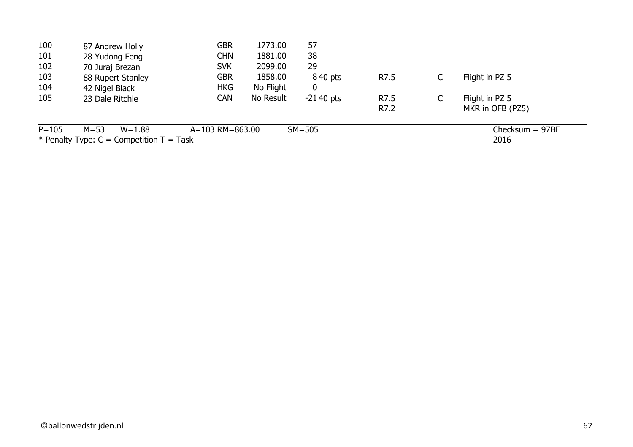| 100       | 87 Andrew Holly                              | <b>GBR</b>              | 1773.00   | 57             |      |   |                   |
|-----------|----------------------------------------------|-------------------------|-----------|----------------|------|---|-------------------|
| 101       | 28 Yudong Feng                               | <b>CHN</b>              | 1881.00   | 38             |      |   |                   |
| 102       | 70 Juraj Brezan                              | <b>SVK</b>              | 2099.00   | 29             |      |   |                   |
| 103       | 88 Rupert Stanley                            | <b>GBR</b>              | 1858.00   | 840 pts        | R7.5 | С | Flight in PZ 5    |
| 104       | 42 Nigel Black                               | <b>HKG</b>              | No Flight | $\overline{0}$ |      |   |                   |
| 105       | 23 Dale Ritchie                              | <b>CAN</b>              | No Result | $-2140$ pts    | R7.5 | C | Flight in PZ 5    |
|           |                                              |                         |           |                | R7.2 |   | MKR in OFB (PZ5)  |
| $P = 105$ | $M = 53$<br>$W = 1.88$                       | $A = 103$ RM $= 863.00$ |           | $SM = 505$     |      |   | Checksum $= 97BE$ |
|           | * Penalty Type: $C =$ Competition $T =$ Task |                         |           |                |      |   | 2016              |
|           |                                              |                         |           |                |      |   |                   |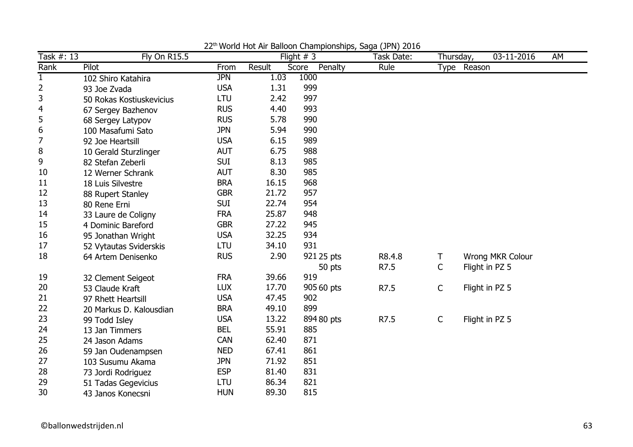| Task #: 13       | <b>Fly On R15.5</b>      |            |        | world riot him Balloon Gridmplonompo, Baga (31 m) E010<br>Flight $# 3$ | Task Date: | Thursday,    | 03-11-2016       | AM |
|------------------|--------------------------|------------|--------|------------------------------------------------------------------------|------------|--------------|------------------|----|
| Rank             | Pilot                    | From       | Result | Penalty<br>Score                                                       | Rule       |              | Type Reason      |    |
| $\mathbf{1}$     | 102 Shiro Katahira       | <b>JPN</b> | 1.03   | 1000                                                                   |            |              |                  |    |
| $\overline{2}$   | 93 Joe Zvada             | <b>USA</b> | 1.31   | 999                                                                    |            |              |                  |    |
| 3                | 50 Rokas Kostiuskevicius | <b>LTU</b> | 2.42   | 997                                                                    |            |              |                  |    |
| 4                | 67 Sergey Bazhenov       | <b>RUS</b> | 4.40   | 993                                                                    |            |              |                  |    |
| 5                | 68 Sergey Latypov        | <b>RUS</b> | 5.78   | 990                                                                    |            |              |                  |    |
| $\boldsymbol{6}$ | 100 Masafumi Sato        | <b>JPN</b> | 5.94   | 990                                                                    |            |              |                  |    |
| $\overline{7}$   | 92 Joe Heartsill         | <b>USA</b> | 6.15   | 989                                                                    |            |              |                  |    |
| 8                | 10 Gerald Sturzlinger    | <b>AUT</b> | 6.75   | 988                                                                    |            |              |                  |    |
| 9                | 82 Stefan Zeberli        | <b>SUI</b> | 8.13   | 985                                                                    |            |              |                  |    |
| 10               | 12 Werner Schrank        | <b>AUT</b> | 8.30   | 985                                                                    |            |              |                  |    |
| 11               | 18 Luis Silvestre        | <b>BRA</b> | 16.15  | 968                                                                    |            |              |                  |    |
| 12               | 88 Rupert Stanley        | <b>GBR</b> | 21.72  | 957                                                                    |            |              |                  |    |
| 13               | 80 Rene Erni             | <b>SUI</b> | 22.74  | 954                                                                    |            |              |                  |    |
| 14               | 33 Laure de Coligny      | <b>FRA</b> | 25.87  | 948                                                                    |            |              |                  |    |
| 15               | 4 Dominic Bareford       | <b>GBR</b> | 27.22  | 945                                                                    |            |              |                  |    |
| 16               | 95 Jonathan Wright       | <b>USA</b> | 32.25  | 934                                                                    |            |              |                  |    |
| 17               | 52 Vytautas Sviderskis   | LTU        | 34.10  | 931                                                                    |            |              |                  |    |
| 18               | 64 Artem Denisenko       | <b>RUS</b> | 2.90   | 921 25 pts                                                             | R8.4.8     | Т            | Wrong MKR Colour |    |
|                  |                          |            |        | 50 pts                                                                 | R7.5       | $\mathsf C$  | Flight in PZ 5   |    |
| 19               | 32 Clement Seigeot       | <b>FRA</b> | 39.66  | 919                                                                    |            |              |                  |    |
| 20               | 53 Claude Kraft          | <b>LUX</b> | 17.70  | 905 60 pts                                                             | R7.5       | $\mathsf{C}$ | Flight in PZ 5   |    |
| 21               | 97 Rhett Heartsill       | <b>USA</b> | 47.45  | 902                                                                    |            |              |                  |    |
| 22               | 20 Markus D. Kalousdian  | <b>BRA</b> | 49.10  | 899                                                                    |            |              |                  |    |
| 23               | 99 Todd Isley            | <b>USA</b> | 13.22  | 894 80 pts                                                             | R7.5       | $\mathsf{C}$ | Flight in PZ 5   |    |
| 24               | 13 Jan Timmers           | <b>BEL</b> | 55.91  | 885                                                                    |            |              |                  |    |
| 25               | 24 Jason Adams           | <b>CAN</b> | 62.40  | 871                                                                    |            |              |                  |    |
| 26               | 59 Jan Oudenampsen       | <b>NED</b> | 67.41  | 861                                                                    |            |              |                  |    |
| 27               | 103 Susumu Akama         | <b>JPN</b> | 71.92  | 851                                                                    |            |              |                  |    |
| 28               | 73 Jordi Rodriguez       | <b>ESP</b> | 81.40  | 831                                                                    |            |              |                  |    |
| 29               | 51 Tadas Gegevicius      | LTU        | 86.34  | 821                                                                    |            |              |                  |    |
| 30               | 43 Janos Konecsni        | <b>HUN</b> | 89.30  | 815                                                                    |            |              |                  |    |

22<sup>th</sup> World Hot Air Balloon Championships, Saga (JPN) 2016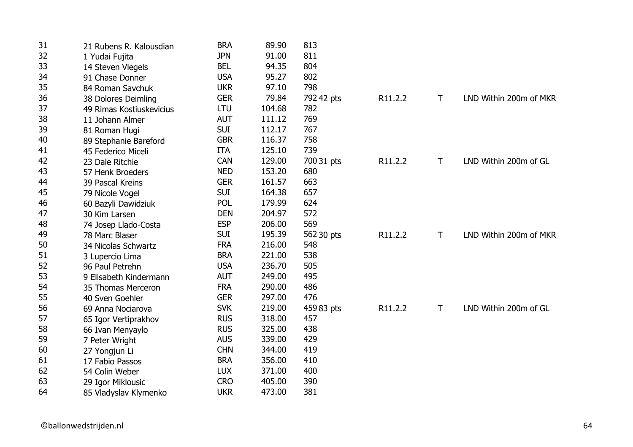| 31 | 21 Rubens R. Kalousdian  | <b>BRA</b> | 89.90  | 813        |         |              |                        |
|----|--------------------------|------------|--------|------------|---------|--------------|------------------------|
| 32 | 1 Yudai Fujita           | <b>JPN</b> | 91.00  | 811        |         |              |                        |
| 33 | 14 Steven Vlegels        | <b>BEL</b> | 94.35  | 804        |         |              |                        |
| 34 | 91 Chase Donner          | <b>USA</b> | 95.27  | 802        |         |              |                        |
| 35 | 84 Roman Savchuk         | <b>UKR</b> | 97.10  | 798        |         |              |                        |
| 36 | 38 Dolores Deimling      | <b>GER</b> | 79.84  | 792 42 pts | R11.2.2 | T            | LND Within 200m of MKR |
| 37 | 49 Rimas Kostiuskevicius | LTU        | 104.68 | 782        |         |              |                        |
| 38 | 11 Johann Almer          | <b>AUT</b> | 111.12 | 769        |         |              |                        |
| 39 | 81 Roman Hugi            | <b>SUI</b> | 112.17 | 767        |         |              |                        |
| 40 | 89 Stephanie Bareford    | <b>GBR</b> | 116.37 | 758        |         |              |                        |
| 41 | 45 Federico Miceli       | <b>ITA</b> | 125.10 | 739        |         |              |                        |
| 42 | 23 Dale Ritchie          | <b>CAN</b> | 129.00 | 700 31 pts | R11.2.2 | $\mathsf T$  | LND Within 200m of GL  |
| 43 | 57 Henk Broeders         | <b>NED</b> | 153.20 | 680        |         |              |                        |
| 44 | 39 Pascal Kreins         | <b>GER</b> | 161.57 | 663        |         |              |                        |
| 45 | 79 Nicole Vogel          | <b>SUI</b> | 164.38 | 657        |         |              |                        |
| 46 | 60 Bazyli Dawidziuk      | <b>POL</b> | 179.99 | 624        |         |              |                        |
| 47 | 30 Kim Larsen            | <b>DEN</b> | 204.97 | 572        |         |              |                        |
| 48 | 74 Josep Llado-Costa     | <b>ESP</b> | 206.00 | 569        |         |              |                        |
| 49 | 78 Marc Blaser           | <b>SUI</b> | 195.39 | 562 30 pts | R11.2.2 | $\mathsf{T}$ | LND Within 200m of MKR |
| 50 | 34 Nicolas Schwartz      | <b>FRA</b> | 216.00 | 548        |         |              |                        |
| 51 | 3 Lupercio Lima          | <b>BRA</b> | 221.00 | 538        |         |              |                        |
| 52 | 96 Paul Petrehn          | <b>USA</b> | 236.70 | 505        |         |              |                        |
| 53 | 9 Elisabeth Kindermann   | <b>AUT</b> | 249.00 | 495        |         |              |                        |
| 54 | 35 Thomas Merceron       | <b>FRA</b> | 290.00 | 486        |         |              |                        |
| 55 | 40 Sven Goehler          | <b>GER</b> | 297.00 | 476        |         |              |                        |
| 56 | 69 Anna Nociarova        | <b>SVK</b> | 219.00 | 459 83 pts | R11.2.2 | $\mathsf{T}$ | LND Within 200m of GL  |
| 57 | 65 Igor Vertiprakhov     | <b>RUS</b> | 318.00 | 457        |         |              |                        |
| 58 | 66 Ivan Menyaylo         | <b>RUS</b> | 325.00 | 438        |         |              |                        |
| 59 | 7 Peter Wright           | <b>AUS</b> | 339.00 | 429        |         |              |                        |
| 60 | 27 Yongjun Li            | <b>CHN</b> | 344.00 | 419        |         |              |                        |
| 61 | 17 Fabio Passos          | <b>BRA</b> | 356.00 | 410        |         |              |                        |
| 62 | 54 Colin Weber           | <b>LUX</b> | 371.00 | 400        |         |              |                        |
| 63 | 29 Igor Miklousic        | <b>CRO</b> | 405.00 | 390        |         |              |                        |
| 64 | 85 Vladyslav Klymenko    | <b>UKR</b> | 473.00 | 381        |         |              |                        |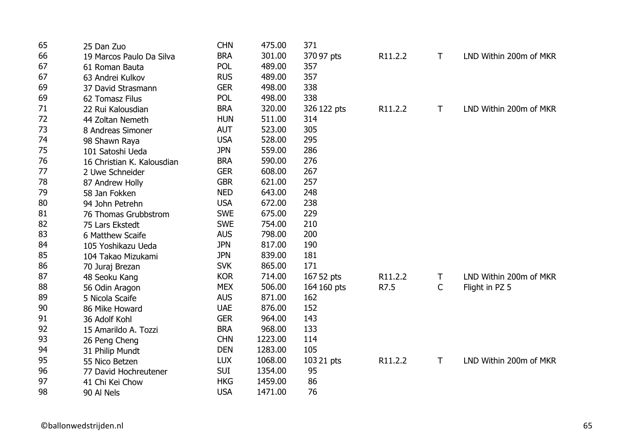| 65 | 25 Dan Zuo                 | <b>CHN</b> | 475.00  | 371         |         |   |                        |
|----|----------------------------|------------|---------|-------------|---------|---|------------------------|
| 66 | 19 Marcos Paulo Da Silva   | <b>BRA</b> | 301.00  | 370 97 pts  | R11.2.2 | T | LND Within 200m of MKR |
| 67 | 61 Roman Bauta             | <b>POL</b> | 489.00  | 357         |         |   |                        |
| 67 | 63 Andrei Kulkov           | <b>RUS</b> | 489.00  | 357         |         |   |                        |
| 69 | 37 David Strasmann         | <b>GER</b> | 498.00  | 338         |         |   |                        |
| 69 | 62 Tomasz Filus            | <b>POL</b> | 498.00  | 338         |         |   |                        |
| 71 | 22 Rui Kalousdian          | <b>BRA</b> | 320.00  | 326 122 pts | R11.2.2 | T | LND Within 200m of MKR |
| 72 | 44 Zoltan Nemeth           | <b>HUN</b> | 511.00  | 314         |         |   |                        |
| 73 | 8 Andreas Simoner          | <b>AUT</b> | 523.00  | 305         |         |   |                        |
| 74 | 98 Shawn Raya              | <b>USA</b> | 528.00  | 295         |         |   |                        |
| 75 | 101 Satoshi Ueda           | <b>JPN</b> | 559.00  | 286         |         |   |                        |
| 76 | 16 Christian K. Kalousdian | <b>BRA</b> | 590.00  | 276         |         |   |                        |
| 77 | 2 Uwe Schneider            | <b>GER</b> | 608.00  | 267         |         |   |                        |
| 78 | 87 Andrew Holly            | <b>GBR</b> | 621.00  | 257         |         |   |                        |
| 79 | 58 Jan Fokken              | <b>NED</b> | 643.00  | 248         |         |   |                        |
| 80 | 94 John Petrehn            | <b>USA</b> | 672.00  | 238         |         |   |                        |
| 81 | 76 Thomas Grubbstrom       | <b>SWE</b> | 675.00  | 229         |         |   |                        |
| 82 | 75 Lars Ekstedt            | <b>SWE</b> | 754.00  | 210         |         |   |                        |
| 83 | 6 Matthew Scaife           | <b>AUS</b> | 798.00  | 200         |         |   |                        |
| 84 | 105 Yoshikazu Ueda         | <b>JPN</b> | 817.00  | 190         |         |   |                        |
| 85 | 104 Takao Mizukami         | <b>JPN</b> | 839.00  | 181         |         |   |                        |
| 86 | 70 Juraj Brezan            | <b>SVK</b> | 865.00  | 171         |         |   |                        |
| 87 | 48 Seoku Kang              | <b>KOR</b> | 714.00  | 167 52 pts  | R11.2.2 | T | LND Within 200m of MKR |
| 88 | 56 Odin Aragon             | <b>MEX</b> | 506.00  | 164 160 pts | R7.5    | C | Flight in PZ 5         |
| 89 | 5 Nicola Scaife            | <b>AUS</b> | 871.00  | 162         |         |   |                        |
| 90 | 86 Mike Howard             | <b>UAE</b> | 876.00  | 152         |         |   |                        |
| 91 | 36 Adolf Kohl              | <b>GER</b> | 964.00  | 143         |         |   |                        |
| 92 | 15 Amarildo A. Tozzi       | <b>BRA</b> | 968.00  | 133         |         |   |                        |
| 93 | 26 Peng Cheng              | <b>CHN</b> | 1223.00 | 114         |         |   |                        |
| 94 | 31 Philip Mundt            | <b>DEN</b> | 1283.00 | 105         |         |   |                        |
| 95 | 55 Nico Betzen             | <b>LUX</b> | 1068.00 | 103 21 pts  | R11.2.2 | T | LND Within 200m of MKR |
| 96 | 77 David Hochreutener      | <b>SUI</b> | 1354.00 | 95          |         |   |                        |
| 97 | 41 Chi Kei Chow            | <b>HKG</b> | 1459.00 | 86          |         |   |                        |
| 98 | 90 Al Nels                 | <b>USA</b> | 1471.00 | 76          |         |   |                        |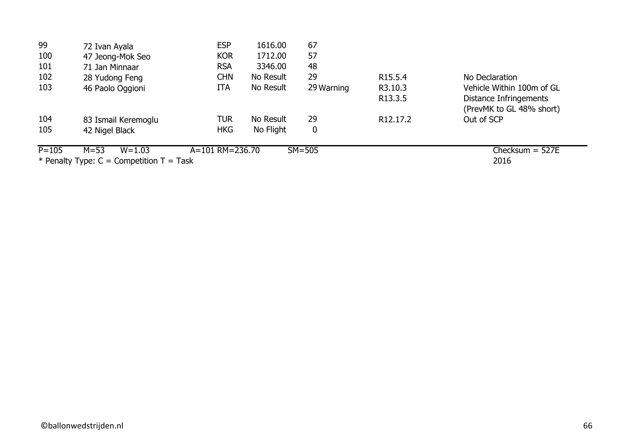| 99        | 72 Ivan Ayala                                | <b>ESP</b>      | 1616.00   | 67               |                       |                           |
|-----------|----------------------------------------------|-----------------|-----------|------------------|-----------------------|---------------------------|
| 100       | 47 Jeong-Mok Seo                             | <b>KOR</b>      | 1712.00   | 57               |                       |                           |
| 101       | 71 Jan Minnaar                               | <b>RSA</b>      | 3346.00   | 48               |                       |                           |
| 102       | 28 Yudong Feng                               | <b>CHN</b>      | No Result | 29               | R <sub>15</sub> .5.4  | No Declaration            |
| 103       | 46 Paolo Oggioni                             | <b>ITA</b>      | No Result | 29 Warning       | R3.10.3               | Vehicle Within 100m of GL |
|           |                                              |                 |           |                  | R <sub>13.3.5</sub>   | Distance Infringements    |
|           |                                              |                 |           |                  |                       | (PrevMK to GL 48% short)  |
| 104       | 83 Ismail Keremoglu                          | TUR             | No Result | 29               | R <sub>12</sub> .17.2 | Out of SCP                |
| 105       | 42 Nigel Black                               | <b>HKG</b>      | No Flight | $\boldsymbol{0}$ |                       |                           |
| $P = 105$ | $M = 53$<br>$W = 1.03$                       | A=101 RM=236.70 |           | $SM = 505$       |                       | Checksum $=$ 527E         |
|           | * Penalty Type: $C =$ Competition $T =$ Task |                 |           |                  |                       | 2016                      |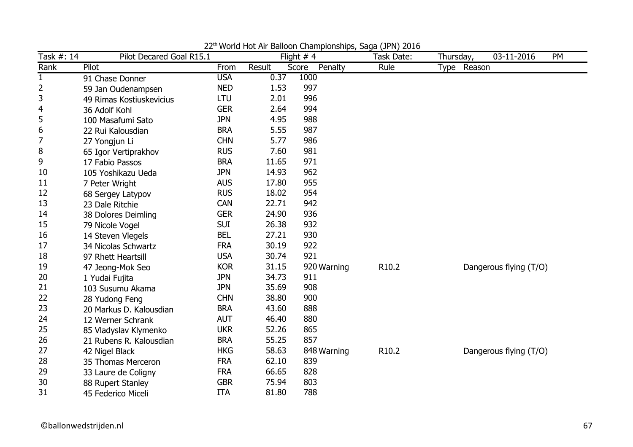| Task #: 14     | Pilot Decared Goal R15.1 |            |        | Flight $# 4$     | $\sim$ $\sim$ $\sim$ $\sim$ $\sim$ $\sim$<br>Task Date: | Thursday, | 03-11-2016             | PM |
|----------------|--------------------------|------------|--------|------------------|---------------------------------------------------------|-----------|------------------------|----|
| Rank           | Pilot                    | From       | Result | Score<br>Penalty | Rule                                                    |           | Type Reason            |    |
| $\mathbf{1}$   | 91 Chase Donner          | <b>USA</b> | 0.37   | 1000             |                                                         |           |                        |    |
| $\overline{2}$ | 59 Jan Oudenampsen       | <b>NED</b> | 1.53   | 997              |                                                         |           |                        |    |
| 3              | 49 Rimas Kostiuskevicius | LTU        | 2.01   | 996              |                                                         |           |                        |    |
| 4              | 36 Adolf Kohl            | <b>GER</b> | 2.64   | 994              |                                                         |           |                        |    |
| 5              | 100 Masafumi Sato        | <b>JPN</b> | 4.95   | 988              |                                                         |           |                        |    |
| 6              | 22 Rui Kalousdian        | <b>BRA</b> | 5.55   | 987              |                                                         |           |                        |    |
| 7              | 27 Yongjun Li            | <b>CHN</b> | 5.77   | 986              |                                                         |           |                        |    |
| 8              | 65 Igor Vertiprakhov     | <b>RUS</b> | 7.60   | 981              |                                                         |           |                        |    |
| 9              | 17 Fabio Passos          | <b>BRA</b> | 11.65  | 971              |                                                         |           |                        |    |
| 10             | 105 Yoshikazu Ueda       | <b>JPN</b> | 14.93  | 962              |                                                         |           |                        |    |
| 11             | 7 Peter Wright           | <b>AUS</b> | 17.80  | 955              |                                                         |           |                        |    |
| 12             | 68 Sergey Latypov        | <b>RUS</b> | 18.02  | 954              |                                                         |           |                        |    |
| 13             | 23 Dale Ritchie          | <b>CAN</b> | 22.71  | 942              |                                                         |           |                        |    |
| 14             | 38 Dolores Deimling      | <b>GER</b> | 24.90  | 936              |                                                         |           |                        |    |
| 15             | 79 Nicole Vogel          | <b>SUI</b> | 26.38  | 932              |                                                         |           |                        |    |
| 16             | 14 Steven Vlegels        | <b>BEL</b> | 27.21  | 930              |                                                         |           |                        |    |
| 17             | 34 Nicolas Schwartz      | <b>FRA</b> | 30.19  | 922              |                                                         |           |                        |    |
| 18             | 97 Rhett Heartsill       | <b>USA</b> | 30.74  | 921              |                                                         |           |                        |    |
| 19             | 47 Jeong-Mok Seo         | <b>KOR</b> | 31.15  | 920 Warning      | R10.2                                                   |           | Dangerous flying (T/O) |    |
| 20             | 1 Yudai Fujita           | <b>JPN</b> | 34.73  | 911              |                                                         |           |                        |    |
| 21             | 103 Susumu Akama         | <b>JPN</b> | 35.69  | 908              |                                                         |           |                        |    |
| 22             | 28 Yudong Feng           | <b>CHN</b> | 38.80  | 900              |                                                         |           |                        |    |
| 23             | 20 Markus D. Kalousdian  | <b>BRA</b> | 43.60  | 888              |                                                         |           |                        |    |
| 24             | 12 Werner Schrank        | <b>AUT</b> | 46.40  | 880              |                                                         |           |                        |    |
| 25             | 85 Vladyslav Klymenko    | <b>UKR</b> | 52.26  | 865              |                                                         |           |                        |    |
| 26             | 21 Rubens R. Kalousdian  | <b>BRA</b> | 55.25  | 857              |                                                         |           |                        |    |
| 27             | 42 Nigel Black           | <b>HKG</b> | 58.63  | 848 Warning      | R10.2                                                   |           | Dangerous flying (T/O) |    |
| 28             | 35 Thomas Merceron       | <b>FRA</b> | 62.10  | 839              |                                                         |           |                        |    |
| 29             | 33 Laure de Coligny      | <b>FRA</b> | 66.65  | 828              |                                                         |           |                        |    |
| 30             | 88 Rupert Stanley        | <b>GBR</b> | 75.94  | 803              |                                                         |           |                        |    |
| 31             | 45 Federico Miceli       | <b>ITA</b> | 81.80  | 788              |                                                         |           |                        |    |

22<sup>th</sup> World Hot Air Balloon Championships, Saga (JPN) 2016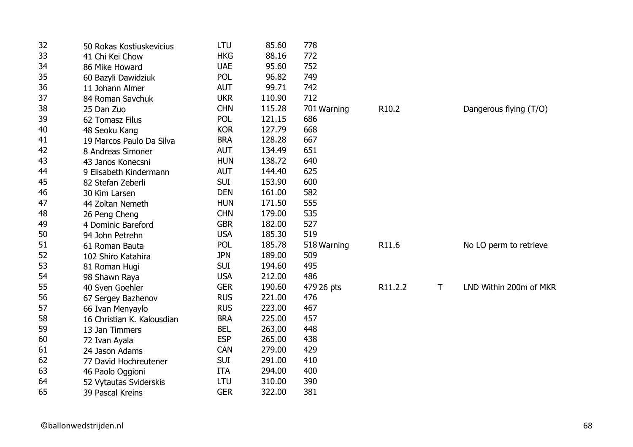| 32 | 50 Rokas Kostiuskevicius   | LTU        | 85.60  | 778         |         |   |                        |
|----|----------------------------|------------|--------|-------------|---------|---|------------------------|
| 33 | 41 Chi Kei Chow            | <b>HKG</b> | 88.16  | 772         |         |   |                        |
| 34 | 86 Mike Howard             | <b>UAE</b> | 95.60  | 752         |         |   |                        |
| 35 | 60 Bazyli Dawidziuk        | <b>POL</b> | 96.82  | 749         |         |   |                        |
| 36 | 11 Johann Almer            | <b>AUT</b> | 99.71  | 742         |         |   |                        |
| 37 | 84 Roman Savchuk           | <b>UKR</b> | 110.90 | 712         |         |   |                        |
| 38 | 25 Dan Zuo                 | <b>CHN</b> | 115.28 | 701 Warning | R10.2   |   | Dangerous flying (T/O) |
| 39 | 62 Tomasz Filus            | <b>POL</b> | 121.15 | 686         |         |   |                        |
| 40 | 48 Seoku Kang              | <b>KOR</b> | 127.79 | 668         |         |   |                        |
| 41 | 19 Marcos Paulo Da Silva   | <b>BRA</b> | 128.28 | 667         |         |   |                        |
| 42 | 8 Andreas Simoner          | <b>AUT</b> | 134.49 | 651         |         |   |                        |
| 43 | 43 Janos Konecsni          | <b>HUN</b> | 138.72 | 640         |         |   |                        |
| 44 | 9 Elisabeth Kindermann     | <b>AUT</b> | 144.40 | 625         |         |   |                        |
| 45 | 82 Stefan Zeberli          | <b>SUI</b> | 153.90 | 600         |         |   |                        |
| 46 | 30 Kim Larsen              | <b>DEN</b> | 161.00 | 582         |         |   |                        |
| 47 | 44 Zoltan Nemeth           | <b>HUN</b> | 171.50 | 555         |         |   |                        |
| 48 | 26 Peng Cheng              | <b>CHN</b> | 179.00 | 535         |         |   |                        |
| 49 | 4 Dominic Bareford         | <b>GBR</b> | 182.00 | 527         |         |   |                        |
| 50 | 94 John Petrehn            | <b>USA</b> | 185.30 | 519         |         |   |                        |
| 51 | 61 Roman Bauta             | POL        | 185.78 | 518 Warning | R11.6   |   | No LO perm to retrieve |
| 52 | 102 Shiro Katahira         | <b>JPN</b> | 189.00 | 509         |         |   |                        |
| 53 | 81 Roman Hugi              | <b>SUI</b> | 194.60 | 495         |         |   |                        |
| 54 | 98 Shawn Raya              | <b>USA</b> | 212.00 | 486         |         |   |                        |
| 55 | 40 Sven Goehler            | <b>GER</b> | 190.60 | 479 26 pts  | R11.2.2 | T | LND Within 200m of MKR |
| 56 | 67 Sergey Bazhenov         | <b>RUS</b> | 221.00 | 476         |         |   |                        |
| 57 | 66 Ivan Menyaylo           | <b>RUS</b> | 223.00 | 467         |         |   |                        |
| 58 | 16 Christian K. Kalousdian | <b>BRA</b> | 225.00 | 457         |         |   |                        |
| 59 | 13 Jan Timmers             | <b>BEL</b> | 263.00 | 448         |         |   |                        |
| 60 | 72 Ivan Ayala              | <b>ESP</b> | 265.00 | 438         |         |   |                        |
| 61 | 24 Jason Adams             | CAN        | 279.00 | 429         |         |   |                        |
| 62 | 77 David Hochreutener      | <b>SUI</b> | 291.00 | 410         |         |   |                        |
| 63 | 46 Paolo Oggioni           | <b>ITA</b> | 294.00 | 400         |         |   |                        |
| 64 | 52 Vytautas Sviderskis     | LTU        | 310.00 | 390         |         |   |                        |
| 65 | 39 Pascal Kreins           | <b>GER</b> | 322.00 | 381         |         |   |                        |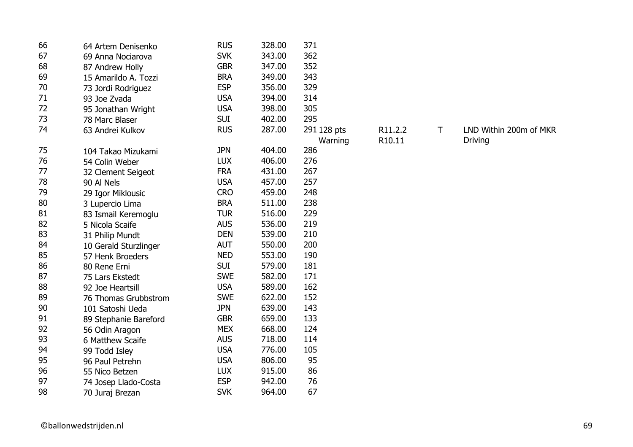| 66 | 64 Artem Denisenko    | <b>RUS</b> | 328.00 | 371         |         |   |                        |
|----|-----------------------|------------|--------|-------------|---------|---|------------------------|
| 67 | 69 Anna Nociarova     | <b>SVK</b> | 343.00 | 362         |         |   |                        |
| 68 | 87 Andrew Holly       | <b>GBR</b> | 347.00 | 352         |         |   |                        |
| 69 | 15 Amarildo A. Tozzi  | <b>BRA</b> | 349.00 | 343         |         |   |                        |
| 70 | 73 Jordi Rodriguez    | <b>ESP</b> | 356.00 | 329         |         |   |                        |
| 71 | 93 Joe Zvada          | <b>USA</b> | 394.00 | 314         |         |   |                        |
| 72 | 95 Jonathan Wright    | <b>USA</b> | 398.00 | 305         |         |   |                        |
| 73 | 78 Marc Blaser        | <b>SUI</b> | 402.00 | 295         |         |   |                        |
| 74 | 63 Andrei Kulkov      | <b>RUS</b> | 287.00 | 291 128 pts | R11.2.2 | Τ | LND Within 200m of MKR |
|    |                       |            |        | Warning     | R10.11  |   | <b>Driving</b>         |
| 75 | 104 Takao Mizukami    | <b>JPN</b> | 404.00 | 286         |         |   |                        |
| 76 | 54 Colin Weber        | <b>LUX</b> | 406.00 | 276         |         |   |                        |
| 77 | 32 Clement Seigeot    | <b>FRA</b> | 431.00 | 267         |         |   |                        |
| 78 | 90 Al Nels            | <b>USA</b> | 457.00 | 257         |         |   |                        |
| 79 | 29 Igor Miklousic     | <b>CRO</b> | 459.00 | 248         |         |   |                        |
| 80 | 3 Lupercio Lima       | <b>BRA</b> | 511.00 | 238         |         |   |                        |
| 81 | 83 Ismail Keremoglu   | <b>TUR</b> | 516.00 | 229         |         |   |                        |
| 82 | 5 Nicola Scaife       | <b>AUS</b> | 536.00 | 219         |         |   |                        |
| 83 | 31 Philip Mundt       | <b>DEN</b> | 539.00 | 210         |         |   |                        |
| 84 | 10 Gerald Sturzlinger | <b>AUT</b> | 550.00 | 200         |         |   |                        |
| 85 | 57 Henk Broeders      | <b>NED</b> | 553.00 | 190         |         |   |                        |
| 86 | 80 Rene Erni          | <b>SUI</b> | 579.00 | 181         |         |   |                        |
| 87 | 75 Lars Ekstedt       | <b>SWE</b> | 582.00 | 171         |         |   |                        |
| 88 | 92 Joe Heartsill      | <b>USA</b> | 589.00 | 162         |         |   |                        |
| 89 | 76 Thomas Grubbstrom  | <b>SWE</b> | 622.00 | 152         |         |   |                        |
| 90 | 101 Satoshi Ueda      | <b>JPN</b> | 639.00 | 143         |         |   |                        |
| 91 | 89 Stephanie Bareford | <b>GBR</b> | 659.00 | 133         |         |   |                        |
| 92 | 56 Odin Aragon        | <b>MEX</b> | 668.00 | 124         |         |   |                        |
| 93 | 6 Matthew Scaife      | <b>AUS</b> | 718.00 | 114         |         |   |                        |
| 94 | 99 Todd Isley         | <b>USA</b> | 776.00 | 105         |         |   |                        |
| 95 | 96 Paul Petrehn       | <b>USA</b> | 806.00 | 95          |         |   |                        |
| 96 | 55 Nico Betzen        | <b>LUX</b> | 915.00 | 86          |         |   |                        |
| 97 | 74 Josep Llado-Costa  | <b>ESP</b> | 942.00 | 76          |         |   |                        |
| 98 | 70 Juraj Brezan       | <b>SVK</b> | 964.00 | 67          |         |   |                        |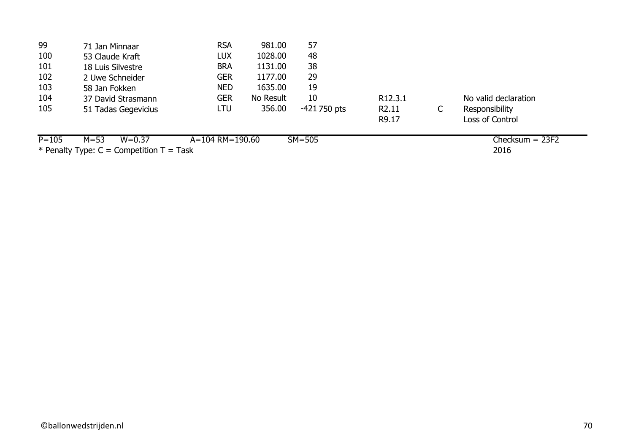| 99        | 71 Jan Minnaar                             | <b>RSA</b>      | 981.00    | 57             |                     |   |                      |
|-----------|--------------------------------------------|-----------------|-----------|----------------|---------------------|---|----------------------|
| 100       | 53 Claude Kraft                            | LUX             | 1028.00   | 48             |                     |   |                      |
| 101       | 18 Luis Silvestre                          | <b>BRA</b>      | 1131.00   | 38             |                     |   |                      |
| 102       | 2 Uwe Schneider                            | <b>GER</b>      | 1177.00   | 29             |                     |   |                      |
| 103       | 58 Jan Fokken                              | <b>NED</b>      | 1635.00   | 19             |                     |   |                      |
| 104       | 37 David Strasmann                         | <b>GER</b>      | No Result | 10             | R <sub>12.3.1</sub> |   | No valid declaration |
| 105       | 51 Tadas Gegevicius                        | LTU             | 356.00    | $-421$ 750 pts | R <sub>2.11</sub>   | C | Responsibility       |
|           |                                            |                 |           |                | R9.17               |   | Loss of Control      |
| $P = 105$ | $M = 53$<br>$W = 0.37$                     | A=104 RM=190.60 |           | $SM = 505$     |                     |   | $Checksum = 23F2$    |
|           | * Penalty Type: $C =$ Competition T = Task |                 |           |                |                     |   | 2016                 |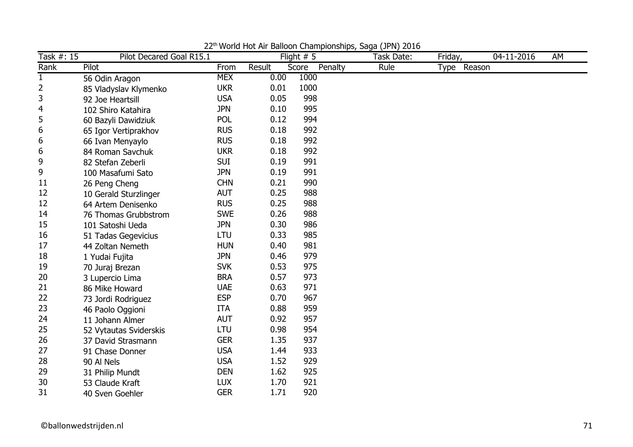| Task #: 15  | Pilot Decared Goal R15.1 |            |        | Flight $# 5$     | Task Date: | Friday,     | 04-11-2016 | AM |
|-------------|--------------------------|------------|--------|------------------|------------|-------------|------------|----|
| Rank        | Pilot                    | From       | Result | Penalty<br>Score | Rule       | Type Reason |            |    |
| $\mathbf 1$ | 56 Odin Aragon           | <b>MEX</b> | 0.00   | 1000             |            |             |            |    |
| 2           | 85 Vladyslav Klymenko    | <b>UKR</b> | 0.01   | 1000             |            |             |            |    |
| 3           | 92 Joe Heartsill         | <b>USA</b> | 0.05   | 998              |            |             |            |    |
| 4           | 102 Shiro Katahira       | <b>JPN</b> | 0.10   | 995              |            |             |            |    |
| 5           | 60 Bazyli Dawidziuk      | <b>POL</b> | 0.12   | 994              |            |             |            |    |
| 6           | 65 Igor Vertiprakhov     | <b>RUS</b> | 0.18   | 992              |            |             |            |    |
| 6           | 66 Ivan Menyaylo         | <b>RUS</b> | 0.18   | 992              |            |             |            |    |
| 6           | 84 Roman Savchuk         | <b>UKR</b> | 0.18   | 992              |            |             |            |    |
| 9           | 82 Stefan Zeberli        | <b>SUI</b> | 0.19   | 991              |            |             |            |    |
| 9           | 100 Masafumi Sato        | <b>JPN</b> | 0.19   | 991              |            |             |            |    |
| 11          | 26 Peng Cheng            | <b>CHN</b> | 0.21   | 990              |            |             |            |    |
| 12          | 10 Gerald Sturzlinger    | <b>AUT</b> | 0.25   | 988              |            |             |            |    |
| 12          | 64 Artem Denisenko       | <b>RUS</b> | 0.25   | 988              |            |             |            |    |
| 14          | 76 Thomas Grubbstrom     | <b>SWE</b> | 0.26   | 988              |            |             |            |    |
| 15          | 101 Satoshi Ueda         | <b>JPN</b> | 0.30   | 986              |            |             |            |    |
| 16          | 51 Tadas Gegevicius      | LTU        | 0.33   | 985              |            |             |            |    |
| 17          | 44 Zoltan Nemeth         | <b>HUN</b> | 0.40   | 981              |            |             |            |    |
| 18          | 1 Yudai Fujita           | <b>JPN</b> | 0.46   | 979              |            |             |            |    |
| 19          | 70 Juraj Brezan          | <b>SVK</b> | 0.53   | 975              |            |             |            |    |
| 20          | 3 Lupercio Lima          | <b>BRA</b> | 0.57   | 973              |            |             |            |    |
| 21          | 86 Mike Howard           | <b>UAE</b> | 0.63   | 971              |            |             |            |    |
| 22          | 73 Jordi Rodriguez       | <b>ESP</b> | 0.70   | 967              |            |             |            |    |
| 23          | 46 Paolo Oggioni         | <b>ITA</b> | 0.88   | 959              |            |             |            |    |
| 24          | 11 Johann Almer          | <b>AUT</b> | 0.92   | 957              |            |             |            |    |
| 25          | 52 Vytautas Sviderskis   | LTU        | 0.98   | 954              |            |             |            |    |
| 26          | 37 David Strasmann       | <b>GER</b> | 1.35   | 937              |            |             |            |    |
| 27          | 91 Chase Donner          | <b>USA</b> | 1.44   | 933              |            |             |            |    |
| 28          | 90 Al Nels               | <b>USA</b> | 1.52   | 929              |            |             |            |    |
| 29          | 31 Philip Mundt          | <b>DEN</b> | 1.62   | 925              |            |             |            |    |
| 30          | 53 Claude Kraft          | <b>LUX</b> | 1.70   | 921              |            |             |            |    |
| 31          | 40 Sven Goehler          | <b>GER</b> | 1.71   | 920              |            |             |            |    |

22<sup>th</sup> World Hot Air Balloon Championships, Saga (JPN) 2016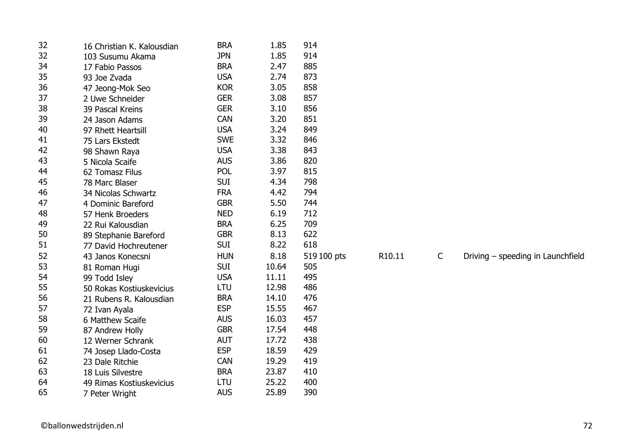| 32 | 16 Christian K. Kalousdian | <b>BRA</b> | 1.85  | 914         |        |              |                                   |
|----|----------------------------|------------|-------|-------------|--------|--------------|-----------------------------------|
| 32 | 103 Susumu Akama           | <b>JPN</b> | 1.85  | 914         |        |              |                                   |
| 34 | 17 Fabio Passos            | <b>BRA</b> | 2.47  | 885         |        |              |                                   |
| 35 | 93 Joe Zvada               | <b>USA</b> | 2.74  | 873         |        |              |                                   |
| 36 | 47 Jeong-Mok Seo           | <b>KOR</b> | 3.05  | 858         |        |              |                                   |
| 37 | 2 Uwe Schneider            | <b>GER</b> | 3.08  | 857         |        |              |                                   |
| 38 | 39 Pascal Kreins           | <b>GER</b> | 3.10  | 856         |        |              |                                   |
| 39 | 24 Jason Adams             | <b>CAN</b> | 3.20  | 851         |        |              |                                   |
| 40 | 97 Rhett Heartsill         | <b>USA</b> | 3.24  | 849         |        |              |                                   |
| 41 | 75 Lars Ekstedt            | <b>SWE</b> | 3.32  | 846         |        |              |                                   |
| 42 | 98 Shawn Raya              | <b>USA</b> | 3.38  | 843         |        |              |                                   |
| 43 | 5 Nicola Scaife            | <b>AUS</b> | 3.86  | 820         |        |              |                                   |
| 44 | 62 Tomasz Filus            | <b>POL</b> | 3.97  | 815         |        |              |                                   |
| 45 | 78 Marc Blaser             | <b>SUI</b> | 4.34  | 798         |        |              |                                   |
| 46 | 34 Nicolas Schwartz        | <b>FRA</b> | 4.42  | 794         |        |              |                                   |
| 47 | 4 Dominic Bareford         | <b>GBR</b> | 5.50  | 744         |        |              |                                   |
| 48 | 57 Henk Broeders           | <b>NED</b> | 6.19  | 712         |        |              |                                   |
| 49 | 22 Rui Kalousdian          | <b>BRA</b> | 6.25  | 709         |        |              |                                   |
| 50 | 89 Stephanie Bareford      | <b>GBR</b> | 8.13  | 622         |        |              |                                   |
| 51 | 77 David Hochreutener      | <b>SUI</b> | 8.22  | 618         |        |              |                                   |
| 52 | 43 Janos Konecsni          | <b>HUN</b> | 8.18  | 519 100 pts | R10.11 | $\mathsf{C}$ | Driving - speeding in Launchfield |
| 53 | 81 Roman Hugi              | <b>SUI</b> | 10.64 | 505         |        |              |                                   |
| 54 | 99 Todd Isley              | <b>USA</b> | 11.11 | 495         |        |              |                                   |
| 55 | 50 Rokas Kostiuskevicius   | LTU        | 12.98 | 486         |        |              |                                   |
| 56 | 21 Rubens R. Kalousdian    | <b>BRA</b> | 14.10 | 476         |        |              |                                   |
| 57 | 72 Ivan Ayala              | <b>ESP</b> | 15.55 | 467         |        |              |                                   |
| 58 | 6 Matthew Scaife           | <b>AUS</b> | 16.03 | 457         |        |              |                                   |
| 59 | 87 Andrew Holly            | <b>GBR</b> | 17.54 | 448         |        |              |                                   |
| 60 | 12 Werner Schrank          | <b>AUT</b> | 17.72 | 438         |        |              |                                   |
| 61 | 74 Josep Llado-Costa       | <b>ESP</b> | 18.59 | 429         |        |              |                                   |
| 62 | 23 Dale Ritchie            | <b>CAN</b> | 19.29 | 419         |        |              |                                   |
| 63 | 18 Luis Silvestre          | <b>BRA</b> | 23.87 | 410         |        |              |                                   |
| 64 | 49 Rimas Kostiuskevicius   | LTU        | 25.22 | 400         |        |              |                                   |
| 65 | 7 Peter Wright             | <b>AUS</b> | 25.89 | 390         |        |              |                                   |
|    |                            |            |       |             |        |              |                                   |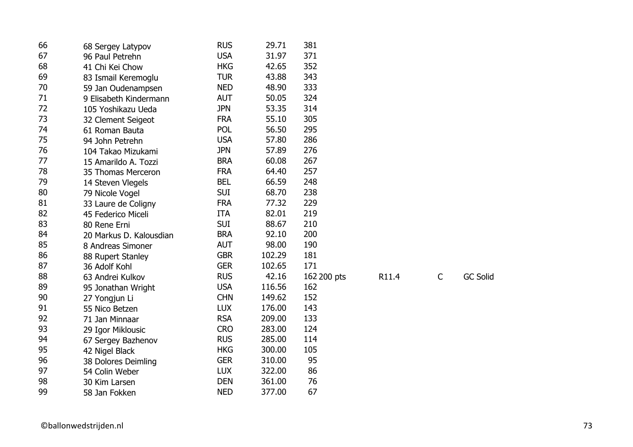| 66 | 68 Sergey Latypov       | <b>RUS</b> | 29.71  | 381         |       |             |                 |
|----|-------------------------|------------|--------|-------------|-------|-------------|-----------------|
| 67 | 96 Paul Petrehn         | <b>USA</b> | 31.97  | 371         |       |             |                 |
| 68 | 41 Chi Kei Chow         | <b>HKG</b> | 42.65  | 352         |       |             |                 |
| 69 | 83 Ismail Keremoglu     | <b>TUR</b> | 43.88  | 343         |       |             |                 |
| 70 | 59 Jan Oudenampsen      | <b>NED</b> | 48.90  | 333         |       |             |                 |
| 71 | 9 Elisabeth Kindermann  | <b>AUT</b> | 50.05  | 324         |       |             |                 |
| 72 | 105 Yoshikazu Ueda      | <b>JPN</b> | 53.35  | 314         |       |             |                 |
| 73 | 32 Clement Seigeot      | <b>FRA</b> | 55.10  | 305         |       |             |                 |
| 74 | 61 Roman Bauta          | <b>POL</b> | 56.50  | 295         |       |             |                 |
| 75 | 94 John Petrehn         | <b>USA</b> | 57.80  | 286         |       |             |                 |
| 76 | 104 Takao Mizukami      | <b>JPN</b> | 57.89  | 276         |       |             |                 |
| 77 | 15 Amarildo A. Tozzi    | <b>BRA</b> | 60.08  | 267         |       |             |                 |
| 78 | 35 Thomas Merceron      | <b>FRA</b> | 64.40  | 257         |       |             |                 |
| 79 | 14 Steven Vlegels       | <b>BEL</b> | 66.59  | 248         |       |             |                 |
| 80 | 79 Nicole Vogel         | <b>SUI</b> | 68.70  | 238         |       |             |                 |
| 81 | 33 Laure de Coligny     | <b>FRA</b> | 77.32  | 229         |       |             |                 |
| 82 | 45 Federico Miceli      | <b>ITA</b> | 82.01  | 219         |       |             |                 |
| 83 | 80 Rene Erni            | <b>SUI</b> | 88.67  | 210         |       |             |                 |
| 84 | 20 Markus D. Kalousdian | <b>BRA</b> | 92.10  | 200         |       |             |                 |
| 85 | 8 Andreas Simoner       | <b>AUT</b> | 98.00  | 190         |       |             |                 |
| 86 | 88 Rupert Stanley       | <b>GBR</b> | 102.29 | 181         |       |             |                 |
| 87 | 36 Adolf Kohl           | <b>GER</b> | 102.65 | 171         |       |             |                 |
| 88 | 63 Andrei Kulkov        | <b>RUS</b> | 42.16  | 162 200 pts | R11.4 | $\mathsf C$ | <b>GC Solid</b> |
| 89 | 95 Jonathan Wright      | <b>USA</b> | 116.56 | 162         |       |             |                 |
| 90 | 27 Yongjun Li           | <b>CHN</b> | 149.62 | 152         |       |             |                 |
| 91 | 55 Nico Betzen          | <b>LUX</b> | 176.00 | 143         |       |             |                 |
| 92 | 71 Jan Minnaar          | <b>RSA</b> | 209.00 | 133         |       |             |                 |
| 93 | 29 Igor Miklousic       | <b>CRO</b> | 283.00 | 124         |       |             |                 |
| 94 | 67 Sergey Bazhenov      | <b>RUS</b> | 285.00 | 114         |       |             |                 |
| 95 | 42 Nigel Black          | <b>HKG</b> | 300.00 | 105         |       |             |                 |
| 96 | 38 Dolores Deimling     | <b>GER</b> | 310.00 | 95          |       |             |                 |
| 97 | 54 Colin Weber          | <b>LUX</b> | 322.00 | 86          |       |             |                 |
| 98 | 30 Kim Larsen           | <b>DEN</b> | 361.00 | 76          |       |             |                 |
| 99 | 58 Jan Fokken           | <b>NED</b> | 377.00 | 67          |       |             |                 |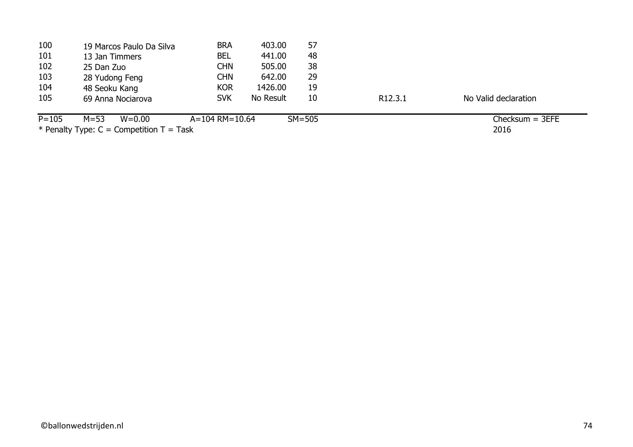| 100       | 19 Marcos Paulo Da Silva                | <b>BRA</b>           | 403.00    | 57       |                      |                      |
|-----------|-----------------------------------------|----------------------|-----------|----------|----------------------|----------------------|
| 101       | 13 Jan Timmers                          | <b>BEL</b>           | 441.00    | 48       |                      |                      |
| 102       | 25 Dan Zuo                              | CHN                  | 505.00    | 38       |                      |                      |
| 103       | 28 Yudong Feng                          | CHN                  | 642.00    | 29       |                      |                      |
| 104       | 48 Seoku Kang                           | <b>KOR</b>           | 1426.00   | 19       |                      |                      |
| 105       | 69 Anna Nociarova                       | <b>SVK</b>           | No Result | 10       | R <sub>12</sub> .3.1 | No Valid declaration |
| $P = 105$ | $M = 53$<br>$W = 0.00$                  | $A = 104$ RM = 10.64 |           | $SM=505$ |                      | $Checksum = 3EFE$    |
|           | $\sim$ $\sim$ $\sim$ $\sim$ $\sim$<br>. |                      |           |          |                      |                      |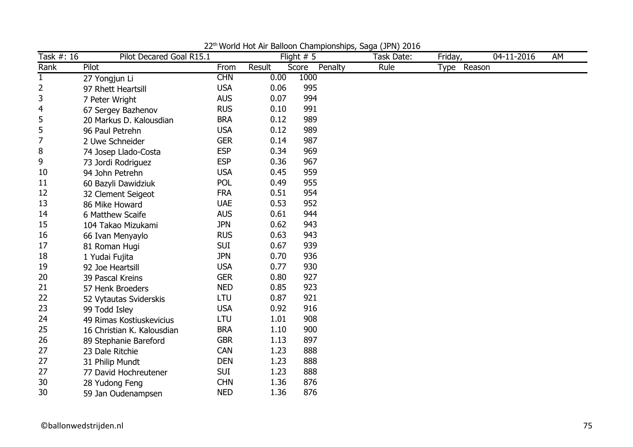| Task #: 16   | Pilot Decared Goal R15.1   |            |        | Flight $# 5$ |         | Task Date: | Friday,     | 04-11-2016 | AM |
|--------------|----------------------------|------------|--------|--------------|---------|------------|-------------|------------|----|
| Rank         | Pilot                      | From       | Result | Score        | Penalty | Rule       | Type Reason |            |    |
| $\mathbf{1}$ | 27 Yongjun Li              | <b>CHN</b> | 0.00   | 1000         |         |            |             |            |    |
| 2            | 97 Rhett Heartsill         | <b>USA</b> | 0.06   | 995          |         |            |             |            |    |
| 3            | 7 Peter Wright             | <b>AUS</b> | 0.07   | 994          |         |            |             |            |    |
| 4            | 67 Sergey Bazhenov         | <b>RUS</b> | 0.10   | 991          |         |            |             |            |    |
| 5            | 20 Markus D. Kalousdian    | <b>BRA</b> | 0.12   | 989          |         |            |             |            |    |
| 5            | 96 Paul Petrehn            | <b>USA</b> | 0.12   | 989          |         |            |             |            |    |
| 7            | 2 Uwe Schneider            | <b>GER</b> | 0.14   | 987          |         |            |             |            |    |
| 8            | 74 Josep Llado-Costa       | <b>ESP</b> | 0.34   | 969          |         |            |             |            |    |
| 9            | 73 Jordi Rodriguez         | <b>ESP</b> | 0.36   | 967          |         |            |             |            |    |
| 10           | 94 John Petrehn            | <b>USA</b> | 0.45   | 959          |         |            |             |            |    |
| 11           | 60 Bazyli Dawidziuk        | <b>POL</b> | 0.49   | 955          |         |            |             |            |    |
| 12           | 32 Clement Seigeot         | <b>FRA</b> | 0.51   | 954          |         |            |             |            |    |
| 13           | 86 Mike Howard             | <b>UAE</b> | 0.53   | 952          |         |            |             |            |    |
| 14           | 6 Matthew Scaife           | <b>AUS</b> | 0.61   | 944          |         |            |             |            |    |
| 15           | 104 Takao Mizukami         | <b>JPN</b> | 0.62   | 943          |         |            |             |            |    |
| 16           | 66 Ivan Menyaylo           | <b>RUS</b> | 0.63   | 943          |         |            |             |            |    |
| 17           | 81 Roman Hugi              | <b>SUI</b> | 0.67   | 939          |         |            |             |            |    |
| 18           | 1 Yudai Fujita             | <b>JPN</b> | 0.70   | 936          |         |            |             |            |    |
| 19           | 92 Joe Heartsill           | <b>USA</b> | 0.77   | 930          |         |            |             |            |    |
| 20           | 39 Pascal Kreins           | <b>GER</b> | 0.80   | 927          |         |            |             |            |    |
| 21           | 57 Henk Broeders           | <b>NED</b> | 0.85   | 923          |         |            |             |            |    |
| 22           | 52 Vytautas Sviderskis     | <b>LTU</b> | 0.87   | 921          |         |            |             |            |    |
| 23           | 99 Todd Isley              | <b>USA</b> | 0.92   | 916          |         |            |             |            |    |
| 24           | 49 Rimas Kostiuskevicius   | <b>LTU</b> | 1.01   | 908          |         |            |             |            |    |
| 25           | 16 Christian K. Kalousdian | <b>BRA</b> | 1.10   | 900          |         |            |             |            |    |
| 26           | 89 Stephanie Bareford      | <b>GBR</b> | 1.13   | 897          |         |            |             |            |    |
| 27           | 23 Dale Ritchie            | <b>CAN</b> | 1.23   | 888          |         |            |             |            |    |
| 27           | 31 Philip Mundt            | <b>DEN</b> | 1.23   | 888          |         |            |             |            |    |
| 27           | 77 David Hochreutener      | <b>SUI</b> | 1.23   | 888          |         |            |             |            |    |
| 30           | 28 Yudong Feng             | <b>CHN</b> | 1.36   | 876          |         |            |             |            |    |
| 30           | 59 Jan Oudenampsen         | <b>NED</b> | 1.36   | 876          |         |            |             |            |    |

22th World Hot Air Balloon Championships, Saga (JPN) 2016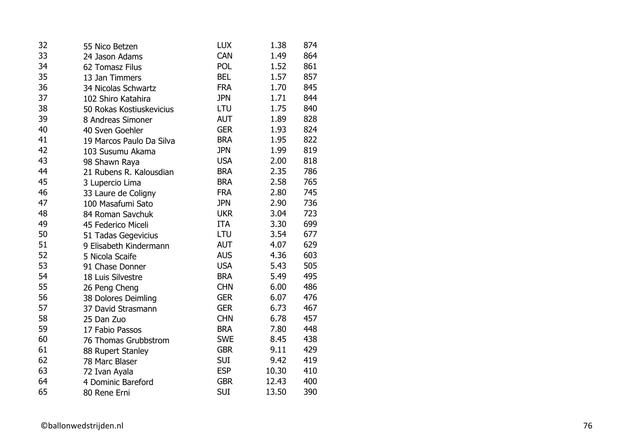| 32 | 55 Nico Betzen           | <b>LUX</b> | 1.38  | 874 |
|----|--------------------------|------------|-------|-----|
| 33 | 24 Jason Adams           | CAN        | 1.49  | 864 |
| 34 | 62 Tomasz Filus          | <b>POL</b> | 1.52  | 861 |
| 35 | 13 Jan Timmers           | <b>BEL</b> | 1.57  | 857 |
| 36 | 34 Nicolas Schwartz      | <b>FRA</b> | 1.70  | 845 |
| 37 | 102 Shiro Katahira       | <b>JPN</b> | 1.71  | 844 |
| 38 | 50 Rokas Kostiuskevicius | LTU        | 1.75  | 840 |
| 39 | 8 Andreas Simoner        | <b>AUT</b> | 1.89  | 828 |
| 40 | 40 Sven Goehler          | <b>GER</b> | 1.93  | 824 |
| 41 | 19 Marcos Paulo Da Silva | <b>BRA</b> | 1.95  | 822 |
| 42 | 103 Susumu Akama         | <b>JPN</b> | 1.99  | 819 |
| 43 | 98 Shawn Raya            | <b>USA</b> | 2.00  | 818 |
| 44 | 21 Rubens R. Kalousdian  | <b>BRA</b> | 2.35  | 786 |
| 45 | 3 Lupercio Lima          | <b>BRA</b> | 2.58  | 765 |
| 46 | 33 Laure de Coligny      | <b>FRA</b> | 2.80  | 745 |
| 47 | 100 Masafumi Sato        | <b>JPN</b> | 2.90  | 736 |
| 48 | 84 Roman Savchuk         | <b>UKR</b> | 3.04  | 723 |
| 49 | 45 Federico Miceli       | <b>ITA</b> | 3.30  | 699 |
| 50 | 51 Tadas Gegevicius      | LTU        | 3.54  | 677 |
| 51 | 9 Elisabeth Kindermann   | <b>AUT</b> | 4.07  | 629 |
| 52 | 5 Nicola Scaife          | <b>AUS</b> | 4.36  | 603 |
| 53 | 91 Chase Donner          | <b>USA</b> | 5.43  | 505 |
| 54 | 18 Luis Silvestre        | <b>BRA</b> | 5.49  | 495 |
| 55 | 26 Peng Cheng            | <b>CHN</b> | 6.00  | 486 |
| 56 | 38 Dolores Deimling      | <b>GER</b> | 6.07  | 476 |
| 57 | 37 David Strasmann       | <b>GER</b> | 6.73  | 467 |
| 58 | 25 Dan Zuo               | <b>CHN</b> | 6.78  | 457 |
| 59 | 17 Fabio Passos          | <b>BRA</b> | 7.80  | 448 |
| 60 | 76 Thomas Grubbstrom     | <b>SWE</b> | 8.45  | 438 |
| 61 | 88 Rupert Stanley        | <b>GBR</b> | 9.11  | 429 |
| 62 | 78 Marc Blaser           | <b>SUI</b> | 9.42  | 419 |
| 63 | 72 Ivan Ayala            | <b>ESP</b> | 10.30 | 410 |
| 64 | 4 Dominic Bareford       | <b>GBR</b> | 12.43 | 400 |
| 65 | 80 Rene Erni             | <b>SUI</b> | 13.50 | 390 |
|    |                          |            |       |     |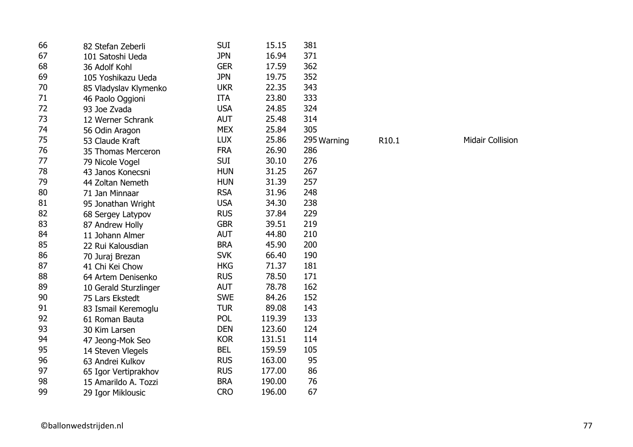| 66 | 82 Stefan Zeberli     | <b>SUI</b> | 15.15  | 381         |                   |
|----|-----------------------|------------|--------|-------------|-------------------|
| 67 | 101 Satoshi Ueda      | <b>JPN</b> | 16.94  | 371         |                   |
| 68 | 36 Adolf Kohl         | <b>GER</b> | 17.59  | 362         |                   |
| 69 | 105 Yoshikazu Ueda    | <b>JPN</b> | 19.75  | 352         |                   |
| 70 | 85 Vladyslav Klymenko | <b>UKR</b> | 22.35  | 343         |                   |
| 71 | 46 Paolo Oggioni      | <b>ITA</b> | 23.80  | 333         |                   |
| 72 | 93 Joe Zvada          | <b>USA</b> | 24.85  | 324         |                   |
| 73 | 12 Werner Schrank     | <b>AUT</b> | 25.48  | 314         |                   |
| 74 | 56 Odin Aragon        | <b>MEX</b> | 25.84  | 305         |                   |
| 75 | 53 Claude Kraft       | <b>LUX</b> | 25.86  | 295 Warning | R <sub>10.1</sub> |
| 76 | 35 Thomas Merceron    | <b>FRA</b> | 26.90  | 286         |                   |
| 77 | 79 Nicole Vogel       | <b>SUI</b> | 30.10  | 276         |                   |
| 78 | 43 Janos Konecsni     | <b>HUN</b> | 31.25  | 267         |                   |
| 79 | 44 Zoltan Nemeth      | <b>HUN</b> | 31.39  | 257         |                   |
| 80 | 71 Jan Minnaar        | <b>RSA</b> | 31.96  | 248         |                   |
| 81 | 95 Jonathan Wright    | <b>USA</b> | 34.30  | 238         |                   |
| 82 | 68 Sergey Latypov     | <b>RUS</b> | 37.84  | 229         |                   |
| 83 | 87 Andrew Holly       | <b>GBR</b> | 39.51  | 219         |                   |
| 84 | 11 Johann Almer       | <b>AUT</b> | 44.80  | 210         |                   |
| 85 | 22 Rui Kalousdian     | <b>BRA</b> | 45.90  | 200         |                   |
| 86 | 70 Juraj Brezan       | <b>SVK</b> | 66.40  | 190         |                   |
| 87 | 41 Chi Kei Chow       | <b>HKG</b> | 71.37  | 181         |                   |
| 88 | 64 Artem Denisenko    | <b>RUS</b> | 78.50  | 171         |                   |
| 89 | 10 Gerald Sturzlinger | <b>AUT</b> | 78.78  | 162         |                   |
| 90 | 75 Lars Ekstedt       | <b>SWE</b> | 84.26  | 152         |                   |
| 91 | 83 Ismail Keremoglu   | <b>TUR</b> | 89.08  | 143         |                   |
| 92 | 61 Roman Bauta        | POL        | 119.39 | 133         |                   |
| 93 | 30 Kim Larsen         | <b>DEN</b> | 123.60 | 124         |                   |
| 94 | 47 Jeong-Mok Seo      | <b>KOR</b> | 131.51 | 114         |                   |
| 95 | 14 Steven Vlegels     | <b>BEL</b> | 159.59 | 105         |                   |
| 96 | 63 Andrei Kulkov      | <b>RUS</b> | 163.00 | 95          |                   |
| 97 | 65 Igor Vertiprakhov  | <b>RUS</b> | 177.00 | 86          |                   |
| 98 | 15 Amarildo A. Tozzi  | <b>BRA</b> | 190.00 | 76          |                   |
| 99 | 29 Igor Miklousic     | <b>CRO</b> | 196.00 | 67          |                   |

10.1 Midair Collision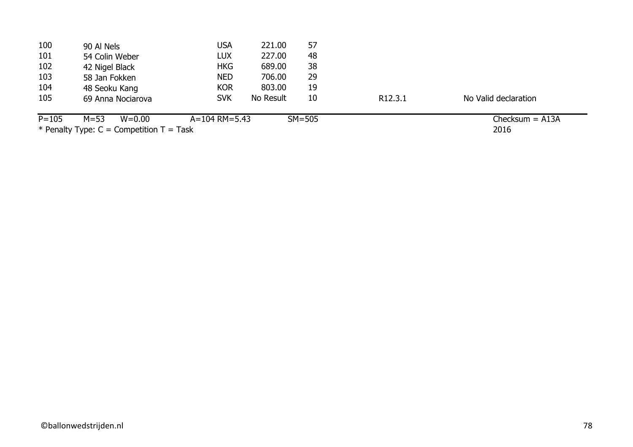| 100       | 90 Al Nels                                                            | USA               | 221.00    | 57       |                     |                      |
|-----------|-----------------------------------------------------------------------|-------------------|-----------|----------|---------------------|----------------------|
| 101       | 54 Colin Weber                                                        | <b>LUX</b>        | 227.00    | 48       |                     |                      |
| 102       | 42 Nigel Black                                                        | <b>HKG</b>        | 689.00    | 38       |                     |                      |
| 103       | 58 Jan Fokken                                                         | <b>NED</b>        | 706.00    | 29       |                     |                      |
| 104       | 48 Seoku Kang                                                         | <b>KOR</b>        | 803.00    | 19       |                     |                      |
| 105       | 69 Anna Nociarova                                                     | <b>SVK</b>        | No Result | 10       | R <sub>12.3.1</sub> | No Valid declaration |
| $P = 105$ | $M = 53$<br>$W = 0.00$                                                | $A = 104$ RM=5.43 |           | $SM=505$ |                     | Checksum $=$ A13A    |
|           | $\mathcal{L}$ is the set of $\mathcal{L}$ in the set of $\mathcal{L}$ | $\sim$ $\sim$     |           |          |                     | $\sim$ $\sim$        |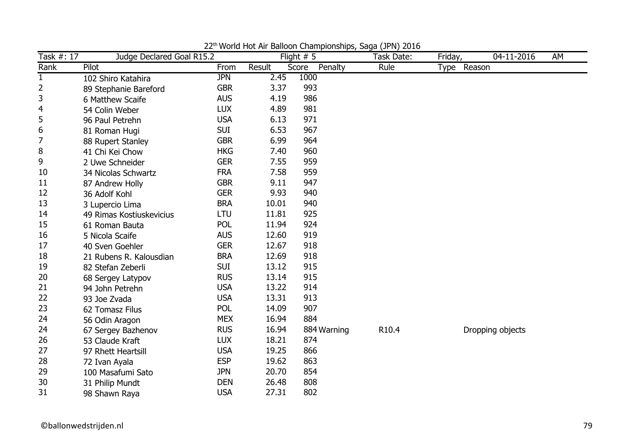| Task $#: \overline{17}$ | Judge Declared Goal R15.2 |            |        | World Hoczin Balloon Championships, saga (31 H) 2010<br>Flight $# 5$ | Task Date: | Friday,               | 04-11-2016 | AM |
|-------------------------|---------------------------|------------|--------|----------------------------------------------------------------------|------------|-----------------------|------------|----|
| Rank                    | Pilot                     | From       | Result | Score<br>Penalty                                                     | Rule       | Reason<br><b>Type</b> |            |    |
| $\mathbf{1}$            | 102 Shiro Katahira        | <b>JPN</b> | 2.45   | 1000                                                                 |            |                       |            |    |
| $\overline{2}$          | 89 Stephanie Bareford     | <b>GBR</b> | 3.37   | 993                                                                  |            |                       |            |    |
| 3                       | 6 Matthew Scaife          | <b>AUS</b> | 4.19   | 986                                                                  |            |                       |            |    |
| $\overline{4}$          | 54 Colin Weber            | <b>LUX</b> | 4.89   | 981                                                                  |            |                       |            |    |
| 5                       | 96 Paul Petrehn           | <b>USA</b> | 6.13   | 971                                                                  |            |                       |            |    |
| 6                       | 81 Roman Hugi             | <b>SUI</b> | 6.53   | 967                                                                  |            |                       |            |    |
| 7                       | 88 Rupert Stanley         | <b>GBR</b> | 6.99   | 964                                                                  |            |                       |            |    |
| 8                       | 41 Chi Kei Chow           | <b>HKG</b> | 7.40   | 960                                                                  |            |                       |            |    |
| 9                       | 2 Uwe Schneider           | <b>GER</b> | 7.55   | 959                                                                  |            |                       |            |    |
| 10                      | 34 Nicolas Schwartz       | <b>FRA</b> | 7.58   | 959                                                                  |            |                       |            |    |
| 11                      | 87 Andrew Holly           | <b>GBR</b> | 9.11   | 947                                                                  |            |                       |            |    |
| 12                      | 36 Adolf Kohl             | <b>GER</b> | 9.93   | 940                                                                  |            |                       |            |    |
| 13                      | 3 Lupercio Lima           | <b>BRA</b> | 10.01  | 940                                                                  |            |                       |            |    |
| 14                      | 49 Rimas Kostiuskevicius  | LTU        | 11.81  | 925                                                                  |            |                       |            |    |
| 15                      | 61 Roman Bauta            | <b>POL</b> | 11.94  | 924                                                                  |            |                       |            |    |
| 16                      | 5 Nicola Scaife           | <b>AUS</b> | 12.60  | 919                                                                  |            |                       |            |    |
| 17                      | 40 Sven Goehler           | <b>GER</b> | 12.67  | 918                                                                  |            |                       |            |    |
| 18                      | 21 Rubens R. Kalousdian   | <b>BRA</b> | 12.69  | 918                                                                  |            |                       |            |    |
| 19                      | 82 Stefan Zeberli         | <b>SUI</b> | 13.12  | 915                                                                  |            |                       |            |    |
| 20                      | 68 Sergey Latypov         | <b>RUS</b> | 13.14  | 915                                                                  |            |                       |            |    |
| 21                      | 94 John Petrehn           | <b>USA</b> | 13.22  | 914                                                                  |            |                       |            |    |
| 22                      | 93 Joe Zvada              | <b>USA</b> | 13.31  | 913                                                                  |            |                       |            |    |
| 23                      | 62 Tomasz Filus           | POL        | 14.09  | 907                                                                  |            |                       |            |    |
| 24                      | 56 Odin Aragon            | <b>MEX</b> | 16.94  | 884                                                                  |            |                       |            |    |
| 24                      | 67 Sergey Bazhenov        | <b>RUS</b> | 16.94  | 884 Warning                                                          | R10.4      | Dropping objects      |            |    |
| 26                      | 53 Claude Kraft           | <b>LUX</b> | 18.21  | 874                                                                  |            |                       |            |    |
| 27                      | 97 Rhett Heartsill        | <b>USA</b> | 19.25  | 866                                                                  |            |                       |            |    |
| 28                      | 72 Ivan Ayala             | <b>ESP</b> | 19.62  | 863                                                                  |            |                       |            |    |
| 29                      | 100 Masafumi Sato         | <b>JPN</b> | 20.70  | 854                                                                  |            |                       |            |    |
| 30                      | 31 Philip Mundt           | <b>DEN</b> | 26.48  | 808                                                                  |            |                       |            |    |
| 31                      | 98 Shawn Raya             | <b>USA</b> | 27.31  | 802                                                                  |            |                       |            |    |

22th World Hot Air Balloon Championships, Saga (JPN) 2016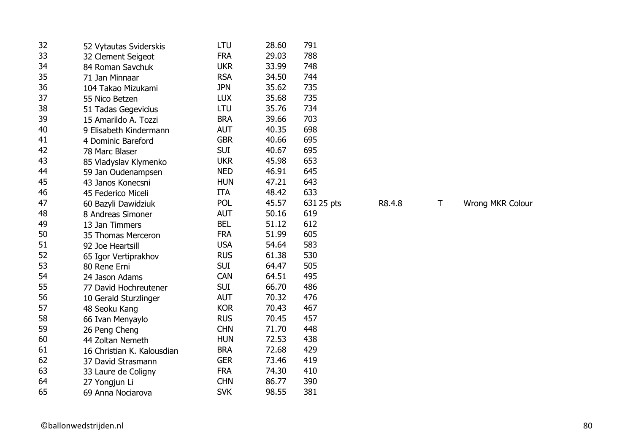| 32 |                            | LTU        | 28.60 | 791        |        |   |   |
|----|----------------------------|------------|-------|------------|--------|---|---|
| 33 | 52 Vytautas Sviderskis     | <b>FRA</b> | 29.03 | 788        |        |   |   |
| 34 | 32 Clement Seigeot         | <b>UKR</b> | 33.99 | 748        |        |   |   |
| 35 | 84 Roman Savchuk           |            |       |            |        |   |   |
| 36 | 71 Jan Minnaar             | <b>RSA</b> | 34.50 | 744        |        |   |   |
|    | 104 Takao Mizukami         | <b>JPN</b> | 35.62 | 735        |        |   |   |
| 37 | 55 Nico Betzen             | <b>LUX</b> | 35.68 | 735        |        |   |   |
| 38 | 51 Tadas Gegevicius        | LTU        | 35.76 | 734        |        |   |   |
| 39 | 15 Amarildo A. Tozzi       | <b>BRA</b> | 39.66 | 703        |        |   |   |
| 40 | 9 Elisabeth Kindermann     | <b>AUT</b> | 40.35 | 698        |        |   |   |
| 41 | 4 Dominic Bareford         | <b>GBR</b> | 40.66 | 695        |        |   |   |
| 42 | 78 Marc Blaser             | <b>SUI</b> | 40.67 | 695        |        |   |   |
| 43 | 85 Vladyslav Klymenko      | <b>UKR</b> | 45.98 | 653        |        |   |   |
| 44 | 59 Jan Oudenampsen         | <b>NED</b> | 46.91 | 645        |        |   |   |
| 45 | 43 Janos Konecsni          | <b>HUN</b> | 47.21 | 643        |        |   |   |
| 46 | 45 Federico Miceli         | ITA        | 48.42 | 633        |        |   |   |
| 47 | 60 Bazyli Dawidziuk        | <b>POL</b> | 45.57 | 631 25 pts | R8.4.8 | Τ | W |
| 48 | 8 Andreas Simoner          | <b>AUT</b> | 50.16 | 619        |        |   |   |
| 49 | 13 Jan Timmers             | <b>BEL</b> | 51.12 | 612        |        |   |   |
| 50 | 35 Thomas Merceron         | <b>FRA</b> | 51.99 | 605        |        |   |   |
| 51 | 92 Joe Heartsill           | <b>USA</b> | 54.64 | 583        |        |   |   |
| 52 | 65 Igor Vertiprakhov       | <b>RUS</b> | 61.38 | 530        |        |   |   |
| 53 | 80 Rene Erni               | <b>SUI</b> | 64.47 | 505        |        |   |   |
| 54 | 24 Jason Adams             | <b>CAN</b> | 64.51 | 495        |        |   |   |
| 55 | 77 David Hochreutener      | <b>SUI</b> | 66.70 | 486        |        |   |   |
| 56 | 10 Gerald Sturzlinger      | <b>AUT</b> | 70.32 | 476        |        |   |   |
| 57 | 48 Seoku Kang              | <b>KOR</b> | 70.43 | 467        |        |   |   |
| 58 | 66 Ivan Menyaylo           | <b>RUS</b> | 70.45 | 457        |        |   |   |
| 59 | 26 Peng Cheng              | <b>CHN</b> | 71.70 | 448        |        |   |   |
| 60 | 44 Zoltan Nemeth           | <b>HUN</b> | 72.53 | 438        |        |   |   |
| 61 | 16 Christian K. Kalousdian | <b>BRA</b> | 72.68 | 429        |        |   |   |
| 62 | 37 David Strasmann         | <b>GER</b> | 73.46 | 419        |        |   |   |
| 63 | 33 Laure de Coligny        | <b>FRA</b> | 74.30 | 410        |        |   |   |
| 64 | 27 Yongjun Li              | <b>CHN</b> | 86.77 | 390        |        |   |   |
| 65 | 69 Anna Nociarova          | <b>SVK</b> | 98.55 | 381        |        |   |   |
|    |                            |            |       |            |        |   |   |

Vrong MKR Colour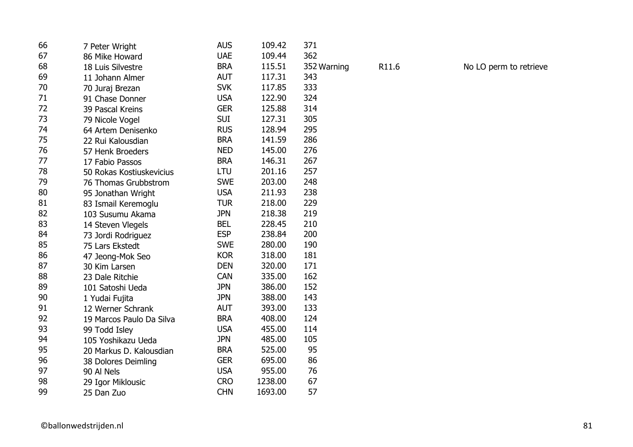| 66 | 7 Peter Wright           | <b>AUS</b> | 109.42  | 371         |       |                        |
|----|--------------------------|------------|---------|-------------|-------|------------------------|
| 67 | 86 Mike Howard           | <b>UAE</b> | 109.44  | 362         |       |                        |
| 68 | 18 Luis Silvestre        | <b>BRA</b> | 115.51  | 352 Warning | R11.6 | No LO perm to retrieve |
| 69 | 11 Johann Almer          | <b>AUT</b> | 117.31  | 343         |       |                        |
| 70 | 70 Juraj Brezan          | <b>SVK</b> | 117.85  | 333         |       |                        |
| 71 | 91 Chase Donner          | <b>USA</b> | 122.90  | 324         |       |                        |
| 72 | 39 Pascal Kreins         | <b>GER</b> | 125.88  | 314         |       |                        |
| 73 | 79 Nicole Vogel          | <b>SUI</b> | 127.31  | 305         |       |                        |
| 74 | 64 Artem Denisenko       | <b>RUS</b> | 128.94  | 295         |       |                        |
| 75 | 22 Rui Kalousdian        | <b>BRA</b> | 141.59  | 286         |       |                        |
| 76 | 57 Henk Broeders         | <b>NED</b> | 145.00  | 276         |       |                        |
| 77 | 17 Fabio Passos          | <b>BRA</b> | 146.31  | 267         |       |                        |
| 78 | 50 Rokas Kostiuskevicius | LTU        | 201.16  | 257         |       |                        |
| 79 | 76 Thomas Grubbstrom     | <b>SWE</b> | 203.00  | 248         |       |                        |
| 80 | 95 Jonathan Wright       | <b>USA</b> | 211.93  | 238         |       |                        |
| 81 | 83 Ismail Keremoglu      | <b>TUR</b> | 218.00  | 229         |       |                        |
| 82 | 103 Susumu Akama         | <b>JPN</b> | 218.38  | 219         |       |                        |
| 83 | 14 Steven Vlegels        | <b>BEL</b> | 228.45  | 210         |       |                        |
| 84 | 73 Jordi Rodriguez       | <b>ESP</b> | 238.84  | 200         |       |                        |
| 85 | 75 Lars Ekstedt          | <b>SWE</b> | 280.00  | 190         |       |                        |
| 86 | 47 Jeong-Mok Seo         | <b>KOR</b> | 318.00  | 181         |       |                        |
| 87 | 30 Kim Larsen            | <b>DEN</b> | 320.00  | 171         |       |                        |
| 88 | 23 Dale Ritchie          | CAN        | 335.00  | 162         |       |                        |
| 89 | 101 Satoshi Ueda         | <b>JPN</b> | 386.00  | 152         |       |                        |
| 90 | 1 Yudai Fujita           | <b>JPN</b> | 388.00  | 143         |       |                        |
| 91 | 12 Werner Schrank        | <b>AUT</b> | 393.00  | 133         |       |                        |
| 92 | 19 Marcos Paulo Da Silva | <b>BRA</b> | 408.00  | 124         |       |                        |
| 93 | 99 Todd Isley            | <b>USA</b> | 455.00  | 114         |       |                        |
| 94 | 105 Yoshikazu Ueda       | <b>JPN</b> | 485.00  | 105         |       |                        |
| 95 | 20 Markus D. Kalousdian  | <b>BRA</b> | 525.00  | 95          |       |                        |
| 96 | 38 Dolores Deimling      | <b>GER</b> | 695.00  | 86          |       |                        |
| 97 | 90 Al Nels               | <b>USA</b> | 955.00  | 76          |       |                        |
| 98 | 29 Igor Miklousic        | <b>CRO</b> | 1238.00 | 67          |       |                        |
| 99 | 25 Dan Zuo               | <b>CHN</b> | 1693.00 | 57          |       |                        |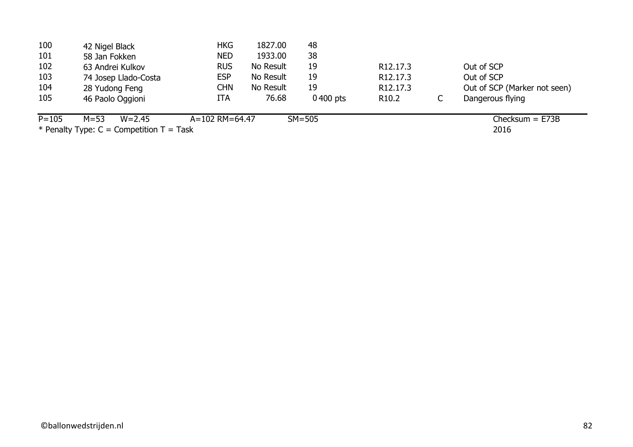| 42 Nigel Black         | HKG            | 1827.00   | 48             |                       |                              |
|------------------------|----------------|-----------|----------------|-----------------------|------------------------------|
| 58 Jan Fokken          | <b>NED</b>     | 1933.00   | 38             |                       |                              |
| 63 Andrei Kulkov       | <b>RUS</b>     | No Result | 19             | R <sub>12</sub> .17.3 | Out of SCP                   |
| 74 Josep Llado-Costa   | <b>ESP</b>     | No Result | 19             | R12.17.3              | Out of SCP                   |
|                        | CHN            | No Result | 19             | R <sub>12</sub> .17.3 | Out of SCP (Marker not seen) |
| 46 Paolo Oggioni       | ITA            | 76.68     | $0,400$ pts    | R <sub>10.2</sub>     | Dangerous flying             |
| $M = 53$<br>$W = 2.45$ |                |           |                |                       | $Checking = E73B$            |
|                        | 28 Yudong Feng |           | A=102 RM=64.47 | $SM=505$              |                              |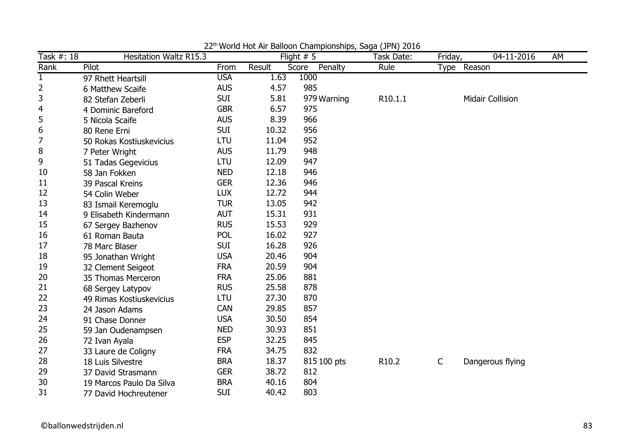| Task $\#$ : $\overline{18}$ | <b>Hesitation Waltz R15.3</b> |            |        | world not his balloon championships, saga (31 H) 2010<br>Flight $# 5$ | Task Date: | Friday,      | 04-11-2016              | AM |
|-----------------------------|-------------------------------|------------|--------|-----------------------------------------------------------------------|------------|--------------|-------------------------|----|
| Rank                        | Pilot                         | From       | Result | Score<br>Penalty                                                      | Rule       | Type         | Reason                  |    |
| $\mathbf{1}$                | 97 Rhett Heartsill            | <b>USA</b> | 1.63   | 1000                                                                  |            |              |                         |    |
| 2                           | 6 Matthew Scaife              | <b>AUS</b> | 4.57   | 985                                                                   |            |              |                         |    |
| 3                           | 82 Stefan Zeberli             | <b>SUI</b> | 5.81   | 979 Warning                                                           | R10.1.1    |              | <b>Midair Collision</b> |    |
| $\overline{4}$              | 4 Dominic Bareford            | <b>GBR</b> | 6.57   | 975                                                                   |            |              |                         |    |
| 5                           | 5 Nicola Scaife               | <b>AUS</b> | 8.39   | 966                                                                   |            |              |                         |    |
| 6                           | 80 Rene Erni                  | <b>SUI</b> | 10.32  | 956                                                                   |            |              |                         |    |
| 7                           | 50 Rokas Kostiuskevicius      | LTU        | 11.04  | 952                                                                   |            |              |                         |    |
| 8                           | 7 Peter Wright                | <b>AUS</b> | 11.79  | 948                                                                   |            |              |                         |    |
| 9                           | 51 Tadas Gegevicius           | <b>LTU</b> | 12.09  | 947                                                                   |            |              |                         |    |
| 10                          | 58 Jan Fokken                 | <b>NED</b> | 12.18  | 946                                                                   |            |              |                         |    |
| 11                          | 39 Pascal Kreins              | <b>GER</b> | 12.36  | 946                                                                   |            |              |                         |    |
| 12                          | 54 Colin Weber                | <b>LUX</b> | 12.72  | 944                                                                   |            |              |                         |    |
| 13                          | 83 Ismail Keremoglu           | <b>TUR</b> | 13.05  | 942                                                                   |            |              |                         |    |
| 14                          | 9 Elisabeth Kindermann        | <b>AUT</b> | 15.31  | 931                                                                   |            |              |                         |    |
| 15                          | 67 Sergey Bazhenov            | <b>RUS</b> | 15.53  | 929                                                                   |            |              |                         |    |
| 16                          | 61 Roman Bauta                | <b>POL</b> | 16.02  | 927                                                                   |            |              |                         |    |
| 17                          | 78 Marc Blaser                | <b>SUI</b> | 16.28  | 926                                                                   |            |              |                         |    |
| 18                          | 95 Jonathan Wright            | <b>USA</b> | 20.46  | 904                                                                   |            |              |                         |    |
| 19                          | 32 Clement Seigeot            | <b>FRA</b> | 20.59  | 904                                                                   |            |              |                         |    |
| 20                          | 35 Thomas Merceron            | <b>FRA</b> | 25.06  | 881                                                                   |            |              |                         |    |
| 21                          | 68 Sergey Latypov             | <b>RUS</b> | 25.58  | 878                                                                   |            |              |                         |    |
| 22                          | 49 Rimas Kostiuskevicius      | LTU        | 27.30  | 870                                                                   |            |              |                         |    |
| 23                          | 24 Jason Adams                | <b>CAN</b> | 29.85  | 857                                                                   |            |              |                         |    |
| 24                          | 91 Chase Donner               | <b>USA</b> | 30.50  | 854                                                                   |            |              |                         |    |
| 25                          | 59 Jan Oudenampsen            | <b>NED</b> | 30.93  | 851                                                                   |            |              |                         |    |
| 26                          | 72 Ivan Ayala                 | <b>ESP</b> | 32.25  | 845                                                                   |            |              |                         |    |
| 27                          | 33 Laure de Coligny           | <b>FRA</b> | 34.75  | 832                                                                   |            |              |                         |    |
| 28                          | 18 Luis Silvestre             | <b>BRA</b> | 18.37  | 815 100 pts                                                           | R10.2      | $\mathsf{C}$ | Dangerous flying        |    |
| 29                          | 37 David Strasmann            | <b>GER</b> | 38.72  | 812                                                                   |            |              |                         |    |
| 30                          | 19 Marcos Paulo Da Silva      | <b>BRA</b> | 40.16  | 804                                                                   |            |              |                         |    |
| 31                          | 77 David Hochreutener         | <b>SUI</b> | 40.42  | 803                                                                   |            |              |                         |    |

22th World Hot Air Balloon Championships, Saga (JPN) 2016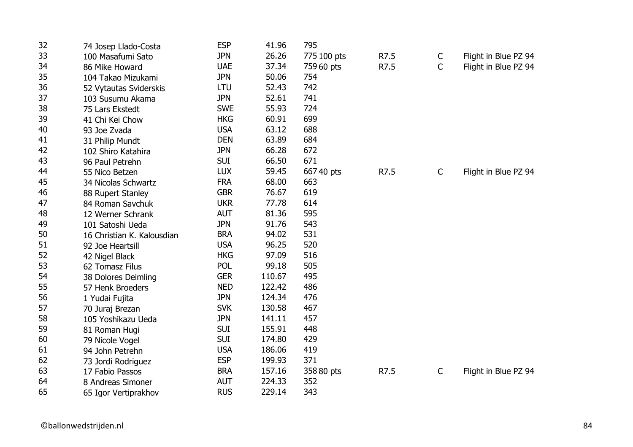| 32 | 74 Josep Llado-Costa       | <b>ESP</b> | 41.96  | 795         |      |              |                      |
|----|----------------------------|------------|--------|-------------|------|--------------|----------------------|
| 33 | 100 Masafumi Sato          | <b>JPN</b> | 26.26  | 775 100 pts | R7.5 | C            | Flight in Blue PZ 94 |
| 34 | 86 Mike Howard             | <b>UAE</b> | 37.34  | 759 60 pts  | R7.5 | C            | Flight in Blue PZ 94 |
| 35 | 104 Takao Mizukami         | <b>JPN</b> | 50.06  | 754         |      |              |                      |
| 36 | 52 Vytautas Sviderskis     | LTU        | 52.43  | 742         |      |              |                      |
| 37 | 103 Susumu Akama           | <b>JPN</b> | 52.61  | 741         |      |              |                      |
| 38 | 75 Lars Ekstedt            | <b>SWE</b> | 55.93  | 724         |      |              |                      |
| 39 | 41 Chi Kei Chow            | <b>HKG</b> | 60.91  | 699         |      |              |                      |
| 40 | 93 Joe Zvada               | <b>USA</b> | 63.12  | 688         |      |              |                      |
| 41 | 31 Philip Mundt            | <b>DEN</b> | 63.89  | 684         |      |              |                      |
| 42 | 102 Shiro Katahira         | <b>JPN</b> | 66.28  | 672         |      |              |                      |
| 43 | 96 Paul Petrehn            | <b>SUI</b> | 66.50  | 671         |      |              |                      |
| 44 | 55 Nico Betzen             | <b>LUX</b> | 59.45  | 667 40 pts  | R7.5 | C            | Flight in Blue PZ 94 |
| 45 | 34 Nicolas Schwartz        | <b>FRA</b> | 68.00  | 663         |      |              |                      |
| 46 | 88 Rupert Stanley          | <b>GBR</b> | 76.67  | 619         |      |              |                      |
| 47 | 84 Roman Savchuk           | <b>UKR</b> | 77.78  | 614         |      |              |                      |
| 48 | 12 Werner Schrank          | <b>AUT</b> | 81.36  | 595         |      |              |                      |
| 49 | 101 Satoshi Ueda           | <b>JPN</b> | 91.76  | 543         |      |              |                      |
| 50 | 16 Christian K. Kalousdian | <b>BRA</b> | 94.02  | 531         |      |              |                      |
| 51 | 92 Joe Heartsill           | <b>USA</b> | 96.25  | 520         |      |              |                      |
| 52 | 42 Nigel Black             | <b>HKG</b> | 97.09  | 516         |      |              |                      |
| 53 | 62 Tomasz Filus            | <b>POL</b> | 99.18  | 505         |      |              |                      |
| 54 | 38 Dolores Deimling        | <b>GER</b> | 110.67 | 495         |      |              |                      |
| 55 | 57 Henk Broeders           | <b>NED</b> | 122.42 | 486         |      |              |                      |
| 56 | 1 Yudai Fujita             | <b>JPN</b> | 124.34 | 476         |      |              |                      |
| 57 | 70 Juraj Brezan            | <b>SVK</b> | 130.58 | 467         |      |              |                      |
| 58 | 105 Yoshikazu Ueda         | <b>JPN</b> | 141.11 | 457         |      |              |                      |
| 59 | 81 Roman Hugi              | <b>SUI</b> | 155.91 | 448         |      |              |                      |
| 60 | 79 Nicole Vogel            | <b>SUI</b> | 174.80 | 429         |      |              |                      |
| 61 | 94 John Petrehn            | <b>USA</b> | 186.06 | 419         |      |              |                      |
| 62 | 73 Jordi Rodriguez         | <b>ESP</b> | 199.93 | 371         |      |              |                      |
| 63 | 17 Fabio Passos            | <b>BRA</b> | 157.16 | 358 80 pts  | R7.5 | $\mathsf{C}$ | Flight in Blue PZ 94 |
| 64 | 8 Andreas Simoner          | <b>AUT</b> | 224.33 | 352         |      |              |                      |
| 65 | 65 Igor Vertiprakhov       | <b>RUS</b> | 229.14 | 343         |      |              |                      |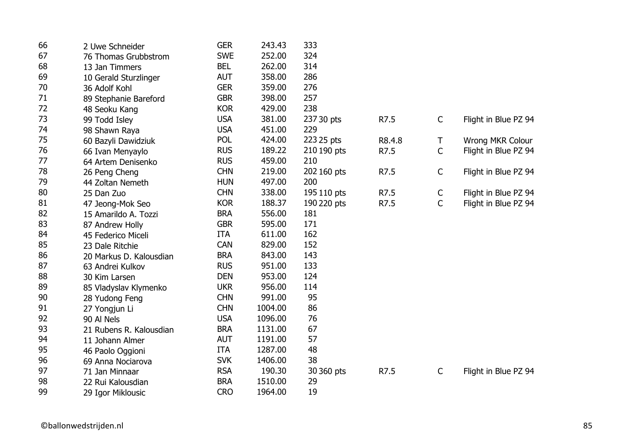| 66 | 2 Uwe Schneider         | <b>GER</b> | 243.43  | 333         |        |             |                      |
|----|-------------------------|------------|---------|-------------|--------|-------------|----------------------|
| 67 | 76 Thomas Grubbstrom    | <b>SWE</b> | 252.00  | 324         |        |             |                      |
| 68 | 13 Jan Timmers          | <b>BEL</b> | 262.00  | 314         |        |             |                      |
| 69 | 10 Gerald Sturzlinger   | <b>AUT</b> | 358.00  | 286         |        |             |                      |
| 70 | 36 Adolf Kohl           | <b>GER</b> | 359.00  | 276         |        |             |                      |
| 71 | 89 Stephanie Bareford   | <b>GBR</b> | 398.00  | 257         |        |             |                      |
| 72 | 48 Seoku Kang           | <b>KOR</b> | 429.00  | 238         |        |             |                      |
| 73 | 99 Todd Isley           | <b>USA</b> | 381.00  | 237 30 pts  | R7.5   | $\mathsf C$ | Flight in Blue PZ 94 |
| 74 | 98 Shawn Raya           | <b>USA</b> | 451.00  | 229         |        |             |                      |
| 75 | 60 Bazyli Dawidziuk     | <b>POL</b> | 424.00  | 223 25 pts  | R8.4.8 | Τ           | Wrong MKR Colour     |
| 76 | 66 Ivan Menyaylo        | <b>RUS</b> | 189.22  | 210 190 pts | R7.5   | $\mathsf C$ | Flight in Blue PZ 94 |
| 77 | 64 Artem Denisenko      | <b>RUS</b> | 459.00  | 210         |        |             |                      |
| 78 | 26 Peng Cheng           | <b>CHN</b> | 219.00  | 202 160 pts | R7.5   | $\mathsf C$ | Flight in Blue PZ 94 |
| 79 | 44 Zoltan Nemeth        | <b>HUN</b> | 497.00  | 200         |        |             |                      |
| 80 | 25 Dan Zuo              | <b>CHN</b> | 338.00  | 195 110 pts | R7.5   | $\mathsf C$ | Flight in Blue PZ 94 |
| 81 | 47 Jeong-Mok Seo        | <b>KOR</b> | 188.37  | 190 220 pts | R7.5   | $\mathsf C$ | Flight in Blue PZ 94 |
| 82 | 15 Amarildo A. Tozzi    | <b>BRA</b> | 556.00  | 181         |        |             |                      |
| 83 | 87 Andrew Holly         | <b>GBR</b> | 595.00  | 171         |        |             |                      |
| 84 | 45 Federico Miceli      | <b>ITA</b> | 611.00  | 162         |        |             |                      |
| 85 | 23 Dale Ritchie         | <b>CAN</b> | 829.00  | 152         |        |             |                      |
| 86 | 20 Markus D. Kalousdian | <b>BRA</b> | 843.00  | 143         |        |             |                      |
| 87 | 63 Andrei Kulkov        | <b>RUS</b> | 951.00  | 133         |        |             |                      |
| 88 | 30 Kim Larsen           | <b>DEN</b> | 953.00  | 124         |        |             |                      |
| 89 | 85 Vladyslav Klymenko   | <b>UKR</b> | 956.00  | 114         |        |             |                      |
| 90 | 28 Yudong Feng          | <b>CHN</b> | 991.00  | 95          |        |             |                      |
| 91 | 27 Yongjun Li           | <b>CHN</b> | 1004.00 | 86          |        |             |                      |
| 92 | 90 Al Nels              | <b>USA</b> | 1096.00 | 76          |        |             |                      |
| 93 | 21 Rubens R. Kalousdian | <b>BRA</b> | 1131.00 | 67          |        |             |                      |
| 94 | 11 Johann Almer         | <b>AUT</b> | 1191.00 | 57          |        |             |                      |
| 95 | 46 Paolo Oggioni        | <b>ITA</b> | 1287.00 | 48          |        |             |                      |
| 96 | 69 Anna Nociarova       | <b>SVK</b> | 1406.00 | 38          |        |             |                      |
| 97 | 71 Jan Minnaar          | <b>RSA</b> | 190.30  | 30 360 pts  | R7.5   | $\mathsf C$ | Flight in Blue PZ 94 |
| 98 | 22 Rui Kalousdian       | <b>BRA</b> | 1510.00 | 29          |        |             |                      |
| 99 | 29 Igor Miklousic       | <b>CRO</b> | 1964.00 | 19          |        |             |                      |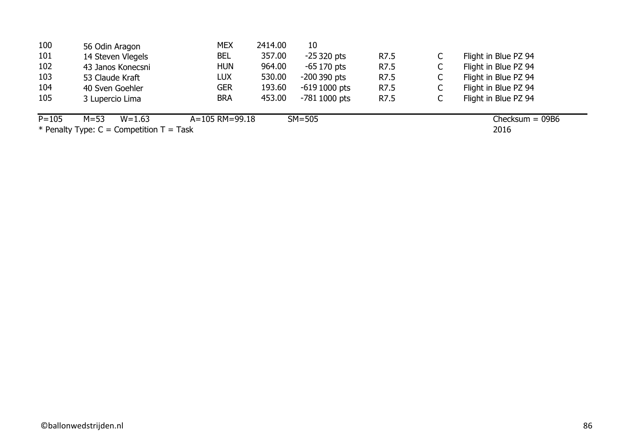| 104       | 40 Sven Goehler        | <b>GER</b>     | 193.60 | $-6191000$ pts | R7.5 | Flight in Blue PZ 94 |
|-----------|------------------------|----------------|--------|----------------|------|----------------------|
| 105       | 3 Lupercio Lima        | <b>BRA</b>     | 453.00 | $-7811000$ pts | R7.5 | Flight in Blue PZ 94 |
| $P = 105$ | $M = 53$<br>$W = 1.63$ | A=105 RM=99.18 |        | $SM = 505$     |      | Checksum $= 09B6$    |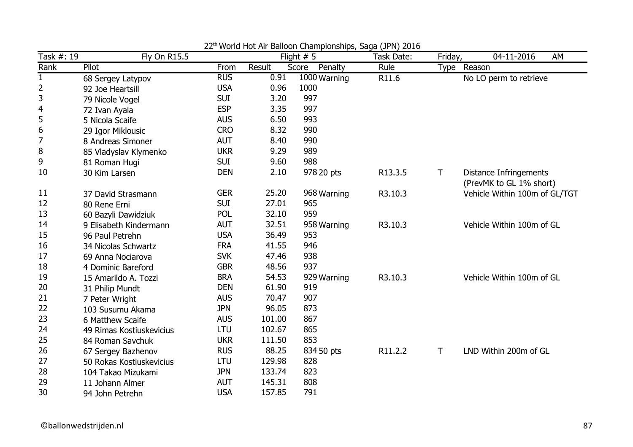| Task #: 19       | Fly On R15.5                            |            |        | world riot him Balloon Gridmplonompo, baga (51 m) E010<br>Flight $# 5$ | Task Date: | Friday,      | 04-11-2016<br>AM              |
|------------------|-----------------------------------------|------------|--------|------------------------------------------------------------------------|------------|--------------|-------------------------------|
| Rank             | Pilot                                   | From       | Result | Score<br>Penalty                                                       | Rule       | Type         | Reason                        |
| $\mathbf{1}$     | 68 Sergey Latypov                       | <b>RUS</b> | 0.91   | 1000 Warning                                                           | R11.6      |              | No LO perm to retrieve        |
| $\overline{2}$   | 92 Joe Heartsill                        | <b>USA</b> | 0.96   | 1000                                                                   |            |              |                               |
| 3                | 79 Nicole Vogel                         | <b>SUI</b> | 3.20   | 997                                                                    |            |              |                               |
| 4                | 72 Ivan Ayala                           | <b>ESP</b> | 3.35   | 997                                                                    |            |              |                               |
| 5                | 5 Nicola Scaife                         | <b>AUS</b> | 6.50   | 993                                                                    |            |              |                               |
| $\boldsymbol{6}$ | 29 Igor Miklousic                       | <b>CRO</b> | 8.32   | 990                                                                    |            |              |                               |
| $\overline{7}$   | 8 Andreas Simoner                       | <b>AUT</b> | 8.40   | 990                                                                    |            |              |                               |
| 8                | 85 Vladyslav Klymenko                   | <b>UKR</b> | 9.29   | 989                                                                    |            |              |                               |
| 9                | 81 Roman Hugi                           | <b>SUI</b> | 9.60   | 988                                                                    |            |              |                               |
| 10               | 30 Kim Larsen                           | <b>DEN</b> | 2.10   | 978 20 pts                                                             | R13.3.5    | Τ            | <b>Distance Infringements</b> |
| 11               |                                         | <b>GER</b> | 25.20  |                                                                        |            |              | (PrevMK to GL 1% short)       |
| 12               | 37 David Strasmann                      | <b>SUI</b> | 27.01  | 968 Warning<br>965                                                     | R3.10.3    |              | Vehicle Within 100m of GL/TGT |
| 13               | 80 Rene Erni                            | <b>POL</b> | 32.10  | 959                                                                    |            |              |                               |
| 14               | 60 Bazyli Dawidziuk                     | <b>AUT</b> | 32.51  |                                                                        |            |              | Vehicle Within 100m of GL     |
| 15               | 9 Elisabeth Kindermann                  | <b>USA</b> | 36.49  | 958 Warning<br>953                                                     | R3.10.3    |              |                               |
| 16               | 96 Paul Petrehn                         | <b>FRA</b> | 41.55  | 946                                                                    |            |              |                               |
| 17               | 34 Nicolas Schwartz                     | <b>SVK</b> | 47.46  | 938                                                                    |            |              |                               |
| 18               | 69 Anna Nociarova<br>4 Dominic Bareford | <b>GBR</b> | 48.56  | 937                                                                    |            |              |                               |
| 19               | 15 Amarildo A. Tozzi                    | <b>BRA</b> | 54.53  | 929 Warning                                                            | R3.10.3    |              | Vehicle Within 100m of GL     |
| 20               | 31 Philip Mundt                         | <b>DEN</b> | 61.90  | 919                                                                    |            |              |                               |
| 21               |                                         | <b>AUS</b> | 70.47  | 907                                                                    |            |              |                               |
| 22               | 7 Peter Wright<br>103 Susumu Akama      | <b>JPN</b> | 96.05  | 873                                                                    |            |              |                               |
| 23               | 6 Matthew Scaife                        | <b>AUS</b> | 101.00 | 867                                                                    |            |              |                               |
| 24               | 49 Rimas Kostiuskevicius                | LTU        | 102.67 | 865                                                                    |            |              |                               |
| 25               | 84 Roman Savchuk                        | <b>UKR</b> | 111.50 | 853                                                                    |            |              |                               |
| 26               | 67 Sergey Bazhenov                      | <b>RUS</b> | 88.25  | 834 50 pts                                                             | R11.2.2    | $\mathsf{T}$ | LND Within 200m of GL         |
| 27               | 50 Rokas Kostiuskevicius                | LTU        | 129.98 | 828                                                                    |            |              |                               |
| 28               | 104 Takao Mizukami                      | <b>JPN</b> | 133.74 | 823                                                                    |            |              |                               |
| 29               | 11 Johann Almer                         | <b>AUT</b> | 145.31 | 808                                                                    |            |              |                               |
| 30               | 94 John Petrehn                         | <b>USA</b> | 157.85 | 791                                                                    |            |              |                               |

22<sup>th</sup> World Hot Air Balloon Championships, Saga (JPN) 2016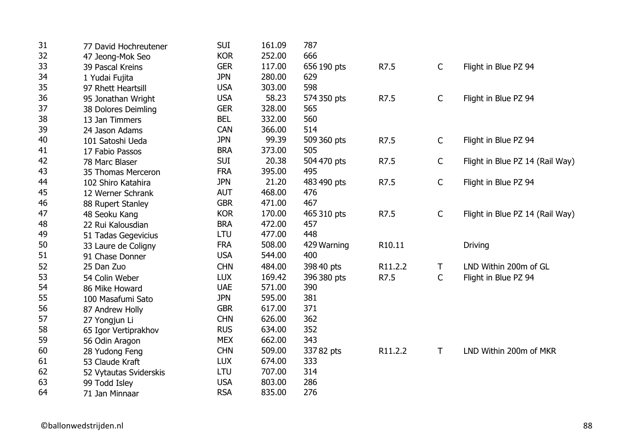| 31 | 77 David Hochreutener  | <b>SUI</b> | 161.09 | 787         |         |              |                                 |
|----|------------------------|------------|--------|-------------|---------|--------------|---------------------------------|
| 32 | 47 Jeong-Mok Seo       | <b>KOR</b> | 252.00 | 666         |         |              |                                 |
| 33 | 39 Pascal Kreins       | <b>GER</b> | 117.00 | 656 190 pts | R7.5    | $\mathsf{C}$ | Flight in Blue PZ 94            |
| 34 | 1 Yudai Fujita         | <b>JPN</b> | 280.00 | 629         |         |              |                                 |
| 35 | 97 Rhett Heartsill     | <b>USA</b> | 303.00 | 598         |         |              |                                 |
| 36 | 95 Jonathan Wright     | <b>USA</b> | 58.23  | 574 350 pts | R7.5    | $\mathsf{C}$ | Flight in Blue PZ 94            |
| 37 | 38 Dolores Deimling    | <b>GER</b> | 328.00 | 565         |         |              |                                 |
| 38 | 13 Jan Timmers         | <b>BEL</b> | 332.00 | 560         |         |              |                                 |
| 39 | 24 Jason Adams         | CAN        | 366.00 | 514         |         |              |                                 |
| 40 | 101 Satoshi Ueda       | <b>JPN</b> | 99.39  | 509 360 pts | R7.5    | $\mathsf{C}$ | Flight in Blue PZ 94            |
| 41 | 17 Fabio Passos        | <b>BRA</b> | 373.00 | 505         |         |              |                                 |
| 42 | 78 Marc Blaser         | <b>SUI</b> | 20.38  | 504 470 pts | R7.5    | $\mathsf{C}$ | Flight in Blue PZ 14 (Rail Way) |
| 43 | 35 Thomas Merceron     | <b>FRA</b> | 395.00 | 495         |         |              |                                 |
| 44 | 102 Shiro Katahira     | <b>JPN</b> | 21.20  | 483 490 pts | R7.5    | $\mathsf C$  | Flight in Blue PZ 94            |
| 45 | 12 Werner Schrank      | <b>AUT</b> | 468.00 | 476         |         |              |                                 |
| 46 | 88 Rupert Stanley      | <b>GBR</b> | 471.00 | 467         |         |              |                                 |
| 47 | 48 Seoku Kang          | <b>KOR</b> | 170.00 | 465 310 pts | R7.5    | $\mathsf{C}$ | Flight in Blue PZ 14 (Rail Way) |
| 48 | 22 Rui Kalousdian      | <b>BRA</b> | 472.00 | 457         |         |              |                                 |
| 49 | 51 Tadas Gegevicius    | <b>LTU</b> | 477.00 | 448         |         |              |                                 |
| 50 | 33 Laure de Coligny    | <b>FRA</b> | 508.00 | 429 Warning | R10.11  |              | Driving                         |
| 51 | 91 Chase Donner        | <b>USA</b> | 544.00 | 400         |         |              |                                 |
| 52 | 25 Dan Zuo             | <b>CHN</b> | 484.00 | 398 40 pts  | R11.2.2 | $\top$       | LND Within 200m of GL           |
| 53 | 54 Colin Weber         | <b>LUX</b> | 169.42 | 396 380 pts | R7.5    | $\mathsf{C}$ | Flight in Blue PZ 94            |
| 54 | 86 Mike Howard         | <b>UAE</b> | 571.00 | 390         |         |              |                                 |
| 55 | 100 Masafumi Sato      | <b>JPN</b> | 595.00 | 381         |         |              |                                 |
| 56 | 87 Andrew Holly        | <b>GBR</b> | 617.00 | 371         |         |              |                                 |
| 57 | 27 Yongjun Li          | <b>CHN</b> | 626.00 | 362         |         |              |                                 |
| 58 | 65 Igor Vertiprakhov   | <b>RUS</b> | 634.00 | 352         |         |              |                                 |
| 59 | 56 Odin Aragon         | <b>MEX</b> | 662.00 | 343         |         |              |                                 |
| 60 | 28 Yudong Feng         | <b>CHN</b> | 509.00 | 337 82 pts  | R11.2.2 | $\mathsf T$  | LND Within 200m of MKR          |
| 61 | 53 Claude Kraft        | <b>LUX</b> | 674.00 | 333         |         |              |                                 |
| 62 | 52 Vytautas Sviderskis | <b>LTU</b> | 707.00 | 314         |         |              |                                 |
| 63 | 99 Todd Isley          | <b>USA</b> | 803.00 | 286         |         |              |                                 |
| 64 | 71 Jan Minnaar         | <b>RSA</b> | 835.00 | 276         |         |              |                                 |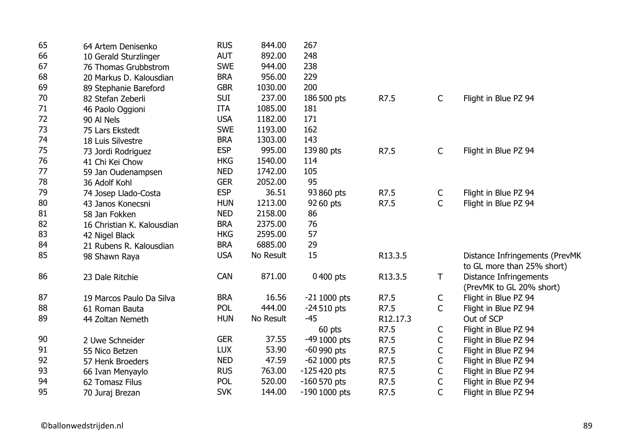| 65 | 64 Artem Denisenko         | <b>RUS</b> | 844.00    | 267             |          |              |                                                              |
|----|----------------------------|------------|-----------|-----------------|----------|--------------|--------------------------------------------------------------|
| 66 | 10 Gerald Sturzlinger      | <b>AUT</b> | 892.00    | 248             |          |              |                                                              |
| 67 | 76 Thomas Grubbstrom       | <b>SWE</b> | 944.00    | 238             |          |              |                                                              |
| 68 | 20 Markus D. Kalousdian    | <b>BRA</b> | 956.00    | 229             |          |              |                                                              |
| 69 | 89 Stephanie Bareford      | <b>GBR</b> | 1030.00   | 200             |          |              |                                                              |
| 70 | 82 Stefan Zeberli          | <b>SUI</b> | 237.00    | 186 500 pts     | R7.5     | $\mathsf{C}$ | Flight in Blue PZ 94                                         |
| 71 | 46 Paolo Oggioni           | <b>ITA</b> | 1085.00   | 181             |          |              |                                                              |
| 72 | 90 Al Nels                 | <b>USA</b> | 1182.00   | 171             |          |              |                                                              |
| 73 | 75 Lars Ekstedt            | <b>SWE</b> | 1193.00   | 162             |          |              |                                                              |
| 74 | 18 Luis Silvestre          | <b>BRA</b> | 1303.00   | 143             |          |              |                                                              |
| 75 | 73 Jordi Rodriguez         | <b>ESP</b> | 995.00    | 139 80 pts      | R7.5     | $\mathsf{C}$ | Flight in Blue PZ 94                                         |
| 76 | 41 Chi Kei Chow            | <b>HKG</b> | 1540.00   | 114             |          |              |                                                              |
| 77 | 59 Jan Oudenampsen         | <b>NED</b> | 1742.00   | 105             |          |              |                                                              |
| 78 | 36 Adolf Kohl              | <b>GER</b> | 2052.00   | 95              |          |              |                                                              |
| 79 | 74 Josep Llado-Costa       | <b>ESP</b> | 36.51     | 93 860 pts      | R7.5     | C            | Flight in Blue PZ 94                                         |
| 80 | 43 Janos Konecsni          | <b>HUN</b> | 1213.00   | 92 60 pts       | R7.5     | $\mathsf{C}$ | Flight in Blue PZ 94                                         |
| 81 | 58 Jan Fokken              | <b>NED</b> | 2158.00   | 86              |          |              |                                                              |
| 82 | 16 Christian K. Kalousdian | <b>BRA</b> | 2375.00   | 76              |          |              |                                                              |
| 83 | 42 Nigel Black             | <b>HKG</b> | 2595.00   | 57              |          |              |                                                              |
| 84 | 21 Rubens R. Kalousdian    | <b>BRA</b> | 6885.00   | 29              |          |              |                                                              |
| 85 | 98 Shawn Raya              | <b>USA</b> | No Result | 15              | R13.3.5  |              | Distance Infringements (PrevMK<br>to GL more than 25% short) |
| 86 | 23 Dale Ritchie            | <b>CAN</b> | 871.00    | 0400 pts        | R13.3.5  | T            | <b>Distance Infringements</b>                                |
|    |                            |            |           |                 |          |              | (PrevMK to GL 20% short)                                     |
| 87 | 19 Marcos Paulo Da Silva   | <b>BRA</b> | 16.56     | $-211000$ pts   | R7.5     | $\mathsf{C}$ | Flight in Blue PZ 94                                         |
| 88 | 61 Roman Bauta             | POL        | 444.00    | $-24510$ pts    | R7.5     | $\mathsf{C}$ | Flight in Blue PZ 94                                         |
| 89 | 44 Zoltan Nemeth           | <b>HUN</b> | No Result | $-45$           | R12.17.3 |              | Out of SCP                                                   |
|    |                            |            |           | 60 pts          | R7.5     | $\mathsf{C}$ | Flight in Blue PZ 94                                         |
| 90 | 2 Uwe Schneider            | <b>GER</b> | 37.55     | -49 1000 pts    | R7.5     | $\mathsf C$  | Flight in Blue PZ 94                                         |
| 91 | 55 Nico Betzen             | <b>LUX</b> | 53.90     | $-60$ 990 pts   | R7.5     | $\mathsf C$  | Flight in Blue PZ 94                                         |
| 92 | 57 Henk Broeders           | <b>NED</b> | 47.59     | $-62$ 1000 pts  | R7.5     | $\mathsf C$  | Flight in Blue PZ 94                                         |
| 93 | 66 Ivan Menyaylo           | <b>RUS</b> | 763.00    | $-125420$ pts   | R7.5     | C            | Flight in Blue PZ 94                                         |
| 94 | 62 Tomasz Filus            | <b>POL</b> | 520.00    | $-160570$ pts   | R7.5     | $\mathsf C$  | Flight in Blue PZ 94                                         |
| 95 | 70 Juraj Brezan            | <b>SVK</b> | 144.00    | $-190$ 1000 pts | R7.5     | $\mathsf{C}$ | Flight in Blue PZ 94                                         |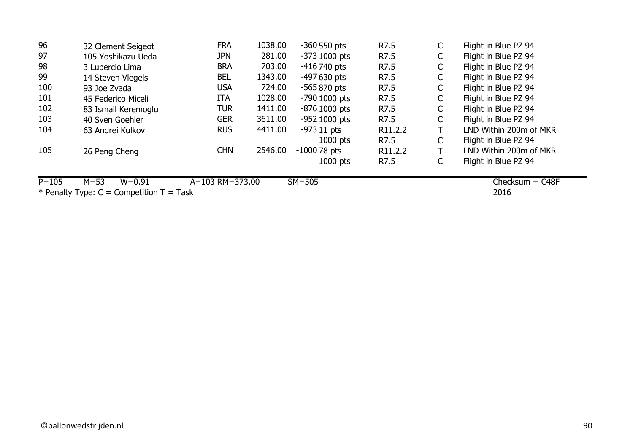| 96  | 32 Clement Seigeot  | <b>FRA</b> | 1038.00 | $-360$ 550 pts  | R7.5                 | C  | Flight in Blue PZ 94   |
|-----|---------------------|------------|---------|-----------------|----------------------|----|------------------------|
| 97  | 105 Yoshikazu Ueda  | <b>JPN</b> | 281.00  | $-373$ 1000 pts | R7.5                 | C  | Flight in Blue PZ 94   |
| 98  | 3 Lupercio Lima     | <b>BRA</b> | 703.00  | -416 740 pts    | R7.5                 | C  | Flight in Blue PZ 94   |
| 99  | 14 Steven Vlegels   | <b>BEL</b> | 1343.00 | $-497630$ pts   | R7.5                 | C  | Flight in Blue PZ 94   |
| 100 | 93 Joe Zvada        | <b>USA</b> | 724.00  | $-565870$ pts   | R7.5                 | C  | Flight in Blue PZ 94   |
| 101 | 45 Federico Miceli  | <b>ITA</b> | 1028.00 | -790 1000 pts   | R7.5                 | C  | Flight in Blue PZ 94   |
| 102 | 83 Ismail Keremoglu | TUR        | 1411.00 | $-876$ 1000 pts | R7.5                 | C  | Flight in Blue PZ 94   |
| 103 | 40 Sven Goehler     | <b>GER</b> | 3611.00 | $-952$ 1000 pts | R7.5                 | C  | Flight in Blue PZ 94   |
| 104 | 63 Andrei Kulkov    | <b>RUS</b> | 4411.00 | $-97311$ pts    | R <sub>11</sub> .2.2 |    | LND Within 200m of MKR |
|     |                     |            |         | $1000$ pts      | R7.5                 | C. | Flight in Blue PZ 94   |
| 105 | 26 Peng Cheng       | <b>CHN</b> | 2546.00 | $-100078$ pts   | R <sub>11</sub> .2.2 |    | LND Within 200m of MKR |
|     |                     |            |         | $1000$ pts      | R7.5                 |    | Flight in Blue PZ 94   |
|     |                     |            |         |                 |                      |    |                        |

P=105 M=53 W=0.91 A=103 RM=373.00 SM=505

 $Checksum =  $C48F$$ 

 $*$  Penalty Type: C = Competition T = Task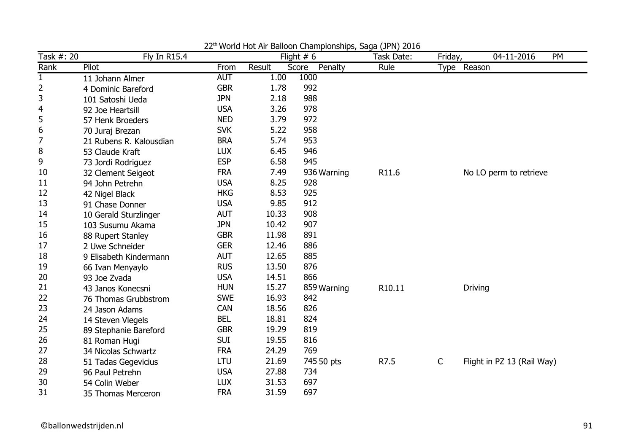| Task #: 20   | <b>Fly In R15.4</b>     |            |        | world riot him Balloon Gridmplonompo, Baga (31 m) E010<br>Flight $# 6$ | Task Date: | Friday,      | 04-11-2016<br>PM           |  |
|--------------|-------------------------|------------|--------|------------------------------------------------------------------------|------------|--------------|----------------------------|--|
| Rank         | Pilot                   | From       | Result | Score<br>Penalty                                                       | Rule       |              | Type Reason                |  |
| $\mathbf{1}$ | 11 Johann Almer         | <b>AUT</b> | 1.00   | 1000                                                                   |            |              |                            |  |
| 2            | 4 Dominic Bareford      | <b>GBR</b> | 1.78   | 992                                                                    |            |              |                            |  |
| 3            | 101 Satoshi Ueda        | <b>JPN</b> | 2.18   | 988                                                                    |            |              |                            |  |
| 4            | 92 Joe Heartsill        | <b>USA</b> | 3.26   | 978                                                                    |            |              |                            |  |
| 5            | 57 Henk Broeders        | <b>NED</b> | 3.79   | 972                                                                    |            |              |                            |  |
| 6            | 70 Juraj Brezan         | <b>SVK</b> | 5.22   | 958                                                                    |            |              |                            |  |
| 7            | 21 Rubens R. Kalousdian | <b>BRA</b> | 5.74   | 953                                                                    |            |              |                            |  |
| 8            | 53 Claude Kraft         | <b>LUX</b> | 6.45   | 946                                                                    |            |              |                            |  |
| 9            | 73 Jordi Rodriguez      | <b>ESP</b> | 6.58   | 945                                                                    |            |              |                            |  |
| 10           | 32 Clement Seigeot      | <b>FRA</b> | 7.49   | 936 Warning                                                            | R11.6      |              | No LO perm to retrieve     |  |
| 11           | 94 John Petrehn         | <b>USA</b> | 8.25   | 928                                                                    |            |              |                            |  |
| 12           | 42 Nigel Black          | <b>HKG</b> | 8.53   | 925                                                                    |            |              |                            |  |
| 13           | 91 Chase Donner         | <b>USA</b> | 9.85   | 912                                                                    |            |              |                            |  |
| 14           | 10 Gerald Sturzlinger   | <b>AUT</b> | 10.33  | 908                                                                    |            |              |                            |  |
| 15           | 103 Susumu Akama        | <b>JPN</b> | 10.42  | 907                                                                    |            |              |                            |  |
| 16           | 88 Rupert Stanley       | <b>GBR</b> | 11.98  | 891                                                                    |            |              |                            |  |
| 17           | 2 Uwe Schneider         | <b>GER</b> | 12.46  | 886                                                                    |            |              |                            |  |
| 18           | 9 Elisabeth Kindermann  | <b>AUT</b> | 12.65  | 885                                                                    |            |              |                            |  |
| 19           | 66 Ivan Menyaylo        | <b>RUS</b> | 13.50  | 876                                                                    |            |              |                            |  |
| 20           | 93 Joe Zvada            | <b>USA</b> | 14.51  | 866                                                                    |            |              |                            |  |
| 21           | 43 Janos Konecsni       | <b>HUN</b> | 15.27  | 859 Warning                                                            | R10.11     |              | <b>Driving</b>             |  |
| 22           | 76 Thomas Grubbstrom    | <b>SWE</b> | 16.93  | 842                                                                    |            |              |                            |  |
| 23           | 24 Jason Adams          | <b>CAN</b> | 18.56  | 826                                                                    |            |              |                            |  |
| 24           | 14 Steven Vlegels       | <b>BEL</b> | 18.81  | 824                                                                    |            |              |                            |  |
| 25           | 89 Stephanie Bareford   | <b>GBR</b> | 19.29  | 819                                                                    |            |              |                            |  |
| 26           | 81 Roman Hugi           | <b>SUI</b> | 19.55  | 816                                                                    |            |              |                            |  |
| 27           | 34 Nicolas Schwartz     | <b>FRA</b> | 24.29  | 769                                                                    |            |              |                            |  |
| 28           | 51 Tadas Gegevicius     | LTU        | 21.69  | 745 50 pts                                                             | R7.5       | $\mathsf{C}$ | Flight in PZ 13 (Rail Way) |  |
| 29           | 96 Paul Petrehn         | <b>USA</b> | 27.88  | 734                                                                    |            |              |                            |  |
| 30           | 54 Colin Weber          | <b>LUX</b> | 31.53  | 697                                                                    |            |              |                            |  |
| 31           | 35 Thomas Merceron      | <b>FRA</b> | 31.59  | 697                                                                    |            |              |                            |  |

22<sup>th</sup> World Hot Air Balloon Championships, Saga (JPN) 2016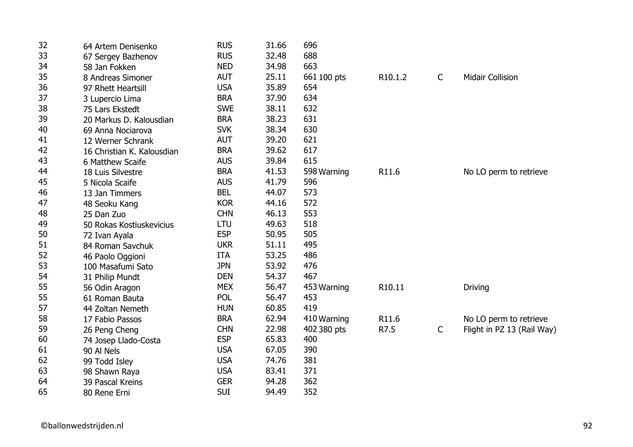| 32 | 64 Artem Denisenko         | <b>RUS</b> | 31.66 | 696         |                     |              |                            |
|----|----------------------------|------------|-------|-------------|---------------------|--------------|----------------------------|
| 33 | 67 Sergey Bazhenov         | <b>RUS</b> | 32.48 | 688         |                     |              |                            |
| 34 | 58 Jan Fokken              | <b>NED</b> | 34.98 | 663         |                     |              |                            |
| 35 | 8 Andreas Simoner          | <b>AUT</b> | 25.11 | 661 100 pts | R <sub>10.1.2</sub> | $\mathsf{C}$ | <b>Midair Collision</b>    |
| 36 | 97 Rhett Heartsill         | <b>USA</b> | 35.89 | 654         |                     |              |                            |
| 37 | 3 Lupercio Lima            | <b>BRA</b> | 37.90 | 634         |                     |              |                            |
| 38 | 75 Lars Ekstedt            | <b>SWE</b> | 38.11 | 632         |                     |              |                            |
| 39 | 20 Markus D. Kalousdian    | <b>BRA</b> | 38.23 | 631         |                     |              |                            |
| 40 | 69 Anna Nociarova          | <b>SVK</b> | 38.34 | 630         |                     |              |                            |
| 41 | 12 Werner Schrank          | <b>AUT</b> | 39.20 | 621         |                     |              |                            |
| 42 | 16 Christian K. Kalousdian | <b>BRA</b> | 39.62 | 617         |                     |              |                            |
| 43 | 6 Matthew Scaife           | <b>AUS</b> | 39.84 | 615         |                     |              |                            |
| 44 | 18 Luis Silvestre          | <b>BRA</b> | 41.53 | 598 Warning | R11.6               |              | No LO perm to retrieve     |
| 45 | 5 Nicola Scaife            | <b>AUS</b> | 41.79 | 596         |                     |              |                            |
| 46 | 13 Jan Timmers             | <b>BEL</b> | 44.07 | 573         |                     |              |                            |
| 47 | 48 Seoku Kang              | <b>KOR</b> | 44.16 | 572         |                     |              |                            |
| 48 | 25 Dan Zuo                 | <b>CHN</b> | 46.13 | 553         |                     |              |                            |
| 49 | 50 Rokas Kostiuskevicius   | LTU        | 49.63 | 518         |                     |              |                            |
| 50 | 72 Ivan Ayala              | <b>ESP</b> | 50.95 | 505         |                     |              |                            |
| 51 | 84 Roman Savchuk           | <b>UKR</b> | 51.11 | 495         |                     |              |                            |
| 52 | 46 Paolo Oggioni           | <b>ITA</b> | 53.25 | 486         |                     |              |                            |
| 53 | 100 Masafumi Sato          | <b>JPN</b> | 53.92 | 476         |                     |              |                            |
| 54 | 31 Philip Mundt            | <b>DEN</b> | 54.37 | 467         |                     |              |                            |
| 55 | 56 Odin Aragon             | <b>MEX</b> | 56.47 | 453 Warning | R10.11              |              | <b>Driving</b>             |
| 55 | 61 Roman Bauta             | <b>POL</b> | 56.47 | 453         |                     |              |                            |
| 57 | 44 Zoltan Nemeth           | <b>HUN</b> | 60.85 | 419         |                     |              |                            |
| 58 | 17 Fabio Passos            | <b>BRA</b> | 62.94 | 410 Warning | R11.6               |              | No LO perm to retrieve     |
| 59 | 26 Peng Cheng              | <b>CHN</b> | 22.98 | 402 380 pts | R7.5                | C            | Flight in PZ 13 (Rail Way) |
| 60 | 74 Josep Llado-Costa       | <b>ESP</b> | 65.83 | 400         |                     |              |                            |
| 61 | 90 Al Nels                 | <b>USA</b> | 67.05 | 390         |                     |              |                            |
| 62 | 99 Todd Isley              | <b>USA</b> | 74.76 | 381         |                     |              |                            |
| 63 | 98 Shawn Raya              | <b>USA</b> | 83.41 | 371         |                     |              |                            |
| 64 | 39 Pascal Kreins           | <b>GER</b> | 94.28 | 362         |                     |              |                            |
| 65 | 80 Rene Erni               | <b>SUI</b> | 94.49 | 352         |                     |              |                            |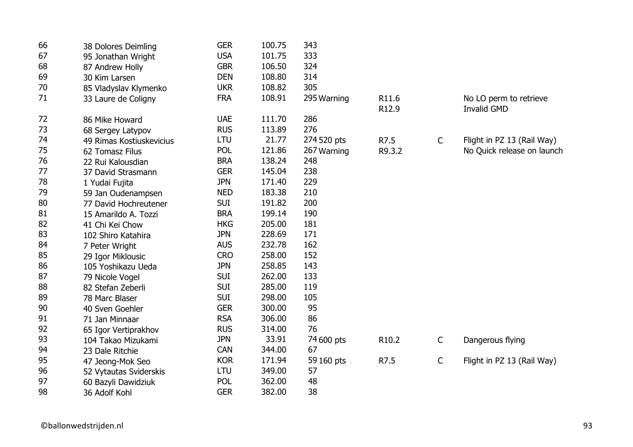| 66 | 38 Dolores Deimling      | <b>GER</b> | 100.75 | 343         |                   |              |                            |
|----|--------------------------|------------|--------|-------------|-------------------|--------------|----------------------------|
| 67 | 95 Jonathan Wright       | <b>USA</b> | 101.75 | 333         |                   |              |                            |
| 68 | 87 Andrew Holly          | <b>GBR</b> | 106.50 | 324         |                   |              |                            |
| 69 | 30 Kim Larsen            | <b>DEN</b> | 108.80 | 314         |                   |              |                            |
| 70 | 85 Vladyslav Klymenko    | <b>UKR</b> | 108.82 | 305         |                   |              |                            |
| 71 | 33 Laure de Coligny      | <b>FRA</b> | 108.91 | 295 Warning | R11.6             |              | No LO perm to retrieve     |
|    |                          |            |        |             | R12.9             |              | <b>Invalid GMD</b>         |
| 72 | 86 Mike Howard           | <b>UAE</b> | 111.70 | 286         |                   |              |                            |
| 73 | 68 Sergey Latypov        | <b>RUS</b> | 113.89 | 276         |                   |              |                            |
| 74 | 49 Rimas Kostiuskevicius | <b>LTU</b> | 21.77  | 274 520 pts | R7.5              | $\mathsf{C}$ | Flight in PZ 13 (Rail Way) |
| 75 | 62 Tomasz Filus          | <b>POL</b> | 121.86 | 267 Warning | R9.3.2            |              | No Quick release on launch |
| 76 | 22 Rui Kalousdian        | <b>BRA</b> | 138.24 | 248         |                   |              |                            |
| 77 | 37 David Strasmann       | <b>GER</b> | 145.04 | 238         |                   |              |                            |
| 78 | 1 Yudai Fujita           | <b>JPN</b> | 171.40 | 229         |                   |              |                            |
| 79 | 59 Jan Oudenampsen       | <b>NED</b> | 183.38 | 210         |                   |              |                            |
| 80 | 77 David Hochreutener    | <b>SUI</b> | 191.82 | 200         |                   |              |                            |
| 81 | 15 Amarildo A. Tozzi     | <b>BRA</b> | 199.14 | 190         |                   |              |                            |
| 82 | 41 Chi Kei Chow          | <b>HKG</b> | 205.00 | 181         |                   |              |                            |
| 83 | 102 Shiro Katahira       | <b>JPN</b> | 228.69 | 171         |                   |              |                            |
| 84 | 7 Peter Wright           | <b>AUS</b> | 232.78 | 162         |                   |              |                            |
| 85 | 29 Igor Miklousic        | <b>CRO</b> | 258.00 | 152         |                   |              |                            |
| 86 | 105 Yoshikazu Ueda       | <b>JPN</b> | 258.85 | 143         |                   |              |                            |
| 87 | 79 Nicole Vogel          | <b>SUI</b> | 262.00 | 133         |                   |              |                            |
| 88 | 82 Stefan Zeberli        | <b>SUI</b> | 285.00 | 119         |                   |              |                            |
| 89 | 78 Marc Blaser           | <b>SUI</b> | 298.00 | 105         |                   |              |                            |
| 90 | 40 Sven Goehler          | <b>GER</b> | 300.00 | 95          |                   |              |                            |
| 91 | 71 Jan Minnaar           | <b>RSA</b> | 306.00 | 86          |                   |              |                            |
| 92 | 65 Igor Vertiprakhov     | <b>RUS</b> | 314.00 | 76          |                   |              |                            |
| 93 | 104 Takao Mizukami       | <b>JPN</b> | 33.91  | 74 600 pts  | R <sub>10.2</sub> | $\mathsf{C}$ | Dangerous flying           |
| 94 | 23 Dale Ritchie          | <b>CAN</b> | 344.00 | 67          |                   |              |                            |
| 95 | 47 Jeong-Mok Seo         | <b>KOR</b> | 171.94 | 59 160 pts  | R7.5              | $\mathsf{C}$ | Flight in PZ 13 (Rail Way) |
| 96 | 52 Vytautas Sviderskis   | LTU        | 349.00 | 57          |                   |              |                            |
| 97 | 60 Bazyli Dawidziuk      | <b>POL</b> | 362.00 | 48          |                   |              |                            |
| 98 | 36 Adolf Kohl            | <b>GER</b> | 382.00 | 38          |                   |              |                            |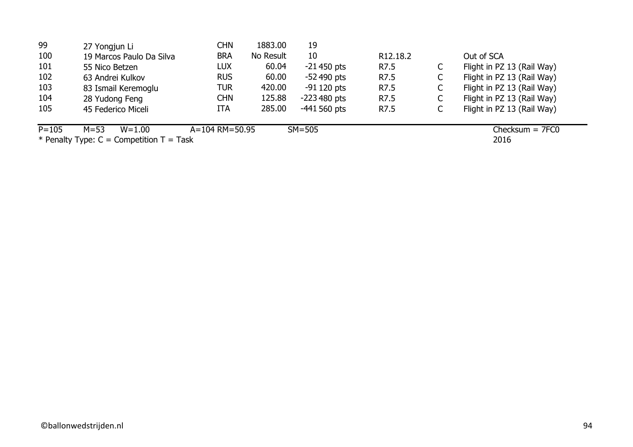| 99        | 27 Yongjun Li            | CHN            | 1883.00   | 19            |                       |                            |
|-----------|--------------------------|----------------|-----------|---------------|-----------------------|----------------------------|
| 100       | 19 Marcos Paulo Da Silva | <b>BRA</b>     | No Result | 10            | R <sub>12</sub> .18.2 | Out of SCA                 |
| 101       | 55 Nico Betzen           | <b>LUX</b>     | 60.04     | $-21450$ pts  | R7.5                  | Flight in PZ 13 (Rail Way) |
| 102       | 63 Andrei Kulkov         | <b>RUS</b>     | 60.00     | $-52,490$ pts | R7.5                  | Flight in PZ 13 (Rail Way) |
| 103       | 83 Ismail Keremoglu      | <b>TUR</b>     | 420.00    | $-91120$ pts  | R7.5                  | Flight in PZ 13 (Rail Way) |
| 104       | 28 Yudong Feng           | CHN            | 125.88    | $-223480$ pts | R7.5                  | Flight in PZ 13 (Rail Way) |
| 105       | 45 Federico Miceli       | ITA            | 285.00    | $-441560$ pts | R7.5                  | Flight in PZ 13 (Rail Way) |
| $P = 105$ | $M = 53$<br>$W = 1.00$   | A=104 RM=50.95 |           | $SM = 505$    |                       | $Checksum = 7FCO$          |

2016 Checksum = 7FC0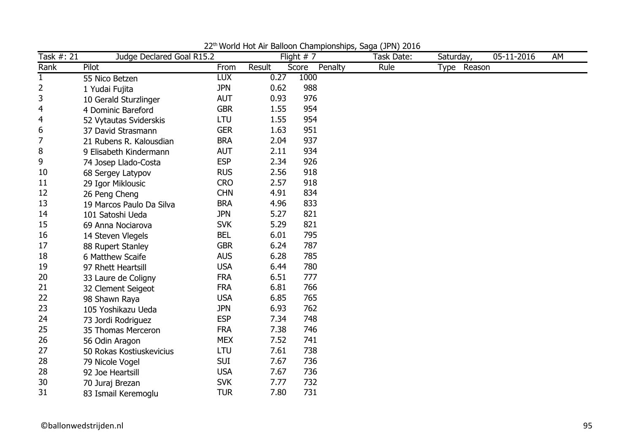| Task #: 21     | Judge Declared Goal R15.2 |            |        | Flight $# 7$     | Task Date: | Saturday,   | 05-11-2016 | AM |
|----------------|---------------------------|------------|--------|------------------|------------|-------------|------------|----|
| Rank           | Pilot                     | From       | Result | Penalty<br>Score | Rule       | Type Reason |            |    |
| $\mathbf{1}$   | 55 Nico Betzen            | <b>LUX</b> | 0.27   | 1000             |            |             |            |    |
| 2              | 1 Yudai Fujita            | <b>JPN</b> | 0.62   | 988              |            |             |            |    |
| 3              | 10 Gerald Sturzlinger     | <b>AUT</b> | 0.93   | 976              |            |             |            |    |
| 4              | 4 Dominic Bareford        | <b>GBR</b> | 1.55   | 954              |            |             |            |    |
| $\overline{4}$ | 52 Vytautas Sviderskis    | <b>LTU</b> | 1.55   | 954              |            |             |            |    |
| 6              | 37 David Strasmann        | <b>GER</b> | 1.63   | 951              |            |             |            |    |
| 7              | 21 Rubens R. Kalousdian   | <b>BRA</b> | 2.04   | 937              |            |             |            |    |
| 8              | 9 Elisabeth Kindermann    | <b>AUT</b> | 2.11   | 934              |            |             |            |    |
| 9              | 74 Josep Llado-Costa      | <b>ESP</b> | 2.34   | 926              |            |             |            |    |
| 10             | 68 Sergey Latypov         | <b>RUS</b> | 2.56   | 918              |            |             |            |    |
| 11             | 29 Igor Miklousic         | <b>CRO</b> | 2.57   | 918              |            |             |            |    |
| 12             | 26 Peng Cheng             | <b>CHN</b> | 4.91   | 834              |            |             |            |    |
| 13             | 19 Marcos Paulo Da Silva  | <b>BRA</b> | 4.96   | 833              |            |             |            |    |
| 14             | 101 Satoshi Ueda          | <b>JPN</b> | 5.27   | 821              |            |             |            |    |
| 15             | 69 Anna Nociarova         | <b>SVK</b> | 5.29   | 821              |            |             |            |    |
| 16             | 14 Steven Vlegels         | <b>BEL</b> | 6.01   | 795              |            |             |            |    |
| 17             | 88 Rupert Stanley         | <b>GBR</b> | 6.24   | 787              |            |             |            |    |
| 18             | 6 Matthew Scaife          | <b>AUS</b> | 6.28   | 785              |            |             |            |    |
| 19             | 97 Rhett Heartsill        | <b>USA</b> | 6.44   | 780              |            |             |            |    |
| 20             | 33 Laure de Coligny       | <b>FRA</b> | 6.51   | 777              |            |             |            |    |
| 21             | 32 Clement Seigeot        | <b>FRA</b> | 6.81   | 766              |            |             |            |    |
| 22             | 98 Shawn Raya             | <b>USA</b> | 6.85   | 765              |            |             |            |    |
| 23             | 105 Yoshikazu Ueda        | <b>JPN</b> | 6.93   | 762              |            |             |            |    |
| 24             | 73 Jordi Rodriguez        | <b>ESP</b> | 7.34   | 748              |            |             |            |    |
| 25             | 35 Thomas Merceron        | <b>FRA</b> | 7.38   | 746              |            |             |            |    |
| 26             | 56 Odin Aragon            | <b>MEX</b> | 7.52   | 741              |            |             |            |    |
| 27             | 50 Rokas Kostiuskevicius  | LTU        | 7.61   | 738              |            |             |            |    |
| 28             | 79 Nicole Vogel           | <b>SUI</b> | 7.67   | 736              |            |             |            |    |
| 28             | 92 Joe Heartsill          | <b>USA</b> | 7.67   | 736              |            |             |            |    |
| 30             | 70 Juraj Brezan           | <b>SVK</b> | 7.77   | 732              |            |             |            |    |
| 31             | 83 Ismail Keremoglu       | <b>TUR</b> | 7.80   | 731              |            |             |            |    |

22th World Hot Air Balloon Championships, Saga (JPN) 2016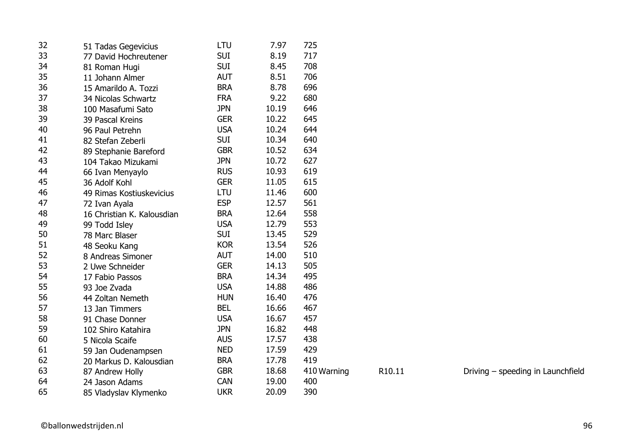| 32 | 51 Tadas Gegevicius        | LTU        | 7.97  | 725         |        |                                   |
|----|----------------------------|------------|-------|-------------|--------|-----------------------------------|
| 33 | 77 David Hochreutener      | <b>SUI</b> | 8.19  | 717         |        |                                   |
| 34 | 81 Roman Hugi              | <b>SUI</b> | 8.45  | 708         |        |                                   |
| 35 | 11 Johann Almer            | <b>AUT</b> | 8.51  | 706         |        |                                   |
| 36 | 15 Amarildo A. Tozzi       | <b>BRA</b> | 8.78  | 696         |        |                                   |
| 37 | 34 Nicolas Schwartz        | <b>FRA</b> | 9.22  | 680         |        |                                   |
| 38 | 100 Masafumi Sato          | <b>JPN</b> | 10.19 | 646         |        |                                   |
| 39 | 39 Pascal Kreins           | <b>GER</b> | 10.22 | 645         |        |                                   |
| 40 | 96 Paul Petrehn            | <b>USA</b> | 10.24 | 644         |        |                                   |
| 41 | 82 Stefan Zeberli          | <b>SUI</b> | 10.34 | 640         |        |                                   |
| 42 | 89 Stephanie Bareford      | <b>GBR</b> | 10.52 | 634         |        |                                   |
| 43 | 104 Takao Mizukami         | <b>JPN</b> | 10.72 | 627         |        |                                   |
| 44 | 66 Ivan Menyaylo           | <b>RUS</b> | 10.93 | 619         |        |                                   |
| 45 | 36 Adolf Kohl              | <b>GER</b> | 11.05 | 615         |        |                                   |
| 46 | 49 Rimas Kostiuskevicius   | LTU        | 11.46 | 600         |        |                                   |
| 47 | 72 Ivan Ayala              | <b>ESP</b> | 12.57 | 561         |        |                                   |
| 48 | 16 Christian K. Kalousdian | <b>BRA</b> | 12.64 | 558         |        |                                   |
| 49 | 99 Todd Isley              | <b>USA</b> | 12.79 | 553         |        |                                   |
| 50 | 78 Marc Blaser             | <b>SUI</b> | 13.45 | 529         |        |                                   |
| 51 | 48 Seoku Kang              | <b>KOR</b> | 13.54 | 526         |        |                                   |
| 52 | 8 Andreas Simoner          | <b>AUT</b> | 14.00 | 510         |        |                                   |
| 53 | 2 Uwe Schneider            | <b>GER</b> | 14.13 | 505         |        |                                   |
| 54 | 17 Fabio Passos            | <b>BRA</b> | 14.34 | 495         |        |                                   |
| 55 | 93 Joe Zvada               | <b>USA</b> | 14.88 | 486         |        |                                   |
| 56 | 44 Zoltan Nemeth           | <b>HUN</b> | 16.40 | 476         |        |                                   |
| 57 | 13 Jan Timmers             | <b>BEL</b> | 16.66 | 467         |        |                                   |
| 58 | 91 Chase Donner            | <b>USA</b> | 16.67 | 457         |        |                                   |
| 59 | 102 Shiro Katahira         | <b>JPN</b> | 16.82 | 448         |        |                                   |
| 60 | 5 Nicola Scaife            | <b>AUS</b> | 17.57 | 438         |        |                                   |
| 61 | 59 Jan Oudenampsen         | <b>NED</b> | 17.59 | 429         |        |                                   |
| 62 | 20 Markus D. Kalousdian    | <b>BRA</b> | 17.78 | 419         |        |                                   |
| 63 | 87 Andrew Holly            | <b>GBR</b> | 18.68 | 410 Warning | R10.11 | Driving - speeding in Launchfield |
| 64 | 24 Jason Adams             | <b>CAN</b> | 19.00 | 400         |        |                                   |
| 65 | 85 Vladyslav Klymenko      | <b>UKR</b> | 20.09 | 390         |        |                                   |
|    |                            |            |       |             |        |                                   |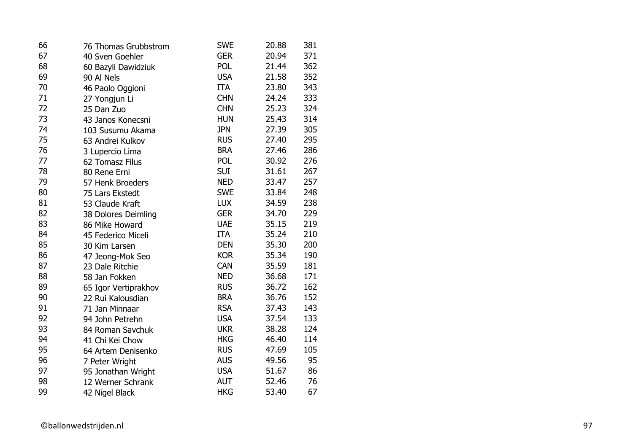| 66 | 76 Thomas Grubbstrom | <b>SWE</b> | 20.88 | 381 |
|----|----------------------|------------|-------|-----|
| 67 | 40 Sven Goehler      | <b>GER</b> | 20.94 | 371 |
| 68 | 60 Bazyli Dawidziuk  | POL        | 21.44 | 362 |
| 69 | 90 Al Nels           | <b>USA</b> | 21.58 | 352 |
| 70 | 46 Paolo Oggioni     | ITA        | 23.80 | 343 |
| 71 | 27 Yongjun Li        | <b>CHN</b> | 24.24 | 333 |
| 72 | 25 Dan Zuo           | <b>CHN</b> | 25.23 | 324 |
| 73 | 43 Janos Konecsni    | <b>HUN</b> | 25.43 | 314 |
| 74 | 103 Susumu Akama     | <b>JPN</b> | 27.39 | 305 |
| 75 | 63 Andrei Kulkov     | <b>RUS</b> | 27.40 | 295 |
| 76 | 3 Lupercio Lima      | <b>BRA</b> | 27.46 | 286 |
| 77 | 62 Tomasz Filus      | <b>POL</b> | 30.92 | 276 |
| 78 | 80 Rene Erni         | <b>SUI</b> | 31.61 | 267 |
| 79 | 57 Henk Broeders     | <b>NED</b> | 33.47 | 257 |
| 80 | 75 Lars Ekstedt      | <b>SWE</b> | 33.84 | 248 |
| 81 | 53 Claude Kraft      | <b>LUX</b> | 34.59 | 238 |
| 82 | 38 Dolores Deimling  | <b>GER</b> | 34.70 | 229 |
| 83 | 86 Mike Howard       | <b>UAE</b> | 35.15 | 219 |
| 84 | 45 Federico Miceli   | <b>ITA</b> | 35.24 | 210 |
| 85 | 30 Kim Larsen        | <b>DEN</b> | 35.30 | 200 |
| 86 | 47 Jeong-Mok Seo     | <b>KOR</b> | 35.34 | 190 |
| 87 | 23 Dale Ritchie      | CAN        | 35.59 | 181 |
| 88 | 58 Jan Fokken        | <b>NED</b> | 36.68 | 171 |
| 89 | 65 Igor Vertiprakhov | <b>RUS</b> | 36.72 | 162 |
| 90 | 22 Rui Kalousdian    | <b>BRA</b> | 36.76 | 152 |
| 91 | 71 Jan Minnaar       | <b>RSA</b> | 37.43 | 143 |
| 92 | 94 John Petrehn      | <b>USA</b> | 37.54 | 133 |
| 93 | 84 Roman Savchuk     | <b>UKR</b> | 38.28 | 124 |
| 94 | 41 Chi Kei Chow      | <b>HKG</b> | 46.40 | 114 |
| 95 | 64 Artem Denisenko   | <b>RUS</b> | 47.69 | 105 |
| 96 | 7 Peter Wright       | <b>AUS</b> | 49.56 | 95  |
| 97 | 95 Jonathan Wright   | <b>USA</b> | 51.67 | 86  |
| 98 | 12 Werner Schrank    | <b>AUT</b> | 52.46 | 76  |
| 99 | 42 Nigel Black       | <b>HKG</b> | 53.40 | 67  |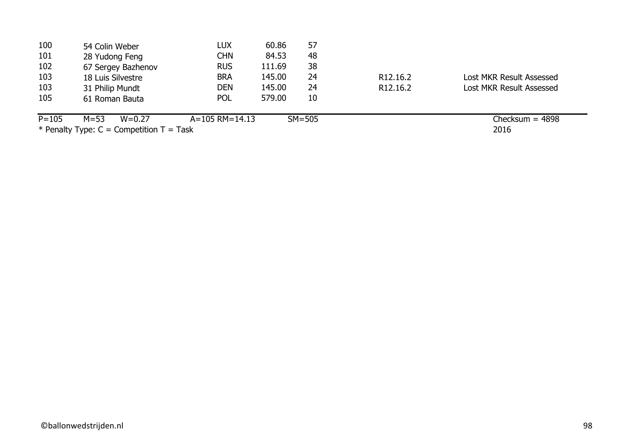| 100       | 54 Colin Weber                               | <b>LUX</b>           | 60.86  | 57         |                       |                          |
|-----------|----------------------------------------------|----------------------|--------|------------|-----------------------|--------------------------|
| 101       | 28 Yudong Feng                               | <b>CHN</b>           | 84.53  | 48         |                       |                          |
| 102       | 67 Sergey Bazhenov                           | <b>RUS</b>           | 111.69 | 38         |                       |                          |
| 103       | 18 Luis Silvestre                            | <b>BRA</b>           | 145.00 | 24         | R <sub>12</sub> .16.2 | Lost MKR Result Assessed |
| 103       | 31 Philip Mundt                              | DEN                  | 145.00 | 24         | R <sub>12</sub> .16.2 | Lost MKR Result Assessed |
| 105       | 61 Roman Bauta                               | <b>POL</b>           | 579.00 | 10         |                       |                          |
| $P = 105$ | $M = 53$<br>$W = 0.27$                       | $A = 105$ RM = 14.13 |        | $SM = 505$ |                       | Checksum = $4898$        |
|           | * Penalty Type: $C =$ Competition $T =$ Task |                      |        |            |                       | 2016                     |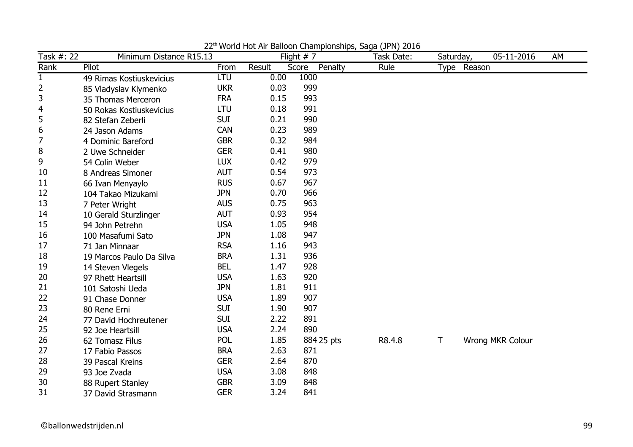| Task #: 22   | Minimum Distance R15.13  |            |        | Flight $# 7$     | violia Hot All Dalloon Championships, Jaga (J) N, 2010<br>Task Date: |      | Saturday, | 05-11-2016       | AM |
|--------------|--------------------------|------------|--------|------------------|----------------------------------------------------------------------|------|-----------|------------------|----|
| Rank         | Pilot                    | From       | Result | Score<br>Penalty | Rule                                                                 | Type | Reason    |                  |    |
| $\mathbf{1}$ | 49 Rimas Kostiuskevicius | LTU        | 0.00   | 1000             |                                                                      |      |           |                  |    |
| 2            | 85 Vladyslav Klymenko    | <b>UKR</b> | 0.03   | 999              |                                                                      |      |           |                  |    |
| 3            | 35 Thomas Merceron       | <b>FRA</b> | 0.15   | 993              |                                                                      |      |           |                  |    |
| 4            | 50 Rokas Kostiuskevicius | LTU        | 0.18   | 991              |                                                                      |      |           |                  |    |
| 5            | 82 Stefan Zeberli        | <b>SUI</b> | 0.21   | 990              |                                                                      |      |           |                  |    |
| 6            | 24 Jason Adams           | <b>CAN</b> | 0.23   | 989              |                                                                      |      |           |                  |    |
| 7            | 4 Dominic Bareford       | <b>GBR</b> | 0.32   | 984              |                                                                      |      |           |                  |    |
| 8            | 2 Uwe Schneider          | <b>GER</b> | 0.41   | 980              |                                                                      |      |           |                  |    |
| 9            | 54 Colin Weber           | <b>LUX</b> | 0.42   | 979              |                                                                      |      |           |                  |    |
| 10           | 8 Andreas Simoner        | <b>AUT</b> | 0.54   | 973              |                                                                      |      |           |                  |    |
| 11           | 66 Ivan Menyaylo         | <b>RUS</b> | 0.67   | 967              |                                                                      |      |           |                  |    |
| 12           | 104 Takao Mizukami       | <b>JPN</b> | 0.70   | 966              |                                                                      |      |           |                  |    |
| 13           | 7 Peter Wright           | <b>AUS</b> | 0.75   | 963              |                                                                      |      |           |                  |    |
| 14           | 10 Gerald Sturzlinger    | <b>AUT</b> | 0.93   | 954              |                                                                      |      |           |                  |    |
| 15           | 94 John Petrehn          | <b>USA</b> | 1.05   | 948              |                                                                      |      |           |                  |    |
| 16           | 100 Masafumi Sato        | <b>JPN</b> | 1.08   | 947              |                                                                      |      |           |                  |    |
| 17           | 71 Jan Minnaar           | <b>RSA</b> | 1.16   | 943              |                                                                      |      |           |                  |    |
| 18           | 19 Marcos Paulo Da Silva | <b>BRA</b> | 1.31   | 936              |                                                                      |      |           |                  |    |
| 19           | 14 Steven Vlegels        | <b>BEL</b> | 1.47   | 928              |                                                                      |      |           |                  |    |
| 20           | 97 Rhett Heartsill       | <b>USA</b> | 1.63   | 920              |                                                                      |      |           |                  |    |
| 21           | 101 Satoshi Ueda         | <b>JPN</b> | 1.81   | 911              |                                                                      |      |           |                  |    |
| 22           | 91 Chase Donner          | <b>USA</b> | 1.89   | 907              |                                                                      |      |           |                  |    |
| 23           | 80 Rene Erni             | <b>SUI</b> | 1.90   | 907              |                                                                      |      |           |                  |    |
| 24           | 77 David Hochreutener    | <b>SUI</b> | 2.22   | 891              |                                                                      |      |           |                  |    |
| 25           | 92 Joe Heartsill         | <b>USA</b> | 2.24   | 890              |                                                                      |      |           |                  |    |
| 26           | 62 Tomasz Filus          | <b>POL</b> | 1.85   | 884 25 pts       | R8.4.8                                                               | T    |           | Wrong MKR Colour |    |
| 27           | 17 Fabio Passos          | <b>BRA</b> | 2.63   | 871              |                                                                      |      |           |                  |    |
| 28           | 39 Pascal Kreins         | <b>GER</b> | 2.64   | 870              |                                                                      |      |           |                  |    |
| 29           | 93 Joe Zvada             | <b>USA</b> | 3.08   | 848              |                                                                      |      |           |                  |    |
| 30           | 88 Rupert Stanley        | <b>GBR</b> | 3.09   | 848              |                                                                      |      |           |                  |    |
| 31           | 37 David Strasmann       | <b>GER</b> | 3.24   | 841              |                                                                      |      |           |                  |    |

22th World Hot Air Balloon Championships, Saga (JPN) 2016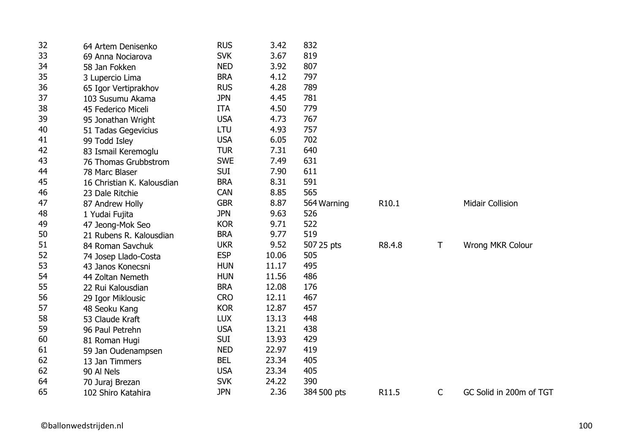| 32 | 64 Artem Denisenko         | <b>RUS</b> | 3.42  | 832         |        |              |                         |
|----|----------------------------|------------|-------|-------------|--------|--------------|-------------------------|
| 33 | 69 Anna Nociarova          | <b>SVK</b> | 3.67  | 819         |        |              |                         |
| 34 | 58 Jan Fokken              | <b>NED</b> | 3.92  | 807         |        |              |                         |
| 35 | 3 Lupercio Lima            | <b>BRA</b> | 4.12  | 797         |        |              |                         |
| 36 | 65 Igor Vertiprakhov       | <b>RUS</b> | 4.28  | 789         |        |              |                         |
| 37 | 103 Susumu Akama           | <b>JPN</b> | 4.45  | 781         |        |              |                         |
| 38 | 45 Federico Miceli         | <b>ITA</b> | 4.50  | 779         |        |              |                         |
| 39 | 95 Jonathan Wright         | <b>USA</b> | 4.73  | 767         |        |              |                         |
| 40 | 51 Tadas Gegevicius        | LTU        | 4.93  | 757         |        |              |                         |
| 41 | 99 Todd Isley              | <b>USA</b> | 6.05  | 702         |        |              |                         |
| 42 | 83 Ismail Keremoglu        | <b>TUR</b> | 7.31  | 640         |        |              |                         |
| 43 | 76 Thomas Grubbstrom       | <b>SWE</b> | 7.49  | 631         |        |              |                         |
| 44 | 78 Marc Blaser             | <b>SUI</b> | 7.90  | 611         |        |              |                         |
| 45 | 16 Christian K. Kalousdian | <b>BRA</b> | 8.31  | 591         |        |              |                         |
| 46 | 23 Dale Ritchie            | <b>CAN</b> | 8.85  | 565         |        |              |                         |
| 47 | 87 Andrew Holly            | <b>GBR</b> | 8.87  | 564 Warning | R10.1  |              | <b>Midair Collision</b> |
| 48 | 1 Yudai Fujita             | <b>JPN</b> | 9.63  | 526         |        |              |                         |
| 49 | 47 Jeong-Mok Seo           | <b>KOR</b> | 9.71  | 522         |        |              |                         |
| 50 | 21 Rubens R. Kalousdian    | <b>BRA</b> | 9.77  | 519         |        |              |                         |
| 51 | 84 Roman Savchuk           | <b>UKR</b> | 9.52  | 507 25 pts  | R8.4.8 | $\mathsf T$  | Wrong MKR Colour        |
| 52 | 74 Josep Llado-Costa       | <b>ESP</b> | 10.06 | 505         |        |              |                         |
| 53 | 43 Janos Konecsni          | <b>HUN</b> | 11.17 | 495         |        |              |                         |
| 54 | 44 Zoltan Nemeth           | <b>HUN</b> | 11.56 | 486         |        |              |                         |
| 55 | 22 Rui Kalousdian          | <b>BRA</b> | 12.08 | 176         |        |              |                         |
| 56 | 29 Igor Miklousic          | <b>CRO</b> | 12.11 | 467         |        |              |                         |
| 57 | 48 Seoku Kang              | <b>KOR</b> | 12.87 | 457         |        |              |                         |
| 58 | 53 Claude Kraft            | <b>LUX</b> | 13.13 | 448         |        |              |                         |
| 59 | 96 Paul Petrehn            | <b>USA</b> | 13.21 | 438         |        |              |                         |
| 60 | 81 Roman Hugi              | <b>SUI</b> | 13.93 | 429         |        |              |                         |
| 61 | 59 Jan Oudenampsen         | <b>NED</b> | 22.97 | 419         |        |              |                         |
| 62 | 13 Jan Timmers             | <b>BEL</b> | 23.34 | 405         |        |              |                         |
| 62 | 90 Al Nels                 | <b>USA</b> | 23.34 | 405         |        |              |                         |
| 64 | 70 Juraj Brezan            | <b>SVK</b> | 24.22 | 390         |        |              |                         |
| 65 | 102 Shiro Katahira         | <b>JPN</b> | 2.36  | 384 500 pts | R11.5  | $\mathsf{C}$ | GC Solid in 200m of TGT |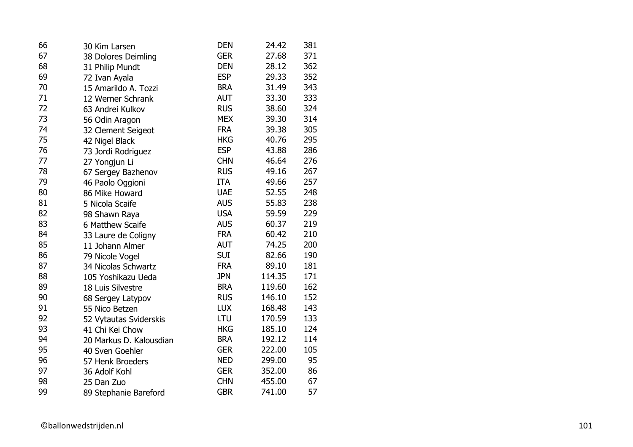| 66 | 30 Kim Larsen           | <b>DEN</b> | 24.42  | 381 |
|----|-------------------------|------------|--------|-----|
| 67 | 38 Dolores Deimling     | <b>GER</b> | 27.68  | 371 |
| 68 | 31 Philip Mundt         | <b>DEN</b> | 28.12  | 362 |
| 69 | 72 Ivan Ayala           | <b>ESP</b> | 29.33  | 352 |
| 70 | 15 Amarildo A. Tozzi    | <b>BRA</b> | 31.49  | 343 |
| 71 | 12 Werner Schrank       | <b>AUT</b> | 33.30  | 333 |
| 72 | 63 Andrei Kulkov        | <b>RUS</b> | 38.60  | 324 |
| 73 | 56 Odin Aragon          | <b>MEX</b> | 39.30  | 314 |
| 74 | 32 Clement Seigeot      | <b>FRA</b> | 39.38  | 305 |
| 75 | 42 Nigel Black          | <b>HKG</b> | 40.76  | 295 |
| 76 | 73 Jordi Rodriguez      | <b>ESP</b> | 43.88  | 286 |
| 77 | 27 Yongjun Li           | <b>CHN</b> | 46.64  | 276 |
| 78 | 67 Sergey Bazhenov      | <b>RUS</b> | 49.16  | 267 |
| 79 | 46 Paolo Oggioni        | <b>ITA</b> | 49.66  | 257 |
| 80 | 86 Mike Howard          | <b>UAE</b> | 52.55  | 248 |
| 81 | 5 Nicola Scaife         | <b>AUS</b> | 55.83  | 238 |
| 82 | 98 Shawn Raya           | <b>USA</b> | 59.59  | 229 |
| 83 | 6 Matthew Scaife        | <b>AUS</b> | 60.37  | 219 |
| 84 | 33 Laure de Coligny     | <b>FRA</b> | 60.42  | 210 |
| 85 | 11 Johann Almer         | <b>AUT</b> | 74.25  | 200 |
| 86 | 79 Nicole Vogel         | <b>SUI</b> | 82.66  | 190 |
| 87 | 34 Nicolas Schwartz     | <b>FRA</b> | 89.10  | 181 |
| 88 | 105 Yoshikazu Ueda      | <b>JPN</b> | 114.35 | 171 |
| 89 | 18 Luis Silvestre       | <b>BRA</b> | 119.60 | 162 |
| 90 | 68 Sergey Latypov       | <b>RUS</b> | 146.10 | 152 |
| 91 | 55 Nico Betzen          | <b>LUX</b> | 168.48 | 143 |
| 92 | 52 Vytautas Sviderskis  | LTU        | 170.59 | 133 |
| 93 | 41 Chi Kei Chow         | <b>HKG</b> | 185.10 | 124 |
| 94 | 20 Markus D. Kalousdian | <b>BRA</b> | 192.12 | 114 |
| 95 | 40 Sven Goehler         | <b>GER</b> | 222.00 | 105 |
| 96 | 57 Henk Broeders        | <b>NED</b> | 299.00 | 95  |
| 97 | 36 Adolf Kohl           | <b>GER</b> | 352.00 | 86  |
| 98 | 25 Dan Zuo              | <b>CHN</b> | 455.00 | 67  |
| 99 | 89 Stephanie Bareford   | <b>GBR</b> | 741.00 | 57  |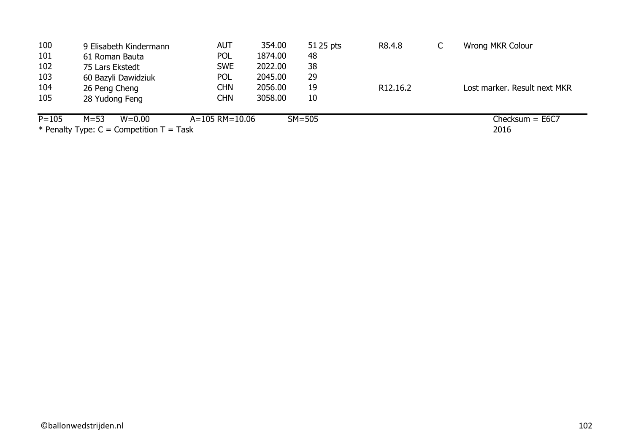| 100       | 9 Elisabeth Kindermann                       | <b>AUT</b>             | 354.00  | 51 25 pts | R8.4.8                | ◡ | <b>Wrong MKR Colour</b>      |
|-----------|----------------------------------------------|------------------------|---------|-----------|-----------------------|---|------------------------------|
| 101       | 61 Roman Bauta                               | <b>POL</b>             | 1874.00 | 48        |                       |   |                              |
| 102       | 75 Lars Ekstedt                              | <b>SWE</b>             | 2022.00 | 38        |                       |   |                              |
| 103       | 60 Bazyli Dawidziuk                          | <b>POL</b>             | 2045.00 | 29        |                       |   |                              |
| 104       | 26 Peng Cheng                                | CHN                    | 2056.00 | 19        | R <sub>12</sub> .16.2 |   | Lost marker, Result next MKR |
| 105       | 28 Yudong Feng                               | CHN                    | 3058.00 | 10        |                       |   |                              |
| $P = 105$ | $M = 53$<br>$W = 0.00$                       | $A = 105$ RM $= 10.06$ |         | $SM=505$  |                       |   | $Checksum = E6C7$            |
|           | * Penalty Type: $C =$ Competition $T =$ Task |                        |         |           |                       |   | 2016                         |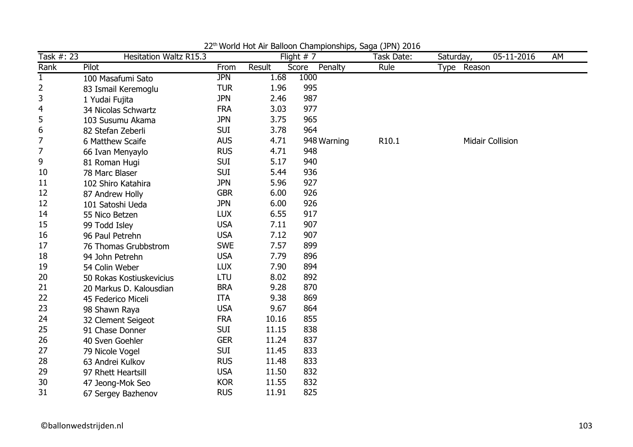| Task #: 23     | <b>Hesitation Waltz R15.3</b> |            |        | Flight $# 7$     | Task Date:        | Saturday,   | 05-11-2016              | AM |
|----------------|-------------------------------|------------|--------|------------------|-------------------|-------------|-------------------------|----|
| Rank           | Pilot                         | From       | Result | Penalty<br>Score | Rule              | Type Reason |                         |    |
| $\mathbf{1}$   | 100 Masafumi Sato             | <b>JPN</b> | 1.68   | 1000             |                   |             |                         |    |
| 2              | 83 Ismail Keremoglu           | <b>TUR</b> | 1.96   | 995              |                   |             |                         |    |
| 3              | 1 Yudai Fujita                | <b>JPN</b> | 2.46   | 987              |                   |             |                         |    |
| 4              | 34 Nicolas Schwartz           | <b>FRA</b> | 3.03   | 977              |                   |             |                         |    |
| 5              | 103 Susumu Akama              | <b>JPN</b> | 3.75   | 965              |                   |             |                         |    |
| 6              | 82 Stefan Zeberli             | <b>SUI</b> | 3.78   | 964              |                   |             |                         |    |
| 7              | 6 Matthew Scaife              | <b>AUS</b> | 4.71   | 948 Warning      | R <sub>10.1</sub> |             | <b>Midair Collision</b> |    |
| $\overline{7}$ | 66 Ivan Menyaylo              | <b>RUS</b> | 4.71   | 948              |                   |             |                         |    |
| 9              | 81 Roman Hugi                 | <b>SUI</b> | 5.17   | 940              |                   |             |                         |    |
| 10             | 78 Marc Blaser                | <b>SUI</b> | 5.44   | 936              |                   |             |                         |    |
| 11             | 102 Shiro Katahira            | <b>JPN</b> | 5.96   | 927              |                   |             |                         |    |
| 12             | 87 Andrew Holly               | <b>GBR</b> | 6.00   | 926              |                   |             |                         |    |
| 12             | 101 Satoshi Ueda              | <b>JPN</b> | 6.00   | 926              |                   |             |                         |    |
| 14             | 55 Nico Betzen                | <b>LUX</b> | 6.55   | 917              |                   |             |                         |    |
| 15             | 99 Todd Isley                 | <b>USA</b> | 7.11   | 907              |                   |             |                         |    |
| 16             | 96 Paul Petrehn               | <b>USA</b> | 7.12   | 907              |                   |             |                         |    |
| 17             | 76 Thomas Grubbstrom          | <b>SWE</b> | 7.57   | 899              |                   |             |                         |    |
| 18             | 94 John Petrehn               | <b>USA</b> | 7.79   | 896              |                   |             |                         |    |
| 19             | 54 Colin Weber                | <b>LUX</b> | 7.90   | 894              |                   |             |                         |    |
| 20             | 50 Rokas Kostiuskevicius      | LTU        | 8.02   | 892              |                   |             |                         |    |
| 21             | 20 Markus D. Kalousdian       | <b>BRA</b> | 9.28   | 870              |                   |             |                         |    |
| 22             | 45 Federico Miceli            | <b>ITA</b> | 9.38   | 869              |                   |             |                         |    |
| 23             | 98 Shawn Raya                 | <b>USA</b> | 9.67   | 864              |                   |             |                         |    |
| 24             | 32 Clement Seigeot            | <b>FRA</b> | 10.16  | 855              |                   |             |                         |    |
| 25             | 91 Chase Donner               | <b>SUI</b> | 11.15  | 838              |                   |             |                         |    |
| 26             | 40 Sven Goehler               | <b>GER</b> | 11.24  | 837              |                   |             |                         |    |
| 27             | 79 Nicole Vogel               | <b>SUI</b> | 11.45  | 833              |                   |             |                         |    |
| 28             | 63 Andrei Kulkov              | <b>RUS</b> | 11.48  | 833              |                   |             |                         |    |
| 29             | 97 Rhett Heartsill            | <b>USA</b> | 11.50  | 832              |                   |             |                         |    |
| 30             | 47 Jeong-Mok Seo              | <b>KOR</b> | 11.55  | 832              |                   |             |                         |    |
| 31             | 67 Sergey Bazhenov            | <b>RUS</b> | 11.91  | 825              |                   |             |                         |    |

22<sup>th</sup> World Hot Air Balloon Championships, Saga (JPN) 2016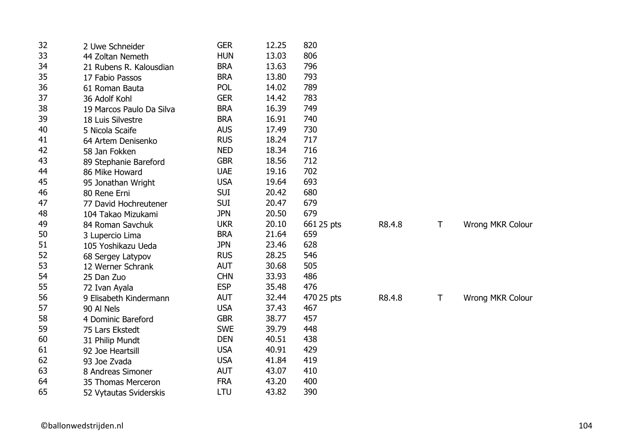| 32 | 2 Uwe Schneider          | <b>GER</b> | 12.25 | 820        |        |   |                  |
|----|--------------------------|------------|-------|------------|--------|---|------------------|
| 33 | 44 Zoltan Nemeth         | <b>HUN</b> | 13.03 | 806        |        |   |                  |
| 34 | 21 Rubens R. Kalousdian  | <b>BRA</b> | 13.63 | 796        |        |   |                  |
| 35 | 17 Fabio Passos          | <b>BRA</b> | 13.80 | 793        |        |   |                  |
| 36 | 61 Roman Bauta           | <b>POL</b> | 14.02 | 789        |        |   |                  |
| 37 | 36 Adolf Kohl            | <b>GER</b> | 14.42 | 783        |        |   |                  |
| 38 | 19 Marcos Paulo Da Silva | <b>BRA</b> | 16.39 | 749        |        |   |                  |
| 39 | 18 Luis Silvestre        | <b>BRA</b> | 16.91 | 740        |        |   |                  |
| 40 | 5 Nicola Scaife          | <b>AUS</b> | 17.49 | 730        |        |   |                  |
| 41 | 64 Artem Denisenko       | <b>RUS</b> | 18.24 | 717        |        |   |                  |
| 42 | 58 Jan Fokken            | <b>NED</b> | 18.34 | 716        |        |   |                  |
| 43 | 89 Stephanie Bareford    | <b>GBR</b> | 18.56 | 712        |        |   |                  |
| 44 | 86 Mike Howard           | <b>UAE</b> | 19.16 | 702        |        |   |                  |
| 45 | 95 Jonathan Wright       | <b>USA</b> | 19.64 | 693        |        |   |                  |
| 46 | 80 Rene Erni             | <b>SUI</b> | 20.42 | 680        |        |   |                  |
| 47 | 77 David Hochreutener    | <b>SUI</b> | 20.47 | 679        |        |   |                  |
| 48 | 104 Takao Mizukami       | <b>JPN</b> | 20.50 | 679        |        |   |                  |
| 49 | 84 Roman Savchuk         | <b>UKR</b> | 20.10 | 661 25 pts | R8.4.8 | T | Wrong MKR Colour |
| 50 | 3 Lupercio Lima          | <b>BRA</b> | 21.64 | 659        |        |   |                  |
| 51 | 105 Yoshikazu Ueda       | <b>JPN</b> | 23.46 | 628        |        |   |                  |
| 52 | 68 Sergey Latypov        | <b>RUS</b> | 28.25 | 546        |        |   |                  |
| 53 | 12 Werner Schrank        | <b>AUT</b> | 30.68 | 505        |        |   |                  |
| 54 | 25 Dan Zuo               | <b>CHN</b> | 33.93 | 486        |        |   |                  |
| 55 | 72 Ivan Ayala            | <b>ESP</b> | 35.48 | 476        |        |   |                  |
| 56 | 9 Elisabeth Kindermann   | <b>AUT</b> | 32.44 | 470 25 pts | R8.4.8 | T | Wrong MKR Colour |
| 57 | 90 Al Nels               | <b>USA</b> | 37.43 | 467        |        |   |                  |
| 58 | 4 Dominic Bareford       | <b>GBR</b> | 38.77 | 457        |        |   |                  |
| 59 | 75 Lars Ekstedt          | <b>SWE</b> | 39.79 | 448        |        |   |                  |
| 60 | 31 Philip Mundt          | <b>DEN</b> | 40.51 | 438        |        |   |                  |
| 61 | 92 Joe Heartsill         | <b>USA</b> | 40.91 | 429        |        |   |                  |
| 62 | 93 Joe Zvada             | <b>USA</b> | 41.84 | 419        |        |   |                  |
| 63 | 8 Andreas Simoner        | <b>AUT</b> | 43.07 | 410        |        |   |                  |
| 64 | 35 Thomas Merceron       | <b>FRA</b> | 43.20 | 400        |        |   |                  |
| 65 | 52 Vytautas Sviderskis   | <b>LTU</b> | 43.82 | 390        |        |   |                  |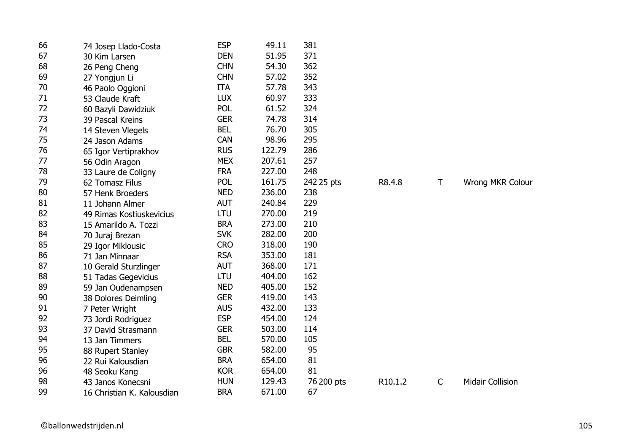| 66 | 74 Josep Llado-Costa       | <b>ESP</b> | 49.11  | 381        |         |              |                         |
|----|----------------------------|------------|--------|------------|---------|--------------|-------------------------|
| 67 | 30 Kim Larsen              | <b>DEN</b> | 51.95  | 371        |         |              |                         |
| 68 | 26 Peng Cheng              | <b>CHN</b> | 54.30  | 362        |         |              |                         |
| 69 | 27 Yongjun Li              | <b>CHN</b> | 57.02  | 352        |         |              |                         |
| 70 | 46 Paolo Oggioni           | <b>ITA</b> | 57.78  | 343        |         |              |                         |
| 71 | 53 Claude Kraft            | <b>LUX</b> | 60.97  | 333        |         |              |                         |
| 72 | 60 Bazyli Dawidziuk        | <b>POL</b> | 61.52  | 324        |         |              |                         |
| 73 | 39 Pascal Kreins           | <b>GER</b> | 74.78  | 314        |         |              |                         |
| 74 | 14 Steven Vlegels          | <b>BEL</b> | 76.70  | 305        |         |              |                         |
| 75 | 24 Jason Adams             | <b>CAN</b> | 98.96  | 295        |         |              |                         |
| 76 | 65 Igor Vertiprakhov       | <b>RUS</b> | 122.79 | 286        |         |              |                         |
| 77 | 56 Odin Aragon             | <b>MEX</b> | 207.61 | 257        |         |              |                         |
| 78 | 33 Laure de Coligny        | <b>FRA</b> | 227.00 | 248        |         |              |                         |
| 79 | 62 Tomasz Filus            | <b>POL</b> | 161.75 | 242 25 pts | R8.4.8  | $\mathsf T$  | <b>Wrong MKR Colour</b> |
| 80 | 57 Henk Broeders           | <b>NED</b> | 236.00 | 238        |         |              |                         |
| 81 | 11 Johann Almer            | <b>AUT</b> | 240.84 | 229        |         |              |                         |
| 82 | 49 Rimas Kostiuskevicius   | <b>LTU</b> | 270.00 | 219        |         |              |                         |
| 83 | 15 Amarildo A. Tozzi       | <b>BRA</b> | 273.00 | 210        |         |              |                         |
| 84 | 70 Juraj Brezan            | <b>SVK</b> | 282.00 | 200        |         |              |                         |
| 85 | 29 Igor Miklousic          | <b>CRO</b> | 318.00 | 190        |         |              |                         |
| 86 | 71 Jan Minnaar             | <b>RSA</b> | 353.00 | 181        |         |              |                         |
| 87 | 10 Gerald Sturzlinger      | <b>AUT</b> | 368.00 | 171        |         |              |                         |
| 88 | 51 Tadas Gegevicius        | LTU        | 404.00 | 162        |         |              |                         |
| 89 | 59 Jan Oudenampsen         | <b>NED</b> | 405.00 | 152        |         |              |                         |
| 90 | 38 Dolores Deimling        | <b>GER</b> | 419.00 | 143        |         |              |                         |
| 91 | 7 Peter Wright             | <b>AUS</b> | 432.00 | 133        |         |              |                         |
| 92 | 73 Jordi Rodriguez         | <b>ESP</b> | 454.00 | 124        |         |              |                         |
| 93 | 37 David Strasmann         | <b>GER</b> | 503.00 | 114        |         |              |                         |
| 94 | 13 Jan Timmers             | <b>BEL</b> | 570.00 | 105        |         |              |                         |
| 95 | 88 Rupert Stanley          | <b>GBR</b> | 582.00 | 95         |         |              |                         |
| 96 | 22 Rui Kalousdian          | <b>BRA</b> | 654.00 | 81         |         |              |                         |
| 96 | 48 Seoku Kang              | <b>KOR</b> | 654.00 | 81         |         |              |                         |
| 98 | 43 Janos Konecsni          | <b>HUN</b> | 129.43 | 76 200 pts | R10.1.2 | $\mathsf{C}$ | <b>Midair Collision</b> |
| 99 | 16 Christian K. Kalousdian | <b>BRA</b> | 671.00 | 67         |         |              |                         |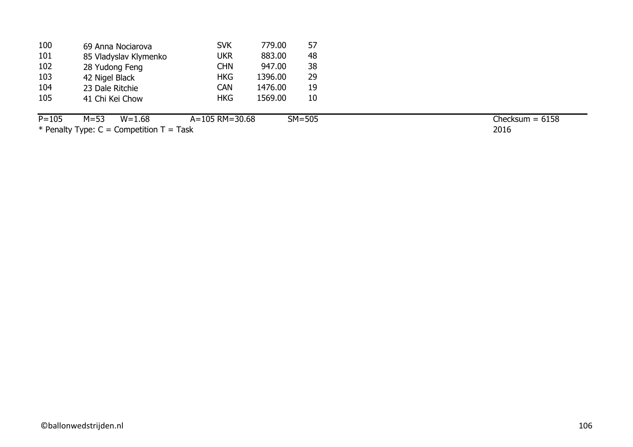| 100 | 69 Anna Nociarova     | <b>SVK</b> | 779.00  | 57 |
|-----|-----------------------|------------|---------|----|
| 101 | 85 Vladyslav Klymenko | <b>UKR</b> | 883.00  | 48 |
| 102 | 28 Yudong Feng        | <b>CHN</b> | 947.00  | 38 |
| 103 | 42 Nigel Black        | <b>HKG</b> | 1396.00 | 29 |
| 104 | 23 Dale Ritchie       | <b>CAN</b> | 1476.00 | 19 |
| 105 | 41 Chi Kei Chow       | <b>HKG</b> | 1569.00 | 10 |
|     |                       |            |         |    |

P=105 M=53 W=1.68 A=105 RM=30.68 SM=505  $*$  Penalty Type: C = Competition T = Task

2016  $\overline{\text{Checksum}} = 6158$ 

©ballonwedstrijden.nl 106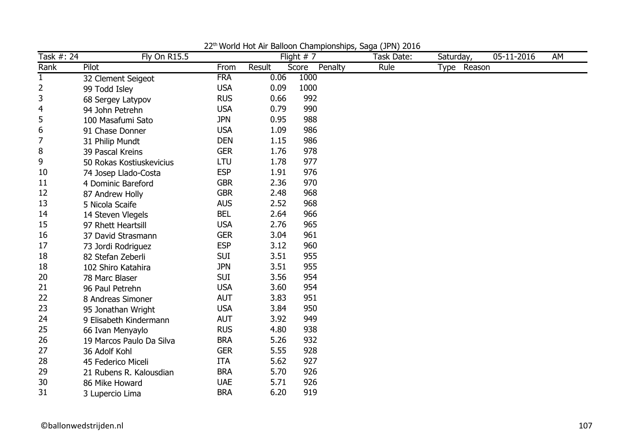| Task #: 24     | <b>Fly On R15.5</b>      |            |        | Flight $# 7$     | Task Date: | Saturday,      | 05-11-2016 | AM |
|----------------|--------------------------|------------|--------|------------------|------------|----------------|------------|----|
| Rank           | Pilot                    | From       | Result | Penalty<br>Score | Rule       | Reason<br>Type |            |    |
| $\mathbf{1}$   | 32 Clement Seigeot       | <b>FRA</b> | 0.06   | 1000             |            |                |            |    |
| $\overline{2}$ | 99 Todd Isley            | <b>USA</b> | 0.09   | 1000             |            |                |            |    |
| 3              | 68 Sergey Latypov        | <b>RUS</b> | 0.66   | 992              |            |                |            |    |
| 4              | 94 John Petrehn          | <b>USA</b> | 0.79   | 990              |            |                |            |    |
| 5              | 100 Masafumi Sato        | <b>JPN</b> | 0.95   | 988              |            |                |            |    |
| 6              | 91 Chase Donner          | <b>USA</b> | 1.09   | 986              |            |                |            |    |
| 7              | 31 Philip Mundt          | <b>DEN</b> | 1.15   | 986              |            |                |            |    |
| 8              | 39 Pascal Kreins         | <b>GER</b> | 1.76   | 978              |            |                |            |    |
| 9              | 50 Rokas Kostiuskevicius | <b>LTU</b> | 1.78   | 977              |            |                |            |    |
| 10             | 74 Josep Llado-Costa     | <b>ESP</b> | 1.91   | 976              |            |                |            |    |
| 11             | 4 Dominic Bareford       | <b>GBR</b> | 2.36   | 970              |            |                |            |    |
| 12             | 87 Andrew Holly          | <b>GBR</b> | 2.48   | 968              |            |                |            |    |
| 13             | 5 Nicola Scaife          | <b>AUS</b> | 2.52   | 968              |            |                |            |    |
| 14             | 14 Steven Vlegels        | <b>BEL</b> | 2.64   | 966              |            |                |            |    |
| 15             | 97 Rhett Heartsill       | <b>USA</b> | 2.76   | 965              |            |                |            |    |
| 16             | 37 David Strasmann       | <b>GER</b> | 3.04   | 961              |            |                |            |    |
| 17             | 73 Jordi Rodriguez       | <b>ESP</b> | 3.12   | 960              |            |                |            |    |
| 18             | 82 Stefan Zeberli        | <b>SUI</b> | 3.51   | 955              |            |                |            |    |
| 18             | 102 Shiro Katahira       | <b>JPN</b> | 3.51   | 955              |            |                |            |    |
| 20             | 78 Marc Blaser           | <b>SUI</b> | 3.56   | 954              |            |                |            |    |
| 21             | 96 Paul Petrehn          | <b>USA</b> | 3.60   | 954              |            |                |            |    |
| 22             | 8 Andreas Simoner        | <b>AUT</b> | 3.83   | 951              |            |                |            |    |
| 23             | 95 Jonathan Wright       | <b>USA</b> | 3.84   | 950              |            |                |            |    |
| 24             | 9 Elisabeth Kindermann   | <b>AUT</b> | 3.92   | 949              |            |                |            |    |
| 25             | 66 Ivan Menyaylo         | <b>RUS</b> | 4.80   | 938              |            |                |            |    |
| 26             | 19 Marcos Paulo Da Silva | <b>BRA</b> | 5.26   | 932              |            |                |            |    |
| 27             | 36 Adolf Kohl            | <b>GER</b> | 5.55   | 928              |            |                |            |    |
| 28             | 45 Federico Miceli       | <b>ITA</b> | 5.62   | 927              |            |                |            |    |
| 29             | 21 Rubens R. Kalousdian  | <b>BRA</b> | 5.70   | 926              |            |                |            |    |
| 30             | 86 Mike Howard           | <b>UAE</b> | 5.71   | 926              |            |                |            |    |
| 31             | 3 Lupercio Lima          | <b>BRA</b> | 6.20   | 919              |            |                |            |    |

22<sup>th</sup> World Hot Air Balloon Championships, Saga (JPN) 2016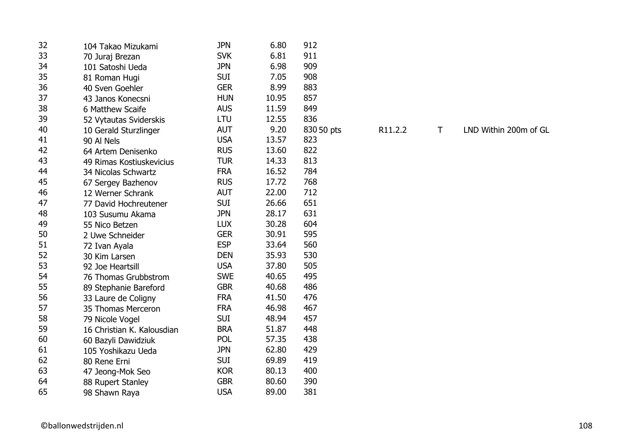| 32 | 104 Takao Mizukami         | <b>JPN</b> | 6.80  | 912        |         |
|----|----------------------------|------------|-------|------------|---------|
| 33 | 70 Juraj Brezan            | <b>SVK</b> | 6.81  | 911        |         |
| 34 | 101 Satoshi Ueda           | <b>JPN</b> | 6.98  | 909        |         |
| 35 | 81 Roman Hugi              | <b>SUI</b> | 7.05  | 908        |         |
| 36 | 40 Sven Goehler            | <b>GER</b> | 8.99  | 883        |         |
| 37 | 43 Janos Konecsni          | <b>HUN</b> | 10.95 | 857        |         |
| 38 | 6 Matthew Scaife           | <b>AUS</b> | 11.59 | 849        |         |
| 39 | 52 Vytautas Sviderskis     | LTU        | 12.55 | 836        |         |
| 40 | 10 Gerald Sturzlinger      | <b>AUT</b> | 9.20  | 830 50 pts | R11.2.2 |
| 41 | 90 Al Nels                 | <b>USA</b> | 13.57 | 823        |         |
| 42 | 64 Artem Denisenko         | <b>RUS</b> | 13.60 | 822        |         |
| 43 | 49 Rimas Kostiuskevicius   | <b>TUR</b> | 14.33 | 813        |         |
| 44 | 34 Nicolas Schwartz        | <b>FRA</b> | 16.52 | 784        |         |
| 45 | 67 Sergey Bazhenov         | <b>RUS</b> | 17.72 | 768        |         |
| 46 | 12 Werner Schrank          | <b>AUT</b> | 22.00 | 712        |         |
| 47 | 77 David Hochreutener      | <b>SUI</b> | 26.66 | 651        |         |
| 48 | 103 Susumu Akama           | <b>JPN</b> | 28.17 | 631        |         |
| 49 | 55 Nico Betzen             | <b>LUX</b> | 30.28 | 604        |         |
| 50 | 2 Uwe Schneider            | <b>GER</b> | 30.91 | 595        |         |
| 51 | 72 Ivan Ayala              | <b>ESP</b> | 33.64 | 560        |         |
| 52 | 30 Kim Larsen              | <b>DEN</b> | 35.93 | 530        |         |
| 53 | 92 Joe Heartsill           | <b>USA</b> | 37.80 | 505        |         |
| 54 | 76 Thomas Grubbstrom       | <b>SWE</b> | 40.65 | 495        |         |
| 55 | 89 Stephanie Bareford      | <b>GBR</b> | 40.68 | 486        |         |
| 56 | 33 Laure de Coligny        | <b>FRA</b> | 41.50 | 476        |         |
| 57 | 35 Thomas Merceron         | <b>FRA</b> | 46.98 | 467        |         |
| 58 | 79 Nicole Vogel            | <b>SUI</b> | 48.94 | 457        |         |
| 59 | 16 Christian K. Kalousdian | <b>BRA</b> | 51.87 | 448        |         |
| 60 | 60 Bazyli Dawidziuk        | <b>POL</b> | 57.35 | 438        |         |
| 61 | 105 Yoshikazu Ueda         | <b>JPN</b> | 62.80 | 429        |         |
| 62 | 80 Rene Erni               | <b>SUI</b> | 69.89 | 419        |         |
| 63 | 47 Jeong-Mok Seo           | <b>KOR</b> | 80.13 | 400        |         |
| 64 | 88 Rupert Stanley          | <b>GBR</b> | 80.60 | 390        |         |
| 65 | 98 Shawn Raya              | <b>USA</b> | 89.00 | 381        |         |
|    |                            |            |       |            |         |

T

ts R11.2.2 T LND Within 200m of GL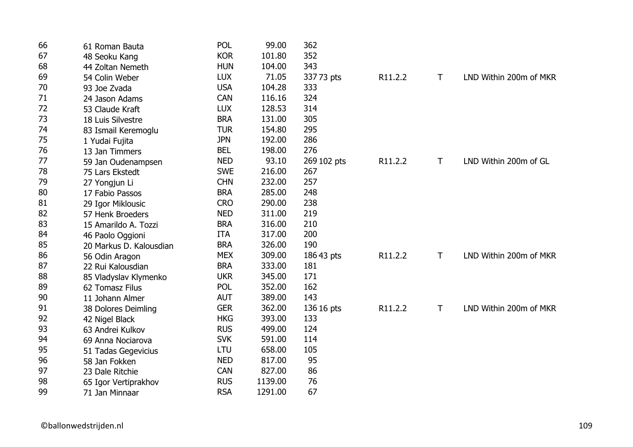| 66 | 61 Roman Bauta          | <b>POL</b> | 99.00   | 362         |         |              |                        |
|----|-------------------------|------------|---------|-------------|---------|--------------|------------------------|
| 67 | 48 Seoku Kang           | <b>KOR</b> | 101.80  | 352         |         |              |                        |
| 68 | 44 Zoltan Nemeth        | <b>HUN</b> | 104.00  | 343         |         |              |                        |
| 69 | 54 Colin Weber          | <b>LUX</b> | 71.05   | 337 73 pts  | R11.2.2 | T.           | LND Within 200m of MKR |
| 70 | 93 Joe Zvada            | <b>USA</b> | 104.28  | 333         |         |              |                        |
| 71 | 24 Jason Adams          | <b>CAN</b> | 116.16  | 324         |         |              |                        |
| 72 | 53 Claude Kraft         | <b>LUX</b> | 128.53  | 314         |         |              |                        |
| 73 | 18 Luis Silvestre       | <b>BRA</b> | 131.00  | 305         |         |              |                        |
| 74 | 83 Ismail Keremoglu     | <b>TUR</b> | 154.80  | 295         |         |              |                        |
| 75 | 1 Yudai Fujita          | <b>JPN</b> | 192.00  | 286         |         |              |                        |
| 76 | 13 Jan Timmers          | <b>BEL</b> | 198.00  | 276         |         |              |                        |
| 77 | 59 Jan Oudenampsen      | <b>NED</b> | 93.10   | 269 102 pts | R11.2.2 | $\mathsf{T}$ | LND Within 200m of GL  |
| 78 | 75 Lars Ekstedt         | <b>SWE</b> | 216.00  | 267         |         |              |                        |
| 79 | 27 Yongjun Li           | <b>CHN</b> | 232.00  | 257         |         |              |                        |
| 80 | 17 Fabio Passos         | <b>BRA</b> | 285.00  | 248         |         |              |                        |
| 81 | 29 Igor Miklousic       | <b>CRO</b> | 290.00  | 238         |         |              |                        |
| 82 | 57 Henk Broeders        | <b>NED</b> | 311.00  | 219         |         |              |                        |
| 83 | 15 Amarildo A. Tozzi    | <b>BRA</b> | 316.00  | 210         |         |              |                        |
| 84 | 46 Paolo Oggioni        | <b>ITA</b> | 317.00  | 200         |         |              |                        |
| 85 | 20 Markus D. Kalousdian | <b>BRA</b> | 326.00  | 190         |         |              |                        |
| 86 | 56 Odin Aragon          | <b>MEX</b> | 309.00  | 186 43 pts  | R11.2.2 | Τ            | LND Within 200m of MKR |
| 87 | 22 Rui Kalousdian       | <b>BRA</b> | 333.00  | 181         |         |              |                        |
| 88 | 85 Vladyslav Klymenko   | <b>UKR</b> | 345.00  | 171         |         |              |                        |
| 89 | 62 Tomasz Filus         | <b>POL</b> | 352.00  | 162         |         |              |                        |
| 90 | 11 Johann Almer         | <b>AUT</b> | 389.00  | 143         |         |              |                        |
| 91 | 38 Dolores Deimling     | <b>GER</b> | 362.00  | 136 16 pts  | R11.2.2 | Τ            | LND Within 200m of MKR |
| 92 | 42 Nigel Black          | <b>HKG</b> | 393.00  | 133         |         |              |                        |
| 93 | 63 Andrei Kulkov        | <b>RUS</b> | 499.00  | 124         |         |              |                        |
| 94 | 69 Anna Nociarova       | <b>SVK</b> | 591.00  | 114         |         |              |                        |
| 95 | 51 Tadas Gegevicius     | LTU        | 658.00  | 105         |         |              |                        |
| 96 | 58 Jan Fokken           | <b>NED</b> | 817.00  | 95          |         |              |                        |
| 97 | 23 Dale Ritchie         | <b>CAN</b> | 827.00  | 86          |         |              |                        |
| 98 | 65 Igor Vertiprakhov    | <b>RUS</b> | 1139.00 | 76          |         |              |                        |
| 99 | 71 Jan Minnaar          | <b>RSA</b> | 1291.00 | 67          |         |              |                        |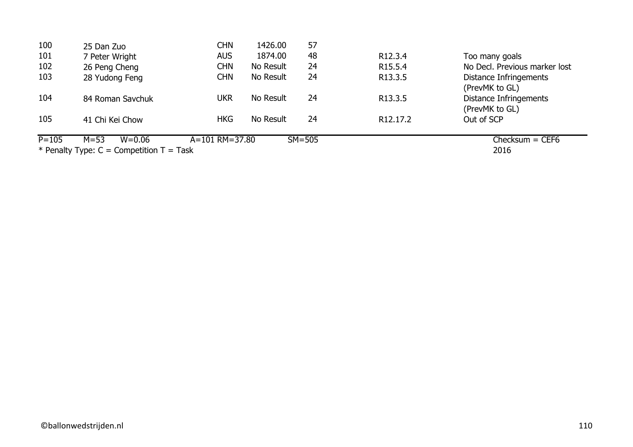| 100       | 25 Dan Zuo                                 | <b>CHN</b>     | 1426.00   | 57         |                       |                               |
|-----------|--------------------------------------------|----------------|-----------|------------|-----------------------|-------------------------------|
| 101       | 7 Peter Wright                             | <b>AUS</b>     | 1874.00   | 48         | R <sub>12</sub> .3.4  | Too many goals                |
| 102       | 26 Peng Cheng                              | CHN            | No Result | 24         | R <sub>15.5.4</sub>   | No Decl. Previous marker lost |
| 103       | 28 Yudong Feng                             | <b>CHN</b>     | No Result | 24         | R13.3.5               | Distance Infringements        |
|           |                                            |                |           |            |                       | (PrevMK to GL)                |
| 104       | 84 Roman Savchuk                           | ukr            | No Result | 24         | R <sub>13.3.5</sub>   | Distance Infringements        |
|           |                                            |                |           |            |                       | (PrevMK to GL)                |
| 105       | 41 Chi Kei Chow                            | <b>HKG</b>     | No Result | 24         | R <sub>12</sub> .17.2 | Out of SCP                    |
| $P = 105$ | $M = 53$<br>$W = 0.06$                     | A=101 RM=37.80 |           | $SM = 505$ |                       | $Checksum = CEF6$             |
|           | * Penalty Type: $C =$ Competition T = Task |                |           | 2016       |                       |                               |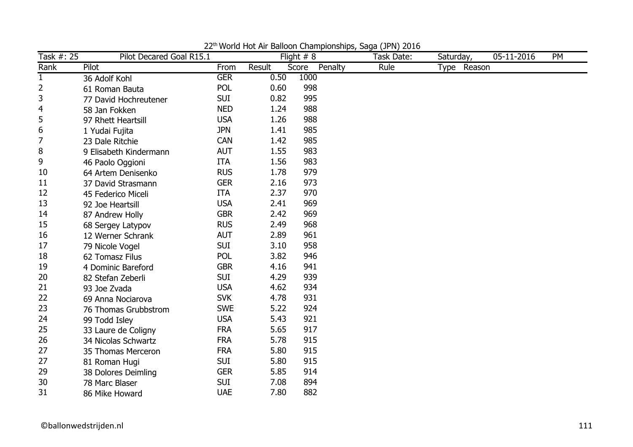| Task #: 25  | Pilot Decared Goal R15.1 |            |        | Flight $# 8$ |         | Task Date: | Saturday, |             | 05-11-2016 | <b>PM</b> |
|-------------|--------------------------|------------|--------|--------------|---------|------------|-----------|-------------|------------|-----------|
| Rank        | Pilot                    | From       | Result | Score        | Penalty | Rule       |           | Type Reason |            |           |
| $\mathbf 1$ | 36 Adolf Kohl            | <b>GER</b> | 0.50   | 1000         |         |            |           |             |            |           |
| 2           | 61 Roman Bauta           | <b>POL</b> | 0.60   | 998          |         |            |           |             |            |           |
| 3           | 77 David Hochreutener    | <b>SUI</b> | 0.82   | 995          |         |            |           |             |            |           |
| 4           | 58 Jan Fokken            | <b>NED</b> | 1.24   | 988          |         |            |           |             |            |           |
| 5           | 97 Rhett Heartsill       | <b>USA</b> | 1.26   | 988          |         |            |           |             |            |           |
| 6           | 1 Yudai Fujita           | <b>JPN</b> | 1.41   | 985          |         |            |           |             |            |           |
| 7           | 23 Dale Ritchie          | <b>CAN</b> | 1.42   | 985          |         |            |           |             |            |           |
| 8           | 9 Elisabeth Kindermann   | <b>AUT</b> | 1.55   | 983          |         |            |           |             |            |           |
| 9           | 46 Paolo Oggioni         | <b>ITA</b> | 1.56   | 983          |         |            |           |             |            |           |
| 10          | 64 Artem Denisenko       | <b>RUS</b> | 1.78   | 979          |         |            |           |             |            |           |
| 11          | 37 David Strasmann       | <b>GER</b> | 2.16   | 973          |         |            |           |             |            |           |
| 12          | 45 Federico Miceli       | <b>ITA</b> | 2.37   | 970          |         |            |           |             |            |           |
| 13          | 92 Joe Heartsill         | <b>USA</b> | 2.41   | 969          |         |            |           |             |            |           |
| 14          | 87 Andrew Holly          | <b>GBR</b> | 2.42   | 969          |         |            |           |             |            |           |
| 15          | 68 Sergey Latypov        | <b>RUS</b> | 2.49   | 968          |         |            |           |             |            |           |
| 16          | 12 Werner Schrank        | <b>AUT</b> | 2.89   | 961          |         |            |           |             |            |           |
| 17          | 79 Nicole Vogel          | <b>SUI</b> | 3.10   | 958          |         |            |           |             |            |           |
| 18          | 62 Tomasz Filus          | <b>POL</b> | 3.82   | 946          |         |            |           |             |            |           |
| 19          | 4 Dominic Bareford       | <b>GBR</b> | 4.16   | 941          |         |            |           |             |            |           |
| 20          | 82 Stefan Zeberli        | <b>SUI</b> | 4.29   | 939          |         |            |           |             |            |           |
| 21          | 93 Joe Zvada             | <b>USA</b> | 4.62   | 934          |         |            |           |             |            |           |
| 22          | 69 Anna Nociarova        | <b>SVK</b> | 4.78   | 931          |         |            |           |             |            |           |
| 23          | 76 Thomas Grubbstrom     | <b>SWE</b> | 5.22   | 924          |         |            |           |             |            |           |
| 24          | 99 Todd Isley            | <b>USA</b> | 5.43   | 921          |         |            |           |             |            |           |
| 25          | 33 Laure de Coligny      | <b>FRA</b> | 5.65   | 917          |         |            |           |             |            |           |
| 26          | 34 Nicolas Schwartz      | <b>FRA</b> | 5.78   | 915          |         |            |           |             |            |           |
| 27          | 35 Thomas Merceron       | <b>FRA</b> | 5.80   | 915          |         |            |           |             |            |           |
| 27          | 81 Roman Hugi            | <b>SUI</b> | 5.80   | 915          |         |            |           |             |            |           |
| 29          | 38 Dolores Deimling      | <b>GER</b> | 5.85   | 914          |         |            |           |             |            |           |
| 30          | 78 Marc Blaser           | <b>SUI</b> | 7.08   | 894          |         |            |           |             |            |           |
| 31          | 86 Mike Howard           | <b>UAE</b> | 7.80   | 882          |         |            |           |             |            |           |

22th World Hot Air Balloon Championships, Saga (JPN) 2016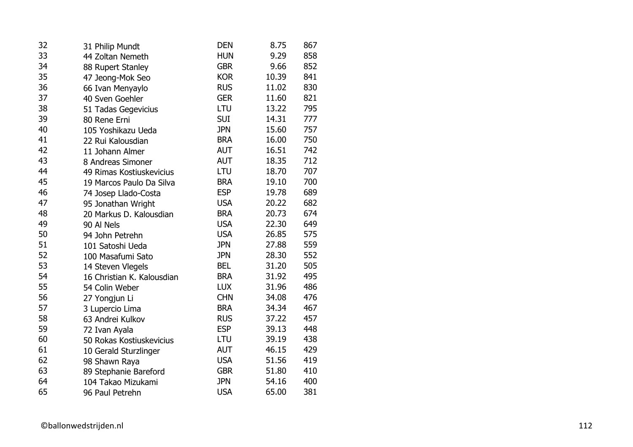| 32 | 31 Philip Mundt            | <b>DEN</b> | 8.75  | 867 |
|----|----------------------------|------------|-------|-----|
| 33 | 44 Zoltan Nemeth           | <b>HUN</b> | 9.29  | 858 |
| 34 | 88 Rupert Stanley          | <b>GBR</b> | 9.66  | 852 |
| 35 | 47 Jeong-Mok Seo           | <b>KOR</b> | 10.39 | 841 |
| 36 | 66 Ivan Menyaylo           | <b>RUS</b> | 11.02 | 830 |
| 37 | 40 Sven Goehler            | <b>GER</b> | 11.60 | 821 |
| 38 | 51 Tadas Gegevicius        | LTU        | 13.22 | 795 |
| 39 | 80 Rene Erni               | <b>SUI</b> | 14.31 | 777 |
| 40 | 105 Yoshikazu Ueda         | <b>JPN</b> | 15.60 | 757 |
| 41 | 22 Rui Kalousdian          | <b>BRA</b> | 16.00 | 750 |
| 42 | 11 Johann Almer            | <b>AUT</b> | 16.51 | 742 |
| 43 | 8 Andreas Simoner          | <b>AUT</b> | 18.35 | 712 |
| 44 | 49 Rimas Kostiuskevicius   | LTU        | 18.70 | 707 |
| 45 | 19 Marcos Paulo Da Silva   | <b>BRA</b> | 19.10 | 700 |
| 46 | 74 Josep Llado-Costa       | <b>ESP</b> | 19.78 | 689 |
| 47 | 95 Jonathan Wright         | <b>USA</b> | 20.22 | 682 |
| 48 | 20 Markus D. Kalousdian    | <b>BRA</b> | 20.73 | 674 |
| 49 | 90 Al Nels                 | <b>USA</b> | 22.30 | 649 |
| 50 | 94 John Petrehn            | <b>USA</b> | 26.85 | 575 |
| 51 | 101 Satoshi Ueda           | <b>JPN</b> | 27.88 | 559 |
| 52 | 100 Masafumi Sato          | <b>JPN</b> | 28.30 | 552 |
| 53 | 14 Steven Vlegels          | <b>BEL</b> | 31.20 | 505 |
| 54 | 16 Christian K. Kalousdian | <b>BRA</b> | 31.92 | 495 |
| 55 | 54 Colin Weber             | <b>LUX</b> | 31.96 | 486 |
| 56 | 27 Yongjun Li              | <b>CHN</b> | 34.08 | 476 |
| 57 | 3 Lupercio Lima            | <b>BRA</b> | 34.34 | 467 |
| 58 | 63 Andrei Kulkov           | <b>RUS</b> | 37.22 | 457 |
| 59 | 72 Ivan Ayala              | <b>ESP</b> | 39.13 | 448 |
| 60 | 50 Rokas Kostiuskevicius   | LTU        | 39.19 | 438 |
| 61 | 10 Gerald Sturzlinger      | <b>AUT</b> | 46.15 | 429 |
| 62 | 98 Shawn Raya              | <b>USA</b> | 51.56 | 419 |
| 63 | 89 Stephanie Bareford      | <b>GBR</b> | 51.80 | 410 |
| 64 | 104 Takao Mizukami         | <b>JPN</b> | 54.16 | 400 |
| 65 | 96 Paul Petrehn            | <b>USA</b> | 65.00 | 381 |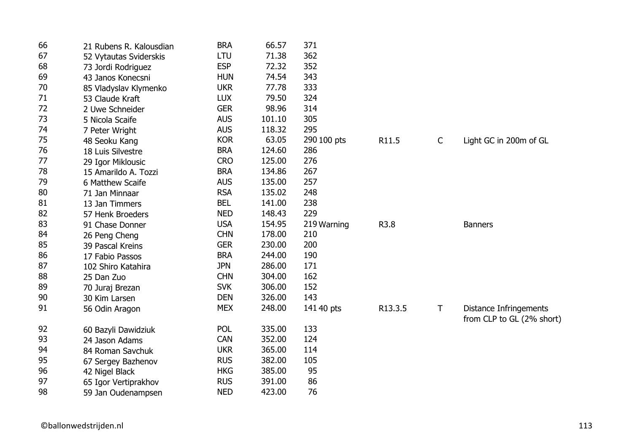| 66 | 21 Rubens R. Kalousdian | <b>BRA</b> | 66.57  | 371         |         |              |                           |
|----|-------------------------|------------|--------|-------------|---------|--------------|---------------------------|
| 67 | 52 Vytautas Sviderskis  | LTU        | 71.38  | 362         |         |              |                           |
| 68 | 73 Jordi Rodriguez      | <b>ESP</b> | 72.32  | 352         |         |              |                           |
| 69 | 43 Janos Konecsni       | <b>HUN</b> | 74.54  | 343         |         |              |                           |
| 70 | 85 Vladyslav Klymenko   | <b>UKR</b> | 77.78  | 333         |         |              |                           |
| 71 | 53 Claude Kraft         | <b>LUX</b> | 79.50  | 324         |         |              |                           |
| 72 | 2 Uwe Schneider         | <b>GER</b> | 98.96  | 314         |         |              |                           |
| 73 | 5 Nicola Scaife         | <b>AUS</b> | 101.10 | 305         |         |              |                           |
| 74 | 7 Peter Wright          | <b>AUS</b> | 118.32 | 295         |         |              |                           |
| 75 | 48 Seoku Kang           | <b>KOR</b> | 63.05  | 290 100 pts | R11.5   | $\mathsf{C}$ | Light GC in 200m of GL    |
| 76 | 18 Luis Silvestre       | <b>BRA</b> | 124.60 | 286         |         |              |                           |
| 77 | 29 Igor Miklousic       | <b>CRO</b> | 125.00 | 276         |         |              |                           |
| 78 | 15 Amarildo A. Tozzi    | <b>BRA</b> | 134.86 | 267         |         |              |                           |
| 79 | 6 Matthew Scaife        | <b>AUS</b> | 135.00 | 257         |         |              |                           |
| 80 | 71 Jan Minnaar          | <b>RSA</b> | 135.02 | 248         |         |              |                           |
| 81 | 13 Jan Timmers          | <b>BEL</b> | 141.00 | 238         |         |              |                           |
| 82 | 57 Henk Broeders        | <b>NED</b> | 148.43 | 229         |         |              |                           |
| 83 | 91 Chase Donner         | <b>USA</b> | 154.95 | 219 Warning | R3.8    |              | <b>Banners</b>            |
| 84 | 26 Peng Cheng           | <b>CHN</b> | 178.00 | 210         |         |              |                           |
| 85 | 39 Pascal Kreins        | <b>GER</b> | 230.00 | 200         |         |              |                           |
| 86 | 17 Fabio Passos         | <b>BRA</b> | 244.00 | 190         |         |              |                           |
| 87 | 102 Shiro Katahira      | <b>JPN</b> | 286.00 | 171         |         |              |                           |
| 88 | 25 Dan Zuo              | <b>CHN</b> | 304.00 | 162         |         |              |                           |
| 89 | 70 Juraj Brezan         | <b>SVK</b> | 306.00 | 152         |         |              |                           |
| 90 | 30 Kim Larsen           | <b>DEN</b> | 326.00 | 143         |         |              |                           |
| 91 | 56 Odin Aragon          | <b>MEX</b> | 248.00 | 141 40 pts  | R13.3.5 | $\mathsf{T}$ | Distance Infringements    |
|    |                         |            |        |             |         |              | from CLP to GL (2% short) |
| 92 | 60 Bazyli Dawidziuk     | <b>POL</b> | 335.00 | 133         |         |              |                           |
| 93 | 24 Jason Adams          | <b>CAN</b> | 352.00 | 124         |         |              |                           |
| 94 | 84 Roman Savchuk        | <b>UKR</b> | 365.00 | 114         |         |              |                           |
| 95 | 67 Sergey Bazhenov      | <b>RUS</b> | 382.00 | 105         |         |              |                           |
| 96 | 42 Nigel Black          | <b>HKG</b> | 385.00 | 95          |         |              |                           |
| 97 | 65 Igor Vertiprakhov    | <b>RUS</b> | 391.00 | 86          |         |              |                           |
| 98 | 59 Jan Oudenampsen      | <b>NED</b> | 423.00 | 76          |         |              |                           |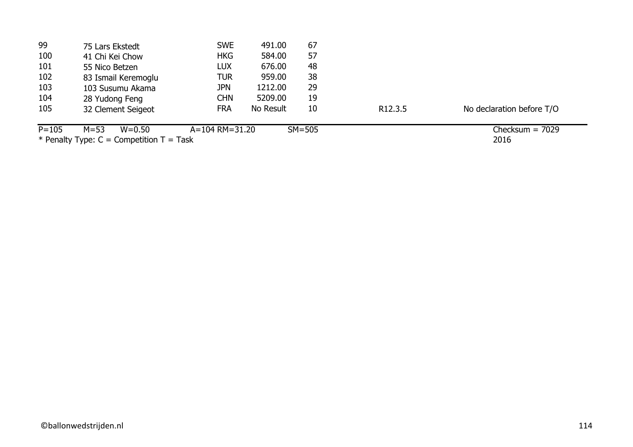| 99        | 75 Lars Ekstedt                              | <b>SWE</b>     | 491.00    | 67       |                     |                           |
|-----------|----------------------------------------------|----------------|-----------|----------|---------------------|---------------------------|
| 100       | 41 Chi Kei Chow                              | <b>HKG</b>     | 584.00    | 57       |                     |                           |
| 101       | 55 Nico Betzen                               | <b>LUX</b>     | 676.00    | 48       |                     |                           |
| 102       | 83 Ismail Keremoglu                          | <b>TUR</b>     | 959.00    | 38       |                     |                           |
| 103       | 103 Susumu Akama                             | <b>JPN</b>     | 1212.00   | 29       |                     |                           |
| 104       | 28 Yudong Feng                               | <b>CHN</b>     | 5209.00   | 19       |                     |                           |
| 105       | 32 Clement Seigeot                           | <b>FRA</b>     | No Result | 10       | R <sub>12.3.5</sub> | No declaration before T/O |
| $P = 105$ | $M = 53$<br>$W = 0.50$                       | A=104 RM=31.20 |           | $SM=505$ |                     | Checksum $= 7029$         |
|           | * Penalty Type: $C =$ Competition $T =$ Task |                |           |          |                     | 2016                      |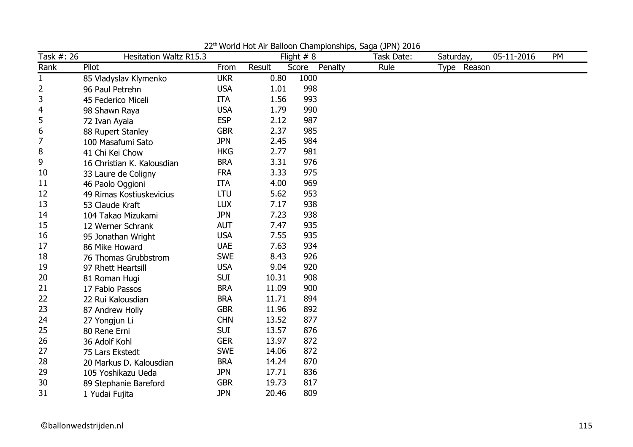| Task #: 26     | <b>Hesitation Waltz R15.3</b> |            |        | Flight $# 8$     | Task Date: | Saturday,   | 05-11-2016 | PM |
|----------------|-------------------------------|------------|--------|------------------|------------|-------------|------------|----|
| Rank           | Pilot                         | From       | Result | Penalty<br>Score | Rule       | Type Reason |            |    |
| $\mathbf{1}$   | 85 Vladyslav Klymenko         | <b>UKR</b> | 0.80   | 1000             |            |             |            |    |
| 2              | 96 Paul Petrehn               | <b>USA</b> | 1.01   | 998              |            |             |            |    |
| 3              | 45 Federico Miceli            | <b>ITA</b> | 1.56   | 993              |            |             |            |    |
| $\overline{4}$ | 98 Shawn Raya                 | <b>USA</b> | 1.79   | 990              |            |             |            |    |
| 5              | 72 Ivan Ayala                 | <b>ESP</b> | 2.12   | 987              |            |             |            |    |
| 6              | 88 Rupert Stanley             | <b>GBR</b> | 2.37   | 985              |            |             |            |    |
| 7              | 100 Masafumi Sato             | <b>JPN</b> | 2.45   | 984              |            |             |            |    |
| 8              | 41 Chi Kei Chow               | <b>HKG</b> | 2.77   | 981              |            |             |            |    |
| 9              | 16 Christian K. Kalousdian    | <b>BRA</b> | 3.31   | 976              |            |             |            |    |
| 10             | 33 Laure de Coligny           | <b>FRA</b> | 3.33   | 975              |            |             |            |    |
| 11             | 46 Paolo Oggioni              | <b>ITA</b> | 4.00   | 969              |            |             |            |    |
| 12             | 49 Rimas Kostiuskevicius      | <b>LTU</b> | 5.62   | 953              |            |             |            |    |
| 13             | 53 Claude Kraft               | <b>LUX</b> | 7.17   | 938              |            |             |            |    |
| 14             | 104 Takao Mizukami            | <b>JPN</b> | 7.23   | 938              |            |             |            |    |
| 15             | 12 Werner Schrank             | <b>AUT</b> | 7.47   | 935              |            |             |            |    |
| 16             | 95 Jonathan Wright            | <b>USA</b> | 7.55   | 935              |            |             |            |    |
| 17             | 86 Mike Howard                | <b>UAE</b> | 7.63   | 934              |            |             |            |    |
| 18             | 76 Thomas Grubbstrom          | <b>SWE</b> | 8.43   | 926              |            |             |            |    |
| 19             | 97 Rhett Heartsill            | <b>USA</b> | 9.04   | 920              |            |             |            |    |
| 20             | 81 Roman Hugi                 | <b>SUI</b> | 10.31  | 908              |            |             |            |    |
| 21             | 17 Fabio Passos               | <b>BRA</b> | 11.09  | 900              |            |             |            |    |
| 22             | 22 Rui Kalousdian             | <b>BRA</b> | 11.71  | 894              |            |             |            |    |
| 23             | 87 Andrew Holly               | <b>GBR</b> | 11.96  | 892              |            |             |            |    |
| 24             | 27 Yongjun Li                 | <b>CHN</b> | 13.52  | 877              |            |             |            |    |
| 25             | 80 Rene Erni                  | <b>SUI</b> | 13.57  | 876              |            |             |            |    |
| 26             | 36 Adolf Kohl                 | <b>GER</b> | 13.97  | 872              |            |             |            |    |
| 27             | 75 Lars Ekstedt               | <b>SWE</b> | 14.06  | 872              |            |             |            |    |
| 28             | 20 Markus D. Kalousdian       | <b>BRA</b> | 14.24  | 870              |            |             |            |    |
| 29             | 105 Yoshikazu Ueda            | <b>JPN</b> | 17.71  | 836              |            |             |            |    |
| 30             | 89 Stephanie Bareford         | <b>GBR</b> | 19.73  | 817              |            |             |            |    |
| 31             | 1 Yudai Fujita                | <b>JPN</b> | 20.46  | 809              |            |             |            |    |

22<sup>th</sup> World Hot Air Balloon Championships, Saga (JPN) 2016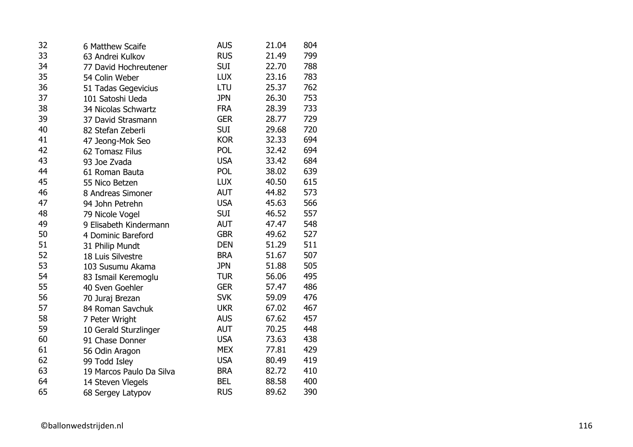| 32 | 6 Matthew Scaife         | <b>AUS</b> | 21.04 | 804 |
|----|--------------------------|------------|-------|-----|
| 33 | 63 Andrei Kulkov         | <b>RUS</b> | 21.49 | 799 |
| 34 | 77 David Hochreutener    | <b>SUI</b> | 22.70 | 788 |
| 35 | 54 Colin Weber           | <b>LUX</b> | 23.16 | 783 |
| 36 | 51 Tadas Gegevicius      | LTU        | 25.37 | 762 |
| 37 | 101 Satoshi Ueda         | <b>JPN</b> | 26.30 | 753 |
| 38 | 34 Nicolas Schwartz      | <b>FRA</b> | 28.39 | 733 |
| 39 | 37 David Strasmann       | <b>GER</b> | 28.77 | 729 |
| 40 | 82 Stefan Zeberli        | <b>SUI</b> | 29.68 | 720 |
| 41 | 47 Jeong-Mok Seo         | <b>KOR</b> | 32.33 | 694 |
| 42 | 62 Tomasz Filus          | POL        | 32.42 | 694 |
| 43 | 93 Joe Zvada             | <b>USA</b> | 33.42 | 684 |
| 44 | 61 Roman Bauta           | POL        | 38.02 | 639 |
| 45 | 55 Nico Betzen           | <b>LUX</b> | 40.50 | 615 |
| 46 | 8 Andreas Simoner        | <b>AUT</b> | 44.82 | 573 |
| 47 | 94 John Petrehn          | <b>USA</b> | 45.63 | 566 |
| 48 | 79 Nicole Vogel          | <b>SUI</b> | 46.52 | 557 |
| 49 | 9 Elisabeth Kindermann   | <b>AUT</b> | 47.47 | 548 |
| 50 | 4 Dominic Bareford       | <b>GBR</b> | 49.62 | 527 |
| 51 | 31 Philip Mundt          | <b>DEN</b> | 51.29 | 511 |
| 52 | 18 Luis Silvestre        | <b>BRA</b> | 51.67 | 507 |
| 53 | 103 Susumu Akama         | <b>JPN</b> | 51.88 | 505 |
| 54 | 83 Ismail Keremoglu      | <b>TUR</b> | 56.06 | 495 |
| 55 | 40 Sven Goehler          | <b>GER</b> | 57.47 | 486 |
| 56 | 70 Juraj Brezan          | <b>SVK</b> | 59.09 | 476 |
| 57 | 84 Roman Savchuk         | <b>UKR</b> | 67.02 | 467 |
| 58 | 7 Peter Wright           | <b>AUS</b> | 67.62 | 457 |
| 59 | 10 Gerald Sturzlinger    | <b>AUT</b> | 70.25 | 448 |
| 60 | 91 Chase Donner          | <b>USA</b> | 73.63 | 438 |
| 61 | 56 Odin Aragon           | <b>MEX</b> | 77.81 | 429 |
| 62 | 99 Todd Isley            | <b>USA</b> | 80.49 | 419 |
| 63 | 19 Marcos Paulo Da Silva | <b>BRA</b> | 82.72 | 410 |
| 64 | 14 Steven Vlegels        | <b>BEL</b> | 88.58 | 400 |
| 65 | 68 Sergey Latypov        | <b>RUS</b> | 89.62 | 390 |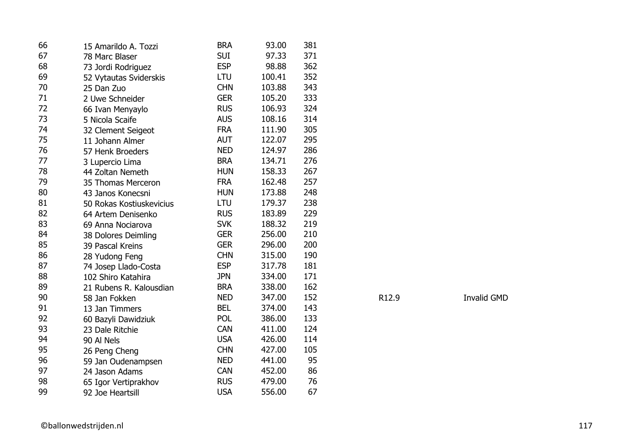| 66 | 15 Amarildo A. Tozzi     | <b>BRA</b> | 93.00  | 381 |       |
|----|--------------------------|------------|--------|-----|-------|
| 67 | 78 Marc Blaser           | <b>SUI</b> | 97.33  | 371 |       |
| 68 | 73 Jordi Rodriguez       | <b>ESP</b> | 98.88  | 362 |       |
| 69 | 52 Vytautas Sviderskis   | <b>LTU</b> | 100.41 | 352 |       |
| 70 | 25 Dan Zuo               | <b>CHN</b> | 103.88 | 343 |       |
| 71 | 2 Uwe Schneider          | <b>GER</b> | 105.20 | 333 |       |
| 72 | 66 Ivan Menyaylo         | <b>RUS</b> | 106.93 | 324 |       |
| 73 | 5 Nicola Scaife          | <b>AUS</b> | 108.16 | 314 |       |
| 74 | 32 Clement Seigeot       | <b>FRA</b> | 111.90 | 305 |       |
| 75 | 11 Johann Almer          | <b>AUT</b> | 122.07 | 295 |       |
| 76 | 57 Henk Broeders         | <b>NED</b> | 124.97 | 286 |       |
| 77 | 3 Lupercio Lima          | <b>BRA</b> | 134.71 | 276 |       |
| 78 | 44 Zoltan Nemeth         | <b>HUN</b> | 158.33 | 267 |       |
| 79 | 35 Thomas Merceron       | <b>FRA</b> | 162.48 | 257 |       |
| 80 | 43 Janos Konecsni        | <b>HUN</b> | 173.88 | 248 |       |
| 81 | 50 Rokas Kostiuskevicius | <b>LTU</b> | 179.37 | 238 |       |
| 82 | 64 Artem Denisenko       | <b>RUS</b> | 183.89 | 229 |       |
| 83 | 69 Anna Nociarova        | <b>SVK</b> | 188.32 | 219 |       |
| 84 | 38 Dolores Deimling      | <b>GER</b> | 256.00 | 210 |       |
| 85 | 39 Pascal Kreins         | <b>GER</b> | 296.00 | 200 |       |
| 86 | 28 Yudong Feng           | <b>CHN</b> | 315.00 | 190 |       |
| 87 | 74 Josep Llado-Costa     | <b>ESP</b> | 317.78 | 181 |       |
| 88 | 102 Shiro Katahira       | <b>JPN</b> | 334.00 | 171 |       |
| 89 | 21 Rubens R. Kalousdian  | <b>BRA</b> | 338.00 | 162 |       |
| 90 | 58 Jan Fokken            | <b>NED</b> | 347.00 | 152 | R12.9 |
| 91 | 13 Jan Timmers           | <b>BEL</b> | 374.00 | 143 |       |
| 92 | 60 Bazyli Dawidziuk      | POL        | 386.00 | 133 |       |
| 93 | 23 Dale Ritchie          | <b>CAN</b> | 411.00 | 124 |       |
| 94 | 90 Al Nels               | <b>USA</b> | 426.00 | 114 |       |
| 95 | 26 Peng Cheng            | <b>CHN</b> | 427.00 | 105 |       |
| 96 | 59 Jan Oudenampsen       | <b>NED</b> | 441.00 | 95  |       |
| 97 | 24 Jason Adams           | <b>CAN</b> | 452.00 | 86  |       |
| 98 | 65 Igor Vertiprakhov     | <b>RUS</b> | 479.00 | 76  |       |
| 99 | 92 Joe Heartsill         | <b>USA</b> | 556.00 | 67  |       |

Invalid GMD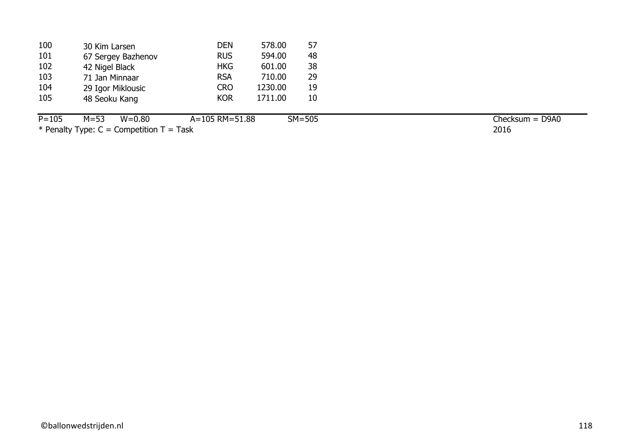| 30 Kim Larsen      | <b>DEN</b>        | 578.00  | 57 |
|--------------------|-------------------|---------|----|
| 67 Sergey Bazhenov | <b>RUS</b>        | 594.00  | 48 |
| 42 Nigel Black     | <b>HKG</b>        | 601.00  | 38 |
| 71 Jan Minnaar     | <b>RSA</b>        | 710.00  | 29 |
|                    | <b>CRO</b>        | 1230.00 | 19 |
| 48 Seoku Kang      | <b>KOR</b>        | 1711.00 | 10 |
|                    | 29 Igor Miklousic |         |    |

P=105 M=53 W=0.80 A=105 RM=51.88 SM=505  $*$  Penalty Type: C = Competition T = Task

2016 Checksum = D9A0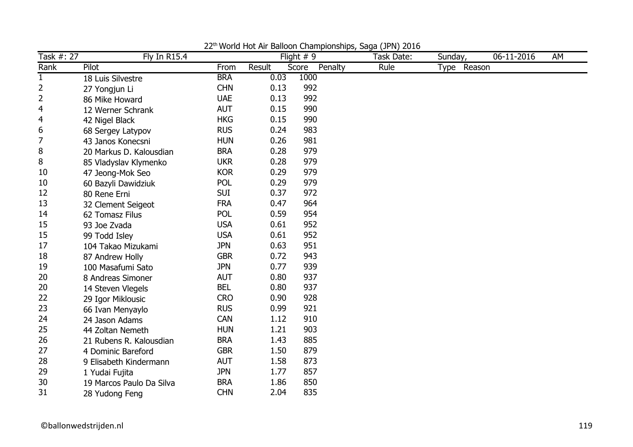| Task #: 27     | Fly In R15.4             |            |        | Flight $# 9$     | (- · · <i>· /</i> - - - -<br>Task Date: | Sunday,     | 06-11-2016 | AM |
|----------------|--------------------------|------------|--------|------------------|-----------------------------------------|-------------|------------|----|
| Rank           | Pilot                    | From       | Result | Penalty<br>Score | Rule                                    | Type Reason |            |    |
| $\mathbf{1}$   | 18 Luis Silvestre        | <b>BRA</b> | 0.03   | 1000             |                                         |             |            |    |
| 2              | 27 Yongjun Li            | <b>CHN</b> | 0.13   | 992              |                                         |             |            |    |
| 2              | 86 Mike Howard           | <b>UAE</b> | 0.13   | 992              |                                         |             |            |    |
| $\overline{4}$ | 12 Werner Schrank        | <b>AUT</b> | 0.15   | 990              |                                         |             |            |    |
| $\overline{4}$ | 42 Nigel Black           | <b>HKG</b> | 0.15   | 990              |                                         |             |            |    |
| 6              | 68 Sergey Latypov        | <b>RUS</b> | 0.24   | 983              |                                         |             |            |    |
| 7              | 43 Janos Konecsni        | <b>HUN</b> | 0.26   | 981              |                                         |             |            |    |
| 8              | 20 Markus D. Kalousdian  | <b>BRA</b> | 0.28   | 979              |                                         |             |            |    |
| 8              | 85 Vladyslav Klymenko    | <b>UKR</b> | 0.28   | 979              |                                         |             |            |    |
| 10             | 47 Jeong-Mok Seo         | <b>KOR</b> | 0.29   | 979              |                                         |             |            |    |
| 10             | 60 Bazyli Dawidziuk      | <b>POL</b> | 0.29   | 979              |                                         |             |            |    |
| 12             | 80 Rene Erni             | <b>SUI</b> | 0.37   | 972              |                                         |             |            |    |
| 13             | 32 Clement Seigeot       | <b>FRA</b> | 0.47   | 964              |                                         |             |            |    |
| 14             | 62 Tomasz Filus          | <b>POL</b> | 0.59   | 954              |                                         |             |            |    |
| 15             | 93 Joe Zvada             | <b>USA</b> | 0.61   | 952              |                                         |             |            |    |
| 15             | 99 Todd Isley            | <b>USA</b> | 0.61   | 952              |                                         |             |            |    |
| 17             | 104 Takao Mizukami       | <b>JPN</b> | 0.63   | 951              |                                         |             |            |    |
| 18             | 87 Andrew Holly          | <b>GBR</b> | 0.72   | 943              |                                         |             |            |    |
| 19             | 100 Masafumi Sato        | <b>JPN</b> | 0.77   | 939              |                                         |             |            |    |
| 20             | 8 Andreas Simoner        | <b>AUT</b> | 0.80   | 937              |                                         |             |            |    |
| 20             | 14 Steven Vlegels        | <b>BEL</b> | 0.80   | 937              |                                         |             |            |    |
| 22             | 29 Igor Miklousic        | <b>CRO</b> | 0.90   | 928              |                                         |             |            |    |
| 23             | 66 Ivan Menyaylo         | <b>RUS</b> | 0.99   | 921              |                                         |             |            |    |
| 24             | 24 Jason Adams           | <b>CAN</b> | 1.12   | 910              |                                         |             |            |    |
| 25             | 44 Zoltan Nemeth         | <b>HUN</b> | 1.21   | 903              |                                         |             |            |    |
| 26             | 21 Rubens R. Kalousdian  | <b>BRA</b> | 1.43   | 885              |                                         |             |            |    |
| 27             | 4 Dominic Bareford       | <b>GBR</b> | 1.50   | 879              |                                         |             |            |    |
| 28             | 9 Elisabeth Kindermann   | <b>AUT</b> | 1.58   | 873              |                                         |             |            |    |
| 29             | 1 Yudai Fujita           | <b>JPN</b> | 1.77   | 857              |                                         |             |            |    |
| 30             | 19 Marcos Paulo Da Silva | <b>BRA</b> | 1.86   | 850              |                                         |             |            |    |
| 31             | 28 Yudong Feng           | <b>CHN</b> | 2.04   | 835              |                                         |             |            |    |

22<sup>th</sup> World Hot Air Balloon Championships, Saga (JPN) 2016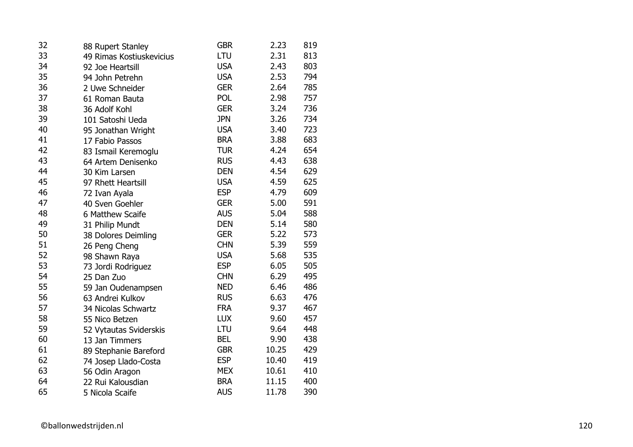|                          | <b>GBR</b>        | 2.23                                                                             | 819  |
|--------------------------|-------------------|----------------------------------------------------------------------------------|------|
| 49 Rimas Kostiuskevicius | LTU               | 2.31                                                                             | 813  |
| 92 Joe Heartsill         | <b>USA</b>        | 2.43                                                                             | 803  |
| 94 John Petrehn          | <b>USA</b>        | 2.53                                                                             | 794  |
| 2 Uwe Schneider          | <b>GER</b>        | 2.64                                                                             | 785  |
| 61 Roman Bauta           | <b>POL</b>        | 2.98                                                                             | 757  |
| 36 Adolf Kohl            | <b>GER</b>        | 3.24                                                                             | 736  |
| 101 Satoshi Ueda         | <b>JPN</b>        | 3.26                                                                             | 734  |
| 95 Jonathan Wright       | <b>USA</b>        | 3.40                                                                             | 723  |
| 17 Fabio Passos          | <b>BRA</b>        | 3.88                                                                             | 683  |
| 83 Ismail Keremoglu      | <b>TUR</b>        | 4.24                                                                             | 654  |
| 64 Artem Denisenko       |                   | 4.43                                                                             | 638  |
| 30 Kim Larsen            | <b>DEN</b>        | 4.54                                                                             | 629  |
| 97 Rhett Heartsill       |                   | 4.59                                                                             | 625  |
| 72 Ivan Ayala            |                   | 4.79                                                                             | 609  |
| 40 Sven Goehler          | <b>GER</b>        | 5.00                                                                             | 591  |
| 6 Matthew Scaife         |                   |                                                                                  | 588  |
| 31 Philip Mundt          | <b>DEN</b>        | 5.14                                                                             | 580  |
| 38 Dolores Deimling      | <b>GER</b>        | 5.22                                                                             | 573  |
| 26 Peng Cheng            | <b>CHN</b>        | 5.39                                                                             | 559  |
| 98 Shawn Raya            | <b>USA</b>        | 5.68                                                                             | 535  |
| 73 Jordi Rodriguez       |                   | 6.05                                                                             | 505  |
| 25 Dan Zuo               | <b>CHN</b>        | 6.29                                                                             | 495  |
| 59 Jan Oudenampsen       | <b>NED</b>        | 6.46                                                                             | 486  |
| 63 Andrei Kulkov         | <b>RUS</b>        | 6.63                                                                             | 476  |
| 34 Nicolas Schwartz      |                   | 9.37                                                                             | 467  |
| 55 Nico Betzen           | <b>LUX</b>        | 9.60                                                                             | 457  |
| 52 Vytautas Sviderskis   | LTU               | 9.64                                                                             | 448  |
| 13 Jan Timmers           | <b>BEL</b>        | 9.90                                                                             | 438  |
| 89 Stephanie Bareford    | <b>GBR</b>        | 10.25                                                                            | 429  |
| 74 Josep Llado-Costa     | <b>ESP</b>        | 10.40                                                                            | 419  |
| 56 Odin Aragon           | <b>MEX</b>        | 10.61                                                                            | 410  |
| 22 Rui Kalousdian        | <b>BRA</b>        | 11.15                                                                            | 400  |
| 5 Nicola Scaife          | <b>AUS</b>        | 11.78                                                                            | 390  |
|                          | 88 Rupert Stanley | <b>RUS</b><br><b>USA</b><br><b>ESP</b><br><b>AUS</b><br><b>ESP</b><br><b>FRA</b> | 5.04 |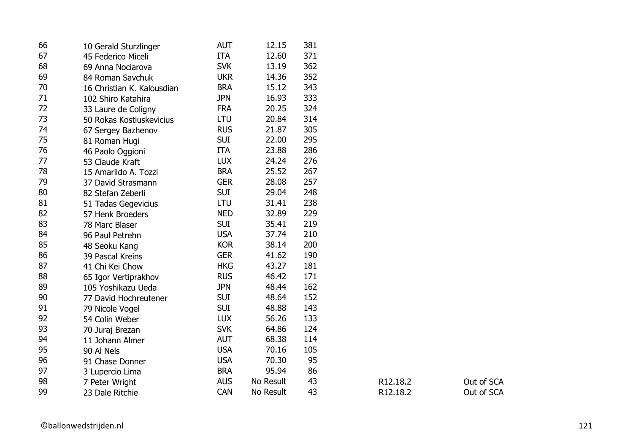| 66 | 10 Gerald Sturzlinger      | <b>AUT</b> | 12.15     | 381 |          |            |
|----|----------------------------|------------|-----------|-----|----------|------------|
| 67 | 45 Federico Miceli         | <b>ITA</b> | 12.60     | 371 |          |            |
| 68 | 69 Anna Nociarova          | <b>SVK</b> | 13.19     | 362 |          |            |
| 69 | 84 Roman Savchuk           | <b>UKR</b> | 14.36     | 352 |          |            |
| 70 | 16 Christian K. Kalousdian | <b>BRA</b> | 15.12     | 343 |          |            |
| 71 | 102 Shiro Katahira         | <b>JPN</b> | 16.93     | 333 |          |            |
| 72 | 33 Laure de Coligny        | <b>FRA</b> | 20.25     | 324 |          |            |
| 73 | 50 Rokas Kostiuskevicius   | LTU        | 20.84     | 314 |          |            |
| 74 | 67 Sergey Bazhenov         | <b>RUS</b> | 21.87     | 305 |          |            |
| 75 | 81 Roman Hugi              | <b>SUI</b> | 22.00     | 295 |          |            |
| 76 | 46 Paolo Oggioni           | <b>ITA</b> | 23.88     | 286 |          |            |
| 77 | 53 Claude Kraft            | <b>LUX</b> | 24.24     | 276 |          |            |
| 78 | 15 Amarildo A. Tozzi       | <b>BRA</b> | 25.52     | 267 |          |            |
| 79 | 37 David Strasmann         | <b>GER</b> | 28.08     | 257 |          |            |
| 80 | 82 Stefan Zeberli          | <b>SUI</b> | 29.04     | 248 |          |            |
| 81 | 51 Tadas Gegevicius        | LTU        | 31.41     | 238 |          |            |
| 82 | 57 Henk Broeders           | <b>NED</b> | 32.89     | 229 |          |            |
| 83 | 78 Marc Blaser             | <b>SUI</b> | 35.41     | 219 |          |            |
| 84 | 96 Paul Petrehn            | <b>USA</b> | 37.74     | 210 |          |            |
| 85 | 48 Seoku Kang              | <b>KOR</b> | 38.14     | 200 |          |            |
| 86 | 39 Pascal Kreins           | <b>GER</b> | 41.62     | 190 |          |            |
| 87 | 41 Chi Kei Chow            | <b>HKG</b> | 43.27     | 181 |          |            |
| 88 | 65 Igor Vertiprakhov       | <b>RUS</b> | 46.42     | 171 |          |            |
| 89 | 105 Yoshikazu Ueda         | <b>JPN</b> | 48.44     | 162 |          |            |
| 90 | 77 David Hochreutener      | <b>SUI</b> | 48.64     | 152 |          |            |
| 91 | 79 Nicole Vogel            | <b>SUI</b> | 48.88     | 143 |          |            |
| 92 | 54 Colin Weber             | <b>LUX</b> | 56.26     | 133 |          |            |
| 93 | 70 Juraj Brezan            | <b>SVK</b> | 64.86     | 124 |          |            |
| 94 | 11 Johann Almer            | <b>AUT</b> | 68.38     | 114 |          |            |
| 95 | 90 Al Nels                 | <b>USA</b> | 70.16     | 105 |          |            |
| 96 | 91 Chase Donner            | <b>USA</b> | 70.30     | 95  |          |            |
| 97 | 3 Lupercio Lima            | <b>BRA</b> | 95.94     | 86  |          |            |
| 98 | 7 Peter Wright             | <b>AUS</b> | No Result | 43  | R12.18.2 | Out of SCA |
| 99 | 23 Dale Ritchie            | CAN        | No Result | 43  | R12.18.2 | Out of SCA |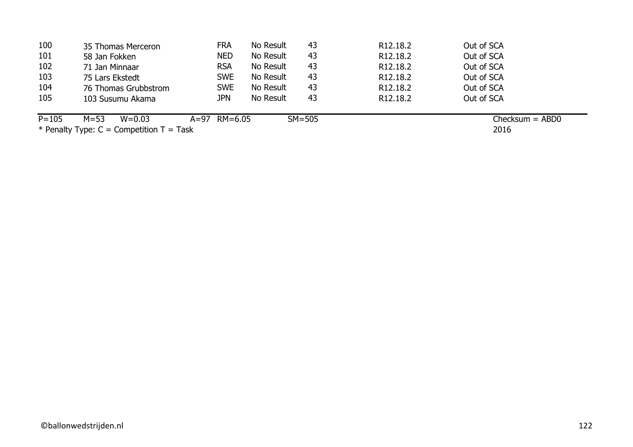| 100       | 35 Thomas Merceron     | <b>FRA</b>     | No Result | 43       | R <sub>12</sub> , 18.2 | Out of SCA                |
|-----------|------------------------|----------------|-----------|----------|------------------------|---------------------------|
| 101       | 58 Jan Fokken          | <b>NED</b>     | No Result | 43       | R <sub>12.18.2</sub>   | Out of SCA                |
| 102       | 71 Jan Minnaar         | <b>RSA</b>     | No Result | 43       | R <sub>12</sub> .18.2  | Out of SCA                |
| 103       | 75 Lars Ekstedt        | <b>SWE</b>     | No Result | 43       | R <sub>12</sub> , 18.2 | Out of SCA                |
| 104       | 76 Thomas Grubbstrom   | <b>SWE</b>     | No Result | 43       | R <sub>12</sub> , 18.2 | Out of SCA                |
| 105       | 103 Susumu Akama       | jpn            | No Result | 43       | R <sub>12</sub> , 18.2 | Out of SCA                |
| $P = 105$ | $M = 53$<br>$W = 0.03$ | $A=97$ RM=6.05 |           | $SM=505$ |                        | $Checksum = ABD0$<br>---- |

2016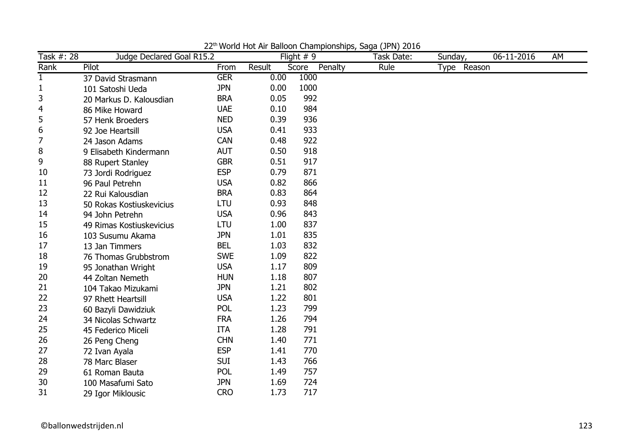| Task #: 28   | Judge Declared Goal R15.2 |            |        | Flight $# 9$     | Task Date: | $\overline{\text{S}}$ unday, | 06-11-2016 | AM |
|--------------|---------------------------|------------|--------|------------------|------------|------------------------------|------------|----|
| Rank         | Pilot                     | From       | Result | Penalty<br>Score | Rule       | Type Reason                  |            |    |
| $\mathbf{1}$ | 37 David Strasmann        | <b>GER</b> | 0.00   | 1000             |            |                              |            |    |
| 1            | 101 Satoshi Ueda          | <b>JPN</b> | 0.00   | 1000             |            |                              |            |    |
| 3            | 20 Markus D. Kalousdian   | <b>BRA</b> | 0.05   | 992              |            |                              |            |    |
| 4            | 86 Mike Howard            | <b>UAE</b> | 0.10   | 984              |            |                              |            |    |
| 5            | 57 Henk Broeders          | <b>NED</b> | 0.39   | 936              |            |                              |            |    |
| 6            | 92 Joe Heartsill          | <b>USA</b> | 0.41   | 933              |            |                              |            |    |
| 7            | 24 Jason Adams            | <b>CAN</b> | 0.48   | 922              |            |                              |            |    |
| 8            | 9 Elisabeth Kindermann    | <b>AUT</b> | 0.50   | 918              |            |                              |            |    |
| 9            | 88 Rupert Stanley         | <b>GBR</b> | 0.51   | 917              |            |                              |            |    |
| 10           | 73 Jordi Rodriguez        | <b>ESP</b> | 0.79   | 871              |            |                              |            |    |
| 11           | 96 Paul Petrehn           | <b>USA</b> | 0.82   | 866              |            |                              |            |    |
| 12           | 22 Rui Kalousdian         | <b>BRA</b> | 0.83   | 864              |            |                              |            |    |
| 13           | 50 Rokas Kostiuskevicius  | LTU        | 0.93   | 848              |            |                              |            |    |
| 14           | 94 John Petrehn           | <b>USA</b> | 0.96   | 843              |            |                              |            |    |
| 15           | 49 Rimas Kostiuskevicius  | LTU        | 1.00   | 837              |            |                              |            |    |
| 16           | 103 Susumu Akama          | <b>JPN</b> | 1.01   | 835              |            |                              |            |    |
| 17           | 13 Jan Timmers            | <b>BEL</b> | 1.03   | 832              |            |                              |            |    |
| 18           | 76 Thomas Grubbstrom      | <b>SWE</b> | 1.09   | 822              |            |                              |            |    |
| 19           | 95 Jonathan Wright        | <b>USA</b> | 1.17   | 809              |            |                              |            |    |
| 20           | 44 Zoltan Nemeth          | <b>HUN</b> | 1.18   | 807              |            |                              |            |    |
| 21           | 104 Takao Mizukami        | <b>JPN</b> | 1.21   | 802              |            |                              |            |    |
| 22           | 97 Rhett Heartsill        | <b>USA</b> | 1.22   | 801              |            |                              |            |    |
| 23           | 60 Bazyli Dawidziuk       | <b>POL</b> | 1.23   | 799              |            |                              |            |    |
| 24           | 34 Nicolas Schwartz       | <b>FRA</b> | 1.26   | 794              |            |                              |            |    |
| 25           | 45 Federico Miceli        | <b>ITA</b> | 1.28   | 791              |            |                              |            |    |
| 26           | 26 Peng Cheng             | <b>CHN</b> | 1.40   | 771              |            |                              |            |    |
| 27           | 72 Ivan Ayala             | <b>ESP</b> | 1.41   | 770              |            |                              |            |    |
| 28           | 78 Marc Blaser            | <b>SUI</b> | 1.43   | 766              |            |                              |            |    |
| 29           | 61 Roman Bauta            | <b>POL</b> | 1.49   | 757              |            |                              |            |    |
| 30           | 100 Masafumi Sato         | <b>JPN</b> | 1.69   | 724              |            |                              |            |    |
| 31           | 29 Igor Miklousic         | <b>CRO</b> | 1.73   | 717              |            |                              |            |    |

22<sup>th</sup> World Hot Air Balloon Championships, Saga (JPN) 2016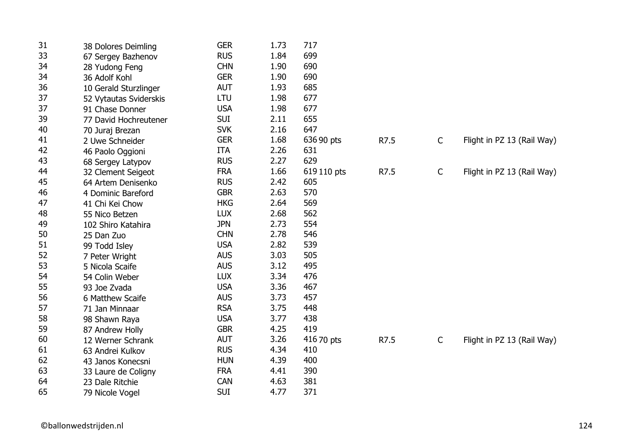| 31 | 38 Dolores Deimling    | <b>GER</b> | 1.73 | 717         |      |              |                            |
|----|------------------------|------------|------|-------------|------|--------------|----------------------------|
| 33 | 67 Sergey Bazhenov     | <b>RUS</b> | 1.84 | 699         |      |              |                            |
| 34 | 28 Yudong Feng         | <b>CHN</b> | 1.90 | 690         |      |              |                            |
| 34 | 36 Adolf Kohl          | <b>GER</b> | 1.90 | 690         |      |              |                            |
| 36 | 10 Gerald Sturzlinger  | <b>AUT</b> | 1.93 | 685         |      |              |                            |
| 37 | 52 Vytautas Sviderskis | <b>LTU</b> | 1.98 | 677         |      |              |                            |
| 37 | 91 Chase Donner        | <b>USA</b> | 1.98 | 677         |      |              |                            |
| 39 | 77 David Hochreutener  | <b>SUI</b> | 2.11 | 655         |      |              |                            |
| 40 | 70 Juraj Brezan        | <b>SVK</b> | 2.16 | 647         |      |              |                            |
| 41 | 2 Uwe Schneider        | <b>GER</b> | 1.68 | 636 90 pts  | R7.5 | $\mathsf{C}$ | Flight in PZ 13 (Rail Way) |
| 42 | 46 Paolo Oggioni       | <b>ITA</b> | 2.26 | 631         |      |              |                            |
| 43 | 68 Sergey Latypov      | <b>RUS</b> | 2.27 | 629         |      |              |                            |
| 44 | 32 Clement Seigeot     | <b>FRA</b> | 1.66 | 619 110 pts | R7.5 | $\mathsf{C}$ | Flight in PZ 13 (Rail Way) |
| 45 | 64 Artem Denisenko     | <b>RUS</b> | 2.42 | 605         |      |              |                            |
| 46 | 4 Dominic Bareford     | <b>GBR</b> | 2.63 | 570         |      |              |                            |
| 47 | 41 Chi Kei Chow        | <b>HKG</b> | 2.64 | 569         |      |              |                            |
| 48 | 55 Nico Betzen         | <b>LUX</b> | 2.68 | 562         |      |              |                            |
| 49 | 102 Shiro Katahira     | <b>JPN</b> | 2.73 | 554         |      |              |                            |
| 50 | 25 Dan Zuo             | <b>CHN</b> | 2.78 | 546         |      |              |                            |
| 51 | 99 Todd Isley          | <b>USA</b> | 2.82 | 539         |      |              |                            |
| 52 | 7 Peter Wright         | <b>AUS</b> | 3.03 | 505         |      |              |                            |
| 53 | 5 Nicola Scaife        | <b>AUS</b> | 3.12 | 495         |      |              |                            |
| 54 | 54 Colin Weber         | <b>LUX</b> | 3.34 | 476         |      |              |                            |
| 55 | 93 Joe Zvada           | <b>USA</b> | 3.36 | 467         |      |              |                            |
| 56 | 6 Matthew Scaife       | <b>AUS</b> | 3.73 | 457         |      |              |                            |
| 57 | 71 Jan Minnaar         | <b>RSA</b> | 3.75 | 448         |      |              |                            |
| 58 | 98 Shawn Raya          | <b>USA</b> | 3.77 | 438         |      |              |                            |
| 59 | 87 Andrew Holly        | <b>GBR</b> | 4.25 | 419         |      |              |                            |
| 60 | 12 Werner Schrank      | <b>AUT</b> | 3.26 | 416 70 pts  | R7.5 | $\mathsf{C}$ | Flight in PZ 13 (Rail Way) |
| 61 | 63 Andrei Kulkov       | <b>RUS</b> | 4.34 | 410         |      |              |                            |
| 62 | 43 Janos Konecsni      | <b>HUN</b> | 4.39 | 400         |      |              |                            |
| 63 | 33 Laure de Coligny    | <b>FRA</b> | 4.41 | 390         |      |              |                            |
| 64 | 23 Dale Ritchie        | <b>CAN</b> | 4.63 | 381         |      |              |                            |
| 65 | 79 Nicole Vogel        | <b>SUI</b> | 4.77 | 371         |      |              |                            |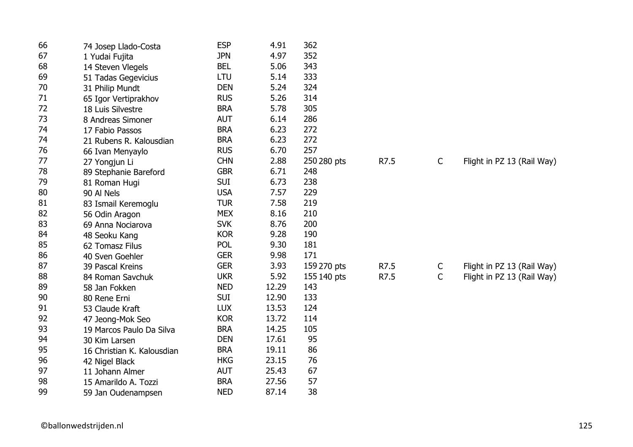| 66 | 74 Josep Llado-Costa       | <b>ESP</b> | 4.91  | 362         |      |              |                            |
|----|----------------------------|------------|-------|-------------|------|--------------|----------------------------|
| 67 | 1 Yudai Fujita             | <b>JPN</b> | 4.97  | 352         |      |              |                            |
| 68 | 14 Steven Vlegels          | <b>BEL</b> | 5.06  | 343         |      |              |                            |
| 69 | 51 Tadas Gegevicius        | LTU        | 5.14  | 333         |      |              |                            |
| 70 | 31 Philip Mundt            | <b>DEN</b> | 5.24  | 324         |      |              |                            |
| 71 | 65 Igor Vertiprakhov       | <b>RUS</b> | 5.26  | 314         |      |              |                            |
| 72 | 18 Luis Silvestre          | <b>BRA</b> | 5.78  | 305         |      |              |                            |
| 73 | 8 Andreas Simoner          | <b>AUT</b> | 6.14  | 286         |      |              |                            |
| 74 | 17 Fabio Passos            | <b>BRA</b> | 6.23  | 272         |      |              |                            |
| 74 | 21 Rubens R. Kalousdian    | <b>BRA</b> | 6.23  | 272         |      |              |                            |
| 76 | 66 Ivan Menyaylo           | <b>RUS</b> | 6.70  | 257         |      |              |                            |
| 77 | 27 Yongjun Li              | <b>CHN</b> | 2.88  | 250 280 pts | R7.5 | C            | Flight in PZ 13 (Rail Way) |
| 78 | 89 Stephanie Bareford      | <b>GBR</b> | 6.71  | 248         |      |              |                            |
| 79 | 81 Roman Hugi              | <b>SUI</b> | 6.73  | 238         |      |              |                            |
| 80 | 90 Al Nels                 | <b>USA</b> | 7.57  | 229         |      |              |                            |
| 81 | 83 Ismail Keremoglu        | <b>TUR</b> | 7.58  | 219         |      |              |                            |
| 82 | 56 Odin Aragon             | <b>MEX</b> | 8.16  | 210         |      |              |                            |
| 83 | 69 Anna Nociarova          | <b>SVK</b> | 8.76  | 200         |      |              |                            |
| 84 | 48 Seoku Kang              | <b>KOR</b> | 9.28  | 190         |      |              |                            |
| 85 | 62 Tomasz Filus            | POL        | 9.30  | 181         |      |              |                            |
| 86 | 40 Sven Goehler            | <b>GER</b> | 9.98  | 171         |      |              |                            |
| 87 | 39 Pascal Kreins           | <b>GER</b> | 3.93  | 159 270 pts | R7.5 | C            | Flight in PZ 13 (Rail Way) |
| 88 | 84 Roman Savchuk           | <b>UKR</b> | 5.92  | 155 140 pts | R7.5 | $\mathsf{C}$ | Flight in PZ 13 (Rail Way) |
| 89 | 58 Jan Fokken              | <b>NED</b> | 12.29 | 143         |      |              |                            |
| 90 | 80 Rene Erni               | <b>SUI</b> | 12.90 | 133         |      |              |                            |
| 91 | 53 Claude Kraft            | <b>LUX</b> | 13.53 | 124         |      |              |                            |
| 92 | 47 Jeong-Mok Seo           | <b>KOR</b> | 13.72 | 114         |      |              |                            |
| 93 | 19 Marcos Paulo Da Silva   | <b>BRA</b> | 14.25 | 105         |      |              |                            |
| 94 | 30 Kim Larsen              | <b>DEN</b> | 17.61 | 95          |      |              |                            |
| 95 | 16 Christian K. Kalousdian | <b>BRA</b> | 19.11 | 86          |      |              |                            |
| 96 | 42 Nigel Black             | <b>HKG</b> | 23.15 | 76          |      |              |                            |
| 97 | 11 Johann Almer            | <b>AUT</b> | 25.43 | 67          |      |              |                            |
| 98 | 15 Amarildo A. Tozzi       | <b>BRA</b> | 27.56 | 57          |      |              |                            |
| 99 | 59 Jan Oudenampsen         | <b>NED</b> | 87.14 | 38          |      |              |                            |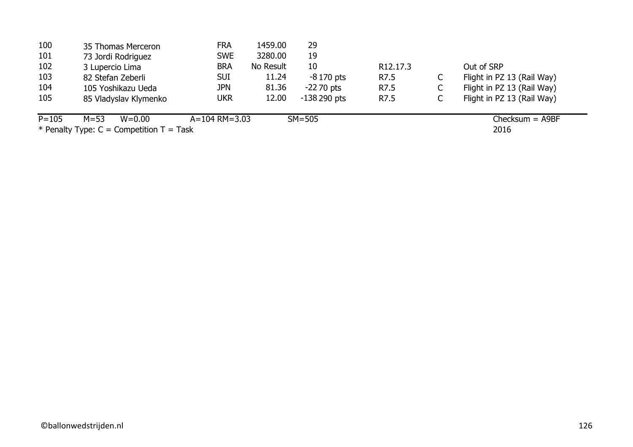| 100       | 35 Thomas Merceron                           | <b>FRA</b>          | 1459.00   | 29            |                       |   |                            |
|-----------|----------------------------------------------|---------------------|-----------|---------------|-----------------------|---|----------------------------|
| 101       | 73 Jordi Rodriguez                           | <b>SWE</b>          | 3280.00   | 19            |                       |   |                            |
| 102       | 3 Lupercio Lima                              | <b>BRA</b>          | No Result | 10            | R <sub>12</sub> .17.3 |   | Out of SRP                 |
| 103       | 82 Stefan Zeberli                            | <b>SUI</b>          | 11.24     | $-8170$ pts   | R7.5                  | ◡ | Flight in PZ 13 (Rail Way) |
| 104       | 105 Yoshikazu Ueda                           | <b>JPN</b>          | 81.36     | $-2270$ pts   | R7.5                  | C | Flight in PZ 13 (Rail Way) |
| 105       | 85 Vladyslav Klymenko                        | <b>UKR</b>          | 12.00     | $-138290$ pts | R7.5                  |   | Flight in PZ 13 (Rail Way) |
| $P = 105$ | $M = 53$<br>$W = 0.00$                       | $A = 104$ RM = 3.03 |           | $SM=505$      |                       |   | $Checksum = A9BF$          |
|           | * Penalty Type: $C =$ Competition $T =$ Task |                     |           |               |                       |   | 2016                       |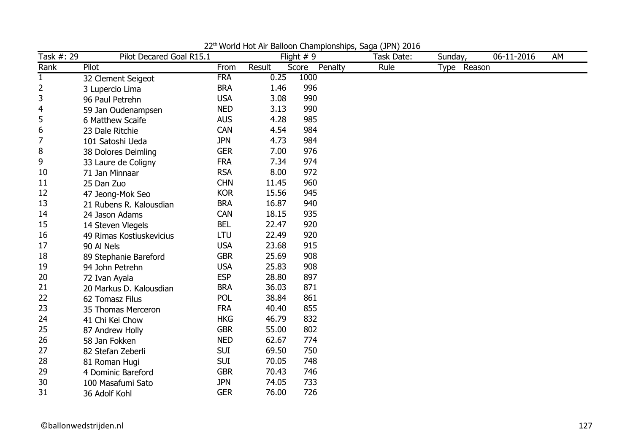| Task #: 29   | Pilot Decared Goal R15.1 |            |        | Flight $# 9$     | Task Date: | Sunday,     | 06-11-2016 | AM |
|--------------|--------------------------|------------|--------|------------------|------------|-------------|------------|----|
| Rank         | Pilot                    | From       | Result | Penalty<br>Score | Rule       | Type Reason |            |    |
| $\mathbf{1}$ | 32 Clement Seigeot       | <b>FRA</b> | 0.25   | 1000             |            |             |            |    |
| 2            | 3 Lupercio Lima          | <b>BRA</b> | 1.46   | 996              |            |             |            |    |
| 3            | 96 Paul Petrehn          | <b>USA</b> | 3.08   | 990              |            |             |            |    |
| 4            | 59 Jan Oudenampsen       | <b>NED</b> | 3.13   | 990              |            |             |            |    |
| 5            | 6 Matthew Scaife         | <b>AUS</b> | 4.28   | 985              |            |             |            |    |
| 6            | 23 Dale Ritchie          | <b>CAN</b> | 4.54   | 984              |            |             |            |    |
| 7            | 101 Satoshi Ueda         | <b>JPN</b> | 4.73   | 984              |            |             |            |    |
| 8            | 38 Dolores Deimling      | <b>GER</b> | 7.00   | 976              |            |             |            |    |
| 9            | 33 Laure de Coligny      | <b>FRA</b> | 7.34   | 974              |            |             |            |    |
| 10           | 71 Jan Minnaar           | <b>RSA</b> | 8.00   | 972              |            |             |            |    |
| 11           | 25 Dan Zuo               | <b>CHN</b> | 11.45  | 960              |            |             |            |    |
| 12           | 47 Jeong-Mok Seo         | <b>KOR</b> | 15.56  | 945              |            |             |            |    |
| 13           | 21 Rubens R. Kalousdian  | <b>BRA</b> | 16.87  | 940              |            |             |            |    |
| 14           | 24 Jason Adams           | <b>CAN</b> | 18.15  | 935              |            |             |            |    |
| 15           | 14 Steven Vlegels        | <b>BEL</b> | 22.47  | 920              |            |             |            |    |
| 16           | 49 Rimas Kostiuskevicius | <b>LTU</b> | 22.49  | 920              |            |             |            |    |
| 17           | 90 Al Nels               | <b>USA</b> | 23.68  | 915              |            |             |            |    |
| 18           | 89 Stephanie Bareford    | <b>GBR</b> | 25.69  | 908              |            |             |            |    |
| 19           | 94 John Petrehn          | <b>USA</b> | 25.83  | 908              |            |             |            |    |
| 20           | 72 Ivan Ayala            | <b>ESP</b> | 28.80  | 897              |            |             |            |    |
| 21           | 20 Markus D. Kalousdian  | <b>BRA</b> | 36.03  | 871              |            |             |            |    |
| 22           | 62 Tomasz Filus          | <b>POL</b> | 38.84  | 861              |            |             |            |    |
| 23           | 35 Thomas Merceron       | <b>FRA</b> | 40.40  | 855              |            |             |            |    |
| 24           | 41 Chi Kei Chow          | <b>HKG</b> | 46.79  | 832              |            |             |            |    |
| 25           | 87 Andrew Holly          | <b>GBR</b> | 55.00  | 802              |            |             |            |    |
| 26           | 58 Jan Fokken            | <b>NED</b> | 62.67  | 774              |            |             |            |    |
| 27           | 82 Stefan Zeberli        | <b>SUI</b> | 69.50  | 750              |            |             |            |    |
| 28           | 81 Roman Hugi            | <b>SUI</b> | 70.05  | 748              |            |             |            |    |
| 29           | 4 Dominic Bareford       | <b>GBR</b> | 70.43  | 746              |            |             |            |    |
| 30           | 100 Masafumi Sato        | <b>JPN</b> | 74.05  | 733              |            |             |            |    |
| 31           | 36 Adolf Kohl            | <b>GER</b> | 76.00  | 726              |            |             |            |    |

22<sup>th</sup> World Hot Air Balloon Championships, Saga (JPN) 2016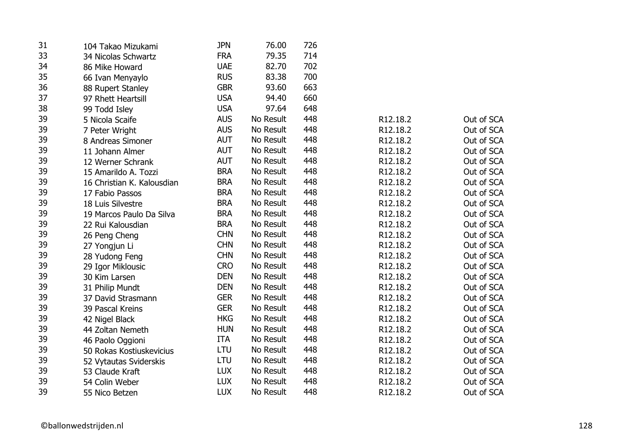| 31 | 104 Takao Mizukami         | <b>JPN</b> | 76.00     | 726 |          |            |
|----|----------------------------|------------|-----------|-----|----------|------------|
| 33 | 34 Nicolas Schwartz        | <b>FRA</b> | 79.35     | 714 |          |            |
| 34 | 86 Mike Howard             | <b>UAE</b> | 82.70     | 702 |          |            |
| 35 | 66 Ivan Menyaylo           | <b>RUS</b> | 83.38     | 700 |          |            |
| 36 | 88 Rupert Stanley          | <b>GBR</b> | 93.60     | 663 |          |            |
| 37 | 97 Rhett Heartsill         | <b>USA</b> | 94.40     | 660 |          |            |
| 38 | 99 Todd Isley              | <b>USA</b> | 97.64     | 648 |          |            |
| 39 | 5 Nicola Scaife            | <b>AUS</b> | No Result | 448 | R12.18.2 | Out of SCA |
| 39 | 7 Peter Wright             | <b>AUS</b> | No Result | 448 | R12.18.2 | Out of SCA |
| 39 | 8 Andreas Simoner          | <b>AUT</b> | No Result | 448 | R12.18.2 | Out of SCA |
| 39 | 11 Johann Almer            | <b>AUT</b> | No Result | 448 | R12.18.2 | Out of SCA |
| 39 | 12 Werner Schrank          | <b>AUT</b> | No Result | 448 | R12.18.2 | Out of SCA |
| 39 | 15 Amarildo A. Tozzi       | <b>BRA</b> | No Result | 448 | R12.18.2 | Out of SCA |
| 39 | 16 Christian K. Kalousdian | <b>BRA</b> | No Result | 448 | R12.18.2 | Out of SCA |
| 39 | 17 Fabio Passos            | <b>BRA</b> | No Result | 448 | R12.18.2 | Out of SCA |
| 39 | 18 Luis Silvestre          | <b>BRA</b> | No Result | 448 | R12.18.2 | Out of SCA |
| 39 | 19 Marcos Paulo Da Silva   | <b>BRA</b> | No Result | 448 | R12.18.2 | Out of SCA |
| 39 | 22 Rui Kalousdian          | <b>BRA</b> | No Result | 448 | R12.18.2 | Out of SCA |
| 39 | 26 Peng Cheng              | <b>CHN</b> | No Result | 448 | R12.18.2 | Out of SCA |
| 39 | 27 Yongjun Li              | <b>CHN</b> | No Result | 448 | R12.18.2 | Out of SCA |
| 39 | 28 Yudong Feng             | <b>CHN</b> | No Result | 448 | R12.18.2 | Out of SCA |
| 39 | 29 Igor Miklousic          | <b>CRO</b> | No Result | 448 | R12.18.2 | Out of SCA |
| 39 | 30 Kim Larsen              | <b>DEN</b> | No Result | 448 | R12.18.2 | Out of SCA |
| 39 | 31 Philip Mundt            | <b>DEN</b> | No Result | 448 | R12.18.2 | Out of SCA |
| 39 | 37 David Strasmann         | <b>GER</b> | No Result | 448 | R12.18.2 | Out of SCA |
| 39 | 39 Pascal Kreins           | <b>GER</b> | No Result | 448 | R12.18.2 | Out of SCA |
| 39 | 42 Nigel Black             | <b>HKG</b> | No Result | 448 | R12.18.2 | Out of SCA |
| 39 | 44 Zoltan Nemeth           | <b>HUN</b> | No Result | 448 | R12.18.2 | Out of SCA |
| 39 | 46 Paolo Oggioni           | <b>ITA</b> | No Result | 448 | R12.18.2 | Out of SCA |
| 39 | 50 Rokas Kostiuskevicius   | LTU        | No Result | 448 | R12.18.2 | Out of SCA |
| 39 | 52 Vytautas Sviderskis     | LTU        | No Result | 448 | R12.18.2 | Out of SCA |
| 39 | 53 Claude Kraft            | <b>LUX</b> | No Result | 448 | R12.18.2 | Out of SCA |
| 39 | 54 Colin Weber             | <b>LUX</b> | No Result | 448 | R12.18.2 | Out of SCA |
| 39 | 55 Nico Betzen             | <b>LUX</b> | No Result | 448 | R12.18.2 | Out of SCA |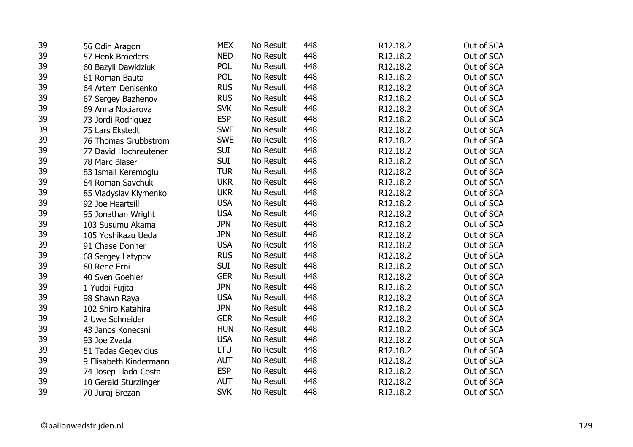| 39 | 56 Odin Aragon         | <b>MEX</b> | No Result | 448 | R12.18.2 | Out of SCA |
|----|------------------------|------------|-----------|-----|----------|------------|
| 39 | 57 Henk Broeders       | <b>NED</b> | No Result | 448 | R12.18.2 | Out of SCA |
| 39 | 60 Bazyli Dawidziuk    | POL        | No Result | 448 | R12.18.2 | Out of SCA |
| 39 | 61 Roman Bauta         | POL        | No Result | 448 | R12.18.2 | Out of SCA |
| 39 | 64 Artem Denisenko     | <b>RUS</b> | No Result | 448 | R12.18.2 | Out of SCA |
| 39 | 67 Sergey Bazhenov     | <b>RUS</b> | No Result | 448 | R12.18.2 | Out of SCA |
| 39 | 69 Anna Nociarova      | <b>SVK</b> | No Result | 448 | R12.18.2 | Out of SCA |
| 39 | 73 Jordi Rodriguez     | <b>ESP</b> | No Result | 448 | R12.18.2 | Out of SCA |
| 39 | 75 Lars Ekstedt        | <b>SWE</b> | No Result | 448 | R12.18.2 | Out of SCA |
| 39 | 76 Thomas Grubbstrom   | <b>SWE</b> | No Result | 448 | R12.18.2 | Out of SCA |
| 39 | 77 David Hochreutener  | <b>SUI</b> | No Result | 448 | R12.18.2 | Out of SCA |
| 39 | 78 Marc Blaser         | <b>SUI</b> | No Result | 448 | R12.18.2 | Out of SCA |
| 39 | 83 Ismail Keremoglu    | <b>TUR</b> | No Result | 448 | R12.18.2 | Out of SCA |
| 39 | 84 Roman Savchuk       | <b>UKR</b> | No Result | 448 | R12.18.2 | Out of SCA |
| 39 | 85 Vladyslav Klymenko  | <b>UKR</b> | No Result | 448 | R12.18.2 | Out of SCA |
| 39 | 92 Joe Heartsill       | <b>USA</b> | No Result | 448 | R12.18.2 | Out of SCA |
| 39 | 95 Jonathan Wright     | <b>USA</b> | No Result | 448 | R12.18.2 | Out of SCA |
| 39 | 103 Susumu Akama       | <b>JPN</b> | No Result | 448 | R12.18.2 | Out of SCA |
| 39 | 105 Yoshikazu Ueda     | <b>JPN</b> | No Result | 448 | R12.18.2 | Out of SCA |
| 39 | 91 Chase Donner        | <b>USA</b> | No Result | 448 | R12.18.2 | Out of SCA |
| 39 | 68 Sergey Latypov      | <b>RUS</b> | No Result | 448 | R12.18.2 | Out of SCA |
| 39 | 80 Rene Erni           | <b>SUI</b> | No Result | 448 | R12.18.2 | Out of SCA |
| 39 | 40 Sven Goehler        | <b>GER</b> | No Result | 448 | R12.18.2 | Out of SCA |
| 39 | 1 Yudai Fujita         | <b>JPN</b> | No Result | 448 | R12.18.2 | Out of SCA |
| 39 | 98 Shawn Raya          | <b>USA</b> | No Result | 448 | R12.18.2 | Out of SCA |
| 39 | 102 Shiro Katahira     | <b>JPN</b> | No Result | 448 | R12.18.2 | Out of SCA |
| 39 | 2 Uwe Schneider        | <b>GER</b> | No Result | 448 | R12.18.2 | Out of SCA |
| 39 | 43 Janos Konecsni      | <b>HUN</b> | No Result | 448 | R12.18.2 | Out of SCA |
| 39 | 93 Joe Zvada           | <b>USA</b> | No Result | 448 | R12.18.2 | Out of SCA |
| 39 | 51 Tadas Gegevicius    | <b>LTU</b> | No Result | 448 | R12.18.2 | Out of SCA |
| 39 | 9 Elisabeth Kindermann | <b>AUT</b> | No Result | 448 | R12.18.2 | Out of SCA |
| 39 | 74 Josep Llado-Costa   | <b>ESP</b> | No Result | 448 | R12.18.2 | Out of SCA |
| 39 | 10 Gerald Sturzlinger  | <b>AUT</b> | No Result | 448 | R12.18.2 | Out of SCA |
| 39 | 70 Juraj Brezan        | <b>SVK</b> | No Result | 448 | R12.18.2 | Out of SCA |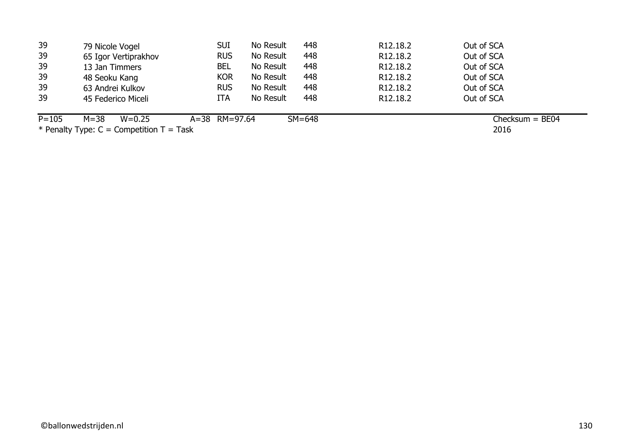| 39        | 79 Nicole Vogel                                                                                                                                                                                                                                                                                                                                                                                                                                              | <b>SUI</b>    | No Result | 448      | R <sub>12</sub> .18.2 | Out of SCA        |
|-----------|--------------------------------------------------------------------------------------------------------------------------------------------------------------------------------------------------------------------------------------------------------------------------------------------------------------------------------------------------------------------------------------------------------------------------------------------------------------|---------------|-----------|----------|-----------------------|-------------------|
| 39        | 65 Igor Vertiprakhov                                                                                                                                                                                                                                                                                                                                                                                                                                         | <b>RUS</b>    | No Result | 448      | R <sub>12</sub> .18.2 | Out of SCA        |
| 39        | 13 Jan Timmers                                                                                                                                                                                                                                                                                                                                                                                                                                               | <b>BEL</b>    | No Result | 448      | R <sub>12.18.2</sub>  | Out of SCA        |
| 39        | 48 Seoku Kang                                                                                                                                                                                                                                                                                                                                                                                                                                                | <b>KOR</b>    | No Result | 448      | R <sub>12</sub> .18.2 | Out of SCA        |
| 39        | 63 Andrei Kulkov                                                                                                                                                                                                                                                                                                                                                                                                                                             | <b>RUS</b>    | No Result | 448      | R <sub>12.18.2</sub>  | Out of SCA        |
| 39        | 45 Federico Miceli                                                                                                                                                                                                                                                                                                                                                                                                                                           | <b>ITA</b>    | No Result | 448      | R <sub>12.18.2</sub>  | Out of SCA        |
| $P = 105$ | $M = 38$<br>$W = 0.25$                                                                                                                                                                                                                                                                                                                                                                                                                                       | A=38 RM=97.64 |           | $SM=648$ |                       | Checksum = $BE04$ |
|           | $\mathbf{a} \cdot \mathbf{b} = \mathbf{b} \cdot \mathbf{c} = \mathbf{b} \cdot \mathbf{c} = \mathbf{b} \cdot \mathbf{c} = \mathbf{b} \cdot \mathbf{c} = \mathbf{c} \cdot \mathbf{c} = \mathbf{c} \cdot \mathbf{c} = \mathbf{c} \cdot \mathbf{c} = \mathbf{c} \cdot \mathbf{c} = \mathbf{c} \cdot \mathbf{c} = \mathbf{c} \cdot \mathbf{c} = \mathbf{c} \cdot \mathbf{c} = \mathbf{c} \cdot \mathbf{c} = \mathbf{c} \cdot \mathbf{c} = \mathbf{c} \cdot \math$ |               |           |          |                       | ----              |

2016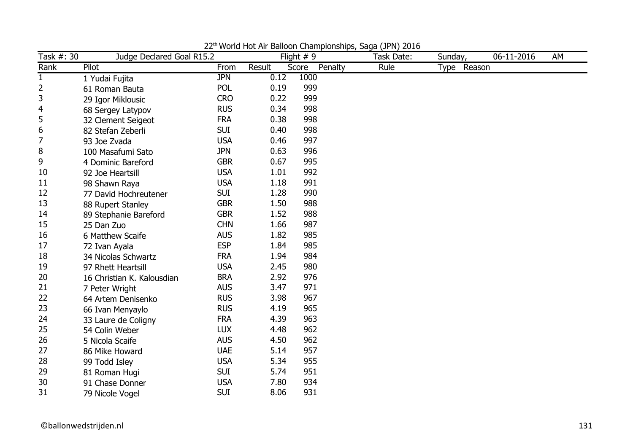| Task #: 30   | Judge Declared Goal R15.2  |            |        | Flight $# 9$     | Task Date: | Sunday,     | 06-11-2016 | AM |
|--------------|----------------------------|------------|--------|------------------|------------|-------------|------------|----|
| Rank         | Pilot                      | From       | Result | Score<br>Penalty | Rule       | Type Reason |            |    |
| $\mathbf{1}$ | 1 Yudai Fujita             | <b>JPN</b> | 0.12   | 1000             |            |             |            |    |
| 2            | 61 Roman Bauta             | POL        | 0.19   | 999              |            |             |            |    |
| 3            | 29 Igor Miklousic          | <b>CRO</b> | 0.22   | 999              |            |             |            |    |
| 4            | 68 Sergey Latypov          | <b>RUS</b> | 0.34   | 998              |            |             |            |    |
| 5            | 32 Clement Seigeot         | <b>FRA</b> | 0.38   | 998              |            |             |            |    |
| 6            | 82 Stefan Zeberli          | <b>SUI</b> | 0.40   | 998              |            |             |            |    |
| 7            | 93 Joe Zvada               | <b>USA</b> | 0.46   | 997              |            |             |            |    |
| 8            | 100 Masafumi Sato          | <b>JPN</b> | 0.63   | 996              |            |             |            |    |
| 9            | 4 Dominic Bareford         | <b>GBR</b> | 0.67   | 995              |            |             |            |    |
| 10           | 92 Joe Heartsill           | <b>USA</b> | 1.01   | 992              |            |             |            |    |
| 11           | 98 Shawn Raya              | <b>USA</b> | 1.18   | 991              |            |             |            |    |
| 12           | 77 David Hochreutener      | <b>SUI</b> | 1.28   | 990              |            |             |            |    |
| 13           | 88 Rupert Stanley          | <b>GBR</b> | 1.50   | 988              |            |             |            |    |
| 14           | 89 Stephanie Bareford      | <b>GBR</b> | 1.52   | 988              |            |             |            |    |
| 15           | 25 Dan Zuo                 | <b>CHN</b> | 1.66   | 987              |            |             |            |    |
| 16           | 6 Matthew Scaife           | <b>AUS</b> | 1.82   | 985              |            |             |            |    |
| 17           | 72 Ivan Ayala              | <b>ESP</b> | 1.84   | 985              |            |             |            |    |
| 18           | 34 Nicolas Schwartz        | <b>FRA</b> | 1.94   | 984              |            |             |            |    |
| 19           | 97 Rhett Heartsill         | <b>USA</b> | 2.45   | 980              |            |             |            |    |
| 20           | 16 Christian K. Kalousdian | <b>BRA</b> | 2.92   | 976              |            |             |            |    |
| 21           | 7 Peter Wright             | <b>AUS</b> | 3.47   | 971              |            |             |            |    |
| 22           | 64 Artem Denisenko         | <b>RUS</b> | 3.98   | 967              |            |             |            |    |
| 23           | 66 Ivan Menyaylo           | <b>RUS</b> | 4.19   | 965              |            |             |            |    |
| 24           | 33 Laure de Coligny        | <b>FRA</b> | 4.39   | 963              |            |             |            |    |
| 25           | 54 Colin Weber             | <b>LUX</b> | 4.48   | 962              |            |             |            |    |
| 26           | 5 Nicola Scaife            | <b>AUS</b> | 4.50   | 962              |            |             |            |    |
| 27           | 86 Mike Howard             | <b>UAE</b> | 5.14   | 957              |            |             |            |    |
| 28           | 99 Todd Isley              | <b>USA</b> | 5.34   | 955              |            |             |            |    |
| 29           | 81 Roman Hugi              | <b>SUI</b> | 5.74   | 951              |            |             |            |    |
| 30           | 91 Chase Donner            | <b>USA</b> | 7.80   | 934              |            |             |            |    |
| 31           | 79 Nicole Vogel            | <b>SUI</b> | 8.06   | 931              |            |             |            |    |

22<sup>th</sup> World Hot Air Balloon Championships, Saga (JPN) 2016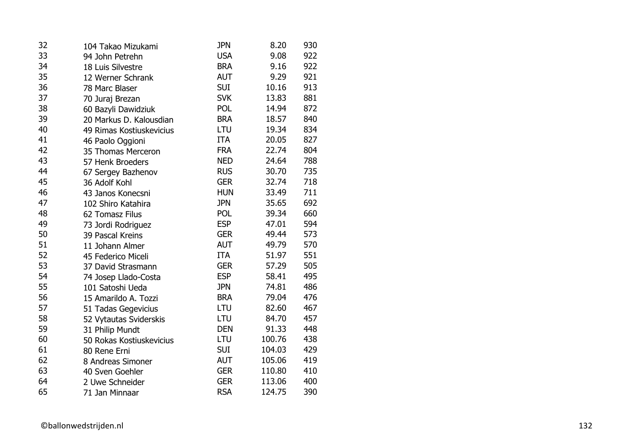| 32 | 104 Takao Mizukami       | <b>JPN</b> | 8.20   | 930 |
|----|--------------------------|------------|--------|-----|
| 33 | 94 John Petrehn          | <b>USA</b> | 9.08   | 922 |
| 34 | 18 Luis Silvestre        | <b>BRA</b> | 9.16   | 922 |
| 35 | 12 Werner Schrank        | <b>AUT</b> | 9.29   | 921 |
| 36 | 78 Marc Blaser           | <b>SUI</b> | 10.16  | 913 |
| 37 | 70 Juraj Brezan          | <b>SVK</b> | 13.83  | 881 |
| 38 | 60 Bazyli Dawidziuk      | POL        | 14.94  | 872 |
| 39 | 20 Markus D. Kalousdian  | <b>BRA</b> | 18.57  | 840 |
| 40 | 49 Rimas Kostiuskevicius | LTU        | 19.34  | 834 |
| 41 | 46 Paolo Oggioni         | ITA        | 20.05  | 827 |
| 42 | 35 Thomas Merceron       | <b>FRA</b> | 22.74  | 804 |
| 43 | 57 Henk Broeders         | <b>NED</b> | 24.64  | 788 |
| 44 | 67 Sergey Bazhenov       | <b>RUS</b> | 30.70  | 735 |
| 45 | 36 Adolf Kohl            | <b>GER</b> | 32.74  | 718 |
| 46 | 43 Janos Konecsni        | <b>HUN</b> | 33.49  | 711 |
| 47 | 102 Shiro Katahira       | <b>JPN</b> | 35.65  | 692 |
| 48 | 62 Tomasz Filus          | <b>POL</b> | 39.34  | 660 |
| 49 | 73 Jordi Rodriguez       | <b>ESP</b> | 47.01  | 594 |
| 50 | 39 Pascal Kreins         | <b>GER</b> | 49.44  | 573 |
| 51 | 11 Johann Almer          | <b>AUT</b> | 49.79  | 570 |
| 52 | 45 Federico Miceli       | <b>ITA</b> | 51.97  | 551 |
| 53 | 37 David Strasmann       | <b>GER</b> | 57.29  | 505 |
| 54 | 74 Josep Llado-Costa     | <b>ESP</b> | 58.41  | 495 |
| 55 | 101 Satoshi Ueda         | <b>JPN</b> | 74.81  | 486 |
| 56 | 15 Amarildo A. Tozzi     | <b>BRA</b> | 79.04  | 476 |
| 57 | 51 Tadas Gegevicius      | LTU        | 82.60  | 467 |
| 58 | 52 Vytautas Sviderskis   | LTU        | 84.70  | 457 |
| 59 | 31 Philip Mundt          | <b>DEN</b> | 91.33  | 448 |
| 60 | 50 Rokas Kostiuskevicius | LTU        | 100.76 | 438 |
| 61 | 80 Rene Erni             | <b>SUI</b> | 104.03 | 429 |
| 62 | 8 Andreas Simoner        | <b>AUT</b> | 105.06 | 419 |
| 63 | 40 Sven Goehler          | <b>GER</b> | 110.80 | 410 |
| 64 | 2 Uwe Schneider          | <b>GER</b> | 113.06 | 400 |
| 65 | 71 Jan Minnaar           | <b>RSA</b> | 124.75 | 390 |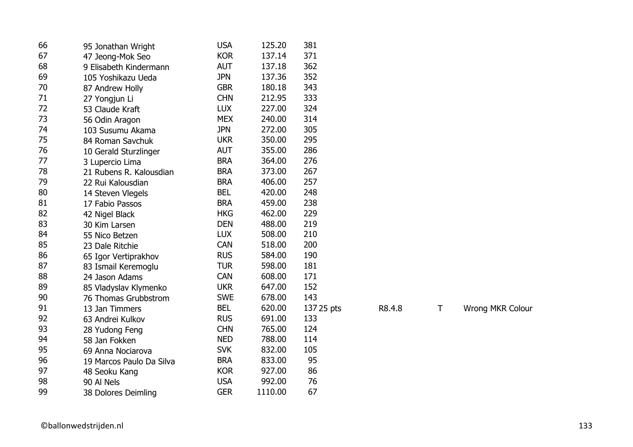| 66 | 95 Jonathan Wright       | <b>USA</b> | 125.20  | 381        |        |   |                  |
|----|--------------------------|------------|---------|------------|--------|---|------------------|
| 67 | 47 Jeong-Mok Seo         | <b>KOR</b> | 137.14  | 371        |        |   |                  |
| 68 | 9 Elisabeth Kindermann   | <b>AUT</b> | 137.18  | 362        |        |   |                  |
| 69 | 105 Yoshikazu Ueda       | <b>JPN</b> | 137.36  | 352        |        |   |                  |
| 70 | 87 Andrew Holly          | <b>GBR</b> | 180.18  | 343        |        |   |                  |
| 71 | 27 Yongjun Li            | <b>CHN</b> | 212.95  | 333        |        |   |                  |
| 72 | 53 Claude Kraft          | <b>LUX</b> | 227.00  | 324        |        |   |                  |
| 73 | 56 Odin Aragon           | <b>MEX</b> | 240.00  | 314        |        |   |                  |
| 74 | 103 Susumu Akama         | <b>JPN</b> | 272.00  | 305        |        |   |                  |
| 75 | 84 Roman Savchuk         | <b>UKR</b> | 350.00  | 295        |        |   |                  |
| 76 | 10 Gerald Sturzlinger    | <b>AUT</b> | 355.00  | 286        |        |   |                  |
| 77 | 3 Lupercio Lima          | <b>BRA</b> | 364.00  | 276        |        |   |                  |
| 78 | 21 Rubens R. Kalousdian  | <b>BRA</b> | 373.00  | 267        |        |   |                  |
| 79 | 22 Rui Kalousdian        | <b>BRA</b> | 406.00  | 257        |        |   |                  |
| 80 | 14 Steven Vlegels        | <b>BEL</b> | 420.00  | 248        |        |   |                  |
| 81 | 17 Fabio Passos          | <b>BRA</b> | 459.00  | 238        |        |   |                  |
| 82 | 42 Nigel Black           | <b>HKG</b> | 462.00  | 229        |        |   |                  |
| 83 | 30 Kim Larsen            | <b>DEN</b> | 488.00  | 219        |        |   |                  |
| 84 | 55 Nico Betzen           | <b>LUX</b> | 508.00  | 210        |        |   |                  |
| 85 | 23 Dale Ritchie          | <b>CAN</b> | 518.00  | 200        |        |   |                  |
| 86 | 65 Igor Vertiprakhov     | <b>RUS</b> | 584.00  | 190        |        |   |                  |
| 87 | 83 Ismail Keremoglu      | <b>TUR</b> | 598.00  | 181        |        |   |                  |
| 88 | 24 Jason Adams           | <b>CAN</b> | 608.00  | 171        |        |   |                  |
| 89 | 85 Vladyslav Klymenko    | <b>UKR</b> | 647.00  | 152        |        |   |                  |
| 90 | 76 Thomas Grubbstrom     | <b>SWE</b> | 678.00  | 143        |        |   |                  |
| 91 | 13 Jan Timmers           | <b>BEL</b> | 620.00  | 137 25 pts | R8.4.8 | Τ | Wrong MKR Colour |
| 92 | 63 Andrei Kulkov         | <b>RUS</b> | 691.00  | 133        |        |   |                  |
| 93 | 28 Yudong Feng           | <b>CHN</b> | 765.00  | 124        |        |   |                  |
| 94 | 58 Jan Fokken            | <b>NED</b> | 788.00  | 114        |        |   |                  |
| 95 | 69 Anna Nociarova        | <b>SVK</b> | 832.00  | 105        |        |   |                  |
| 96 | 19 Marcos Paulo Da Silva | <b>BRA</b> | 833.00  | 95         |        |   |                  |
| 97 | 48 Seoku Kang            | <b>KOR</b> | 927.00  | 86         |        |   |                  |
| 98 | 90 Al Nels               | <b>USA</b> | 992.00  | 76         |        |   |                  |
| 99 | 38 Dolores Deimling      | <b>GER</b> | 1110.00 | 67         |        |   |                  |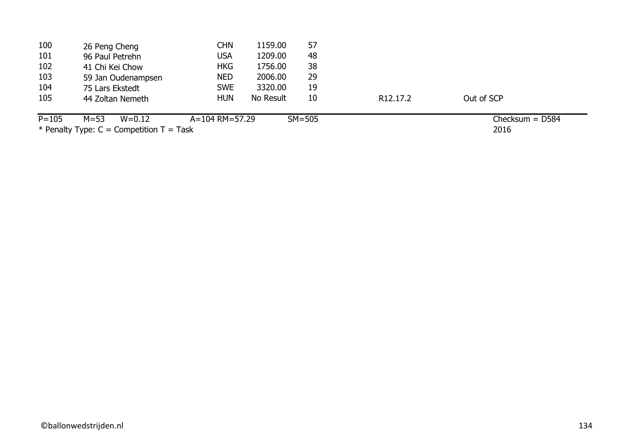| 100       | 26 Peng Cheng          | CHN            | 1159.00   | 57         |                       |                   |  |
|-----------|------------------------|----------------|-----------|------------|-----------------------|-------------------|--|
| 101       | 96 Paul Petrehn        | USA            | 1209.00   | 48         |                       |                   |  |
| 102       | 41 Chi Kei Chow        | <b>HKG</b>     | 1756.00   | 38         |                       |                   |  |
| 103       | 59 Jan Oudenampsen     | <b>NED</b>     | 2006.00   | 29         |                       |                   |  |
| 104       | 75 Lars Ekstedt        | <b>SWE</b>     | 3320.00   | 19         |                       |                   |  |
| 105       | 44 Zoltan Nemeth       | <b>HUN</b>     | No Result | 10         | R <sub>12</sub> .17.2 | Out of SCP        |  |
| $P = 105$ | $M = 53$<br>$W = 0.12$ | A=104 RM=57.29 |           | $SM = 505$ |                       | Checksum $=$ D584 |  |

2016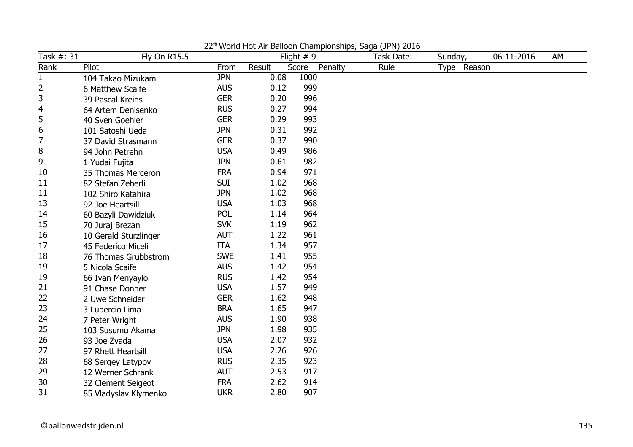| Task #: 31     | <b>Fly On R15.5</b>   |            |        | Flight $# 9$     | Task Date: | Sunday,     | 06-11-2016 | AM |
|----------------|-----------------------|------------|--------|------------------|------------|-------------|------------|----|
| Rank           | Pilot                 | From       | Result | Penalty<br>Score | Rule       | Type Reason |            |    |
| $\mathbf{1}$   | 104 Takao Mizukami    | <b>JPN</b> | 0.08   | 1000             |            |             |            |    |
| $\overline{2}$ | 6 Matthew Scaife      | <b>AUS</b> | 0.12   | 999              |            |             |            |    |
| 3              | 39 Pascal Kreins      | <b>GER</b> | 0.20   | 996              |            |             |            |    |
| $\overline{4}$ | 64 Artem Denisenko    | <b>RUS</b> | 0.27   | 994              |            |             |            |    |
| 5              | 40 Sven Goehler       | <b>GER</b> | 0.29   | 993              |            |             |            |    |
| 6              | 101 Satoshi Ueda      | <b>JPN</b> | 0.31   | 992              |            |             |            |    |
| $\overline{7}$ | 37 David Strasmann    | <b>GER</b> | 0.37   | 990              |            |             |            |    |
| 8              | 94 John Petrehn       | <b>USA</b> | 0.49   | 986              |            |             |            |    |
| 9              | 1 Yudai Fujita        | <b>JPN</b> | 0.61   | 982              |            |             |            |    |
| 10             | 35 Thomas Merceron    | <b>FRA</b> | 0.94   | 971              |            |             |            |    |
| 11             | 82 Stefan Zeberli     | <b>SUI</b> | 1.02   | 968              |            |             |            |    |
| 11             | 102 Shiro Katahira    | <b>JPN</b> | 1.02   | 968              |            |             |            |    |
| 13             | 92 Joe Heartsill      | <b>USA</b> | 1.03   | 968              |            |             |            |    |
| 14             | 60 Bazyli Dawidziuk   | <b>POL</b> | 1.14   | 964              |            |             |            |    |
| 15             | 70 Juraj Brezan       | <b>SVK</b> | 1.19   | 962              |            |             |            |    |
| 16             | 10 Gerald Sturzlinger | <b>AUT</b> | 1.22   | 961              |            |             |            |    |
| 17             | 45 Federico Miceli    | <b>ITA</b> | 1.34   | 957              |            |             |            |    |
| 18             | 76 Thomas Grubbstrom  | <b>SWE</b> | 1.41   | 955              |            |             |            |    |
| 19             | 5 Nicola Scaife       | <b>AUS</b> | 1.42   | 954              |            |             |            |    |
| 19             | 66 Ivan Menyaylo      | <b>RUS</b> | 1.42   | 954              |            |             |            |    |
| 21             | 91 Chase Donner       | <b>USA</b> | 1.57   | 949              |            |             |            |    |
| 22             | 2 Uwe Schneider       | <b>GER</b> | 1.62   | 948              |            |             |            |    |
| 23             | 3 Lupercio Lima       | <b>BRA</b> | 1.65   | 947              |            |             |            |    |
| 24             | 7 Peter Wright        | <b>AUS</b> | 1.90   | 938              |            |             |            |    |
| 25             | 103 Susumu Akama      | <b>JPN</b> | 1.98   | 935              |            |             |            |    |
| 26             | 93 Joe Zvada          | <b>USA</b> | 2.07   | 932              |            |             |            |    |
| 27             | 97 Rhett Heartsill    | <b>USA</b> | 2.26   | 926              |            |             |            |    |
| 28             | 68 Sergey Latypov     | <b>RUS</b> | 2.35   | 923              |            |             |            |    |
| 29             | 12 Werner Schrank     | <b>AUT</b> | 2.53   | 917              |            |             |            |    |
| 30             | 32 Clement Seigeot    | <b>FRA</b> | 2.62   | 914              |            |             |            |    |
| 31             | 85 Vladyslav Klymenko | <b>UKR</b> | 2.80   | 907              |            |             |            |    |

22<sup>th</sup> World Hot Air Balloon Championships, Saga (JPN) 2016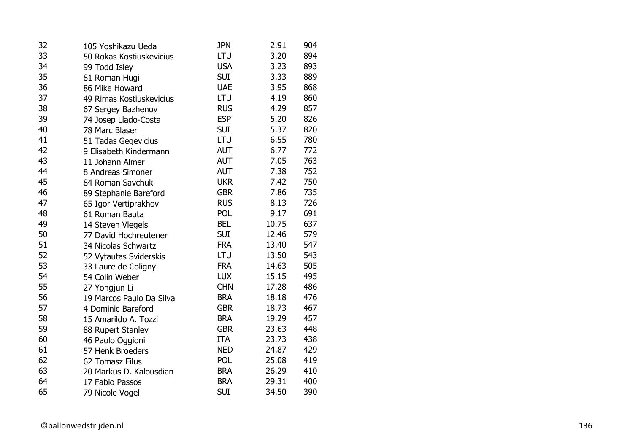| 32 | 105 Yoshikazu Ueda       | <b>JPN</b> | 2.91  | 904 |
|----|--------------------------|------------|-------|-----|
| 33 | 50 Rokas Kostiuskevicius | LTU        | 3.20  | 894 |
| 34 | 99 Todd Isley            | <b>USA</b> | 3.23  | 893 |
| 35 | 81 Roman Hugi            | <b>SUI</b> | 3.33  | 889 |
| 36 | 86 Mike Howard           | <b>UAE</b> | 3.95  | 868 |
| 37 | 49 Rimas Kostiuskevicius | LTU        | 4.19  | 860 |
| 38 | 67 Sergey Bazhenov       | <b>RUS</b> | 4.29  | 857 |
| 39 | 74 Josep Llado-Costa     | <b>ESP</b> | 5.20  | 826 |
| 40 | 78 Marc Blaser           | <b>SUI</b> | 5.37  | 820 |
| 41 | 51 Tadas Gegevicius      | LTU        | 6.55  | 780 |
| 42 | 9 Elisabeth Kindermann   | <b>AUT</b> | 6.77  | 772 |
| 43 | 11 Johann Almer          | <b>AUT</b> | 7.05  | 763 |
| 44 | 8 Andreas Simoner        | AUT        | 7.38  | 752 |
| 45 | 84 Roman Savchuk         | <b>UKR</b> | 7.42  | 750 |
| 46 | 89 Stephanie Bareford    | <b>GBR</b> | 7.86  | 735 |
| 47 | 65 Igor Vertiprakhov     | <b>RUS</b> | 8.13  | 726 |
| 48 | 61 Roman Bauta           | POL        | 9.17  | 691 |
| 49 | 14 Steven Vlegels        | <b>BEL</b> | 10.75 | 637 |
| 50 | 77 David Hochreutener    | <b>SUI</b> | 12.46 | 579 |
| 51 | 34 Nicolas Schwartz      | <b>FRA</b> | 13.40 | 547 |
| 52 | 52 Vytautas Sviderskis   | LTU        | 13.50 | 543 |
| 53 | 33 Laure de Coligny      | <b>FRA</b> | 14.63 | 505 |
| 54 | 54 Colin Weber           | <b>LUX</b> | 15.15 | 495 |
| 55 | 27 Yongjun Li            | <b>CHN</b> | 17.28 | 486 |
| 56 | 19 Marcos Paulo Da Silva | <b>BRA</b> | 18.18 | 476 |
| 57 | 4 Dominic Bareford       | <b>GBR</b> | 18.73 | 467 |
| 58 | 15 Amarildo A. Tozzi     | <b>BRA</b> | 19.29 | 457 |
| 59 | 88 Rupert Stanley        | <b>GBR</b> | 23.63 | 448 |
| 60 | 46 Paolo Oggioni         | ITA        | 23.73 | 438 |
| 61 | 57 Henk Broeders         | <b>NED</b> | 24.87 | 429 |
| 62 | 62 Tomasz Filus          | POL        | 25.08 | 419 |
| 63 | 20 Markus D. Kalousdian  | <b>BRA</b> | 26.29 | 410 |
| 64 | 17 Fabio Passos          | <b>BRA</b> | 29.31 | 400 |
| 65 | 79 Nicole Vogel          | <b>SUI</b> | 34.50 | 390 |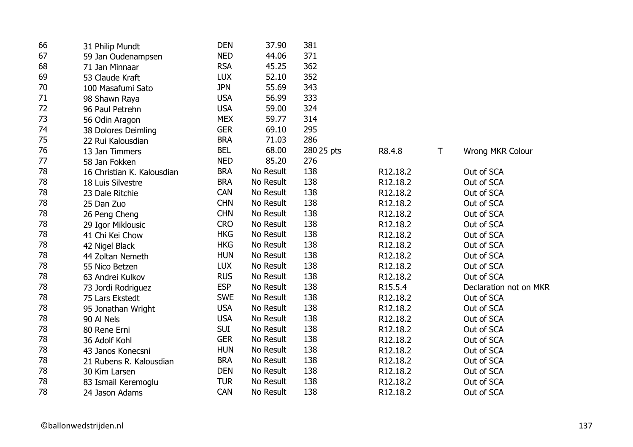| 66 | 31 Philip Mundt            | <b>DEN</b> | 37.90     | 381        |          |             |                        |
|----|----------------------------|------------|-----------|------------|----------|-------------|------------------------|
| 67 | 59 Jan Oudenampsen         | <b>NED</b> | 44.06     | 371        |          |             |                        |
| 68 | 71 Jan Minnaar             | <b>RSA</b> | 45.25     | 362        |          |             |                        |
| 69 | 53 Claude Kraft            | <b>LUX</b> | 52.10     | 352        |          |             |                        |
| 70 | 100 Masafumi Sato          | <b>JPN</b> | 55.69     | 343        |          |             |                        |
| 71 | 98 Shawn Raya              | <b>USA</b> | 56.99     | 333        |          |             |                        |
| 72 | 96 Paul Petrehn            | <b>USA</b> | 59.00     | 324        |          |             |                        |
| 73 | 56 Odin Aragon             | <b>MEX</b> | 59.77     | 314        |          |             |                        |
| 74 | 38 Dolores Deimling        | <b>GER</b> | 69.10     | 295        |          |             |                        |
| 75 | 22 Rui Kalousdian          | <b>BRA</b> | 71.03     | 286        |          |             |                        |
| 76 | 13 Jan Timmers             | <b>BEL</b> | 68.00     | 280 25 pts | R8.4.8   | $\mathsf T$ | Wrong MKR Colour       |
| 77 | 58 Jan Fokken              | <b>NED</b> | 85.20     | 276        |          |             |                        |
| 78 | 16 Christian K. Kalousdian | <b>BRA</b> | No Result | 138        | R12.18.2 |             | Out of SCA             |
| 78 | 18 Luis Silvestre          | <b>BRA</b> | No Result | 138        | R12.18.2 |             | Out of SCA             |
| 78 | 23 Dale Ritchie            | <b>CAN</b> | No Result | 138        | R12.18.2 |             | Out of SCA             |
| 78 | 25 Dan Zuo                 | <b>CHN</b> | No Result | 138        | R12.18.2 |             | Out of SCA             |
| 78 | 26 Peng Cheng              | <b>CHN</b> | No Result | 138        | R12.18.2 |             | Out of SCA             |
| 78 | 29 Igor Miklousic          | <b>CRO</b> | No Result | 138        | R12.18.2 |             | Out of SCA             |
| 78 | 41 Chi Kei Chow            | <b>HKG</b> | No Result | 138        | R12.18.2 |             | Out of SCA             |
| 78 | 42 Nigel Black             | <b>HKG</b> | No Result | 138        | R12.18.2 |             | Out of SCA             |
| 78 | 44 Zoltan Nemeth           | <b>HUN</b> | No Result | 138        | R12.18.2 |             | Out of SCA             |
| 78 | 55 Nico Betzen             | <b>LUX</b> | No Result | 138        | R12.18.2 |             | Out of SCA             |
| 78 | 63 Andrei Kulkov           | <b>RUS</b> | No Result | 138        | R12.18.2 |             | Out of SCA             |
| 78 | 73 Jordi Rodriguez         | <b>ESP</b> | No Result | 138        | R15.5.4  |             | Declaration not on MKR |
| 78 | 75 Lars Ekstedt            | <b>SWE</b> | No Result | 138        | R12.18.2 |             | Out of SCA             |
| 78 | 95 Jonathan Wright         | <b>USA</b> | No Result | 138        | R12.18.2 |             | Out of SCA             |
| 78 | 90 Al Nels                 | <b>USA</b> | No Result | 138        | R12.18.2 |             | Out of SCA             |
| 78 | 80 Rene Erni               | <b>SUI</b> | No Result | 138        | R12.18.2 |             | Out of SCA             |
| 78 | 36 Adolf Kohl              | <b>GER</b> | No Result | 138        | R12.18.2 |             | Out of SCA             |
| 78 | 43 Janos Konecsni          | <b>HUN</b> | No Result | 138        | R12.18.2 |             | Out of SCA             |
| 78 | 21 Rubens R. Kalousdian    | <b>BRA</b> | No Result | 138        | R12.18.2 |             | Out of SCA             |
| 78 | 30 Kim Larsen              | <b>DEN</b> | No Result | 138        | R12.18.2 |             | Out of SCA             |
| 78 | 83 Ismail Keremoglu        | <b>TUR</b> | No Result | 138        | R12.18.2 |             | Out of SCA             |
| 78 | 24 Jason Adams             | <b>CAN</b> | No Result | 138        | R12.18.2 |             | Out of SCA             |